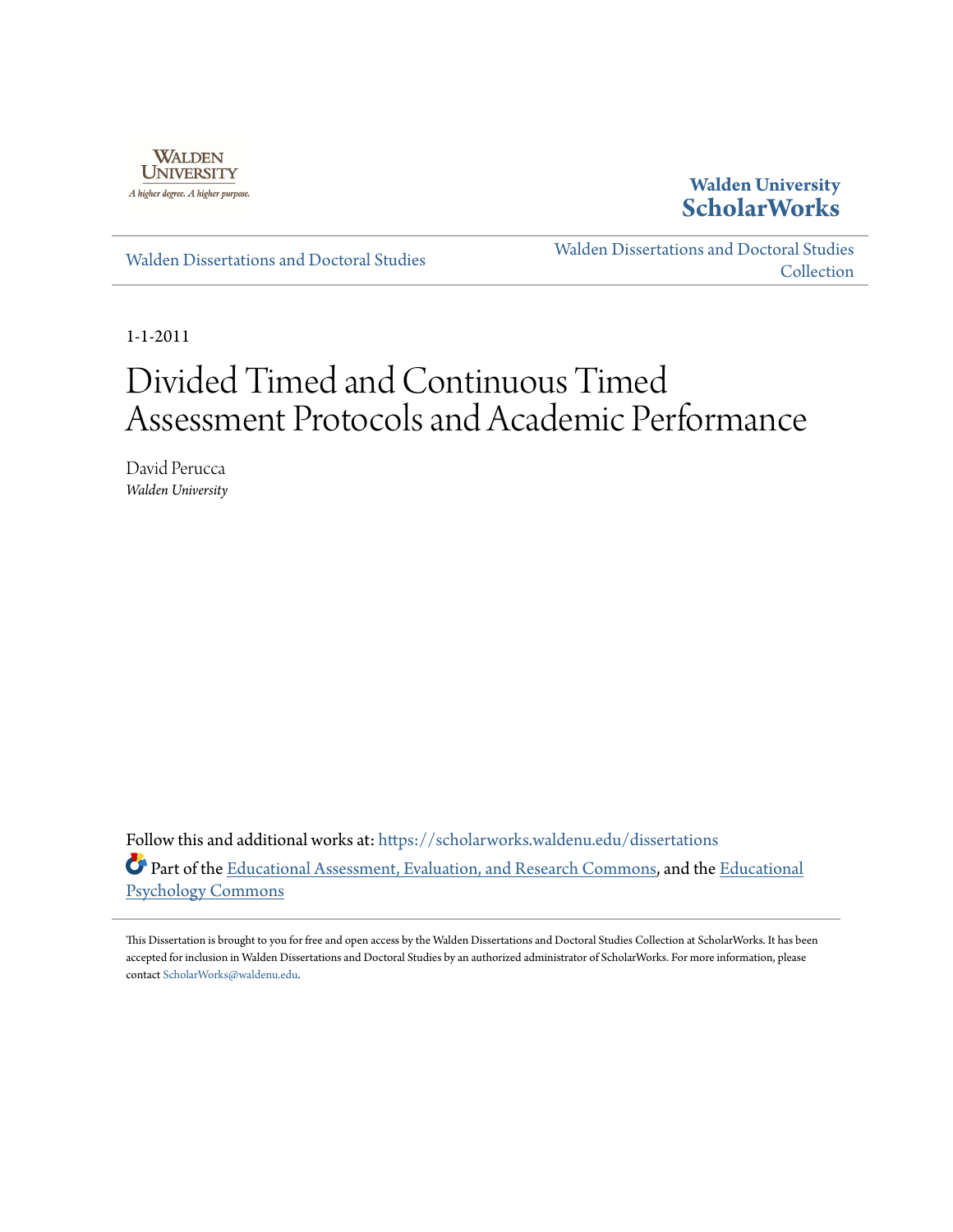

# **Walden University [ScholarWorks](https://scholarworks.waldenu.edu?utm_source=scholarworks.waldenu.edu%2Fdissertations%2F1067&utm_medium=PDF&utm_campaign=PDFCoverPages)**

[Walden Dissertations and Doctoral Studies](https://scholarworks.waldenu.edu/dissertations?utm_source=scholarworks.waldenu.edu%2Fdissertations%2F1067&utm_medium=PDF&utm_campaign=PDFCoverPages)

[Walden Dissertations and Doctoral Studies](https://scholarworks.waldenu.edu/dissanddoc?utm_source=scholarworks.waldenu.edu%2Fdissertations%2F1067&utm_medium=PDF&utm_campaign=PDFCoverPages) [Collection](https://scholarworks.waldenu.edu/dissanddoc?utm_source=scholarworks.waldenu.edu%2Fdissertations%2F1067&utm_medium=PDF&utm_campaign=PDFCoverPages)

1-1-2011

# Divided Timed and Continuous Timed Assessment Protocols and Academic Performance

David Perucca *Walden University*

Follow this and additional works at: [https://scholarworks.waldenu.edu/dissertations](https://scholarworks.waldenu.edu/dissertations?utm_source=scholarworks.waldenu.edu%2Fdissertations%2F1067&utm_medium=PDF&utm_campaign=PDFCoverPages) Part of the [Educational Assessment, Evaluation, and Research Commons,](http://network.bepress.com/hgg/discipline/796?utm_source=scholarworks.waldenu.edu%2Fdissertations%2F1067&utm_medium=PDF&utm_campaign=PDFCoverPages) and the [Educational](http://network.bepress.com/hgg/discipline/798?utm_source=scholarworks.waldenu.edu%2Fdissertations%2F1067&utm_medium=PDF&utm_campaign=PDFCoverPages) [Psychology Commons](http://network.bepress.com/hgg/discipline/798?utm_source=scholarworks.waldenu.edu%2Fdissertations%2F1067&utm_medium=PDF&utm_campaign=PDFCoverPages)

This Dissertation is brought to you for free and open access by the Walden Dissertations and Doctoral Studies Collection at ScholarWorks. It has been accepted for inclusion in Walden Dissertations and Doctoral Studies by an authorized administrator of ScholarWorks. For more information, please contact [ScholarWorks@waldenu.edu](mailto:ScholarWorks@waldenu.edu).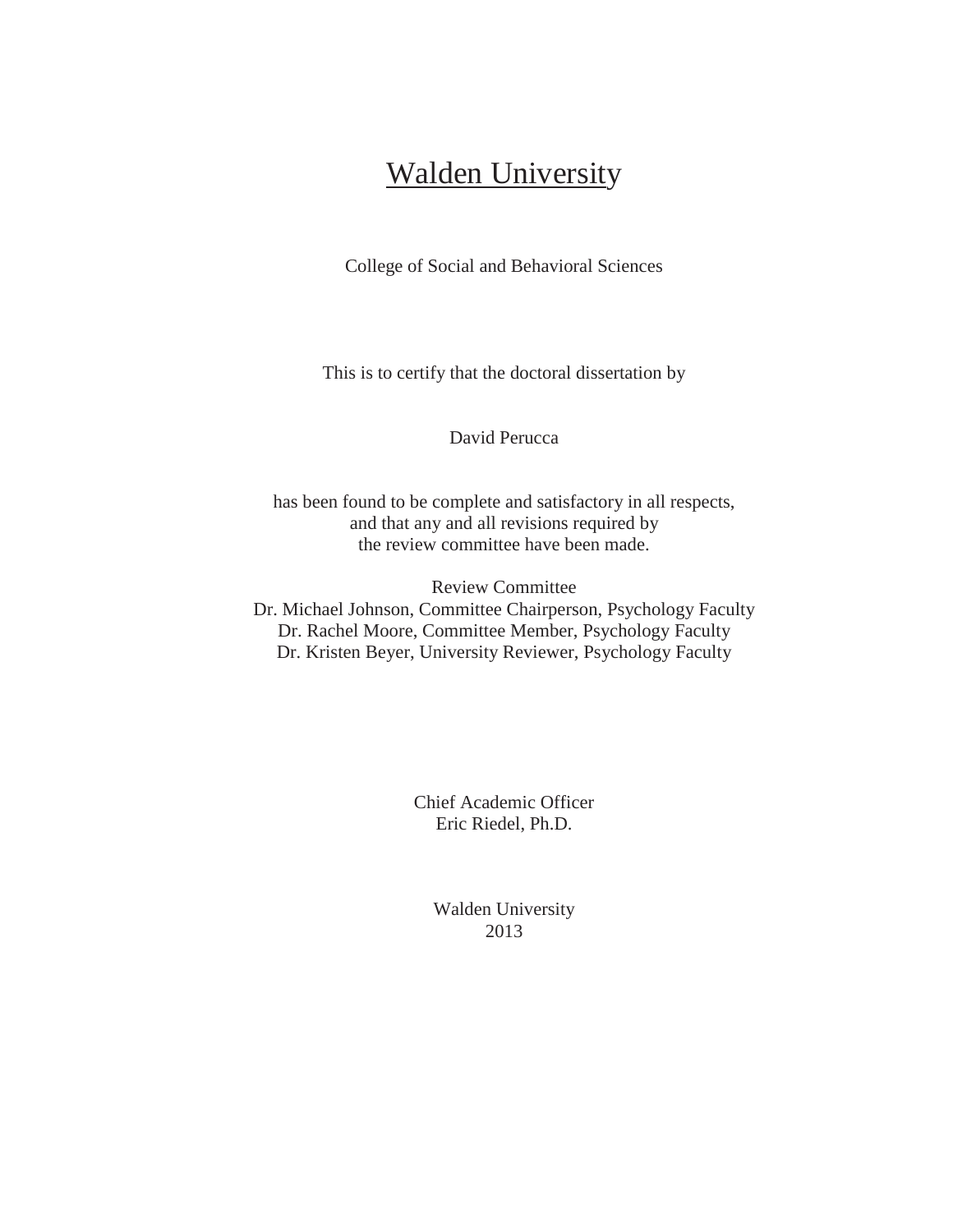# **Walden University**

College of Social and Behavioral Sciences

This is to certify that the doctoral dissertation by

David Perucca

has been found to be complete and satisfactory in all respects, and that any and all revisions required by the review committee have been made.

Review Committee Dr. Michael Johnson, Committee Chairperson, Psychology Faculty Dr. Rachel Moore, Committee Member, Psychology Faculty Dr. Kristen Beyer, University Reviewer, Psychology Faculty

> Chief Academic Officer Eric Riedel, Ph.D.

> > Walden University 2013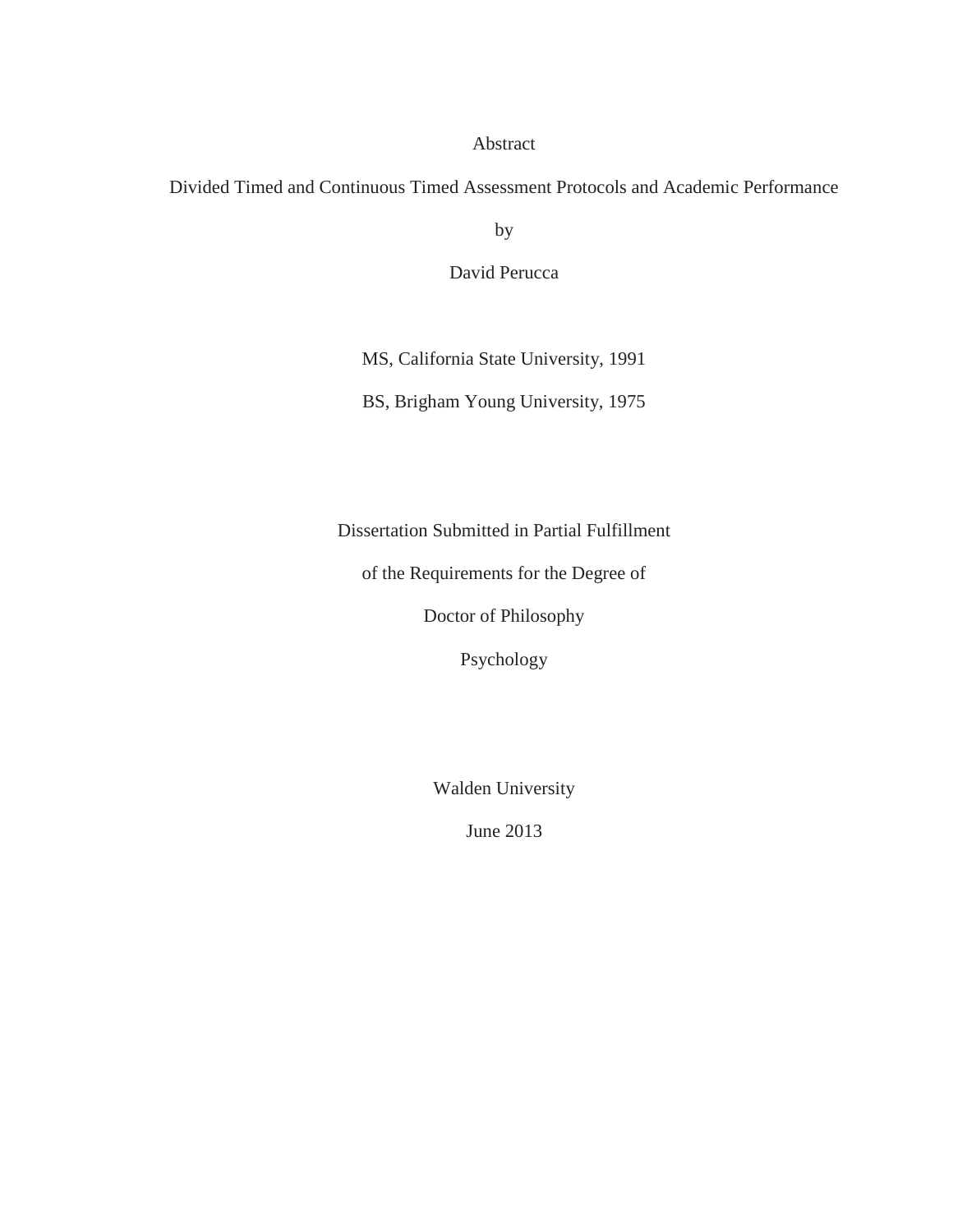### Abstract

# Divided Timed and Continuous Timed Assessment Protocols and Academic Performance

by

David Perucca

MS, California State University, 1991

BS, Brigham Young University, 1975

Dissertation Submitted in Partial Fulfillment

of the Requirements for the Degree of

Doctor of Philosophy

Psychology

Walden University

June 2013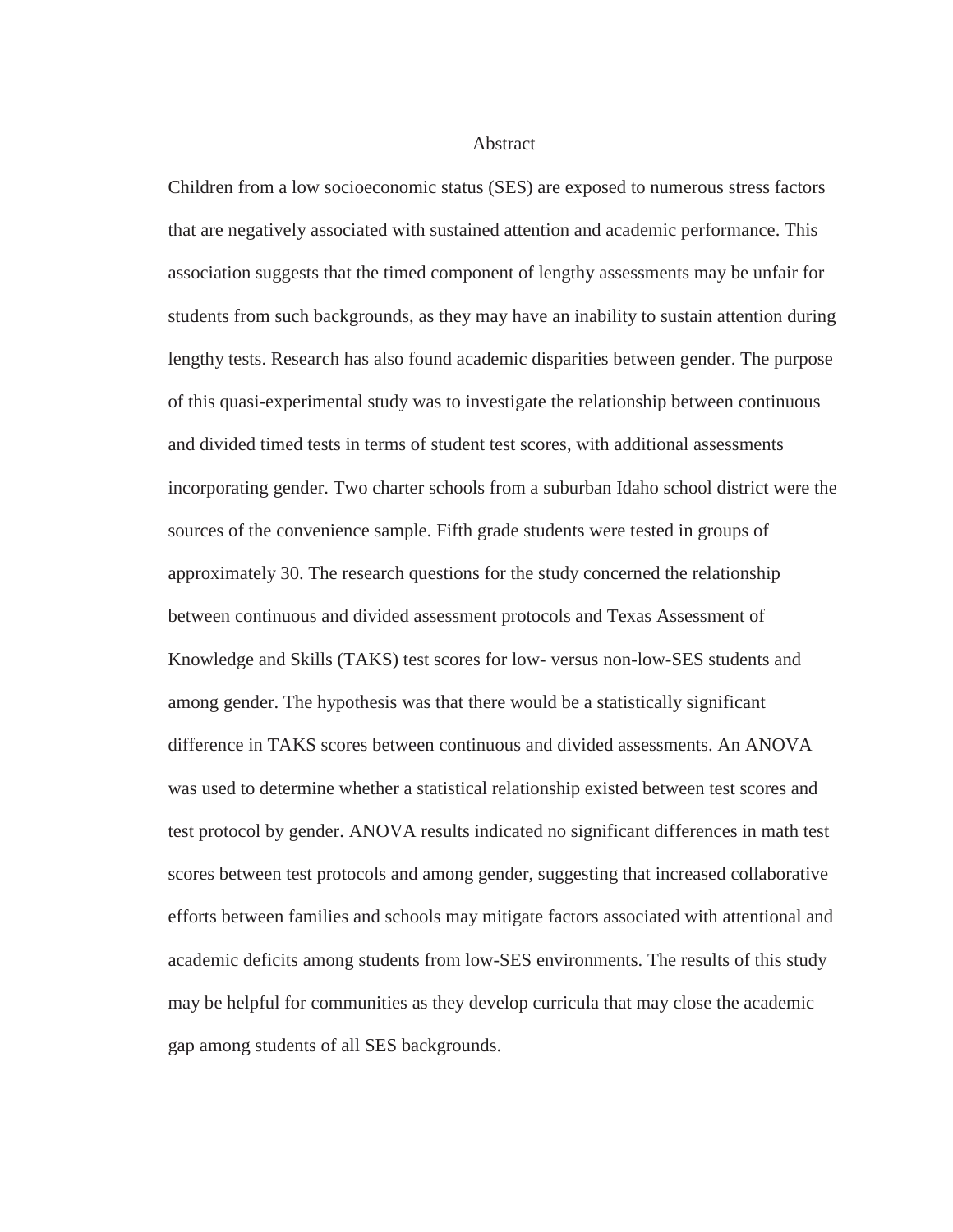**Abstract** 

Children from a low socioeconomic status (SES) are exposed to numerous stress factors that are negatively associated with sustained attention and academic performance. This association suggests that the timed component of lengthy assessments may be unfair for students from such backgrounds, as they may have an inability to sustain attention during lengthy tests. Research has also found academic disparities between gender. The purpose of this quasi-experimental study was to investigate the relationship between continuous and divided timed tests in terms of student test scores, with additional assessments incorporating gender. Two charter schools from a suburban Idaho school district were the sources of the convenience sample. Fifth grade students were tested in groups of approximately 30. The research questions for the study concerned the relationship between continuous and divided assessment protocols and Texas Assessment of Knowledge and Skills (TAKS) test scores for low- versus non-low-SES students and among gender. The hypothesis was that there would be a statistically significant difference in TAKS scores between continuous and divided assessments. An ANOVA was used to determine whether a statistical relationship existed between test scores and test protocol by gender. ANOVA results indicated no significant differences in math test scores between test protocols and among gender, suggesting that increased collaborative efforts between families and schools may mitigate factors associated with attentional and academic deficits among students from low-SES environments. The results of this study may be helpful for communities as they develop curricula that may close the academic gap among students of all SES backgrounds.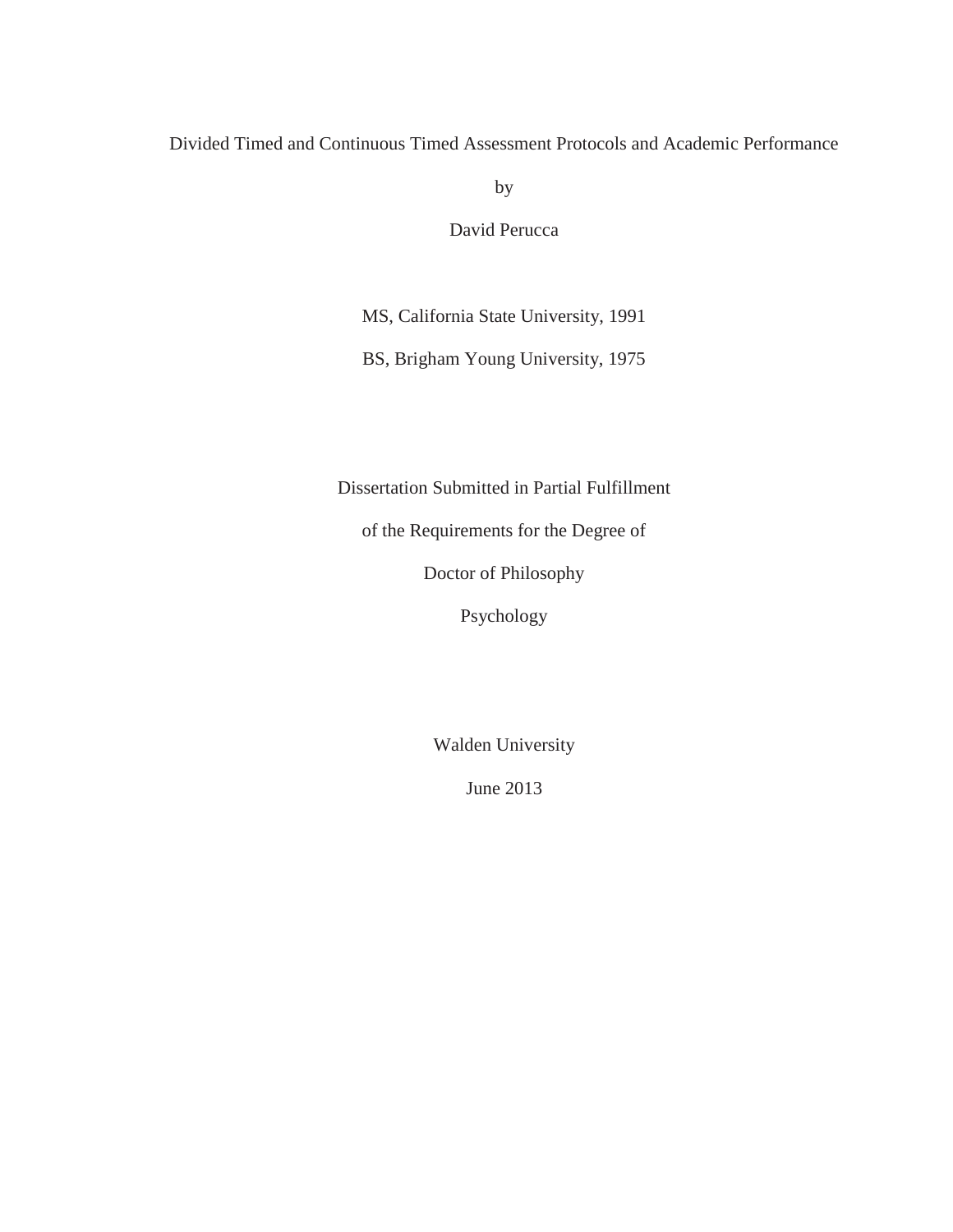Divided Timed and Continuous Timed Assessment Protocols and Academic Performance

by

David Perucca

MS, California State University, 1991

BS, Brigham Young University, 1975

Dissertation Submitted in Partial Fulfillment

of the Requirements for the Degree of

Doctor of Philosophy

Psychology

Walden University

June 2013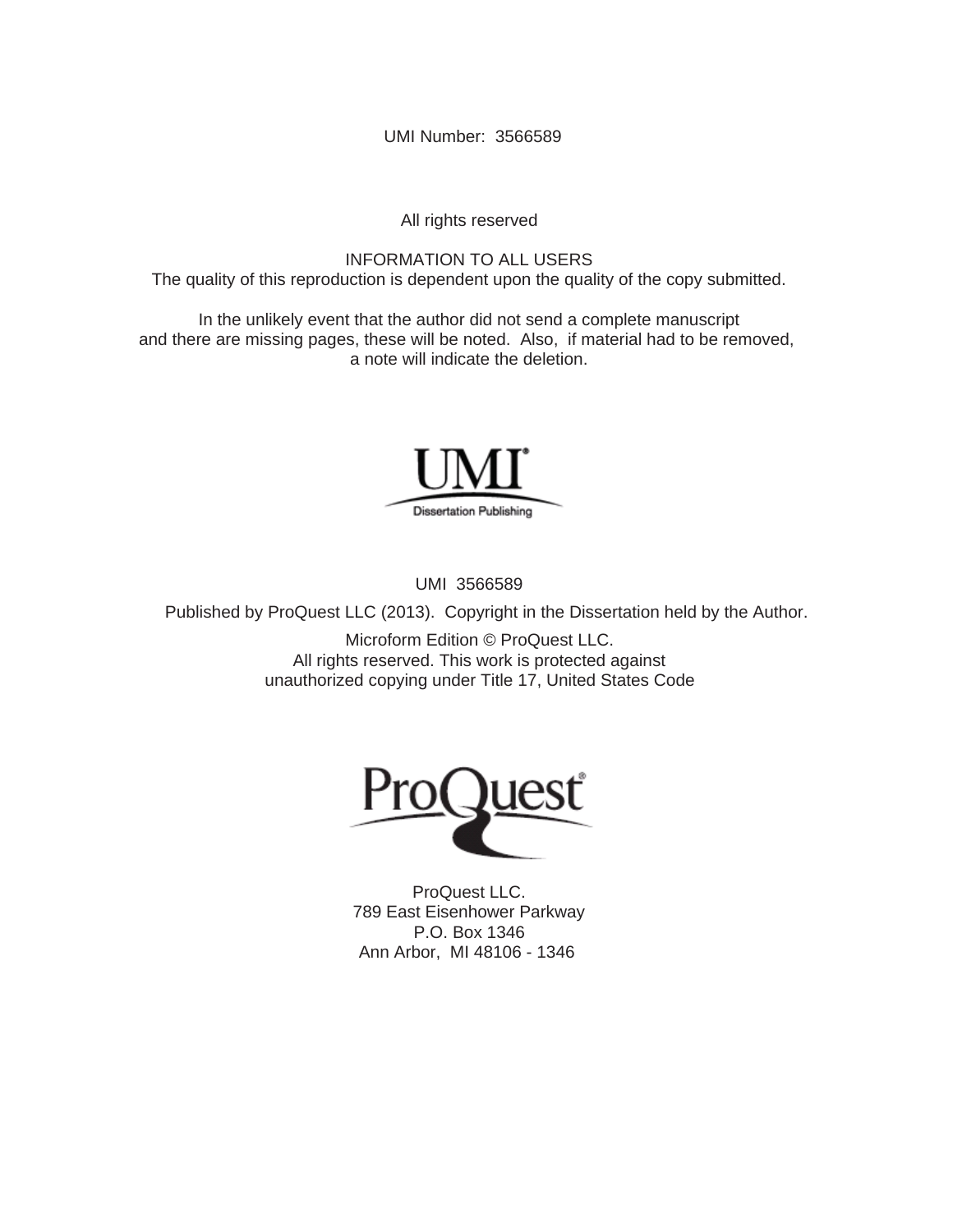UMI Number: 3566589

All rights reserved

INFORMATION TO ALL USERS The quality of this reproduction is dependent upon the quality of the copy submitted.

In the unlikely event that the author did not send a complete manuscript and there are missing pages, these will be noted. Also, if material had to be removed, a note will indicate the deletion.



UMI 3566589

Published by ProQuest LLC (2013). Copyright in the Dissertation held by the Author.

Microform Edition © ProQuest LLC. All rights reserved. This work is protected against unauthorized copying under Title 17, United States Code



ProQuest LLC. 789 East Eisenhower Parkway P.O. Box 1346 Ann Arbor, MI 48106 - 1346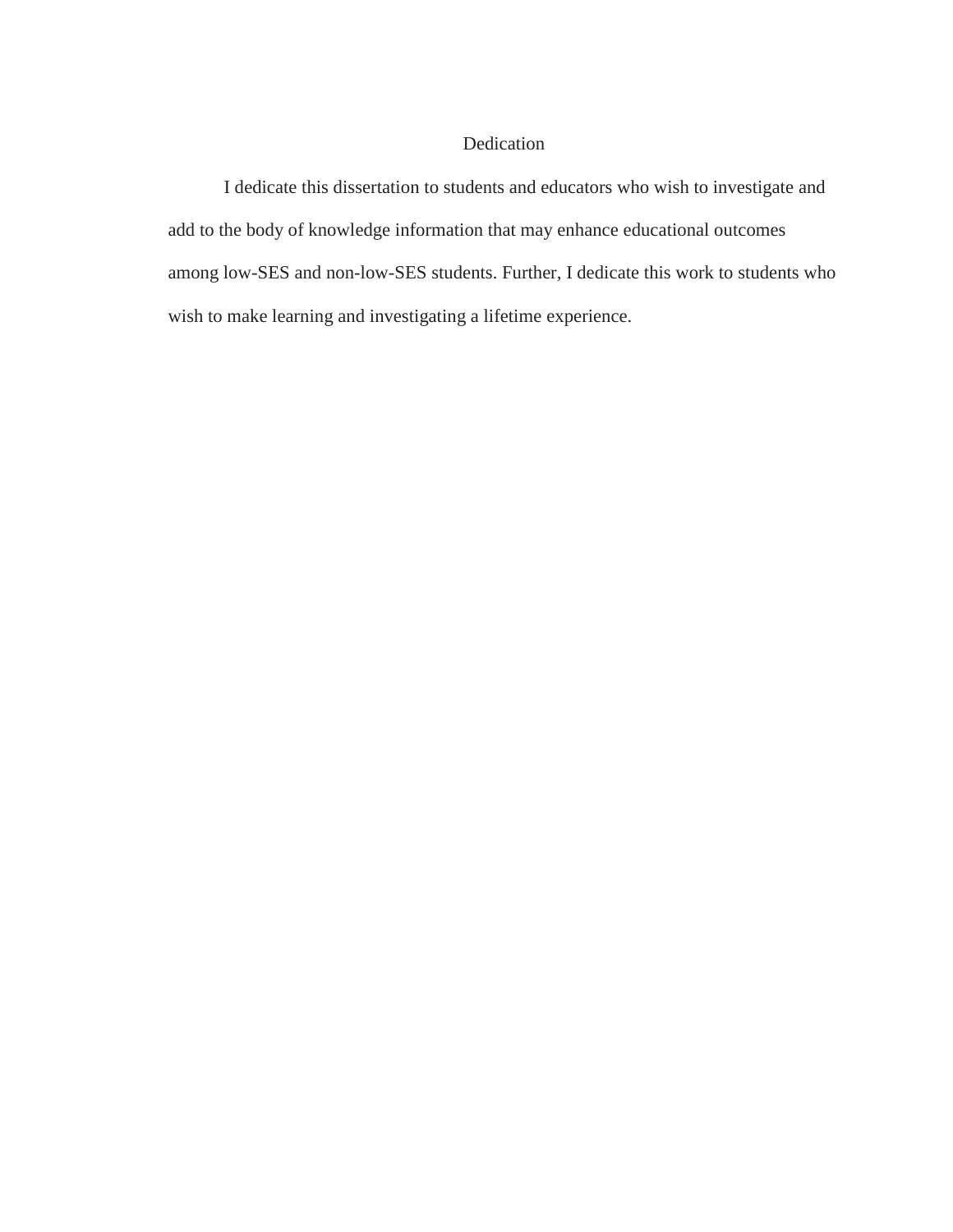## Dedication

I dedicate this dissertation to students and educators who wish to investigate and add to the body of knowledge information that may enhance educational outcomes among low-SES and non-low-SES students. Further, I dedicate this work to students who wish to make learning and investigating a lifetime experience.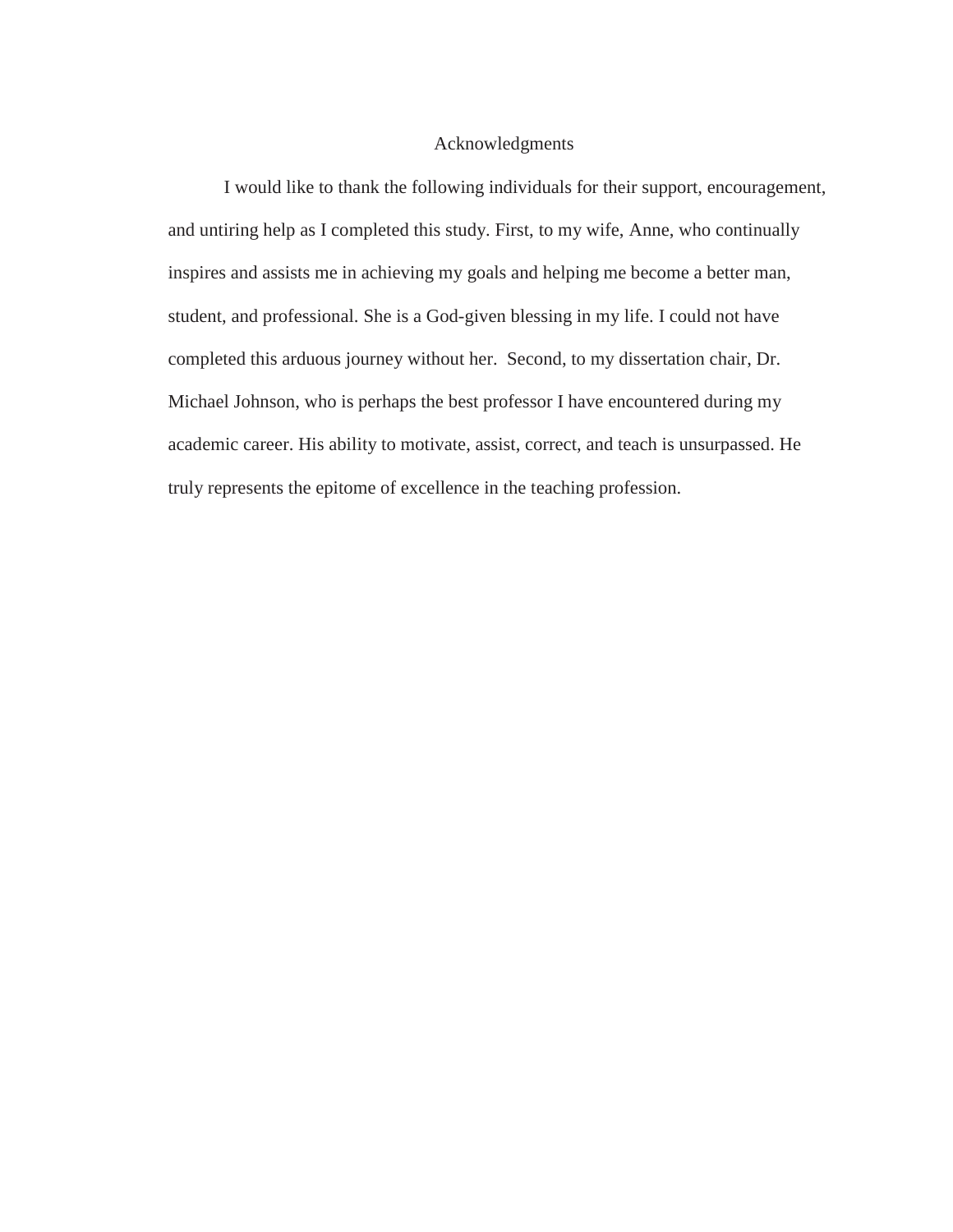#### Acknowledgments

I would like to thank the following individuals for their support, encouragement, and untiring help as I completed this study. First, to my wife, Anne, who continually inspires and assists me in achieving my goals and helping me become a better man, student, and professional. She is a God-given blessing in my life. I could not have completed this arduous journey without her. Second, to my dissertation chair, Dr. Michael Johnson, who is perhaps the best professor I have encountered during my academic career. His ability to motivate, assist, correct, and teach is unsurpassed. He truly represents the epitome of excellence in the teaching profession.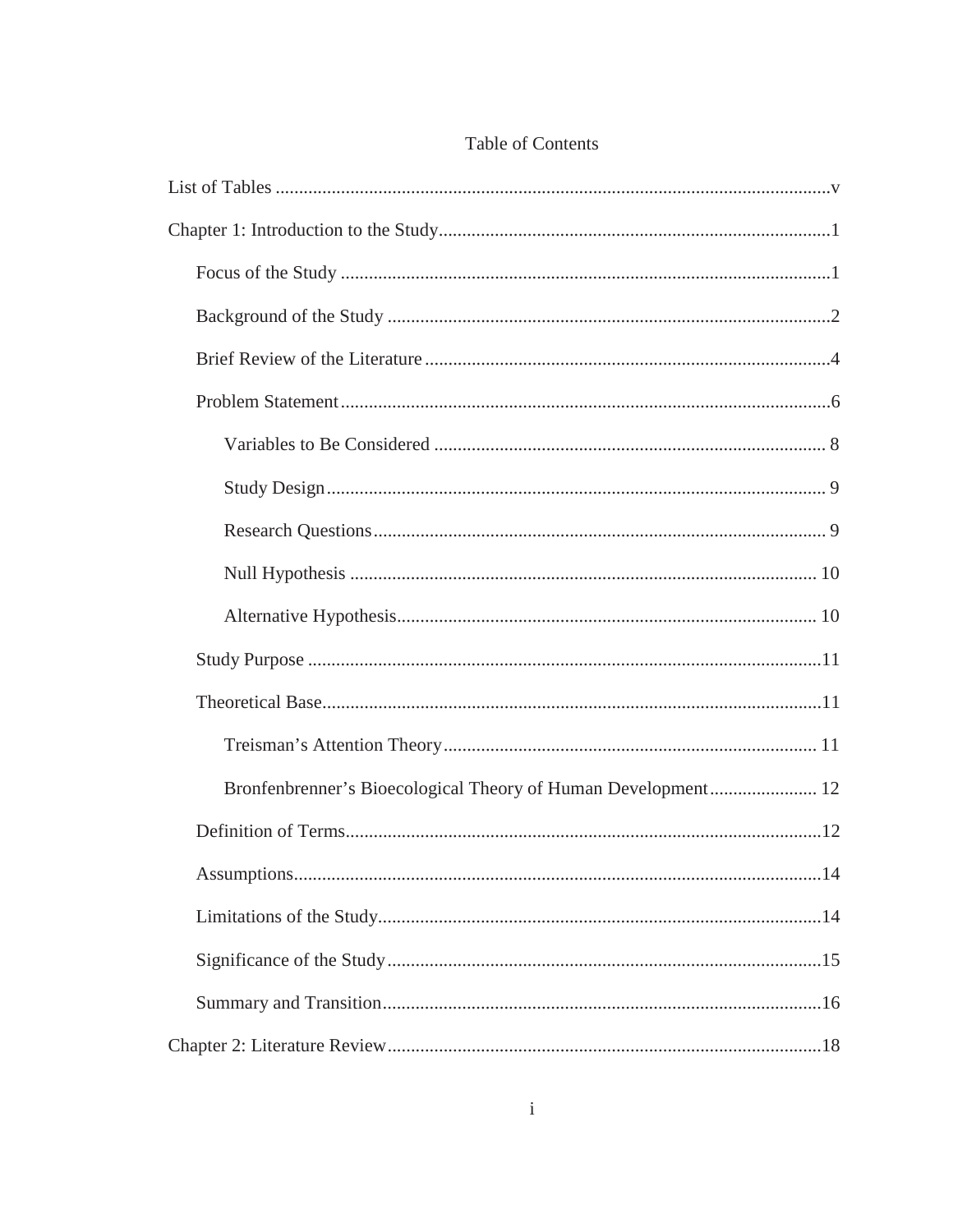| Bronfenbrenner's Bioecological Theory of Human Development 12 |  |
|---------------------------------------------------------------|--|
|                                                               |  |
|                                                               |  |
|                                                               |  |
|                                                               |  |
|                                                               |  |
|                                                               |  |

# Table of Contents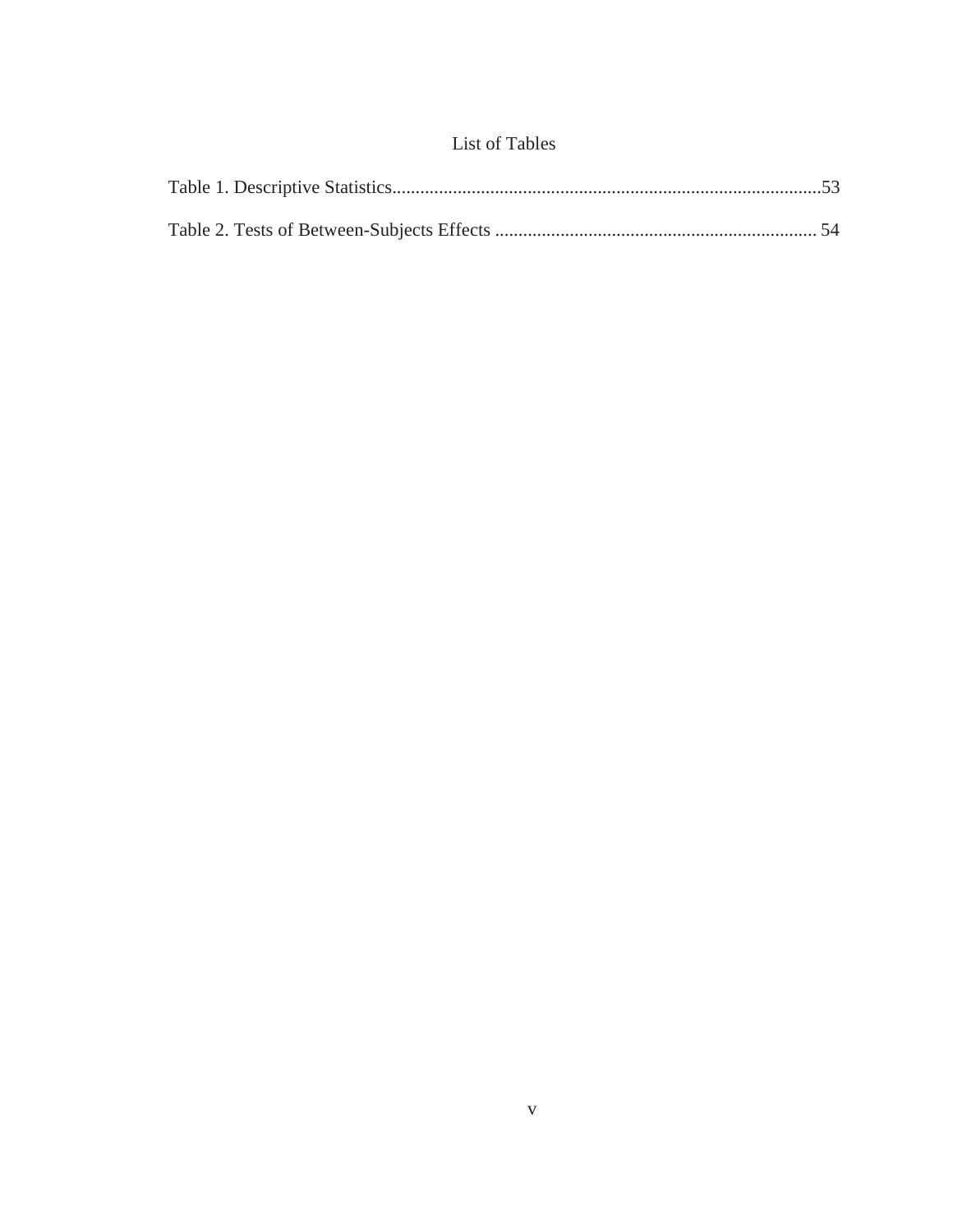# List of Tables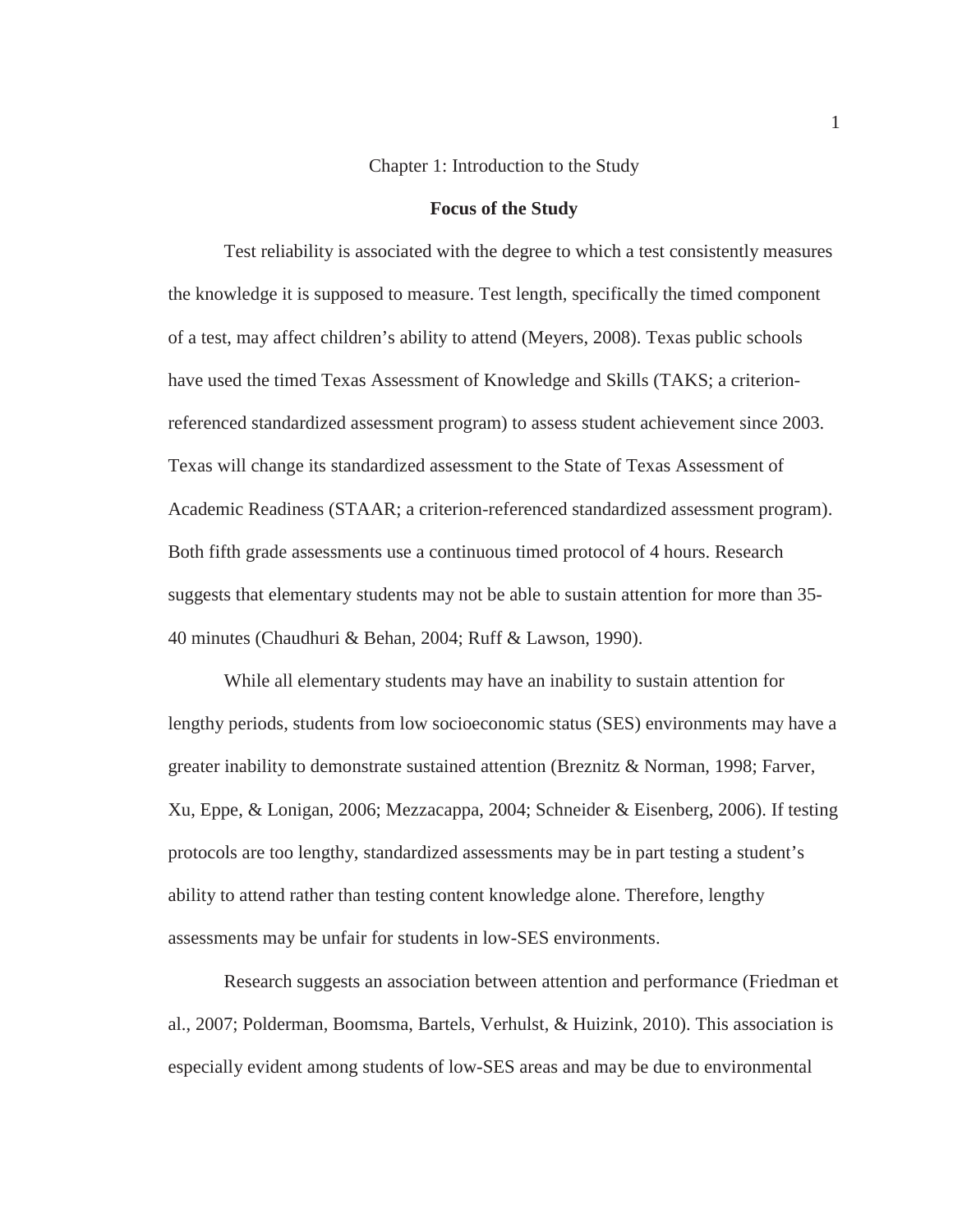#### Chapter 1: Introduction to the Study

#### **Focus of the Study**

 Test reliability is associated with the degree to which a test consistently measures the knowledge it is supposed to measure. Test length, specifically the timed component of a test, may affect children's ability to attend (Meyers, 2008). Texas public schools have used the timed Texas Assessment of Knowledge and Skills (TAKS; a criterionreferenced standardized assessment program) to assess student achievement since 2003. Texas will change its standardized assessment to the State of Texas Assessment of Academic Readiness (STAAR; a criterion-referenced standardized assessment program). Both fifth grade assessments use a continuous timed protocol of 4 hours. Research suggests that elementary students may not be able to sustain attention for more than 35- 40 minutes (Chaudhuri & Behan, 2004; Ruff & Lawson, 1990).

 While all elementary students may have an inability to sustain attention for lengthy periods, students from low socioeconomic status (SES) environments may have a greater inability to demonstrate sustained attention (Breznitz & Norman, 1998; Farver, Xu, Eppe, & Lonigan, 2006; Mezzacappa, 2004; Schneider & Eisenberg, 2006). If testing protocols are too lengthy, standardized assessments may be in part testing a student's ability to attend rather than testing content knowledge alone. Therefore, lengthy assessments may be unfair for students in low-SES environments.

 Research suggests an association between attention and performance (Friedman et al., 2007; Polderman, Boomsma, Bartels, Verhulst, & Huizink, 2010). This association is especially evident among students of low-SES areas and may be due to environmental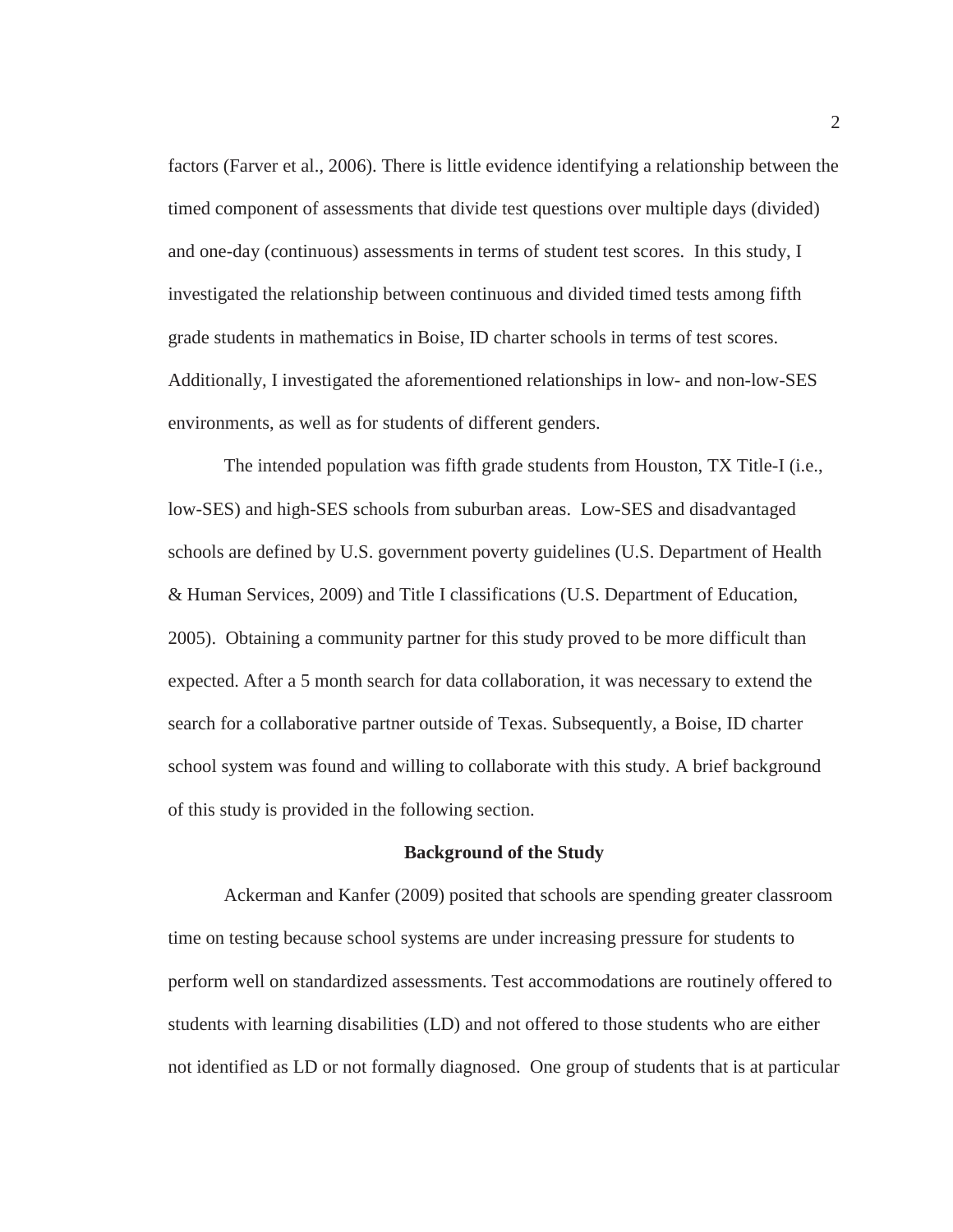factors (Farver et al., 2006). There is little evidence identifying a relationship between the timed component of assessments that divide test questions over multiple days (divided) and one-day (continuous) assessments in terms of student test scores. In this study, I investigated the relationship between continuous and divided timed tests among fifth grade students in mathematics in Boise, ID charter schools in terms of test scores. Additionally, I investigated the aforementioned relationships in low- and non-low-SES environments, as well as for students of different genders.

 The intended population was fifth grade students from Houston, TX Title-I (i.e., low-SES) and high-SES schools from suburban areas. Low-SES and disadvantaged schools are defined by U.S. government poverty guidelines (U.S. Department of Health & Human Services, 2009) and Title I classifications (U.S. Department of Education, 2005). Obtaining a community partner for this study proved to be more difficult than expected. After a 5 month search for data collaboration, it was necessary to extend the search for a collaborative partner outside of Texas. Subsequently, a Boise, ID charter school system was found and willing to collaborate with this study. A brief background of this study is provided in the following section.

#### **Background of the Study**

 Ackerman and Kanfer (2009) posited that schools are spending greater classroom time on testing because school systems are under increasing pressure for students to perform well on standardized assessments. Test accommodations are routinely offered to students with learning disabilities (LD) and not offered to those students who are either not identified as LD or not formally diagnosed. One group of students that is at particular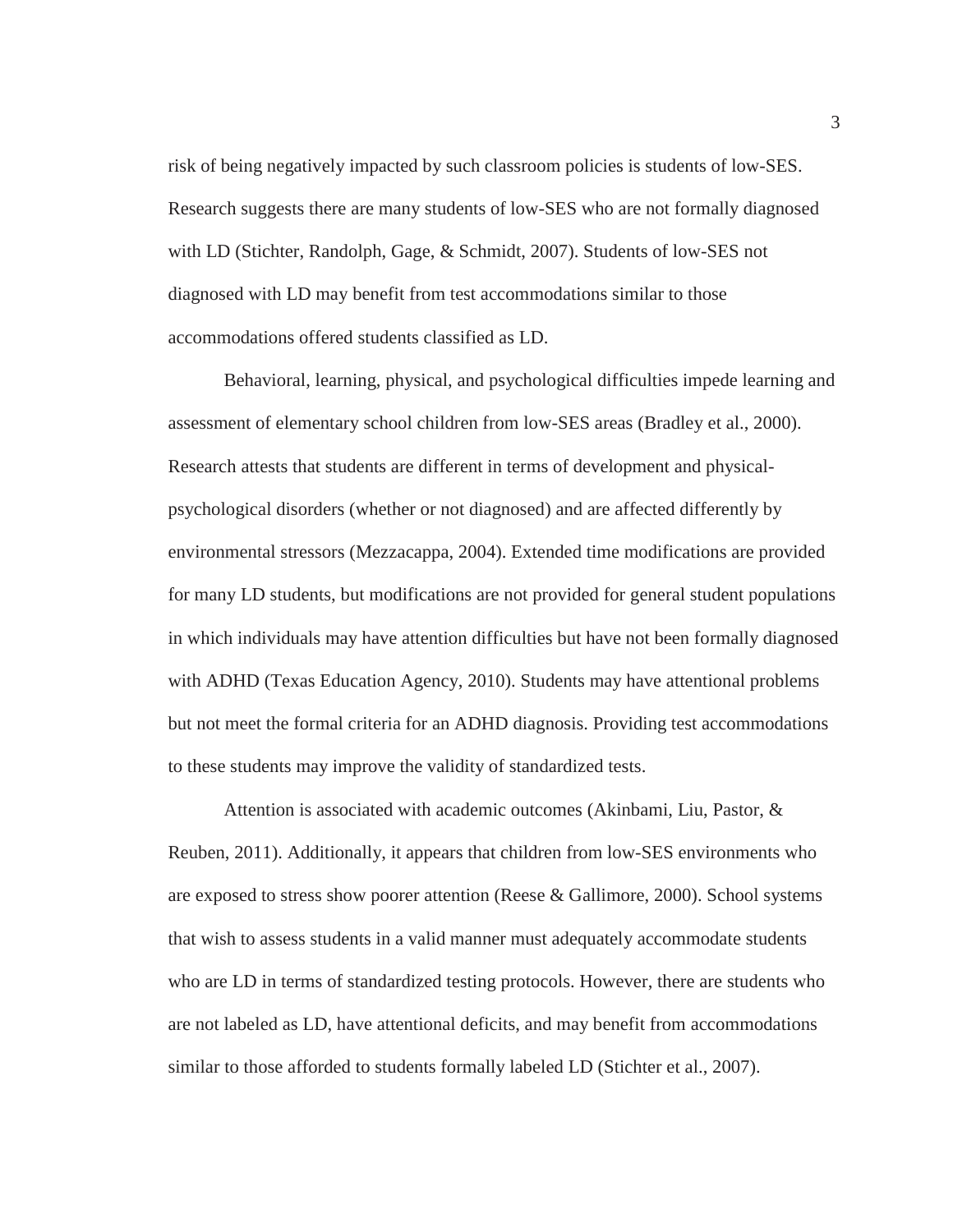risk of being negatively impacted by such classroom policies is students of low-SES. Research suggests there are many students of low-SES who are not formally diagnosed with LD (Stichter, Randolph, Gage, & Schmidt, 2007). Students of low-SES not diagnosed with LD may benefit from test accommodations similar to those accommodations offered students classified as LD.

 Behavioral, learning, physical, and psychological difficulties impede learning and assessment of elementary school children from low-SES areas (Bradley et al., 2000). Research attests that students are different in terms of development and physicalpsychological disorders (whether or not diagnosed) and are affected differently by environmental stressors (Mezzacappa, 2004). Extended time modifications are provided for many LD students, but modifications are not provided for general student populations in which individuals may have attention difficulties but have not been formally diagnosed with ADHD (Texas Education Agency, 2010). Students may have attentional problems but not meet the formal criteria for an ADHD diagnosis. Providing test accommodations to these students may improve the validity of standardized tests.

 Attention is associated with academic outcomes (Akinbami, Liu, Pastor, & Reuben, 2011). Additionally, it appears that children from low-SES environments who are exposed to stress show poorer attention (Reese & Gallimore, 2000). School systems that wish to assess students in a valid manner must adequately accommodate students who are LD in terms of standardized testing protocols. However, there are students who are not labeled as LD, have attentional deficits, and may benefit from accommodations similar to those afforded to students formally labeled LD (Stichter et al., 2007).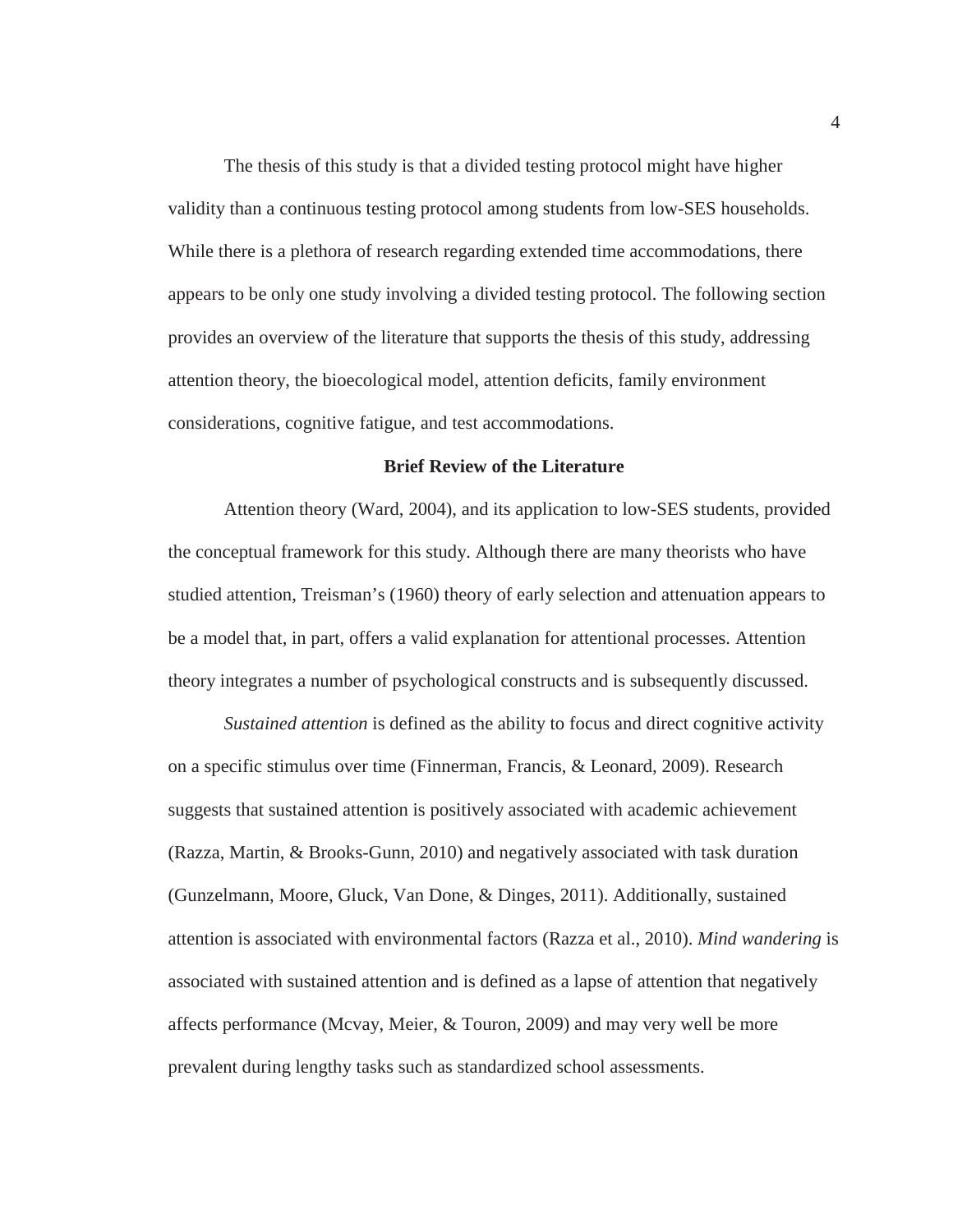The thesis of this study is that a divided testing protocol might have higher validity than a continuous testing protocol among students from low-SES households. While there is a plethora of research regarding extended time accommodations, there appears to be only one study involving a divided testing protocol. The following section provides an overview of the literature that supports the thesis of this study, addressing attention theory, the bioecological model, attention deficits, family environment considerations, cognitive fatigue, and test accommodations.

#### **Brief Review of the Literature**

 Attention theory (Ward, 2004), and its application to low-SES students, provided the conceptual framework for this study. Although there are many theorists who have studied attention, Treisman's (1960) theory of early selection and attenuation appears to be a model that, in part, offers a valid explanation for attentional processes. Attention theory integrates a number of psychological constructs and is subsequently discussed.

*Sustained attention* is defined as the ability to focus and direct cognitive activity on a specific stimulus over time (Finnerman, Francis, & Leonard, 2009). Research suggests that sustained attention is positively associated with academic achievement (Razza, Martin, & Brooks-Gunn, 2010) and negatively associated with task duration (Gunzelmann, Moore, Gluck, Van Done, & Dinges, 2011). Additionally, sustained attention is associated with environmental factors (Razza et al., 2010). *Mind wandering* is associated with sustained attention and is defined as a lapse of attention that negatively affects performance (Mcvay, Meier, & Touron, 2009) and may very well be more prevalent during lengthy tasks such as standardized school assessments.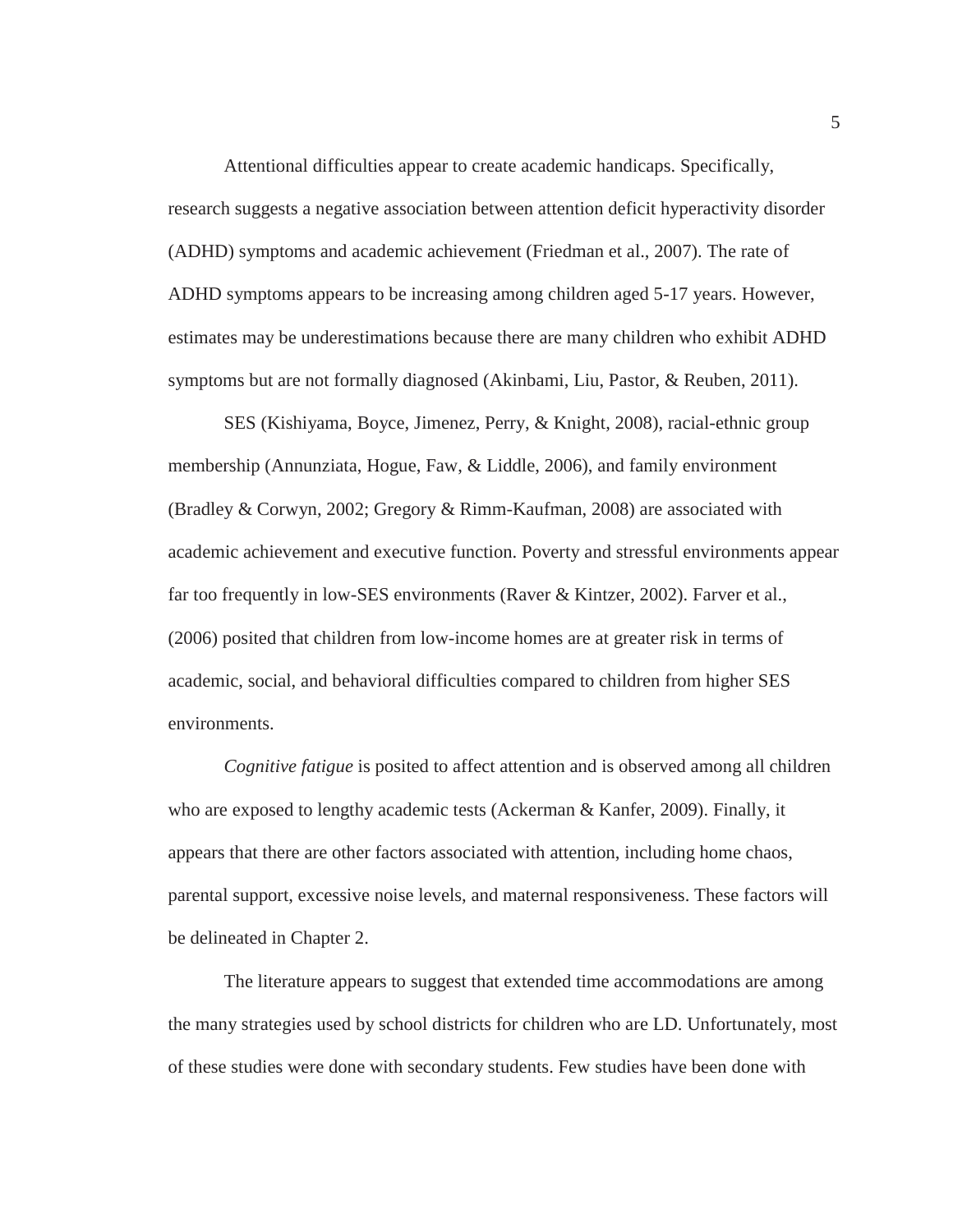Attentional difficulties appear to create academic handicaps. Specifically, research suggests a negative association between attention deficit hyperactivity disorder (ADHD) symptoms and academic achievement (Friedman et al., 2007). The rate of ADHD symptoms appears to be increasing among children aged 5-17 years. However, estimates may be underestimations because there are many children who exhibit ADHD symptoms but are not formally diagnosed (Akinbami, Liu, Pastor, & Reuben, 2011).

 SES (Kishiyama, Boyce, Jimenez, Perry, & Knight, 2008), racial-ethnic group membership (Annunziata, Hogue, Faw, & Liddle, 2006), and family environment (Bradley & Corwyn, 2002; Gregory & Rimm-Kaufman, 2008) are associated with academic achievement and executive function. Poverty and stressful environments appear far too frequently in low-SES environments (Raver & Kintzer, 2002). Farver et al., (2006) posited that children from low-income homes are at greater risk in terms of academic, social, and behavioral difficulties compared to children from higher SES environments.

*Cognitive fatigue* is posited to affect attention and is observed among all children who are exposed to lengthy academic tests (Ackerman & Kanfer, 2009). Finally, it appears that there are other factors associated with attention, including home chaos, parental support, excessive noise levels, and maternal responsiveness. These factors will be delineated in Chapter 2.

 The literature appears to suggest that extended time accommodations are among the many strategies used by school districts for children who are LD. Unfortunately, most of these studies were done with secondary students. Few studies have been done with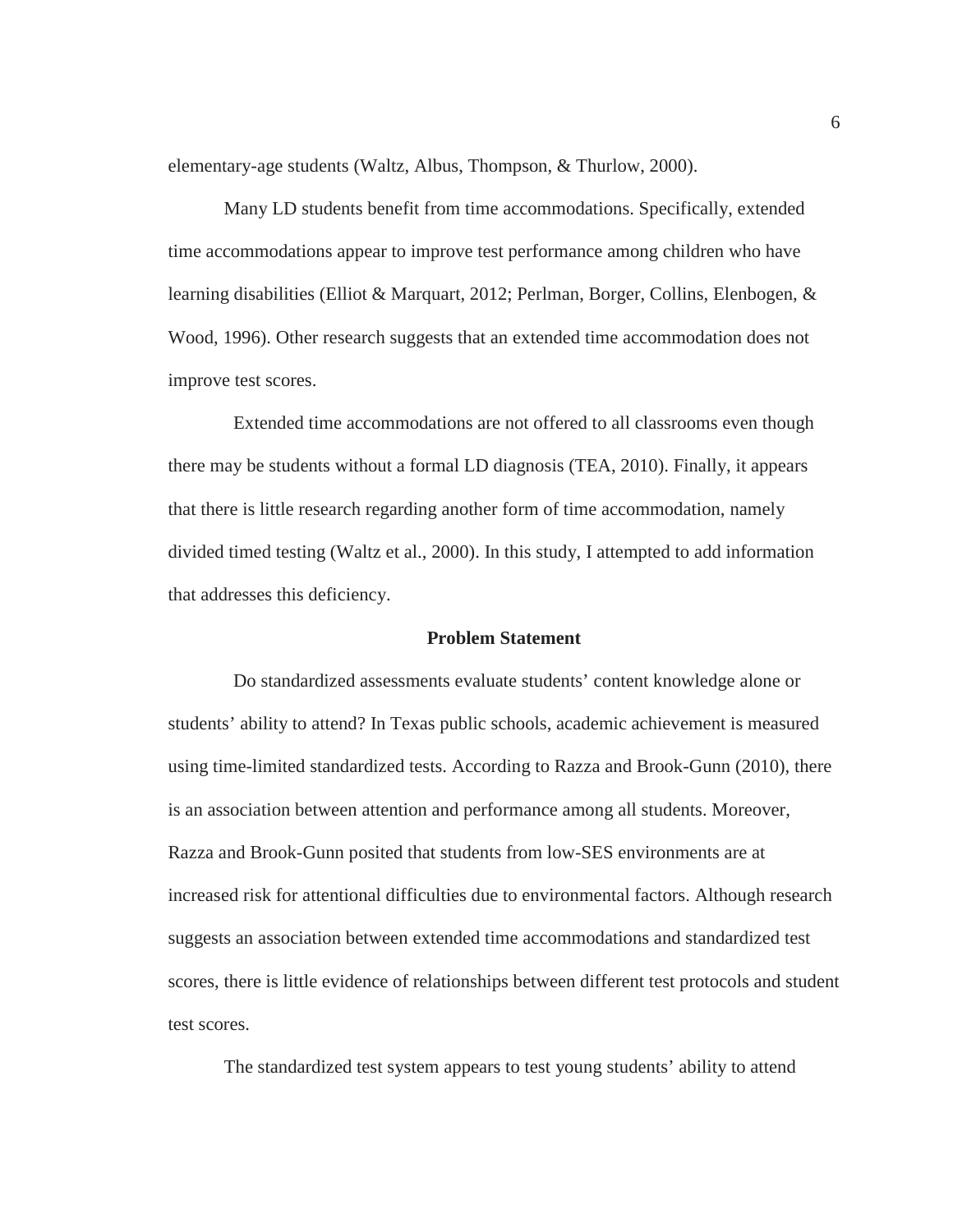elementary-age students (Waltz, Albus, Thompson, & Thurlow, 2000).

 Many LD students benefit from time accommodations. Specifically, extended time accommodations appear to improve test performance among children who have learning disabilities (Elliot & Marquart, 2012; Perlman, Borger, Collins, Elenbogen, & Wood, 1996). Other research suggests that an extended time accommodation does not improve test scores.

 Extended time accommodations are not offered to all classrooms even though there may be students without a formal LD diagnosis (TEA, 2010). Finally, it appears that there is little research regarding another form of time accommodation, namely divided timed testing (Waltz et al., 2000). In this study, I attempted to add information that addresses this deficiency.

#### **Problem Statement**

 Do standardized assessments evaluate students' content knowledge alone or students' ability to attend? In Texas public schools, academic achievement is measured using time-limited standardized tests. According to Razza and Brook-Gunn (2010), there is an association between attention and performance among all students. Moreover, Razza and Brook-Gunn posited that students from low-SES environments are at increased risk for attentional difficulties due to environmental factors. Although research suggests an association between extended time accommodations and standardized test scores, there is little evidence of relationships between different test protocols and student test scores.

The standardized test system appears to test young students' ability to attend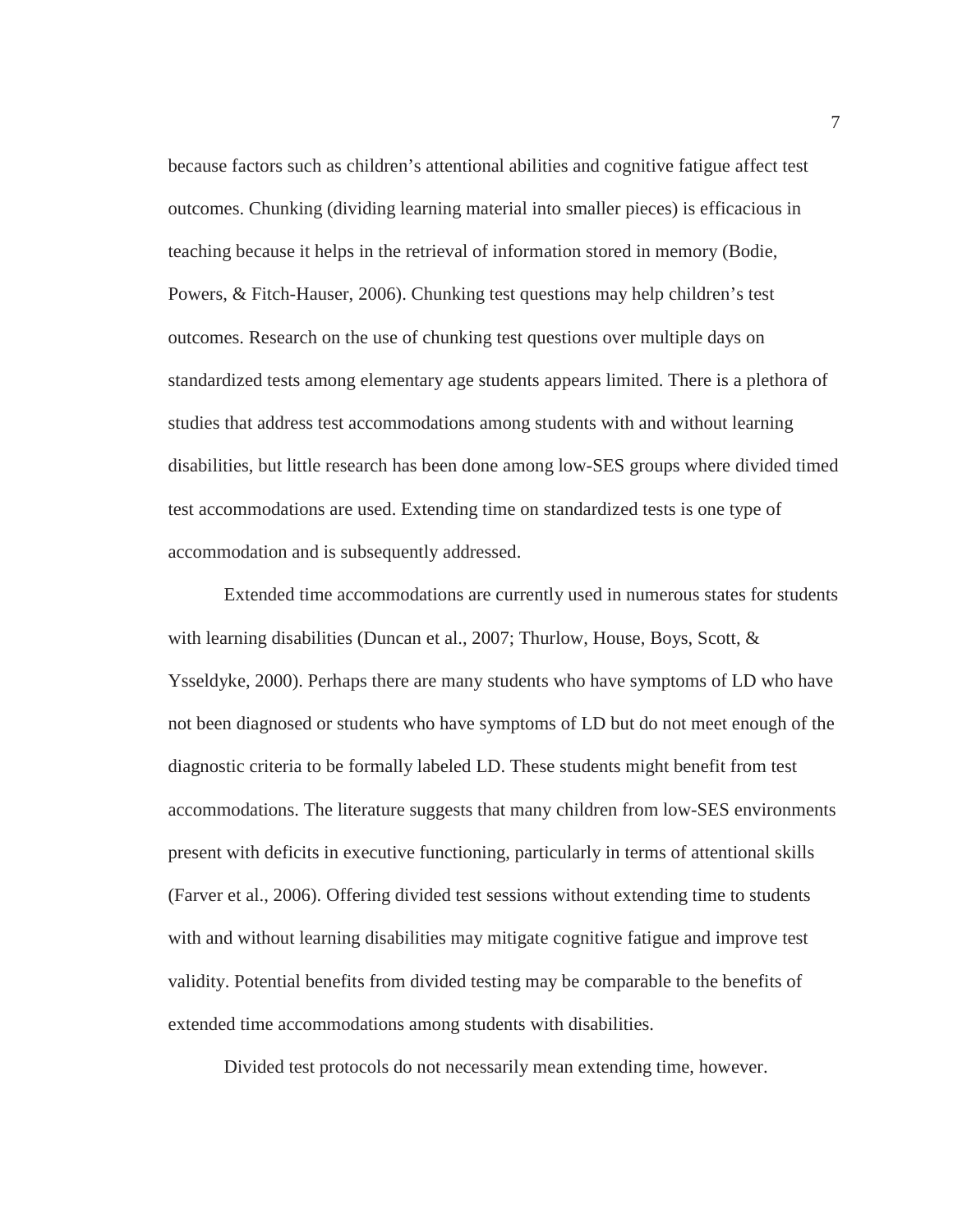because factors such as children's attentional abilities and cognitive fatigue affect test outcomes. Chunking (dividing learning material into smaller pieces) is efficacious in teaching because it helps in the retrieval of information stored in memory (Bodie, Powers, & Fitch-Hauser, 2006). Chunking test questions may help children's test outcomes. Research on the use of chunking test questions over multiple days on standardized tests among elementary age students appears limited. There is a plethora of studies that address test accommodations among students with and without learning disabilities, but little research has been done among low-SES groups where divided timed test accommodations are used. Extending time on standardized tests is one type of accommodation and is subsequently addressed.

 Extended time accommodations are currently used in numerous states for students with learning disabilities (Duncan et al., 2007; Thurlow, House, Boys, Scott, & Ysseldyke, 2000). Perhaps there are many students who have symptoms of LD who have not been diagnosed or students who have symptoms of LD but do not meet enough of the diagnostic criteria to be formally labeled LD. These students might benefit from test accommodations. The literature suggests that many children from low-SES environments present with deficits in executive functioning, particularly in terms of attentional skills (Farver et al., 2006). Offering divided test sessions without extending time to students with and without learning disabilities may mitigate cognitive fatigue and improve test validity. Potential benefits from divided testing may be comparable to the benefits of extended time accommodations among students with disabilities.

Divided test protocols do not necessarily mean extending time, however.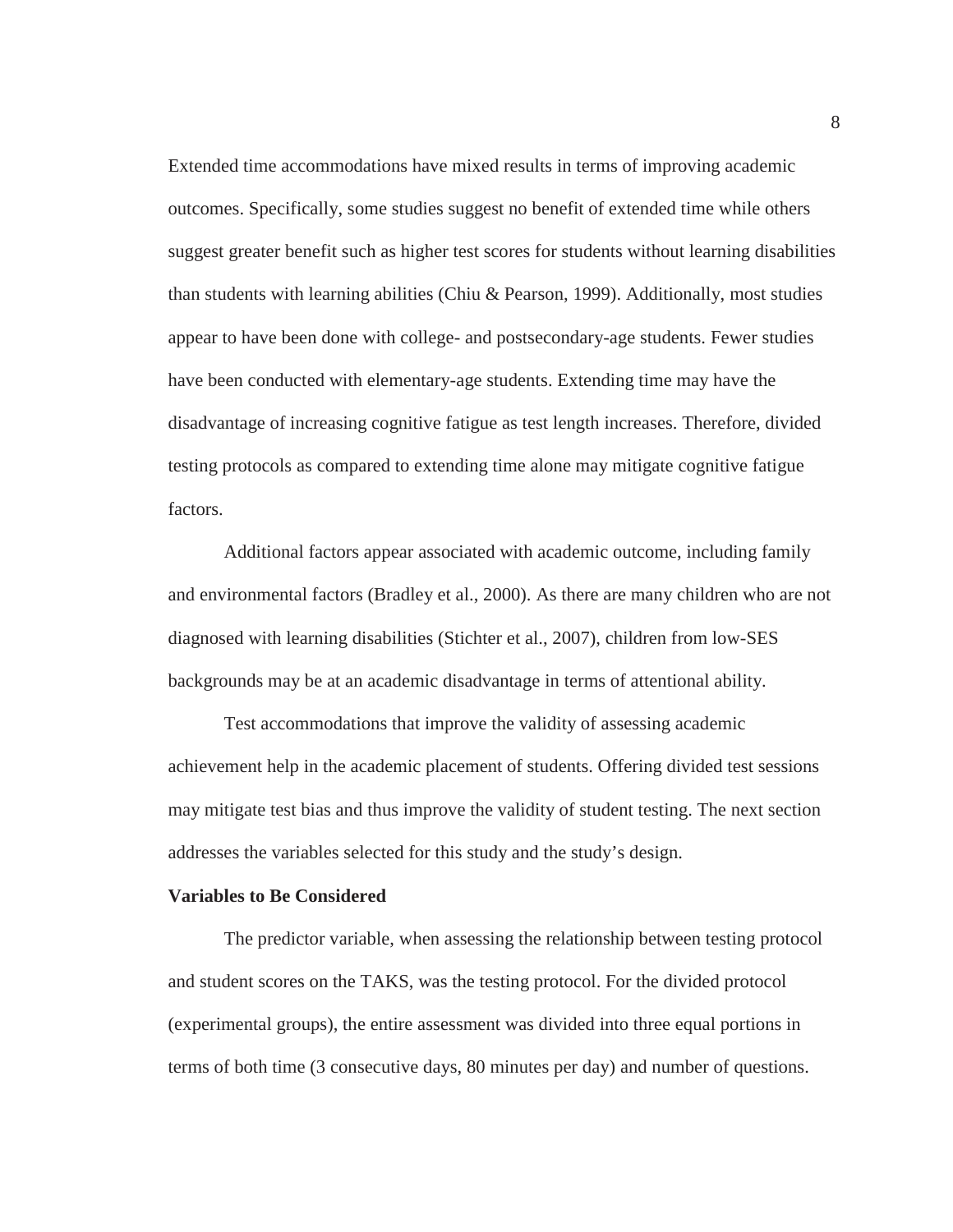Extended time accommodations have mixed results in terms of improving academic outcomes. Specifically, some studies suggest no benefit of extended time while others suggest greater benefit such as higher test scores for students without learning disabilities than students with learning abilities (Chiu  $&$  Pearson, 1999). Additionally, most studies appear to have been done with college- and postsecondary-age students. Fewer studies have been conducted with elementary-age students. Extending time may have the disadvantage of increasing cognitive fatigue as test length increases. Therefore, divided testing protocols as compared to extending time alone may mitigate cognitive fatigue factors.

Additional factors appear associated with academic outcome, including family and environmental factors (Bradley et al., 2000). As there are many children who are not diagnosed with learning disabilities (Stichter et al., 2007), children from low-SES backgrounds may be at an academic disadvantage in terms of attentional ability.

Test accommodations that improve the validity of assessing academic achievement help in the academic placement of students. Offering divided test sessions may mitigate test bias and thus improve the validity of student testing. The next section addresses the variables selected for this study and the study's design.

#### **Variables to Be Considered**

 The predictor variable, when assessing the relationship between testing protocol and student scores on the TAKS, was the testing protocol. For the divided protocol (experimental groups), the entire assessment was divided into three equal portions in terms of both time (3 consecutive days, 80 minutes per day) and number of questions.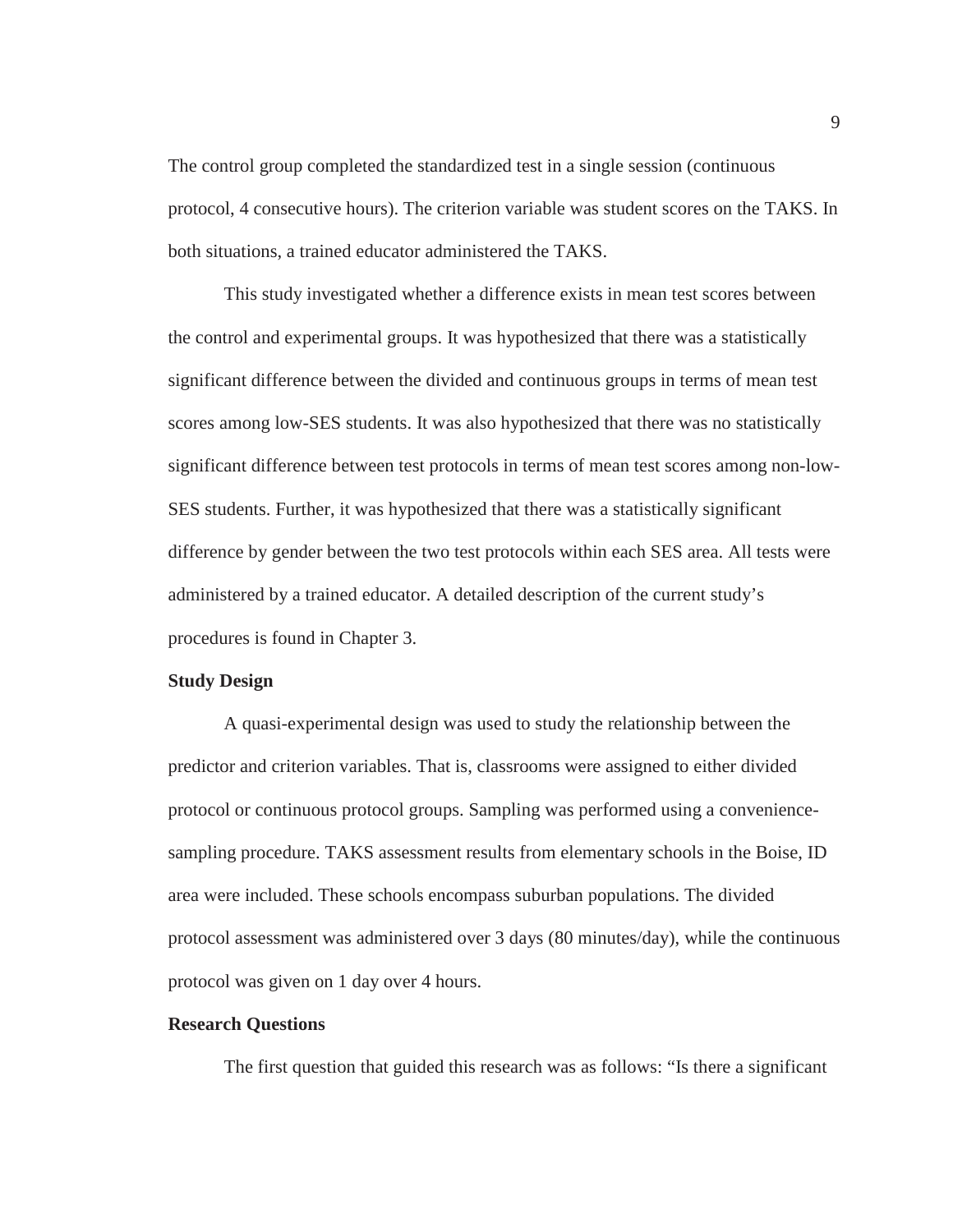The control group completed the standardized test in a single session (continuous protocol, 4 consecutive hours). The criterion variable was student scores on the TAKS. In both situations, a trained educator administered the TAKS.

 This study investigated whether a difference exists in mean test scores between the control and experimental groups. It was hypothesized that there was a statistically significant difference between the divided and continuous groups in terms of mean test scores among low-SES students. It was also hypothesized that there was no statistically significant difference between test protocols in terms of mean test scores among non-low-SES students. Further, it was hypothesized that there was a statistically significant difference by gender between the two test protocols within each SES area. All tests were administered by a trained educator. A detailed description of the current study's procedures is found in Chapter 3.

#### **Study Design**

 A quasi-experimental design was used to study the relationship between the predictor and criterion variables. That is, classrooms were assigned to either divided protocol or continuous protocol groups. Sampling was performed using a conveniencesampling procedure. TAKS assessment results from elementary schools in the Boise, ID area were included. These schools encompass suburban populations. The divided protocol assessment was administered over 3 days (80 minutes/day), while the continuous protocol was given on 1 day over 4 hours.

#### **Research Questions**

The first question that guided this research was as follows: "Is there a significant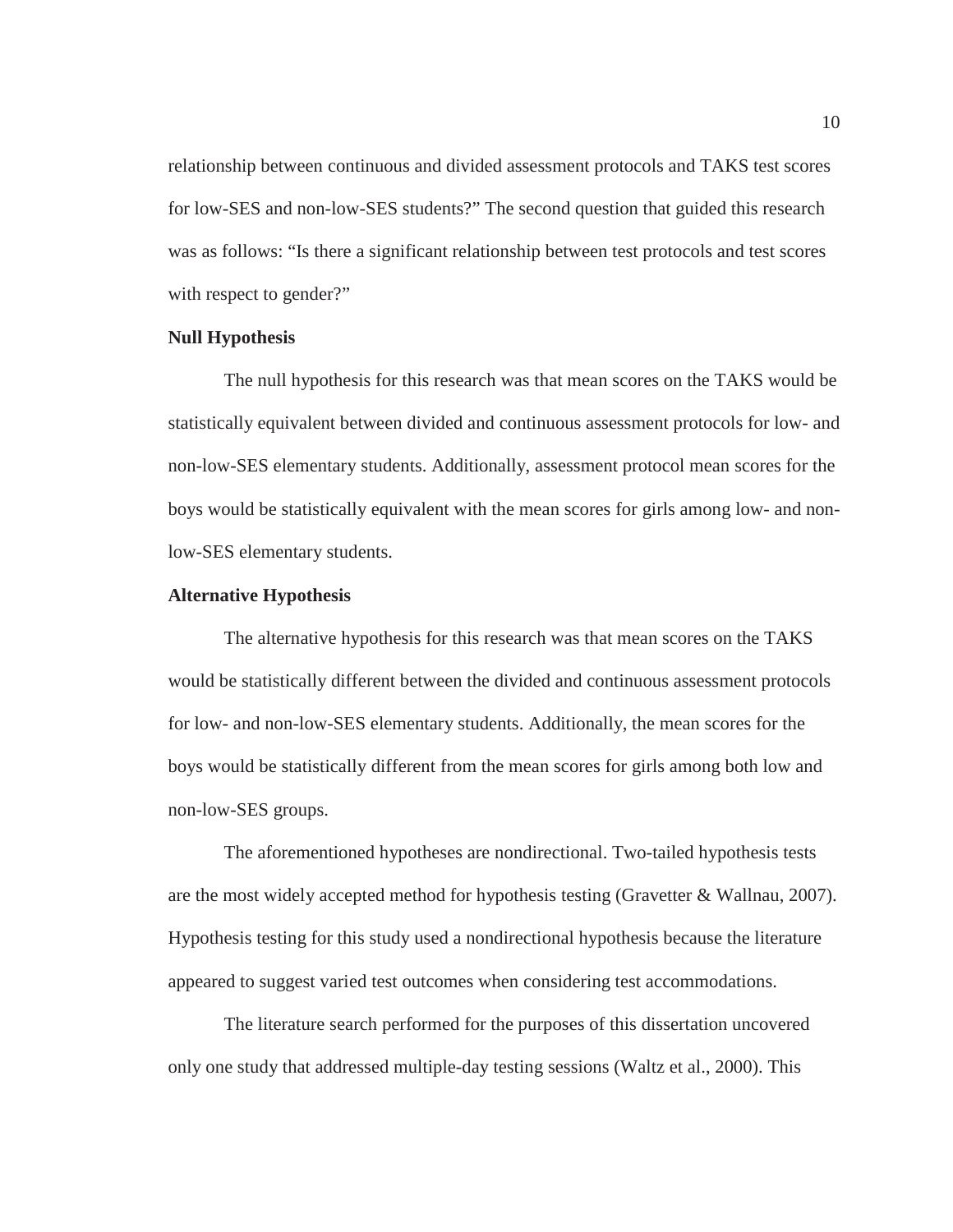relationship between continuous and divided assessment protocols and TAKS test scores for low-SES and non-low-SES students?" The second question that guided this research was as follows: "Is there a significant relationship between test protocols and test scores with respect to gender?"

#### **Null Hypothesis**

 The null hypothesis for this research was that mean scores on the TAKS would be statistically equivalent between divided and continuous assessment protocols for low- and non-low-SES elementary students. Additionally, assessment protocol mean scores for the boys would be statistically equivalent with the mean scores for girls among low- and nonlow-SES elementary students.

#### **Alternative Hypothesis**

 The alternative hypothesis for this research was that mean scores on the TAKS would be statistically different between the divided and continuous assessment protocols for low- and non-low-SES elementary students. Additionally, the mean scores for the boys would be statistically different from the mean scores for girls among both low and non-low-SES groups.

 The aforementioned hypotheses are nondirectional. Two-tailed hypothesis tests are the most widely accepted method for hypothesis testing (Gravetter & Wallnau, 2007). Hypothesis testing for this study used a nondirectional hypothesis because the literature appeared to suggest varied test outcomes when considering test accommodations.

 The literature search performed for the purposes of this dissertation uncovered only one study that addressed multiple-day testing sessions (Waltz et al., 2000). This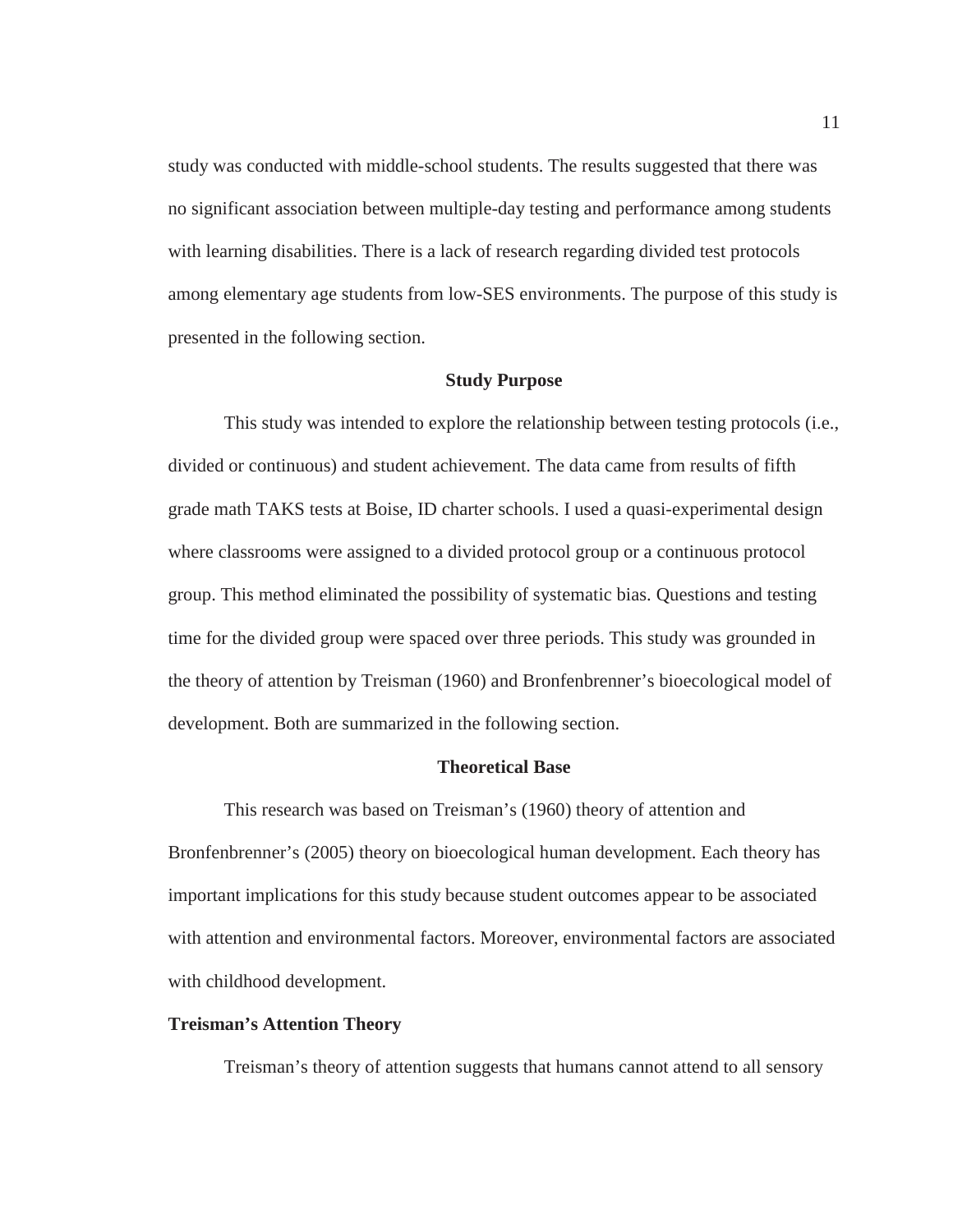study was conducted with middle-school students. The results suggested that there was no significant association between multiple-day testing and performance among students with learning disabilities. There is a lack of research regarding divided test protocols among elementary age students from low-SES environments. The purpose of this study is presented in the following section.

#### **Study Purpose**

This study was intended to explore the relationship between testing protocols (i.e., divided or continuous) and student achievement. The data came from results of fifth grade math TAKS tests at Boise, ID charter schools. I used a quasi-experimental design where classrooms were assigned to a divided protocol group or a continuous protocol group. This method eliminated the possibility of systematic bias. Questions and testing time for the divided group were spaced over three periods. This study was grounded in the theory of attention by Treisman (1960) and Bronfenbrenner's bioecological model of development. Both are summarized in the following section.

#### **Theoretical Base**

This research was based on Treisman's (1960) theory of attention and Bronfenbrenner's (2005) theory on bioecological human development. Each theory has important implications for this study because student outcomes appear to be associated with attention and environmental factors. Moreover, environmental factors are associated with childhood development.

#### **Treisman's Attention Theory**

Treisman's theory of attention suggests that humans cannot attend to all sensory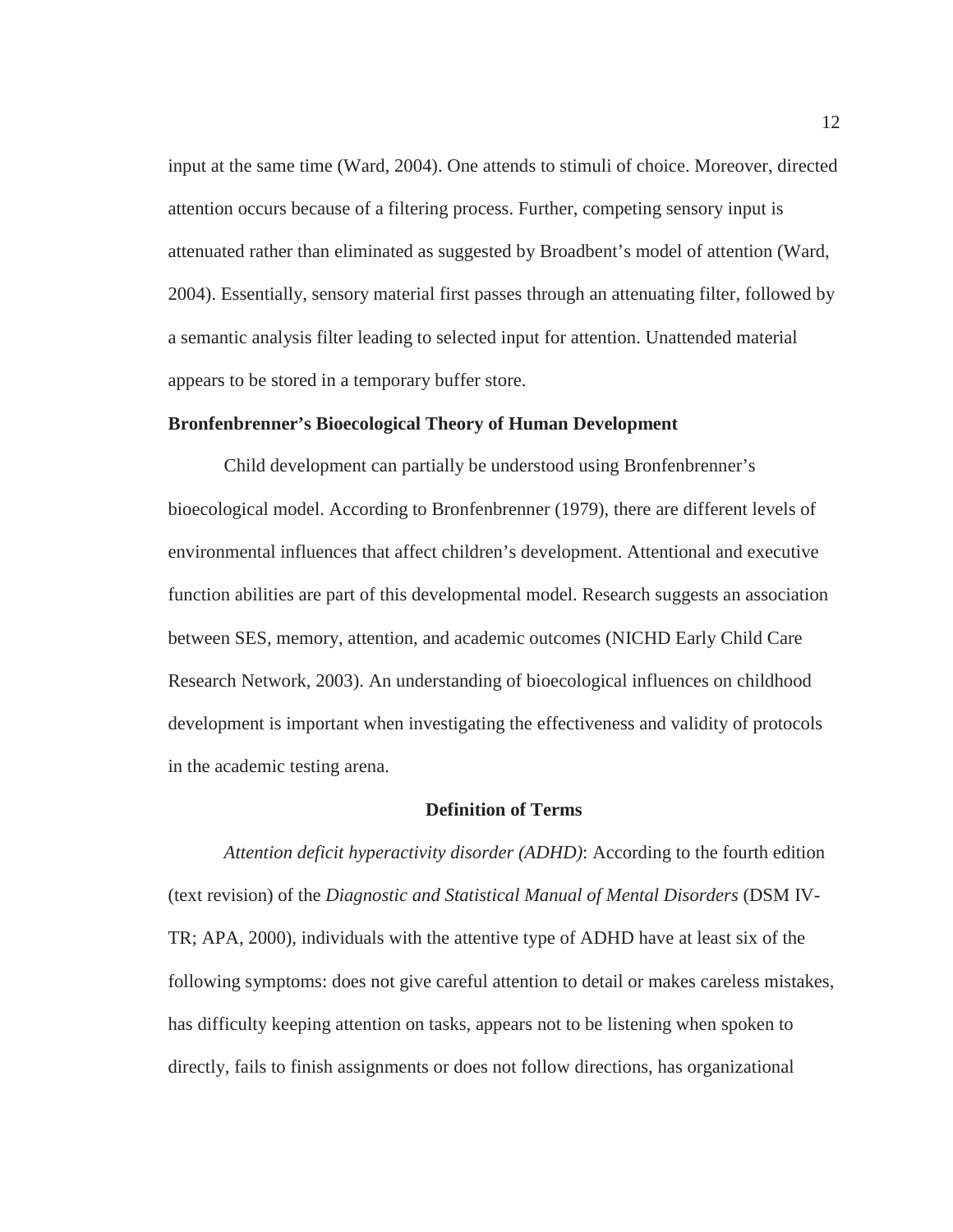input at the same time (Ward, 2004). One attends to stimuli of choice. Moreover, directed attention occurs because of a filtering process. Further, competing sensory input is attenuated rather than eliminated as suggested by Broadbent's model of attention (Ward, 2004). Essentially, sensory material first passes through an attenuating filter, followed by a semantic analysis filter leading to selected input for attention. Unattended material appears to be stored in a temporary buffer store.

#### **Bronfenbrenner's Bioecological Theory of Human Development**

Child development can partially be understood using Bronfenbrenner's bioecological model. According to Bronfenbrenner (1979), there are different levels of environmental influences that affect children's development. Attentional and executive function abilities are part of this developmental model. Research suggests an association between SES, memory, attention, and academic outcomes (NICHD Early Child Care Research Network, 2003). An understanding of bioecological influences on childhood development is important when investigating the effectiveness and validity of protocols in the academic testing arena.

#### **Definition of Terms**

*Attention deficit hyperactivity disorder (ADHD)*: According to the fourth edition (text revision) of the *Diagnostic and Statistical Manual of Mental Disorders* (DSM IV-TR; APA, 2000), individuals with the attentive type of ADHD have at least six of the following symptoms: does not give careful attention to detail or makes careless mistakes, has difficulty keeping attention on tasks, appears not to be listening when spoken to directly, fails to finish assignments or does not follow directions, has organizational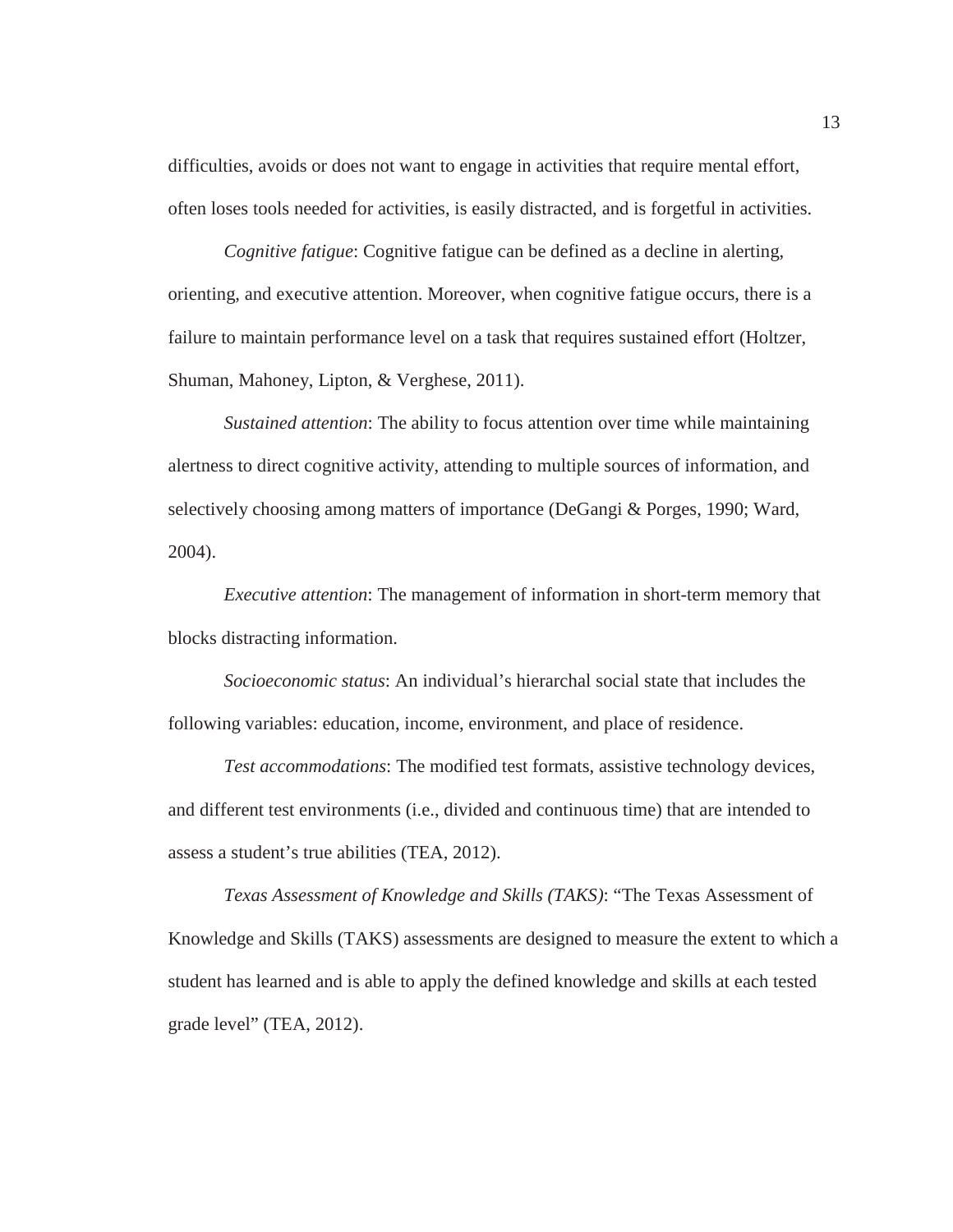difficulties, avoids or does not want to engage in activities that require mental effort, often loses tools needed for activities, is easily distracted, and is forgetful in activities.

*Cognitive fatigue:* Cognitive fatigue can be defined as a decline in alerting, orienting, and executive attention. Moreover, when cognitive fatigue occurs, there is a failure to maintain performance level on a task that requires sustained effort (Holtzer, Shuman, Mahoney, Lipton, & Verghese, 2011).

*Sustained attention*: The ability to focus attention over time while maintaining alertness to direct cognitive activity, attending to multiple sources of information, and selectively choosing among matters of importance (DeGangi & Porges, 1990; Ward, 2004).

*Executive attention*: The management of information in short-term memory that blocks distracting information.

*Socioeconomic status*: An individual's hierarchal social state that includes the following variables: education, income, environment, and place of residence.

*Test accommodations*: The modified test formats, assistive technology devices, and different test environments (i.e., divided and continuous time) that are intended to assess a student's true abilities (TEA, 2012).

*Texas Assessment of Knowledge and Skills (TAKS)*: "The Texas Assessment of Knowledge and Skills (TAKS) assessments are designed to measure the extent to which a student has learned and is able to apply the defined knowledge and skills at each tested grade level" (TEA, 2012).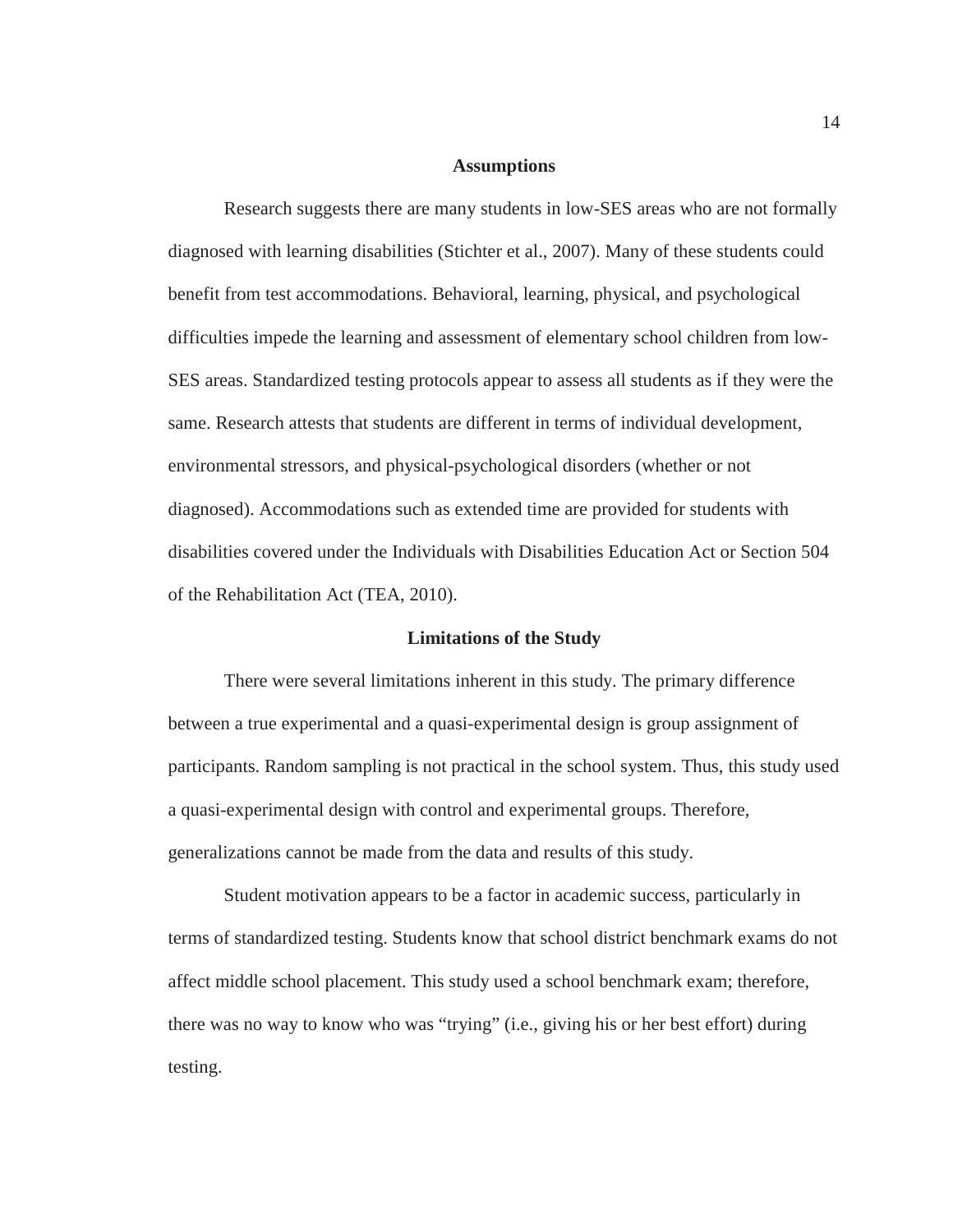#### **Assumptions**

Research suggests there are many students in low-SES areas who are not formally diagnosed with learning disabilities (Stichter et al., 2007). Many of these students could benefit from test accommodations. Behavioral, learning, physical, and psychological difficulties impede the learning and assessment of elementary school children from low-SES areas. Standardized testing protocols appear to assess all students as if they were the same. Research attests that students are different in terms of individual development, environmental stressors, and physical-psychological disorders (whether or not diagnosed). Accommodations such as extended time are provided for students with disabilities covered under the Individuals with Disabilities Education Act or Section 504 of the Rehabilitation Act (TEA, 2010).

#### **Limitations of the Study**

There were several limitations inherent in this study. The primary difference between a true experimental and a quasi-experimental design is group assignment of participants. Random sampling is not practical in the school system. Thus, this study used a quasi-experimental design with control and experimental groups. Therefore, generalizations cannot be made from the data and results of this study.

Student motivation appears to be a factor in academic success, particularly in terms of standardized testing. Students know that school district benchmark exams do not affect middle school placement. This study used a school benchmark exam; therefore, there was no way to know who was "trying" (i.e., giving his or her best effort) during testing.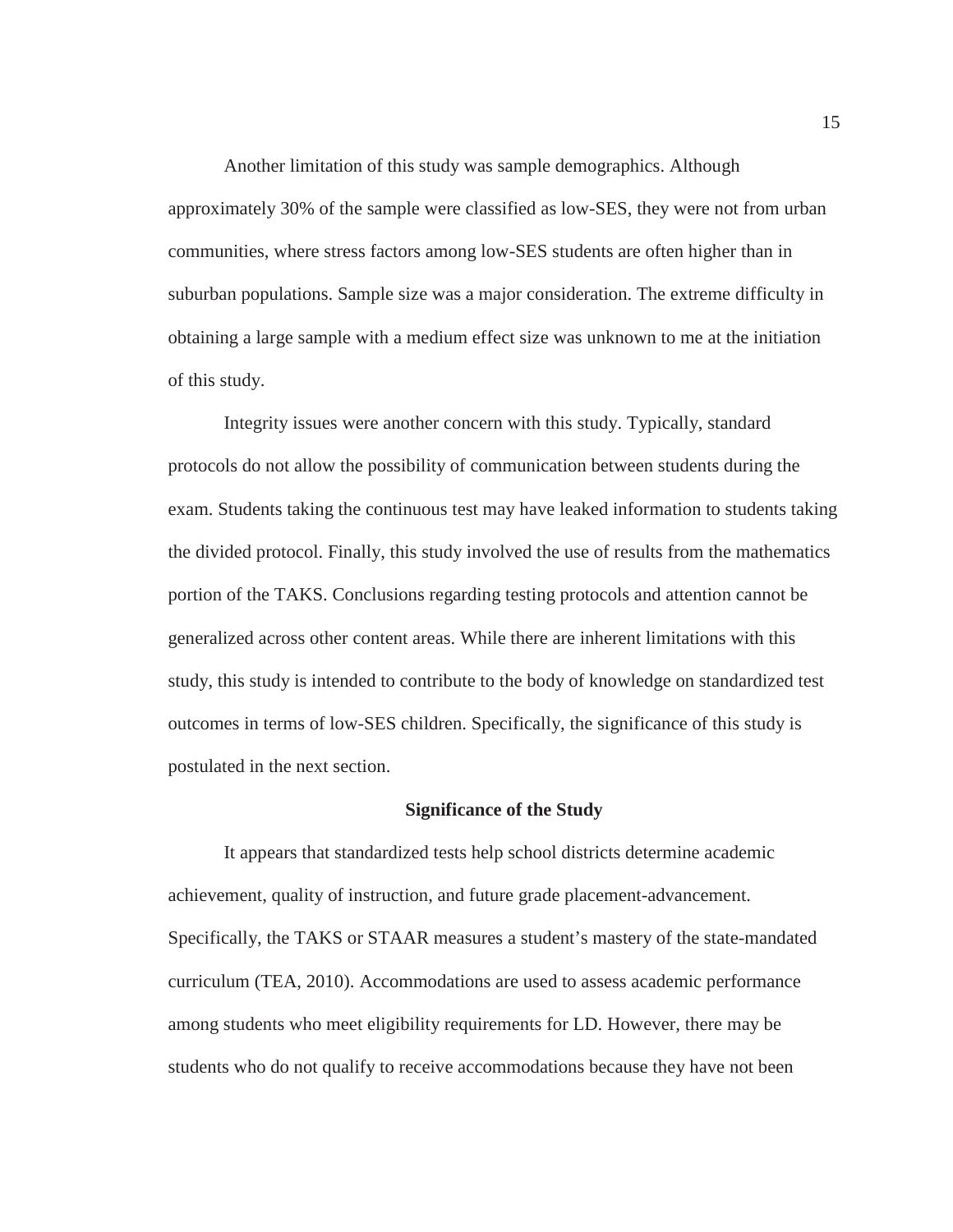Another limitation of this study was sample demographics. Although approximately 30% of the sample were classified as low-SES, they were not from urban communities, where stress factors among low-SES students are often higher than in suburban populations. Sample size was a major consideration. The extreme difficulty in obtaining a large sample with a medium effect size was unknown to me at the initiation of this study.

 Integrity issues were another concern with this study. Typically, standard protocols do not allow the possibility of communication between students during the exam. Students taking the continuous test may have leaked information to students taking the divided protocol. Finally, this study involved the use of results from the mathematics portion of the TAKS. Conclusions regarding testing protocols and attention cannot be generalized across other content areas. While there are inherent limitations with this study, this study is intended to contribute to the body of knowledge on standardized test outcomes in terms of low-SES children. Specifically, the significance of this study is postulated in the next section.

#### **Significance of the Study**

It appears that standardized tests help school districts determine academic achievement, quality of instruction, and future grade placement-advancement. Specifically, the TAKS or STAAR measures a student's mastery of the state-mandated curriculum (TEA, 2010). Accommodations are used to assess academic performance among students who meet eligibility requirements for LD. However, there may be students who do not qualify to receive accommodations because they have not been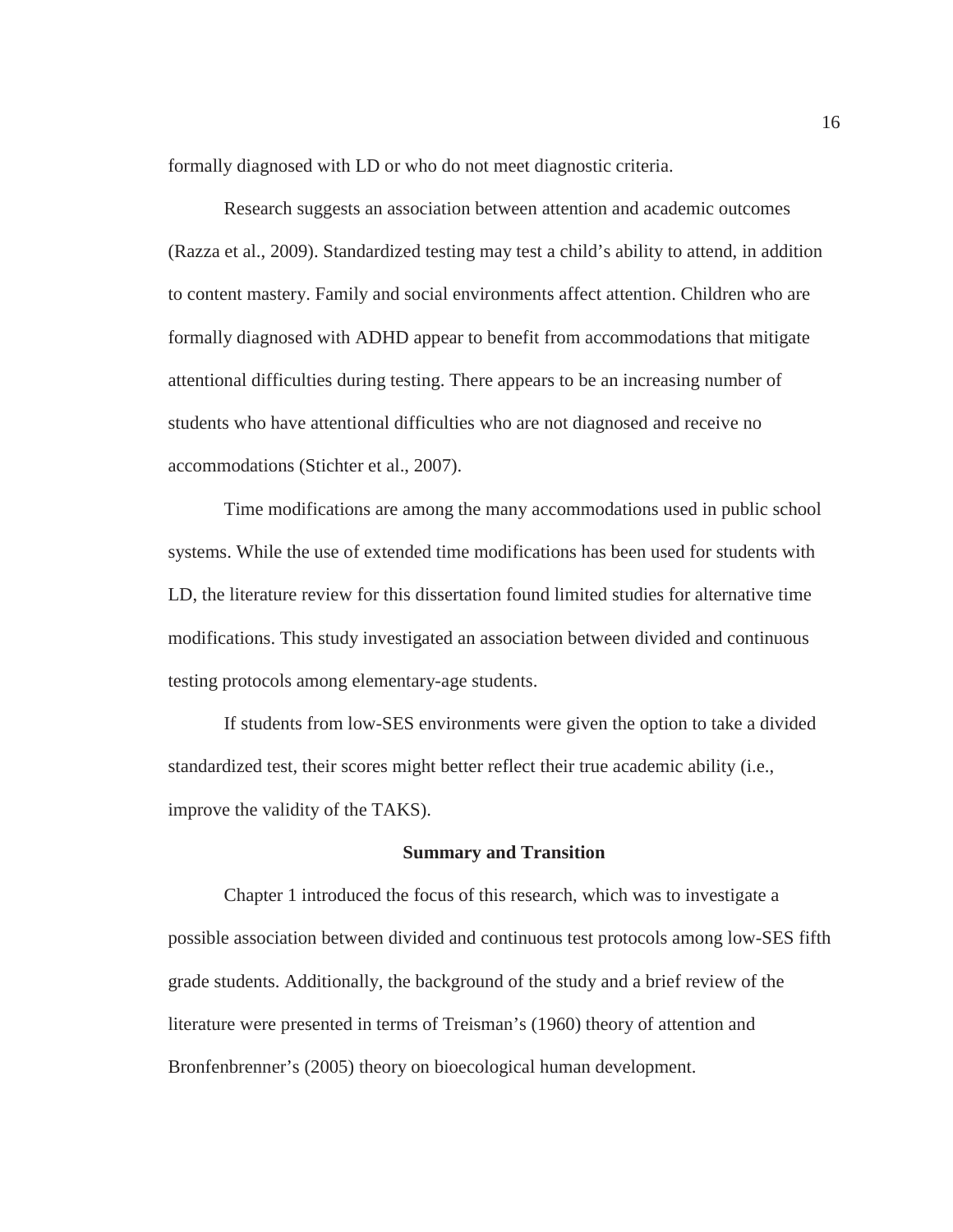formally diagnosed with LD or who do not meet diagnostic criteria.

Research suggests an association between attention and academic outcomes (Razza et al., 2009). Standardized testing may test a child's ability to attend, in addition to content mastery. Family and social environments affect attention. Children who are formally diagnosed with ADHD appear to benefit from accommodations that mitigate attentional difficulties during testing. There appears to be an increasing number of students who have attentional difficulties who are not diagnosed and receive no accommodations (Stichter et al., 2007).

Time modifications are among the many accommodations used in public school systems. While the use of extended time modifications has been used for students with LD, the literature review for this dissertation found limited studies for alternative time modifications. This study investigated an association between divided and continuous testing protocols among elementary-age students.

If students from low-SES environments were given the option to take a divided standardized test, their scores might better reflect their true academic ability (i.e., improve the validity of the TAKS).

#### **Summary and Transition**

Chapter 1 introduced the focus of this research, which was to investigate a possible association between divided and continuous test protocols among low-SES fifth grade students. Additionally, the background of the study and a brief review of the literature were presented in terms of Treisman's (1960) theory of attention and Bronfenbrenner's (2005) theory on bioecological human development.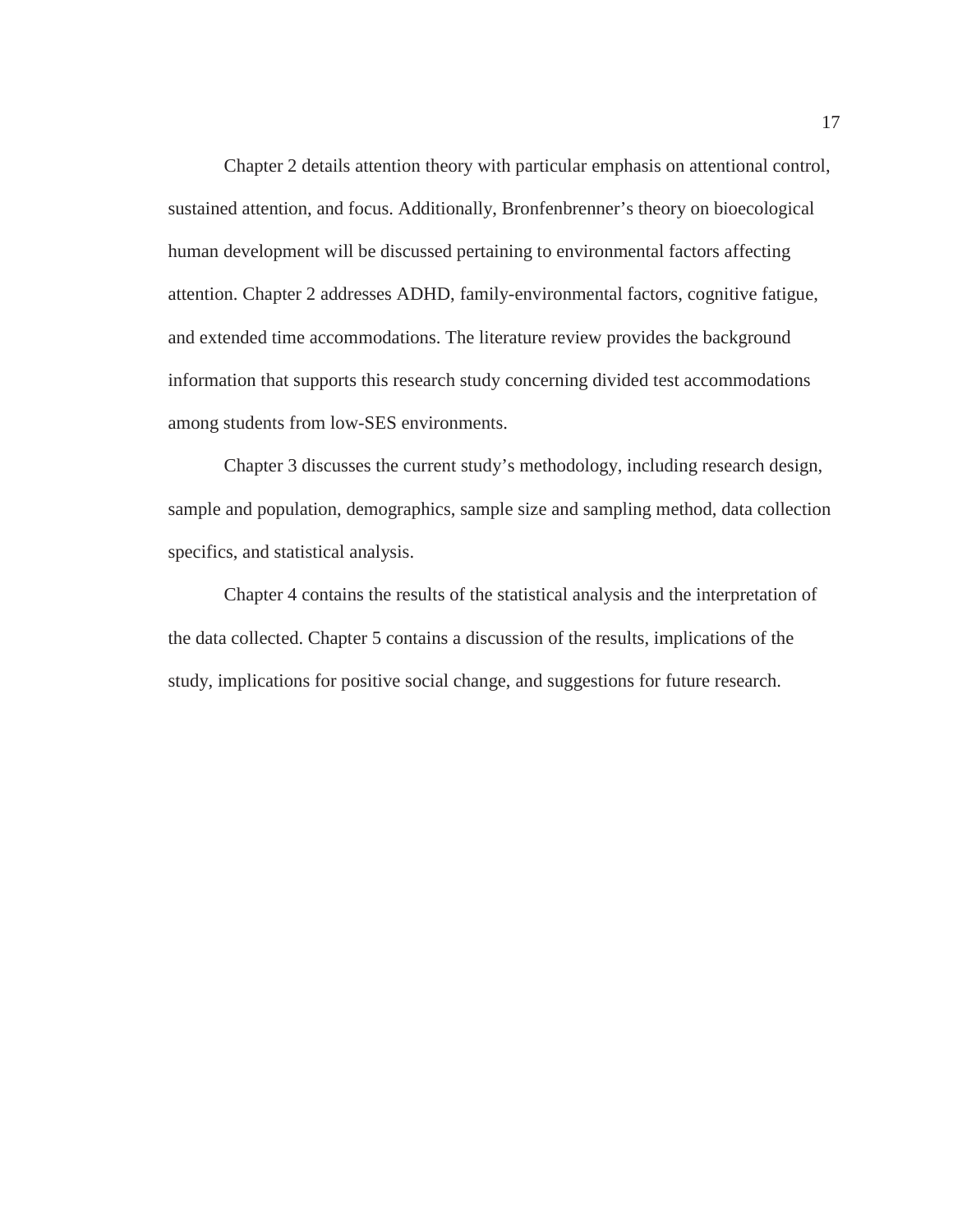Chapter 2 details attention theory with particular emphasis on attentional control, sustained attention, and focus. Additionally, Bronfenbrenner's theory on bioecological human development will be discussed pertaining to environmental factors affecting attention. Chapter 2 addresses ADHD, family-environmental factors, cognitive fatigue, and extended time accommodations. The literature review provides the background information that supports this research study concerning divided test accommodations among students from low-SES environments.

Chapter 3 discusses the current study's methodology, including research design, sample and population, demographics, sample size and sampling method, data collection specifics, and statistical analysis.

Chapter 4 contains the results of the statistical analysis and the interpretation of the data collected. Chapter 5 contains a discussion of the results, implications of the study, implications for positive social change, and suggestions for future research.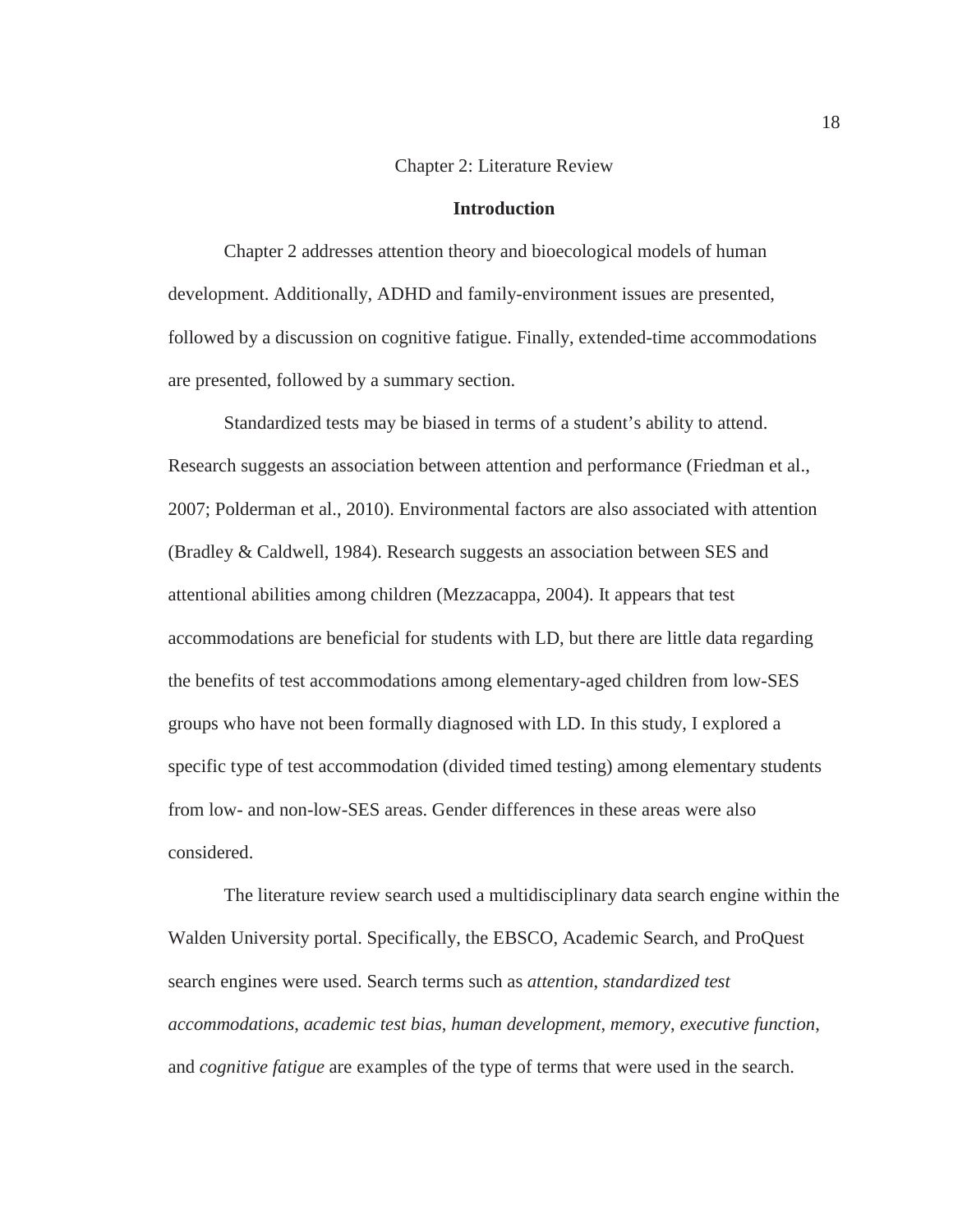#### Chapter 2: Literature Review

#### **Introduction**

Chapter 2 addresses attention theory and bioecological models of human development. Additionally, ADHD and family-environment issues are presented, followed by a discussion on cognitive fatigue. Finally, extended-time accommodations are presented, followed by a summary section.

Standardized tests may be biased in terms of a student's ability to attend. Research suggests an association between attention and performance (Friedman et al., 2007; Polderman et al., 2010). Environmental factors are also associated with attention (Bradley & Caldwell, 1984). Research suggests an association between SES and attentional abilities among children (Mezzacappa, 2004). It appears that test accommodations are beneficial for students with LD, but there are little data regarding the benefits of test accommodations among elementary-aged children from low-SES groups who have not been formally diagnosed with LD. In this study, I explored a specific type of test accommodation (divided timed testing) among elementary students from low- and non-low-SES areas. Gender differences in these areas were also considered.

The literature review search used a multidisciplinary data search engine within the Walden University portal. Specifically, the EBSCO, Academic Search, and ProQuest search engines were used. Search terms such as *attention*, *standardized test accommodations*, *academic test bias*, *human development*, *memory*, *executive function*, and *cognitive fatigue* are examples of the type of terms that were used in the search.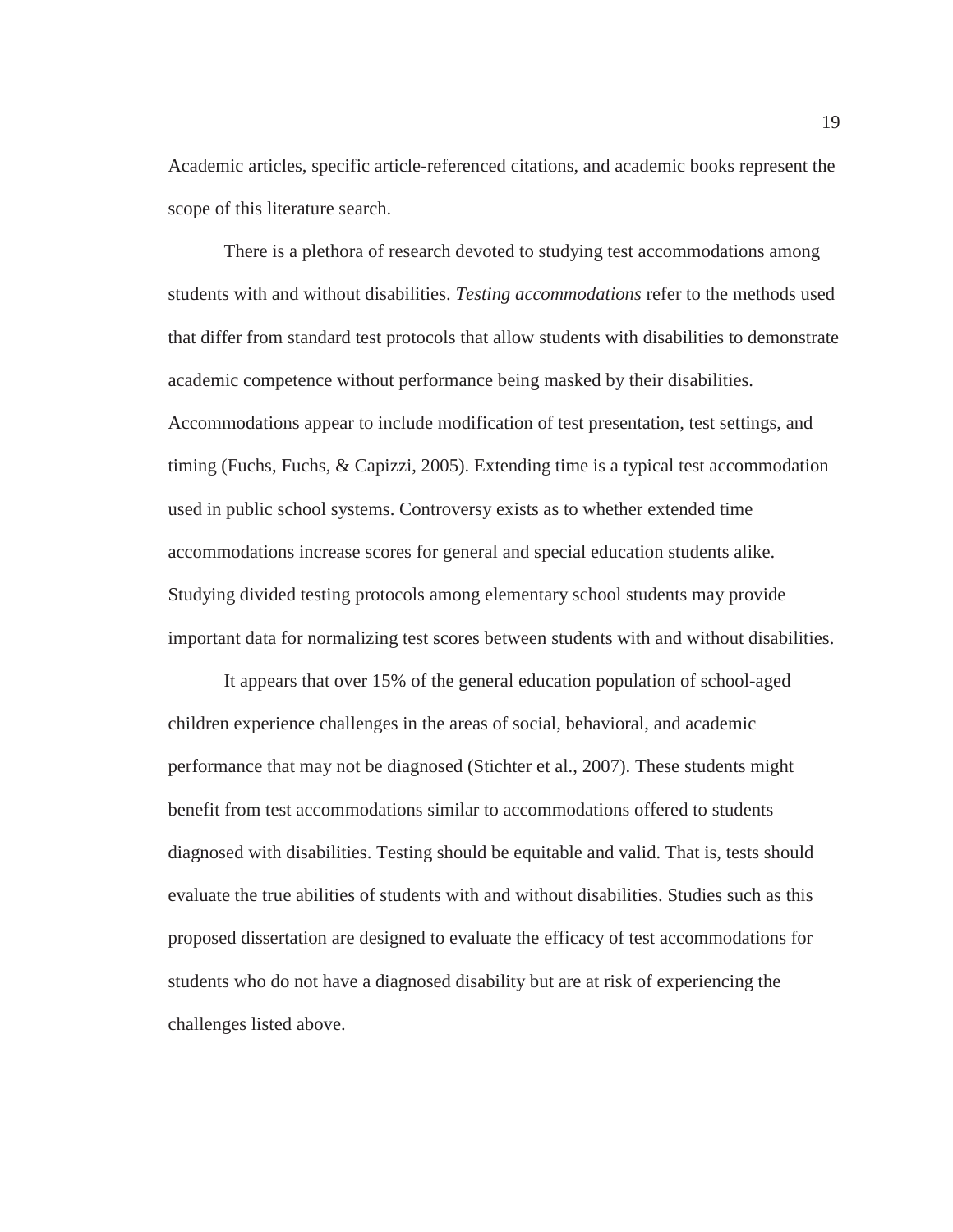Academic articles, specific article-referenced citations, and academic books represent the scope of this literature search.

There is a plethora of research devoted to studying test accommodations among students with and without disabilities. *Testing accommodations* refer to the methods used that differ from standard test protocols that allow students with disabilities to demonstrate academic competence without performance being masked by their disabilities. Accommodations appear to include modification of test presentation, test settings, and timing (Fuchs, Fuchs, & Capizzi, 2005). Extending time is a typical test accommodation used in public school systems. Controversy exists as to whether extended time accommodations increase scores for general and special education students alike. Studying divided testing protocols among elementary school students may provide important data for normalizing test scores between students with and without disabilities.

It appears that over 15% of the general education population of school-aged children experience challenges in the areas of social, behavioral, and academic performance that may not be diagnosed (Stichter et al., 2007). These students might benefit from test accommodations similar to accommodations offered to students diagnosed with disabilities. Testing should be equitable and valid. That is, tests should evaluate the true abilities of students with and without disabilities. Studies such as this proposed dissertation are designed to evaluate the efficacy of test accommodations for students who do not have a diagnosed disability but are at risk of experiencing the challenges listed above.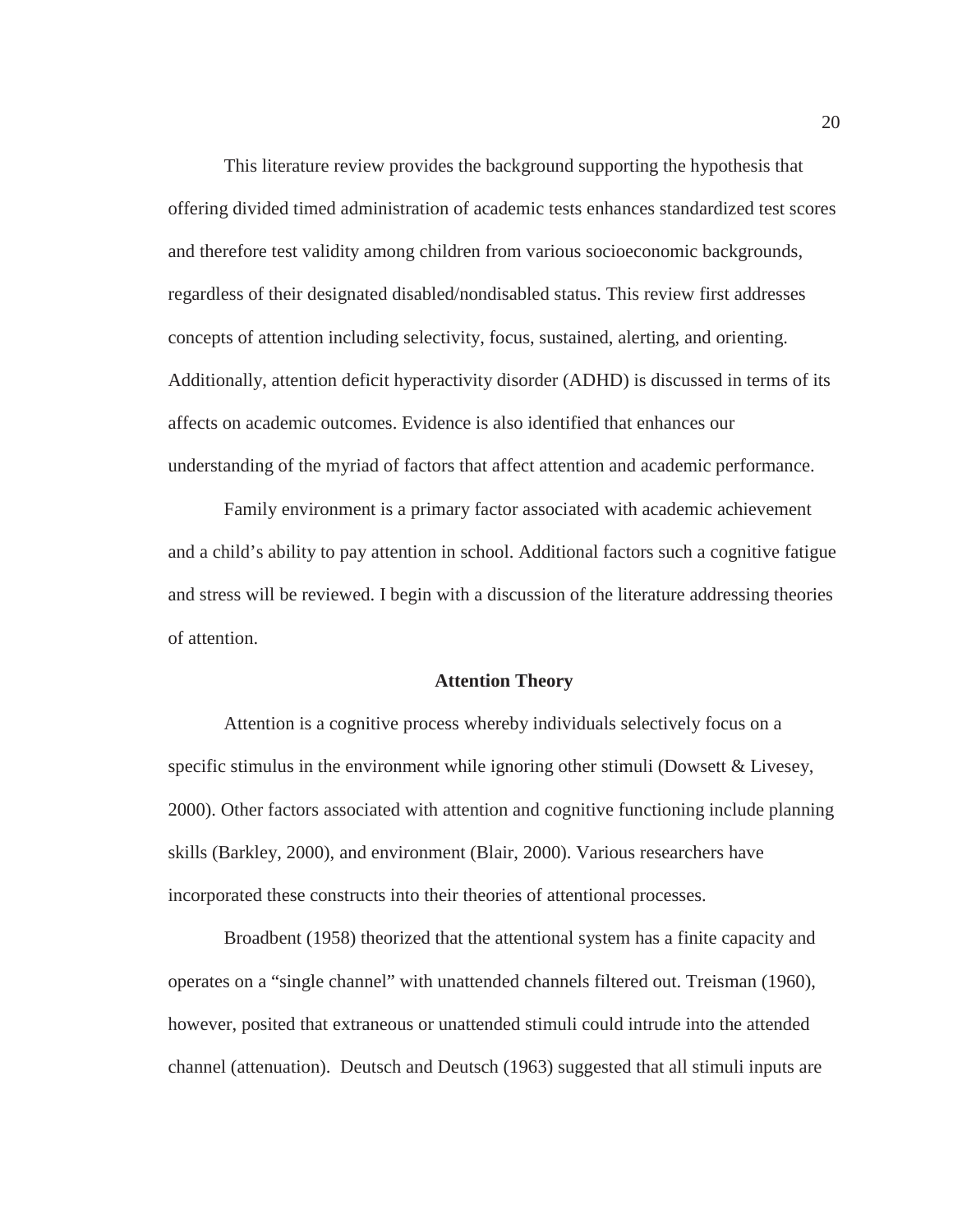This literature review provides the background supporting the hypothesis that offering divided timed administration of academic tests enhances standardized test scores and therefore test validity among children from various socioeconomic backgrounds, regardless of their designated disabled/nondisabled status. This review first addresses concepts of attention including selectivity, focus, sustained, alerting, and orienting. Additionally, attention deficit hyperactivity disorder (ADHD) is discussed in terms of its affects on academic outcomes. Evidence is also identified that enhances our understanding of the myriad of factors that affect attention and academic performance.

Family environment is a primary factor associated with academic achievement and a child's ability to pay attention in school. Additional factors such a cognitive fatigue and stress will be reviewed. I begin with a discussion of the literature addressing theories of attention.

#### **Attention Theory**

Attention is a cognitive process whereby individuals selectively focus on a specific stimulus in the environment while ignoring other stimuli (Dowsett & Livesey, 2000). Other factors associated with attention and cognitive functioning include planning skills (Barkley, 2000), and environment (Blair, 2000). Various researchers have incorporated these constructs into their theories of attentional processes.

Broadbent (1958) theorized that the attentional system has a finite capacity and operates on a "single channel" with unattended channels filtered out. Treisman (1960), however, posited that extraneous or unattended stimuli could intrude into the attended channel (attenuation). Deutsch and Deutsch (1963) suggested that all stimuli inputs are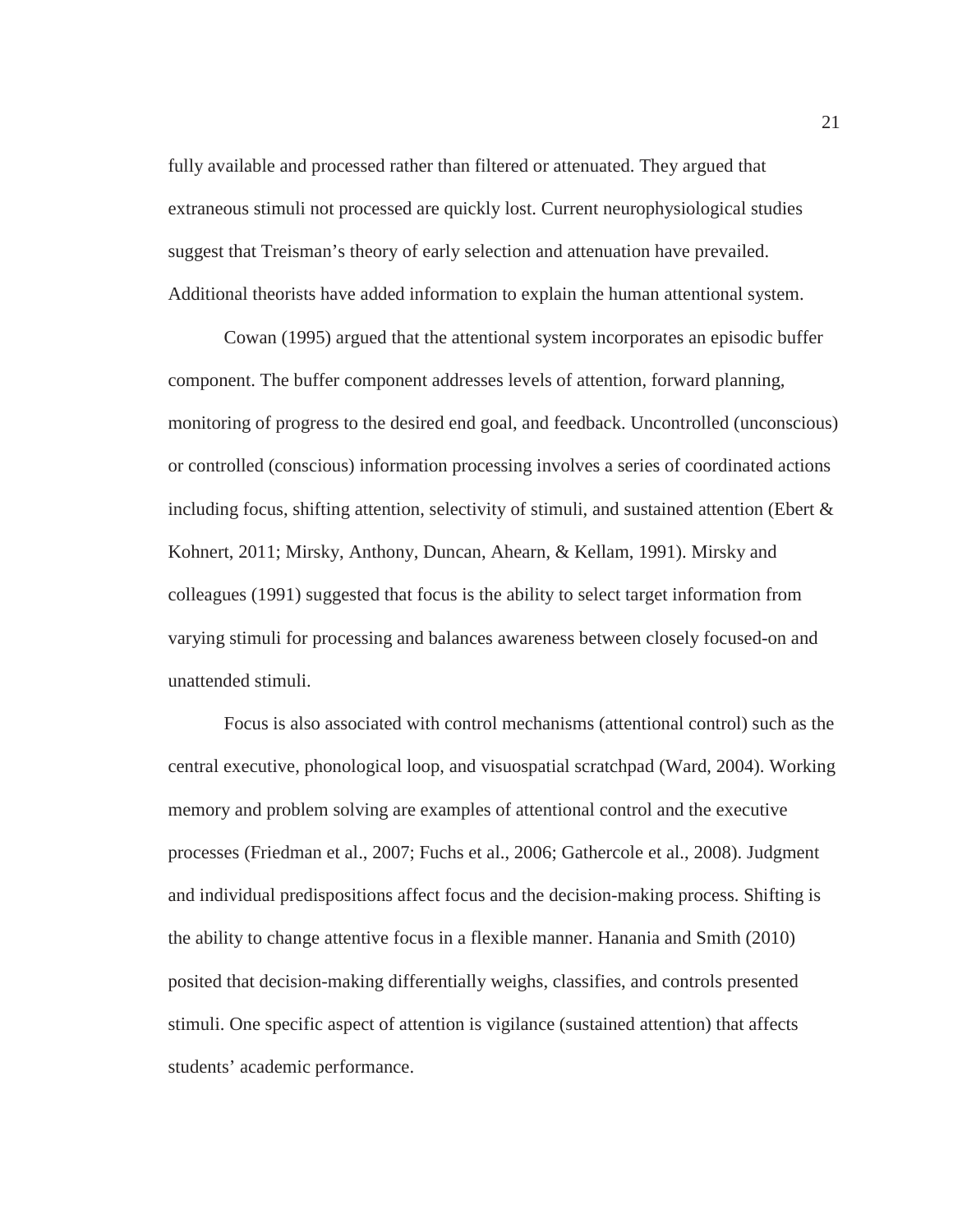fully available and processed rather than filtered or attenuated. They argued that extraneous stimuli not processed are quickly lost. Current neurophysiological studies suggest that Treisman's theory of early selection and attenuation have prevailed. Additional theorists have added information to explain the human attentional system.

Cowan (1995) argued that the attentional system incorporates an episodic buffer component. The buffer component addresses levels of attention, forward planning, monitoring of progress to the desired end goal, and feedback. Uncontrolled (unconscious) or controlled (conscious) information processing involves a series of coordinated actions including focus, shifting attention, selectivity of stimuli, and sustained attention (Ebert  $\&$ Kohnert, 2011; Mirsky, Anthony, Duncan, Ahearn, & Kellam, 1991). Mirsky and colleagues (1991) suggested that focus is the ability to select target information from varying stimuli for processing and balances awareness between closely focused-on and unattended stimuli.

Focus is also associated with control mechanisms (attentional control) such as the central executive, phonological loop, and visuospatial scratchpad (Ward, 2004). Working memory and problem solving are examples of attentional control and the executive processes (Friedman et al., 2007; Fuchs et al., 2006; Gathercole et al., 2008). Judgment and individual predispositions affect focus and the decision-making process. Shifting is the ability to change attentive focus in a flexible manner. Hanania and Smith (2010) posited that decision-making differentially weighs, classifies, and controls presented stimuli. One specific aspect of attention is vigilance (sustained attention) that affects students' academic performance.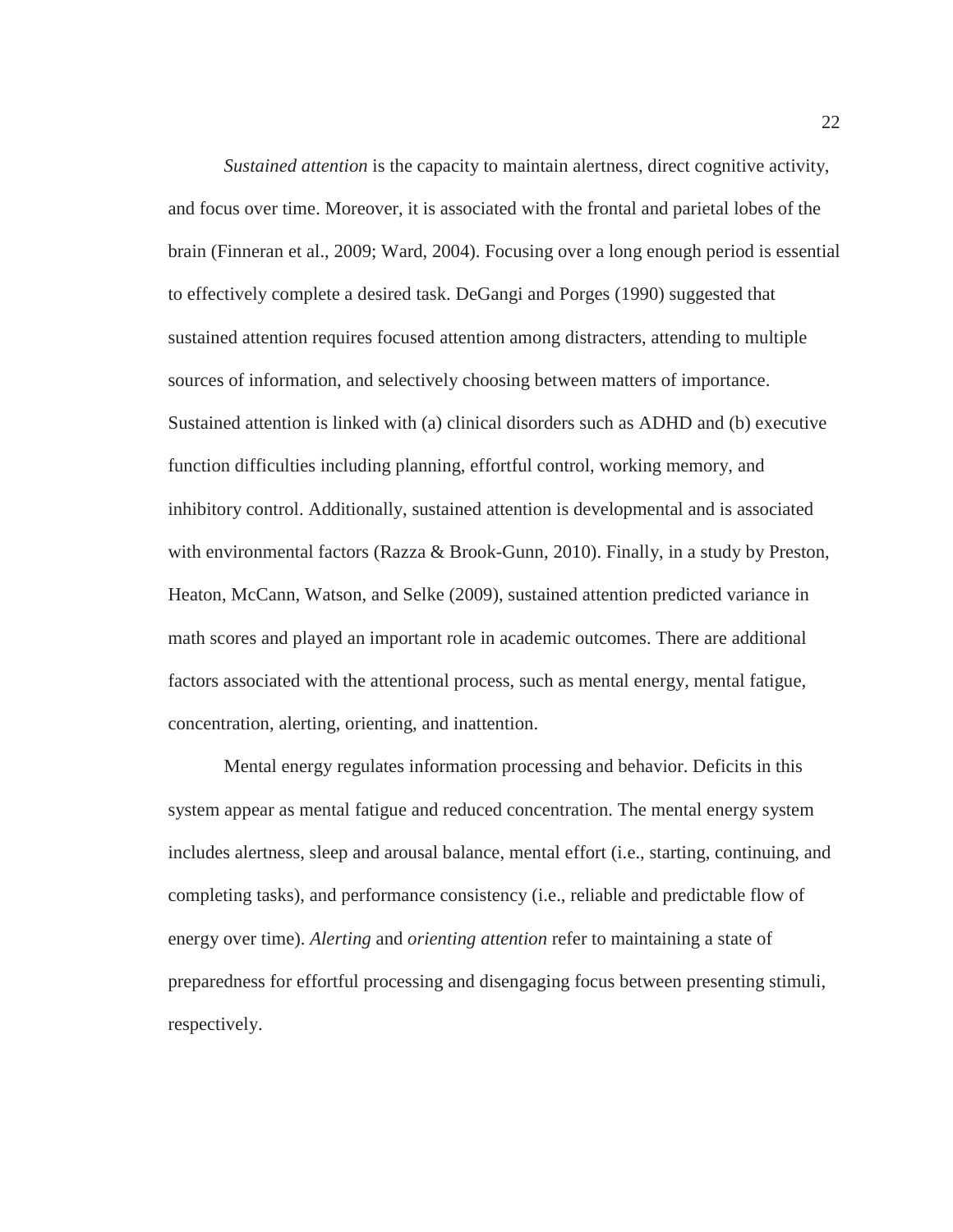*Sustained attention* is the capacity to maintain alertness, direct cognitive activity, and focus over time. Moreover, it is associated with the frontal and parietal lobes of the brain (Finneran et al., 2009; Ward, 2004). Focusing over a long enough period is essential to effectively complete a desired task. DeGangi and Porges (1990) suggested that sustained attention requires focused attention among distracters, attending to multiple sources of information, and selectively choosing between matters of importance. Sustained attention is linked with (a) clinical disorders such as ADHD and (b) executive function difficulties including planning, effortful control, working memory, and inhibitory control. Additionally, sustained attention is developmental and is associated with environmental factors (Razza & Brook-Gunn, 2010). Finally, in a study by Preston, Heaton, McCann, Watson, and Selke (2009), sustained attention predicted variance in math scores and played an important role in academic outcomes. There are additional factors associated with the attentional process, such as mental energy, mental fatigue, concentration, alerting, orienting, and inattention.

Mental energy regulates information processing and behavior. Deficits in this system appear as mental fatigue and reduced concentration. The mental energy system includes alertness, sleep and arousal balance, mental effort (i.e., starting, continuing, and completing tasks), and performance consistency (i.e., reliable and predictable flow of energy over time). *Alerting* and *orienting attention* refer to maintaining a state of preparedness for effortful processing and disengaging focus between presenting stimuli, respectively.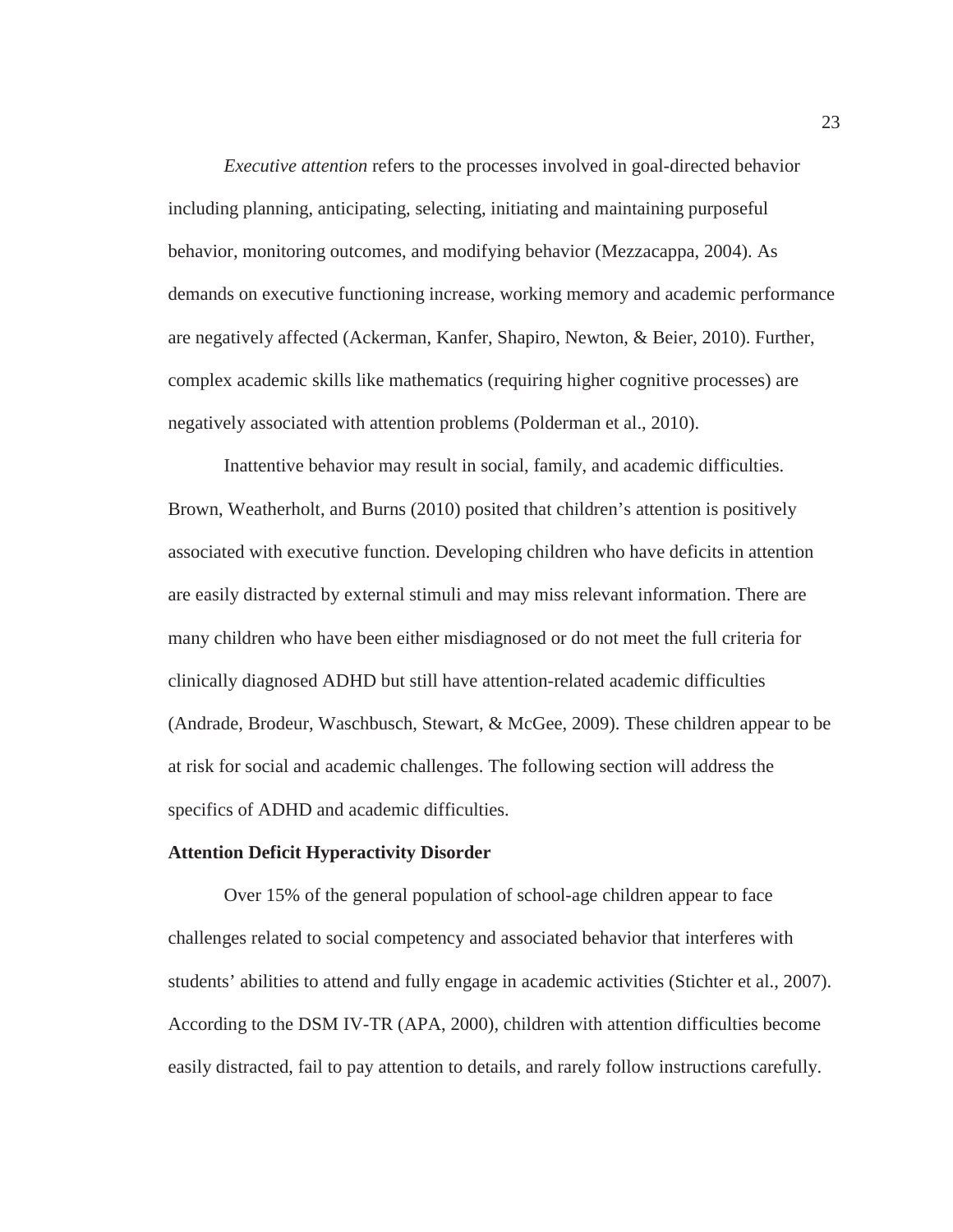*Executive attention* refers to the processes involved in goal-directed behavior including planning, anticipating, selecting, initiating and maintaining purposeful behavior, monitoring outcomes, and modifying behavior (Mezzacappa, 2004). As demands on executive functioning increase, working memory and academic performance are negatively affected (Ackerman, Kanfer, Shapiro, Newton, & Beier, 2010). Further, complex academic skills like mathematics (requiring higher cognitive processes) are negatively associated with attention problems (Polderman et al., 2010).

Inattentive behavior may result in social, family, and academic difficulties. Brown, Weatherholt, and Burns (2010) posited that children's attention is positively associated with executive function. Developing children who have deficits in attention are easily distracted by external stimuli and may miss relevant information. There are many children who have been either misdiagnosed or do not meet the full criteria for clinically diagnosed ADHD but still have attention-related academic difficulties (Andrade, Brodeur, Waschbusch, Stewart, & McGee, 2009). These children appear to be at risk for social and academic challenges. The following section will address the specifics of ADHD and academic difficulties.

#### **Attention Deficit Hyperactivity Disorder**

Over 15% of the general population of school-age children appear to face challenges related to social competency and associated behavior that interferes with students' abilities to attend and fully engage in academic activities (Stichter et al., 2007). According to the DSM IV-TR (APA, 2000), children with attention difficulties become easily distracted, fail to pay attention to details, and rarely follow instructions carefully.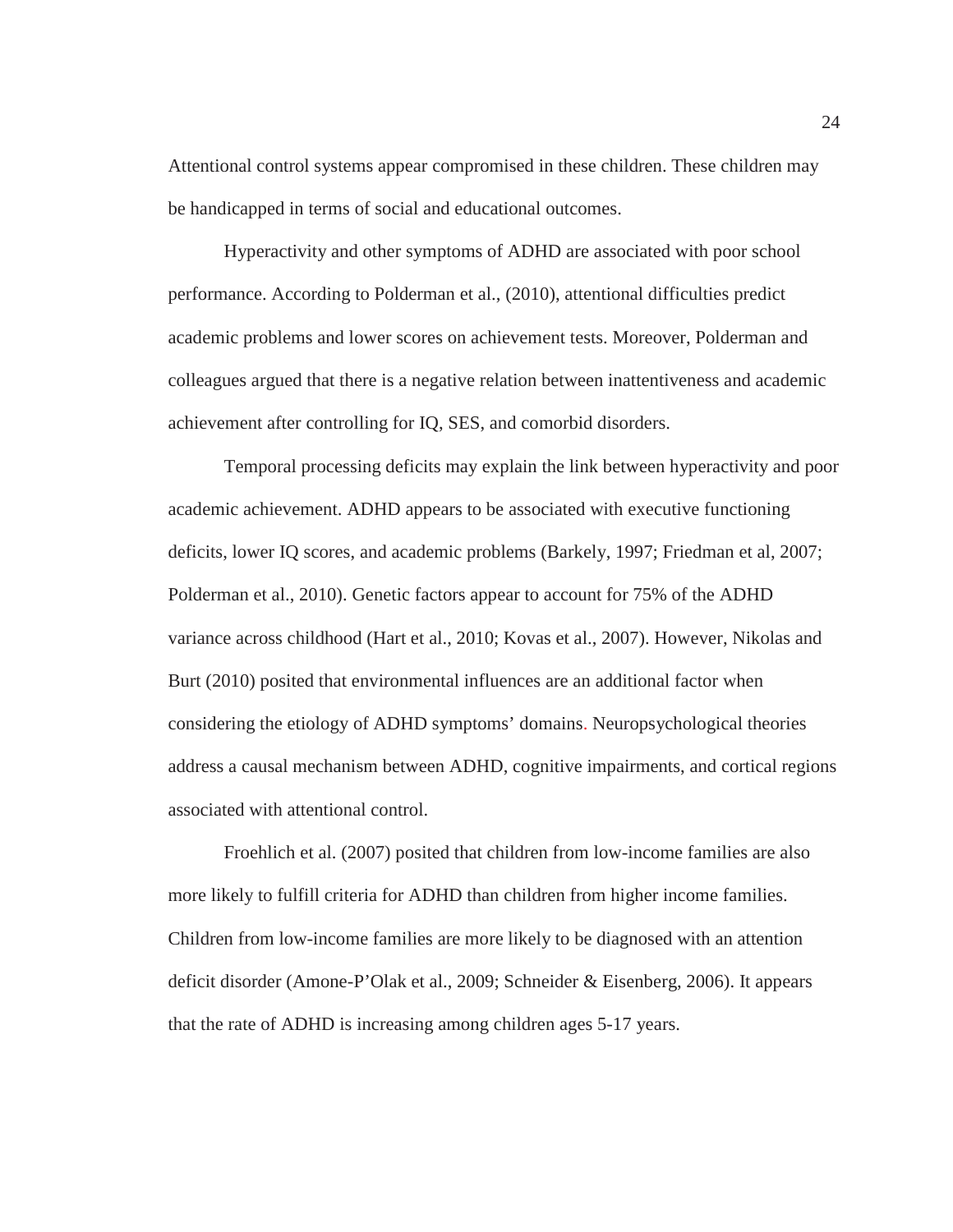Attentional control systems appear compromised in these children. These children may be handicapped in terms of social and educational outcomes.

Hyperactivity and other symptoms of ADHD are associated with poor school performance. According to Polderman et al., (2010), attentional difficulties predict academic problems and lower scores on achievement tests. Moreover, Polderman and colleagues argued that there is a negative relation between inattentiveness and academic achievement after controlling for IQ, SES, and comorbid disorders.

Temporal processing deficits may explain the link between hyperactivity and poor academic achievement. ADHD appears to be associated with executive functioning deficits, lower IQ scores, and academic problems (Barkely, 1997; Friedman et al, 2007; Polderman et al., 2010). Genetic factors appear to account for 75% of the ADHD variance across childhood (Hart et al., 2010; Kovas et al., 2007). However, Nikolas and Burt (2010) posited that environmental influences are an additional factor when considering the etiology of ADHD symptoms' domains. Neuropsychological theories address a causal mechanism between ADHD, cognitive impairments, and cortical regions associated with attentional control.

Froehlich et al. (2007) posited that children from low-income families are also more likely to fulfill criteria for ADHD than children from higher income families. Children from low-income families are more likely to be diagnosed with an attention deficit disorder (Amone-P'Olak et al., 2009; Schneider & Eisenberg, 2006). It appears that the rate of ADHD is increasing among children ages 5-17 years.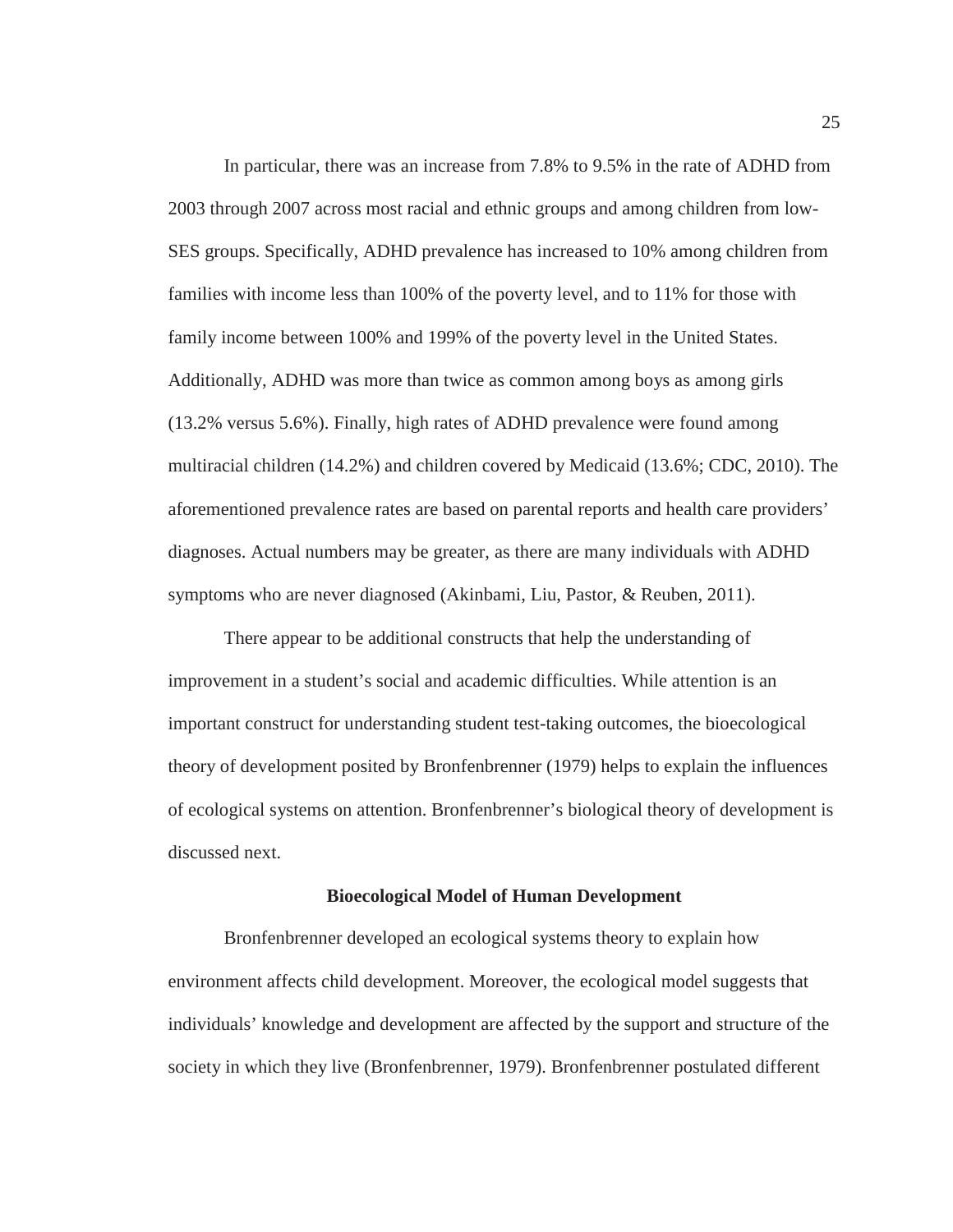In particular, there was an increase from 7.8% to 9.5% in the rate of ADHD from 2003 through 2007 across most racial and ethnic groups and among children from low-SES groups. Specifically, ADHD prevalence has increased to 10% among children from families with income less than 100% of the poverty level, and to 11% for those with family income between 100% and 199% of the poverty level in the United States. Additionally, ADHD was more than twice as common among boys as among girls (13.2% versus 5.6%). Finally, high rates of ADHD prevalence were found among multiracial children (14.2%) and children covered by Medicaid (13.6%; CDC, 2010). The aforementioned prevalence rates are based on parental reports and health care providers' diagnoses. Actual numbers may be greater, as there are many individuals with ADHD symptoms who are never diagnosed (Akinbami, Liu, Pastor, & Reuben, 2011).

There appear to be additional constructs that help the understanding of improvement in a student's social and academic difficulties. While attention is an important construct for understanding student test-taking outcomes, the bioecological theory of development posited by Bronfenbrenner (1979) helps to explain the influences of ecological systems on attention. Bronfenbrenner's biological theory of development is discussed next.

#### **Bioecological Model of Human Development**

Bronfenbrenner developed an ecological systems theory to explain how environment affects child development. Moreover, the ecological model suggests that individuals' knowledge and development are affected by the support and structure of the society in which they live (Bronfenbrenner, 1979). Bronfenbrenner postulated different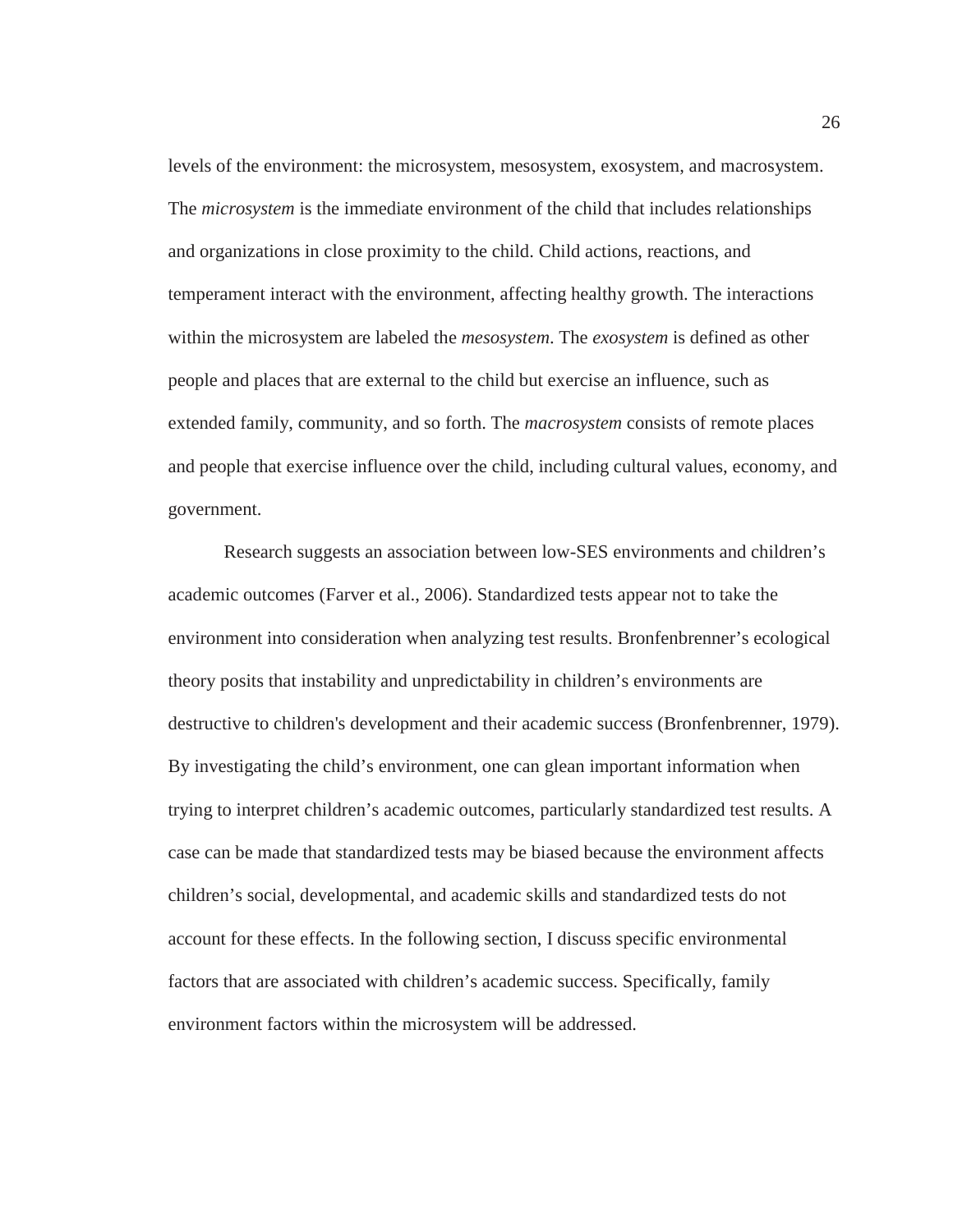levels of the environment: the microsystem, mesosystem, exosystem, and macrosystem. The *microsystem* is the immediate environment of the child that includes relationships and organizations in close proximity to the child. Child actions, reactions, and temperament interact with the environment, affecting healthy growth. The interactions within the microsystem are labeled the *mesosystem*. The *exosystem* is defined as other people and places that are external to the child but exercise an influence, such as extended family, community, and so forth. The *macrosystem* consists of remote places and people that exercise influence over the child, including cultural values, economy, and government.

Research suggests an association between low-SES environments and children's academic outcomes (Farver et al., 2006). Standardized tests appear not to take the environment into consideration when analyzing test results. Bronfenbrenner's ecological theory posits that instability and unpredictability in children's environments are destructive to children's development and their academic success (Bronfenbrenner, 1979). By investigating the child's environment, one can glean important information when trying to interpret children's academic outcomes, particularly standardized test results. A case can be made that standardized tests may be biased because the environment affects children's social, developmental, and academic skills and standardized tests do not account for these effects. In the following section, I discuss specific environmental factors that are associated with children's academic success. Specifically, family environment factors within the microsystem will be addressed.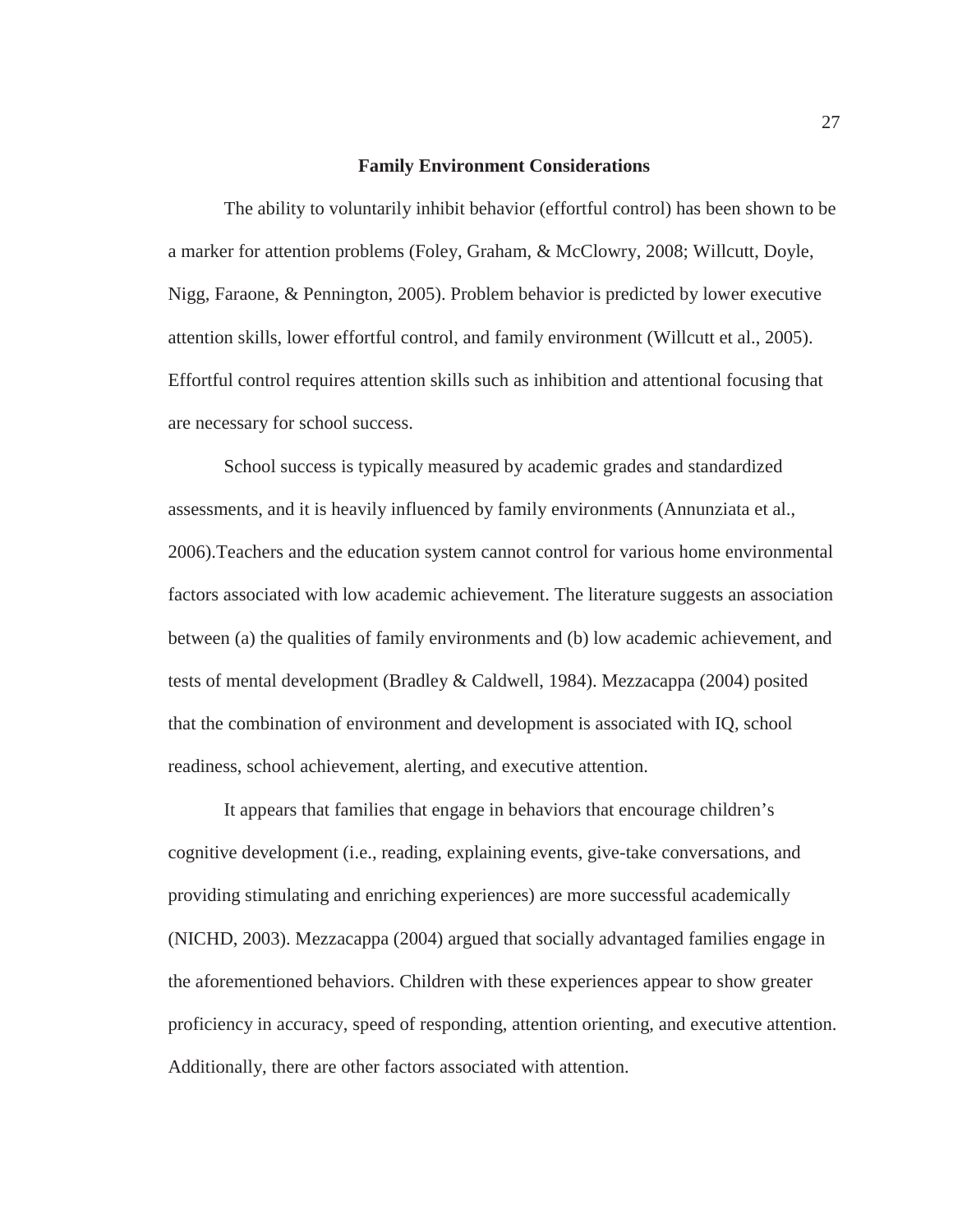#### **Family Environment Considerations**

The ability to voluntarily inhibit behavior (effortful control) has been shown to be a marker for attention problems (Foley, Graham, & McClowry, 2008; Willcutt, Doyle, Nigg, Faraone, & Pennington, 2005). Problem behavior is predicted by lower executive attention skills, lower effortful control, and family environment (Willcutt et al., 2005). Effortful control requires attention skills such as inhibition and attentional focusing that are necessary for school success.

School success is typically measured by academic grades and standardized assessments, and it is heavily influenced by family environments (Annunziata et al., 2006).Teachers and the education system cannot control for various home environmental factors associated with low academic achievement. The literature suggests an association between (a) the qualities of family environments and (b) low academic achievement, and tests of mental development (Bradley & Caldwell, 1984). Mezzacappa (2004) posited that the combination of environment and development is associated with IQ, school readiness, school achievement, alerting, and executive attention.

It appears that families that engage in behaviors that encourage children's cognitive development (i.e., reading, explaining events, give-take conversations, and providing stimulating and enriching experiences) are more successful academically (NICHD, 2003). Mezzacappa (2004) argued that socially advantaged families engage in the aforementioned behaviors. Children with these experiences appear to show greater proficiency in accuracy, speed of responding, attention orienting, and executive attention. Additionally, there are other factors associated with attention.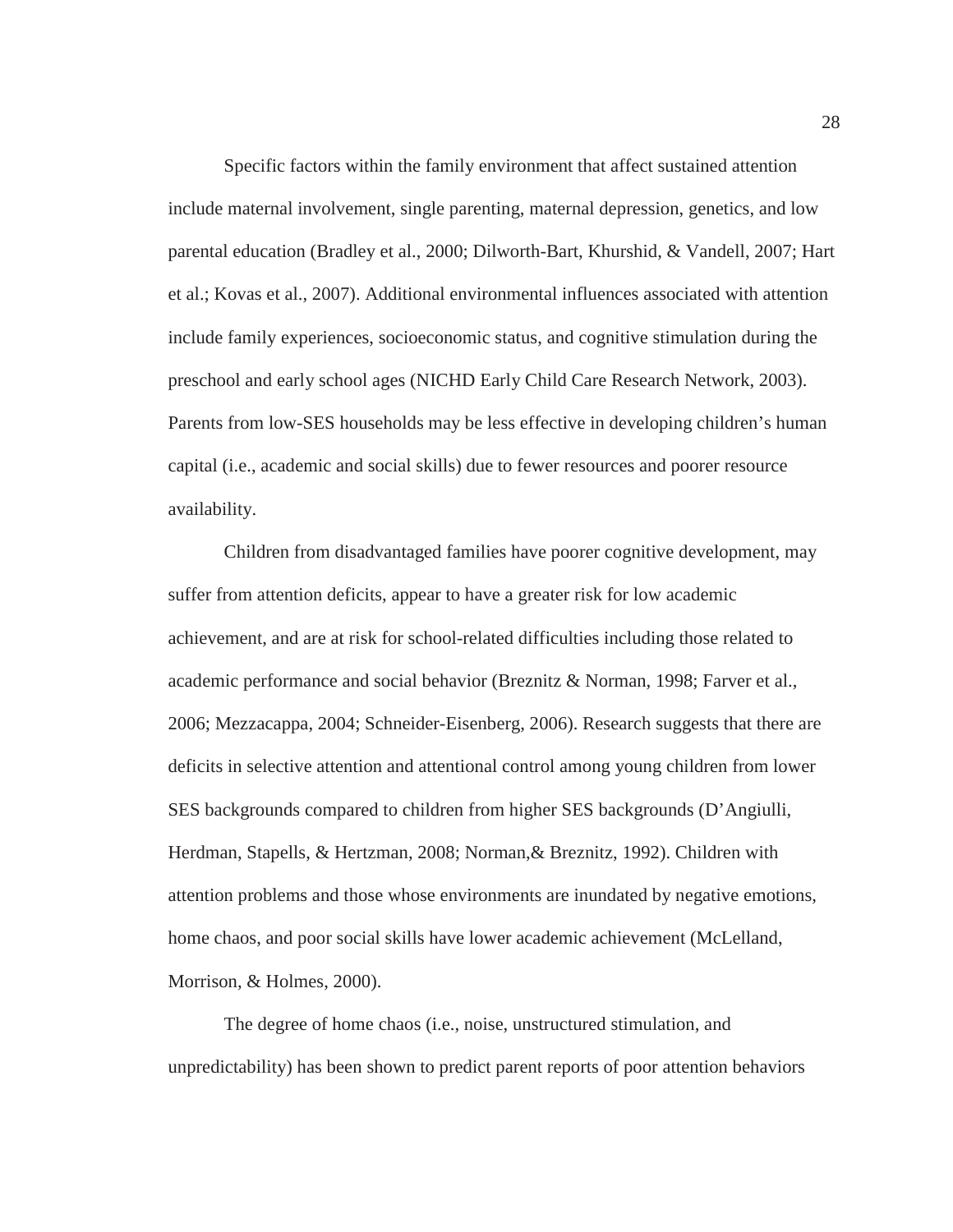Specific factors within the family environment that affect sustained attention include maternal involvement, single parenting, maternal depression, genetics, and low parental education (Bradley et al., 2000; Dilworth-Bart, Khurshid, & Vandell, 2007; Hart et al.; Kovas et al., 2007). Additional environmental influences associated with attention include family experiences, socioeconomic status, and cognitive stimulation during the preschool and early school ages (NICHD Early Child Care Research Network, 2003). Parents from low-SES households may be less effective in developing children's human capital (i.e., academic and social skills) due to fewer resources and poorer resource availability.

Children from disadvantaged families have poorer cognitive development, may suffer from attention deficits, appear to have a greater risk for low academic achievement, and are at risk for school-related difficulties including those related to academic performance and social behavior (Breznitz & Norman, 1998; Farver et al., 2006; Mezzacappa, 2004; Schneider-Eisenberg, 2006). Research suggests that there are deficits in selective attention and attentional control among young children from lower SES backgrounds compared to children from higher SES backgrounds (D'Angiulli, Herdman, Stapells, & Hertzman, 2008; Norman,& Breznitz, 1992). Children with attention problems and those whose environments are inundated by negative emotions, home chaos, and poor social skills have lower academic achievement (McLelland, Morrison, & Holmes, 2000).

The degree of home chaos (i.e., noise, unstructured stimulation, and unpredictability) has been shown to predict parent reports of poor attention behaviors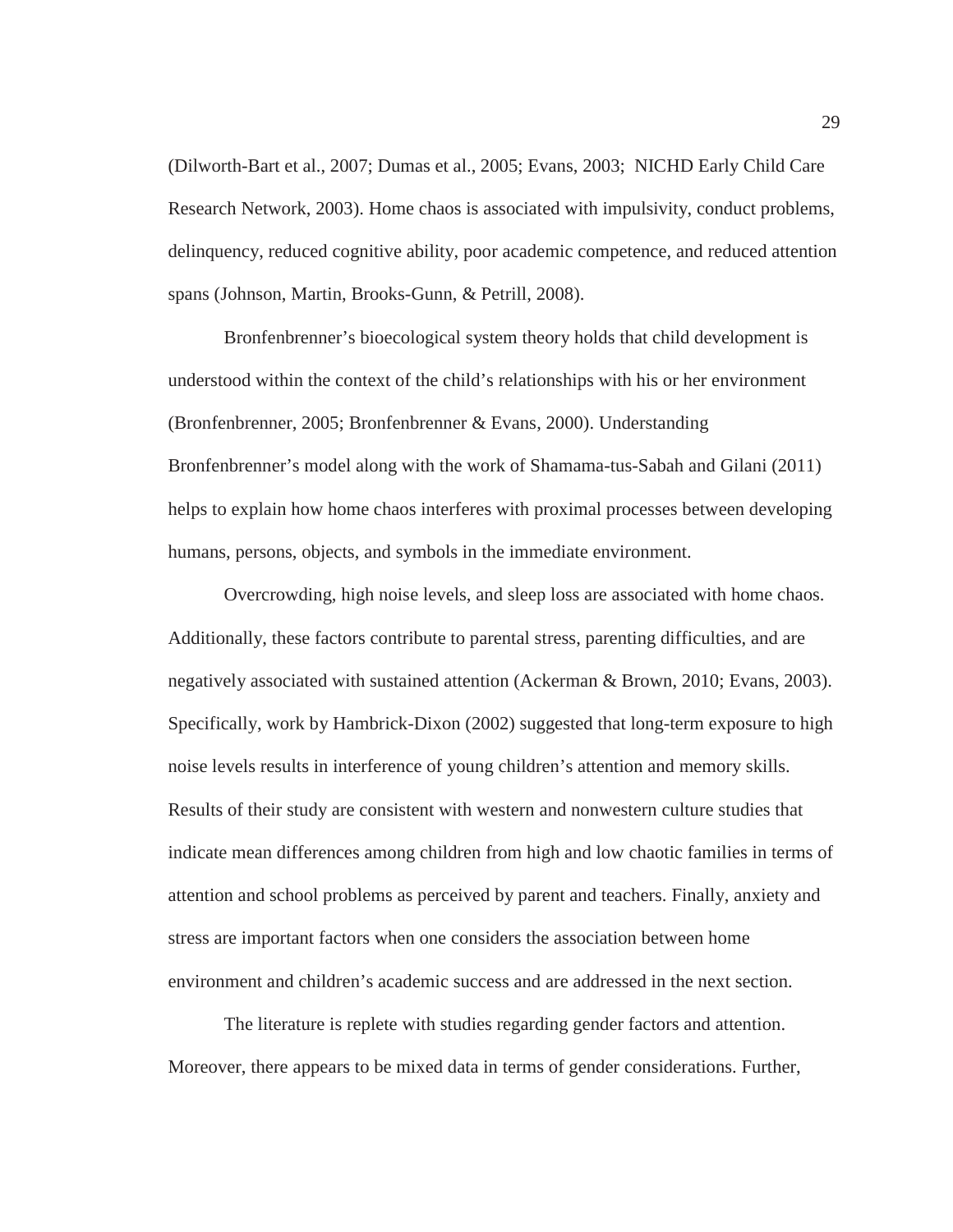(Dilworth-Bart et al., 2007; Dumas et al., 2005; Evans, 2003; NICHD Early Child Care Research Network, 2003). Home chaos is associated with impulsivity, conduct problems, delinquency, reduced cognitive ability, poor academic competence, and reduced attention spans (Johnson, Martin, Brooks-Gunn, & Petrill, 2008).

Bronfenbrenner's bioecological system theory holds that child development is understood within the context of the child's relationships with his or her environment (Bronfenbrenner, 2005; Bronfenbrenner & Evans, 2000). Understanding Bronfenbrenner's model along with the work of Shamama-tus-Sabah and Gilani (2011) helps to explain how home chaos interferes with proximal processes between developing humans, persons, objects, and symbols in the immediate environment.

Overcrowding, high noise levels, and sleep loss are associated with home chaos. Additionally, these factors contribute to parental stress, parenting difficulties, and are negatively associated with sustained attention (Ackerman & Brown, 2010; Evans, 2003). Specifically, work by Hambrick-Dixon (2002) suggested that long-term exposure to high noise levels results in interference of young children's attention and memory skills. Results of their study are consistent with western and nonwestern culture studies that indicate mean differences among children from high and low chaotic families in terms of attention and school problems as perceived by parent and teachers. Finally, anxiety and stress are important factors when one considers the association between home environment and children's academic success and are addressed in the next section.

The literature is replete with studies regarding gender factors and attention. Moreover, there appears to be mixed data in terms of gender considerations. Further,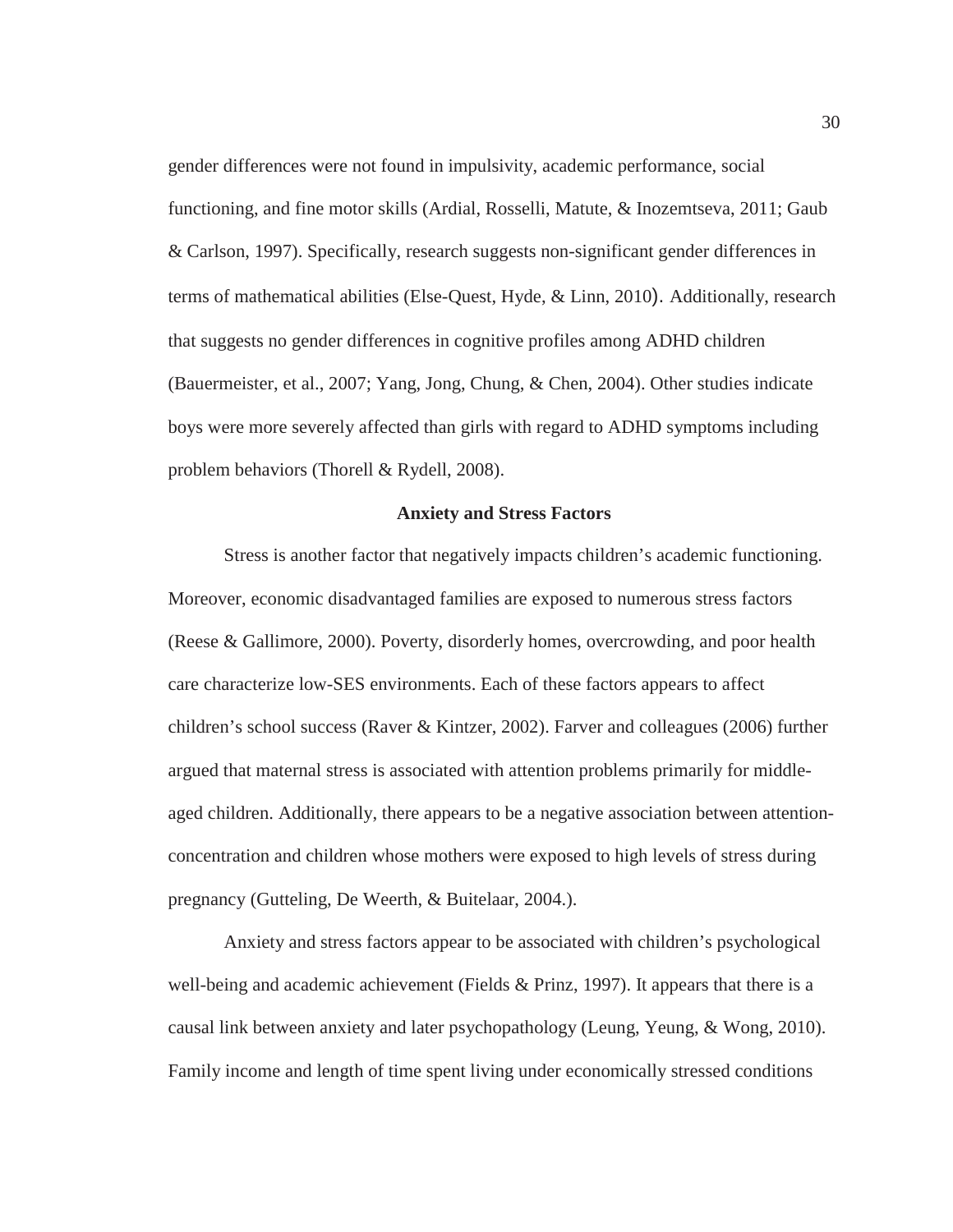gender differences were not found in impulsivity, academic performance, social functioning, and fine motor skills (Ardial, Rosselli, Matute, & Inozemtseva, 2011; Gaub & Carlson, 1997). Specifically, research suggests non-significant gender differences in terms of mathematical abilities (Else-Quest, Hyde, & Linn, 2010). Additionally, research that suggests no gender differences in cognitive profiles among ADHD children (Bauermeister, et al., 2007; Yang, Jong, Chung, & Chen, 2004). Other studies indicate boys were more severely affected than girls with regard to ADHD symptoms including problem behaviors (Thorell & Rydell, 2008).

## **Anxiety and Stress Factors**

Stress is another factor that negatively impacts children's academic functioning. Moreover, economic disadvantaged families are exposed to numerous stress factors (Reese & Gallimore, 2000). Poverty, disorderly homes, overcrowding, and poor health care characterize low-SES environments. Each of these factors appears to affect children's school success (Raver & Kintzer, 2002). Farver and colleagues (2006) further argued that maternal stress is associated with attention problems primarily for middleaged children. Additionally, there appears to be a negative association between attentionconcentration and children whose mothers were exposed to high levels of stress during pregnancy (Gutteling, De Weerth, & Buitelaar, 2004.).

Anxiety and stress factors appear to be associated with children's psychological well-being and academic achievement (Fields  $&$  Prinz, 1997). It appears that there is a causal link between anxiety and later psychopathology (Leung, Yeung, & Wong, 2010). Family income and length of time spent living under economically stressed conditions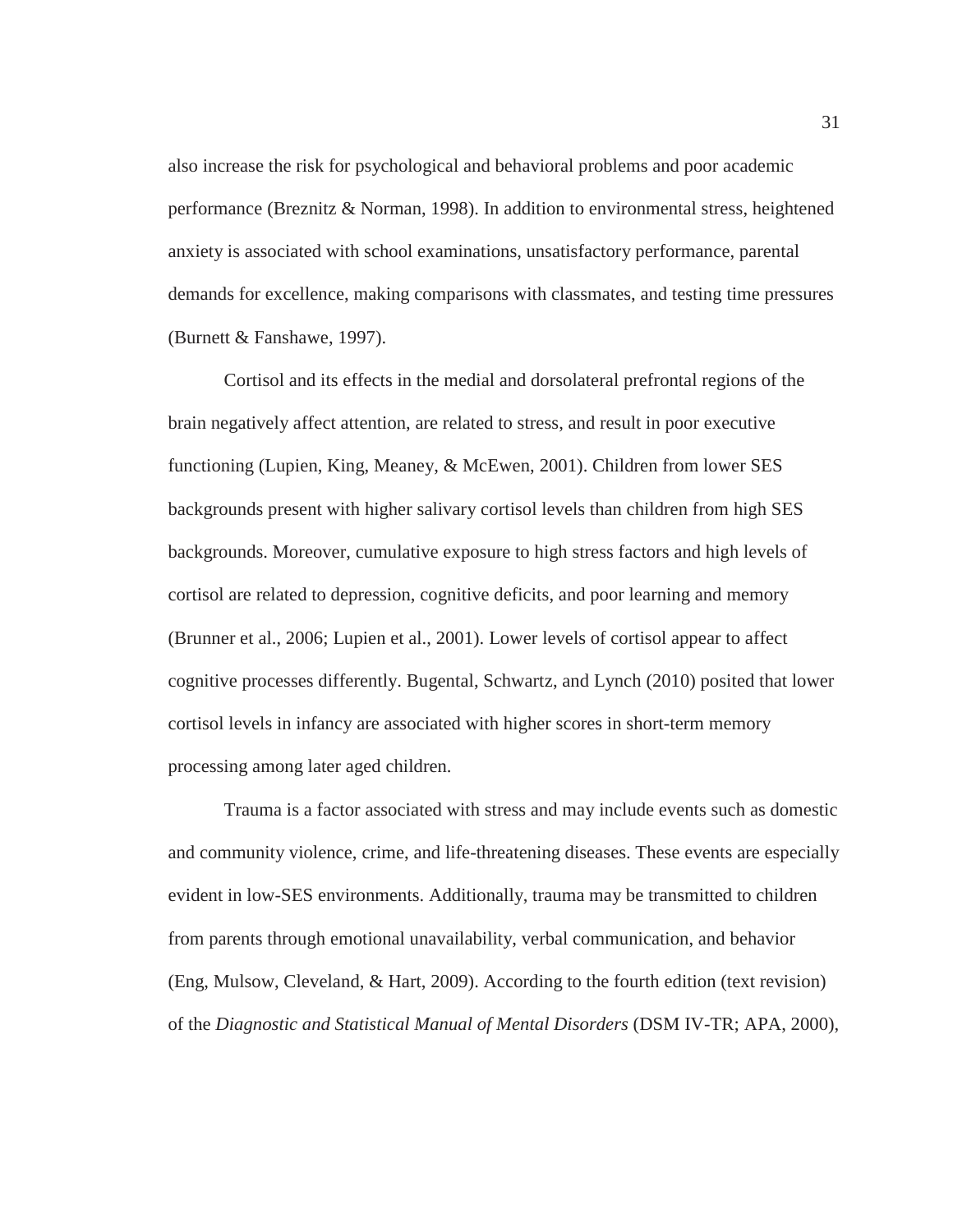also increase the risk for psychological and behavioral problems and poor academic performance (Breznitz & Norman, 1998). In addition to environmental stress, heightened anxiety is associated with school examinations, unsatisfactory performance, parental demands for excellence, making comparisons with classmates, and testing time pressures (Burnett & Fanshawe, 1997).

Cortisol and its effects in the medial and dorsolateral prefrontal regions of the brain negatively affect attention, are related to stress, and result in poor executive functioning (Lupien, King, Meaney, & McEwen, 2001). Children from lower SES backgrounds present with higher salivary cortisol levels than children from high SES backgrounds. Moreover, cumulative exposure to high stress factors and high levels of cortisol are related to depression, cognitive deficits, and poor learning and memory (Brunner et al., 2006; Lupien et al., 2001). Lower levels of cortisol appear to affect cognitive processes differently. Bugental, Schwartz, and Lynch (2010) posited that lower cortisol levels in infancy are associated with higher scores in short-term memory processing among later aged children.

Trauma is a factor associated with stress and may include events such as domestic and community violence, crime, and life-threatening diseases. These events are especially evident in low-SES environments. Additionally, trauma may be transmitted to children from parents through emotional unavailability, verbal communication, and behavior (Eng, Mulsow, Cleveland, & Hart, 2009). According to the fourth edition (text revision) of the *Diagnostic and Statistical Manual of Mental Disorders* (DSM IV-TR; APA, 2000),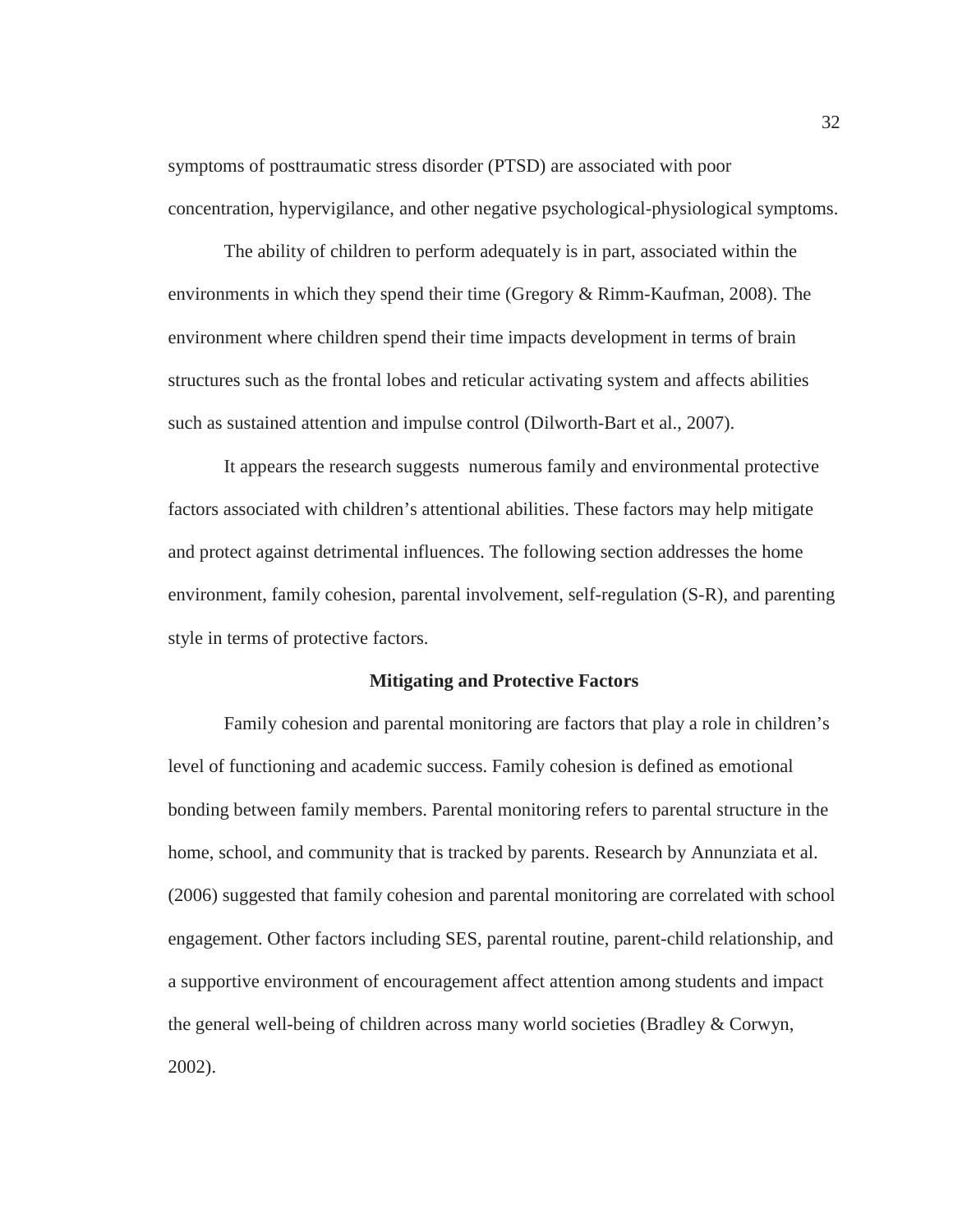symptoms of posttraumatic stress disorder (PTSD) are associated with poor concentration, hypervigilance, and other negative psychological-physiological symptoms.

The ability of children to perform adequately is in part, associated within the environments in which they spend their time (Gregory & Rimm-Kaufman, 2008). The environment where children spend their time impacts development in terms of brain structures such as the frontal lobes and reticular activating system and affects abilities such as sustained attention and impulse control (Dilworth-Bart et al., 2007).

It appears the research suggests numerous family and environmental protective factors associated with children's attentional abilities. These factors may help mitigate and protect against detrimental influences. The following section addresses the home environment, family cohesion, parental involvement, self-regulation (S-R), and parenting style in terms of protective factors.

#### **Mitigating and Protective Factors**

Family cohesion and parental monitoring are factors that play a role in children's level of functioning and academic success. Family cohesion is defined as emotional bonding between family members. Parental monitoring refers to parental structure in the home, school, and community that is tracked by parents. Research by Annunziata et al. (2006) suggested that family cohesion and parental monitoring are correlated with school engagement. Other factors including SES, parental routine, parent-child relationship, and a supportive environment of encouragement affect attention among students and impact the general well-being of children across many world societies (Bradley & Corwyn, 2002).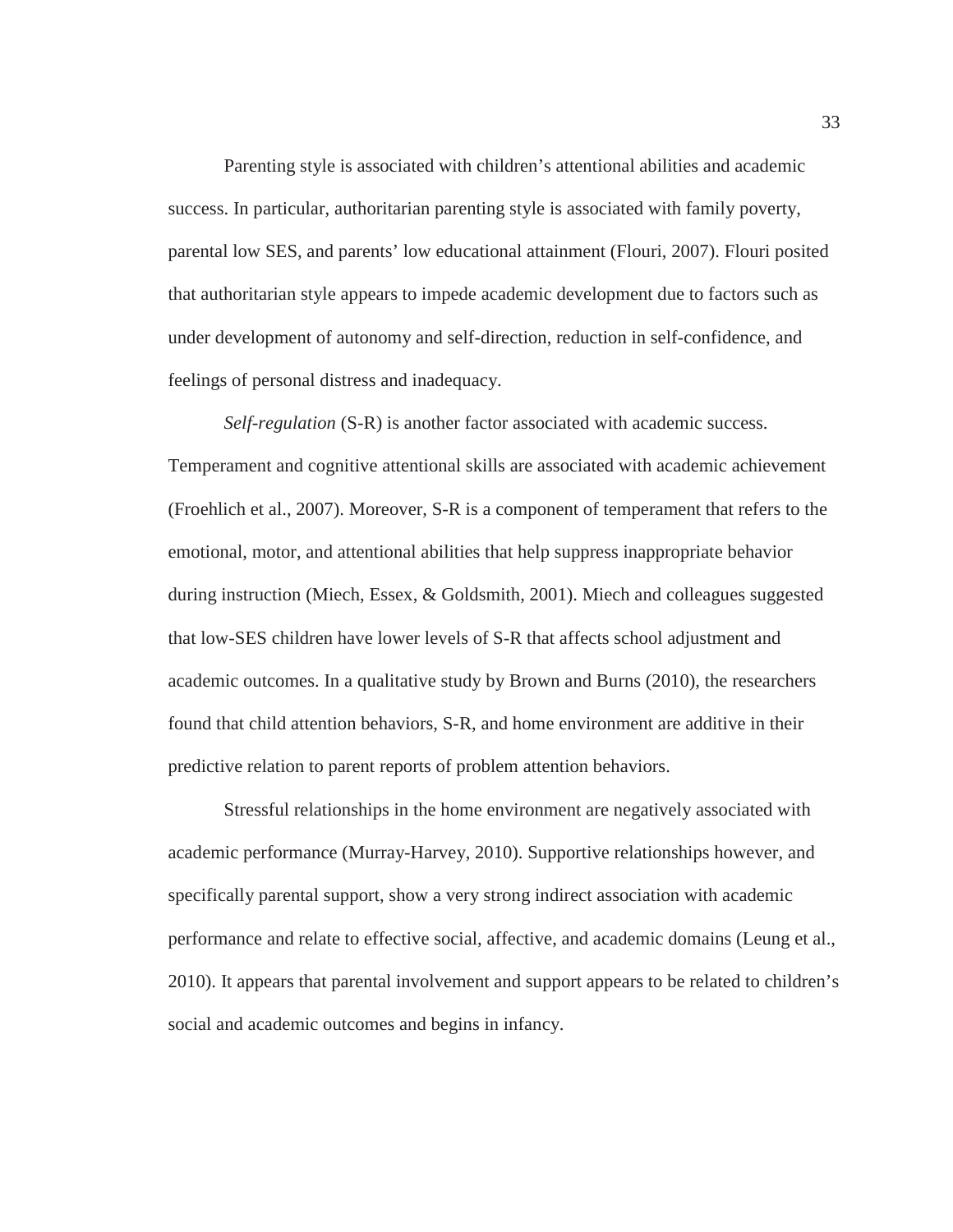Parenting style is associated with children's attentional abilities and academic success. In particular, authoritarian parenting style is associated with family poverty, parental low SES, and parents' low educational attainment (Flouri, 2007). Flouri posited that authoritarian style appears to impede academic development due to factors such as under development of autonomy and self-direction, reduction in self-confidence, and feelings of personal distress and inadequacy.

*Self-regulation* (S-R) is another factor associated with academic success. Temperament and cognitive attentional skills are associated with academic achievement (Froehlich et al., 2007). Moreover, S-R is a component of temperament that refers to the emotional, motor, and attentional abilities that help suppress inappropriate behavior during instruction (Miech, Essex, & Goldsmith, 2001). Miech and colleagues suggested that low-SES children have lower levels of S-R that affects school adjustment and academic outcomes. In a qualitative study by Brown and Burns (2010), the researchers found that child attention behaviors, S-R, and home environment are additive in their predictive relation to parent reports of problem attention behaviors.

Stressful relationships in the home environment are negatively associated with academic performance (Murray-Harvey, 2010). Supportive relationships however, and specifically parental support, show a very strong indirect association with academic performance and relate to effective social, affective, and academic domains (Leung et al., 2010). It appears that parental involvement and support appears to be related to children's social and academic outcomes and begins in infancy.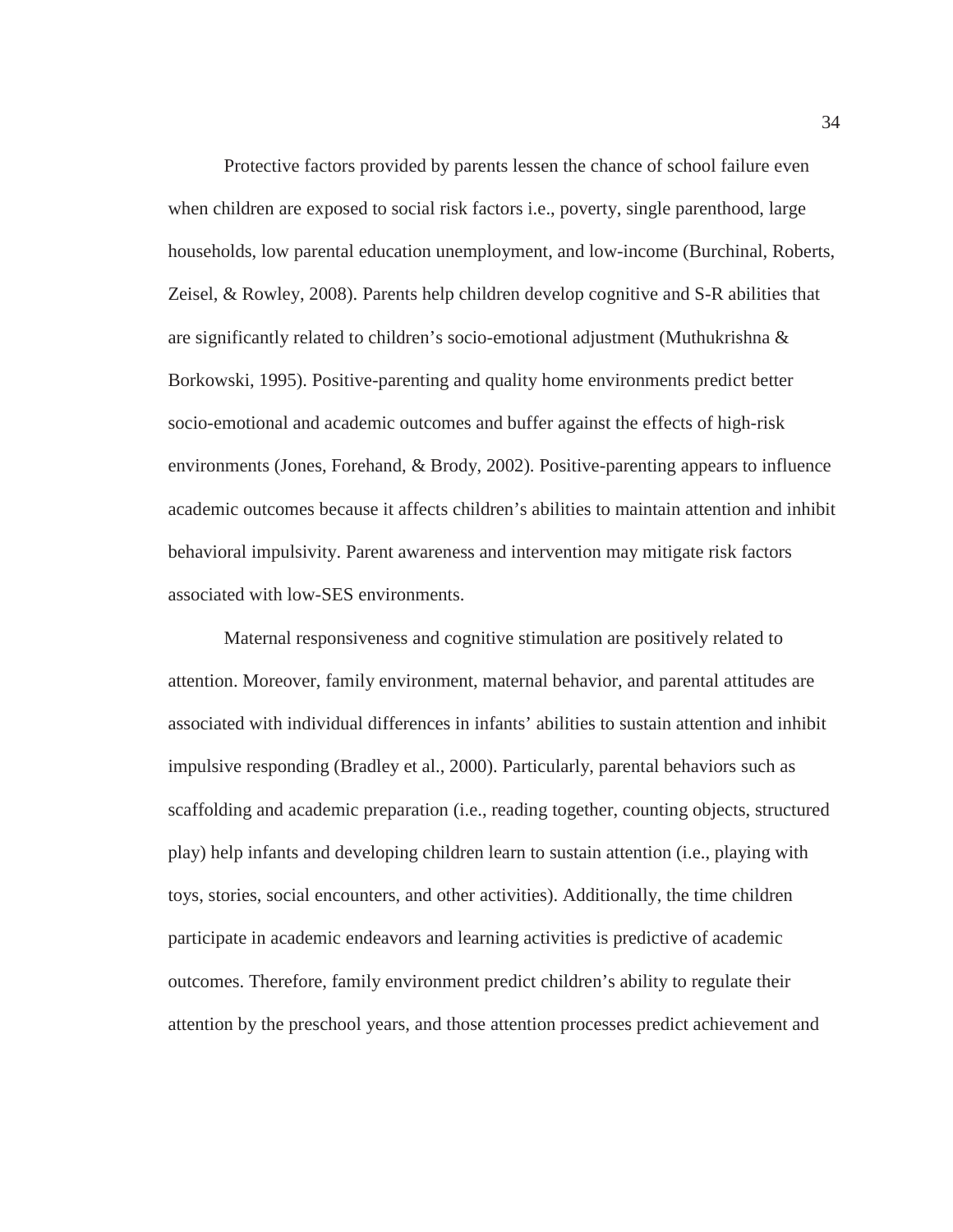Protective factors provided by parents lessen the chance of school failure even when children are exposed to social risk factors i.e., poverty, single parenthood, large households, low parental education unemployment, and low-income (Burchinal, Roberts, Zeisel, & Rowley, 2008). Parents help children develop cognitive and S-R abilities that are significantly related to children's socio-emotional adjustment (Muthukrishna  $\&$ Borkowski, 1995). Positive-parenting and quality home environments predict better socio-emotional and academic outcomes and buffer against the effects of high-risk environments (Jones, Forehand, & Brody, 2002). Positive-parenting appears to influence academic outcomes because it affects children's abilities to maintain attention and inhibit behavioral impulsivity. Parent awareness and intervention may mitigate risk factors associated with low-SES environments.

Maternal responsiveness and cognitive stimulation are positively related to attention. Moreover, family environment, maternal behavior, and parental attitudes are associated with individual differences in infants' abilities to sustain attention and inhibit impulsive responding (Bradley et al., 2000). Particularly, parental behaviors such as scaffolding and academic preparation (i.e., reading together, counting objects, structured play) help infants and developing children learn to sustain attention (i.e., playing with toys, stories, social encounters, and other activities). Additionally, the time children participate in academic endeavors and learning activities is predictive of academic outcomes. Therefore, family environment predict children's ability to regulate their attention by the preschool years, and those attention processes predict achievement and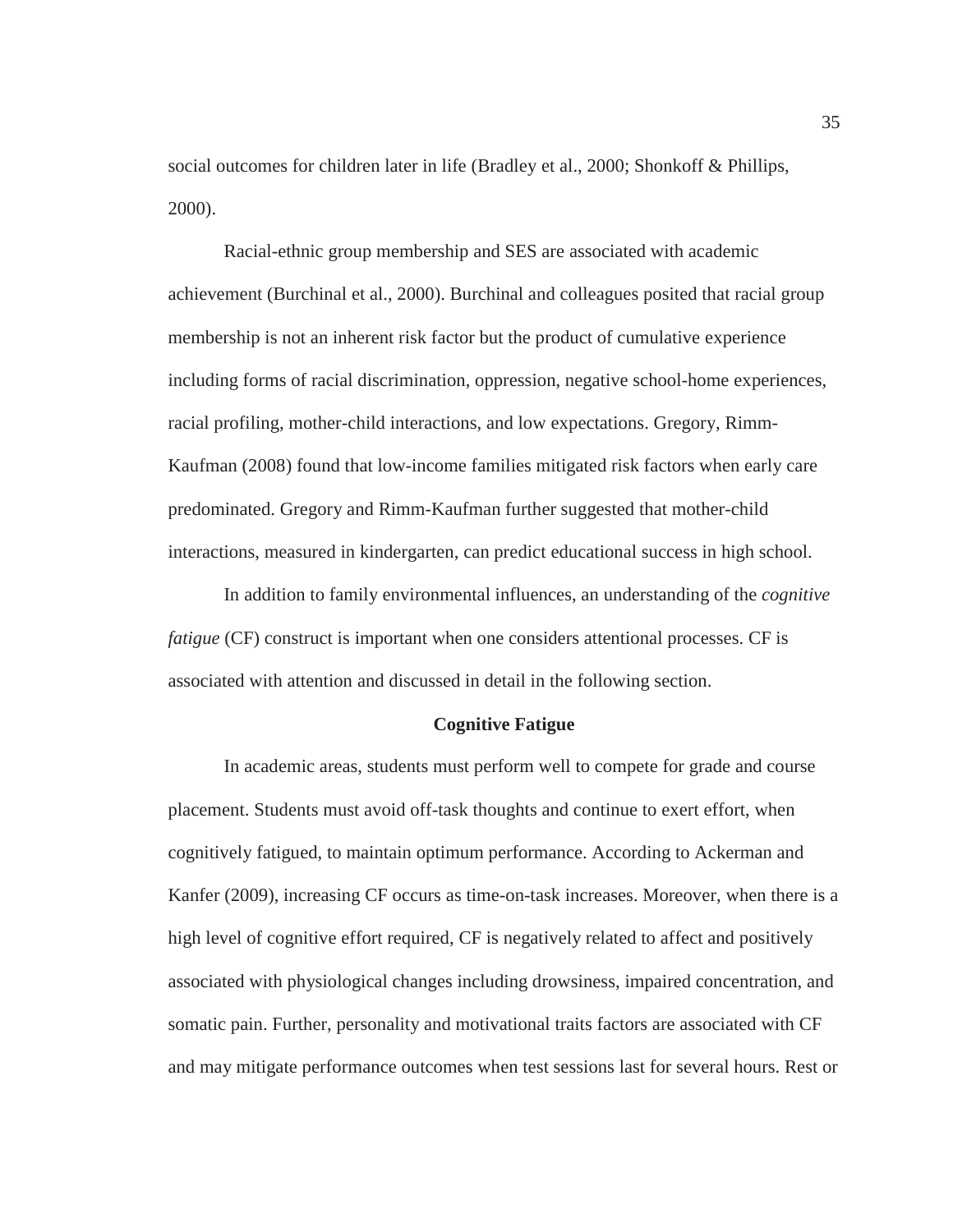social outcomes for children later in life (Bradley et al., 2000; Shonkoff & Phillips, 2000).

Racial-ethnic group membership and SES are associated with academic achievement (Burchinal et al., 2000). Burchinal and colleagues posited that racial group membership is not an inherent risk factor but the product of cumulative experience including forms of racial discrimination, oppression, negative school-home experiences, racial profiling, mother-child interactions, and low expectations. Gregory, Rimm-Kaufman (2008) found that low-income families mitigated risk factors when early care predominated. Gregory and Rimm-Kaufman further suggested that mother-child interactions, measured in kindergarten, can predict educational success in high school.

In addition to family environmental influences, an understanding of the *cognitive fatigue* (CF) construct is important when one considers attentional processes. CF is associated with attention and discussed in detail in the following section.

#### **Cognitive Fatigue**

In academic areas, students must perform well to compete for grade and course placement. Students must avoid off-task thoughts and continue to exert effort, when cognitively fatigued, to maintain optimum performance. According to Ackerman and Kanfer (2009), increasing CF occurs as time-on-task increases. Moreover, when there is a high level of cognitive effort required, CF is negatively related to affect and positively associated with physiological changes including drowsiness, impaired concentration, and somatic pain. Further, personality and motivational traits factors are associated with CF and may mitigate performance outcomes when test sessions last for several hours. Rest or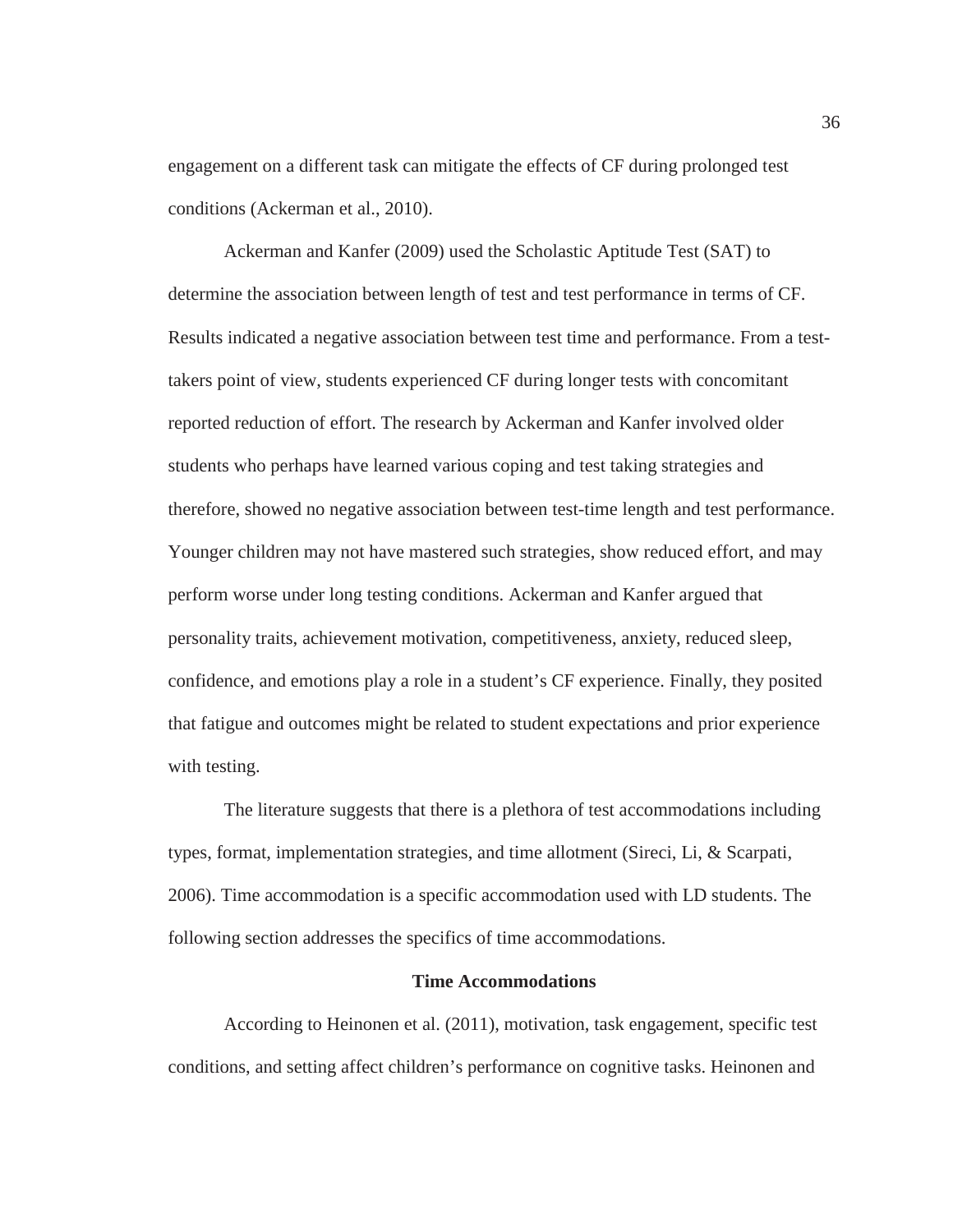engagement on a different task can mitigate the effects of CF during prolonged test conditions (Ackerman et al., 2010).

Ackerman and Kanfer (2009) used the Scholastic Aptitude Test (SAT) to determine the association between length of test and test performance in terms of CF. Results indicated a negative association between test time and performance. From a testtakers point of view, students experienced CF during longer tests with concomitant reported reduction of effort. The research by Ackerman and Kanfer involved older students who perhaps have learned various coping and test taking strategies and therefore, showed no negative association between test-time length and test performance. Younger children may not have mastered such strategies, show reduced effort, and may perform worse under long testing conditions. Ackerman and Kanfer argued that personality traits, achievement motivation, competitiveness, anxiety, reduced sleep, confidence, and emotions play a role in a student's CF experience. Finally, they posited that fatigue and outcomes might be related to student expectations and prior experience with testing.

The literature suggests that there is a plethora of test accommodations including types, format, implementation strategies, and time allotment (Sireci, Li, & Scarpati, 2006). Time accommodation is a specific accommodation used with LD students. The following section addresses the specifics of time accommodations.

#### **Time Accommodations**

According to Heinonen et al. (2011), motivation, task engagement, specific test conditions, and setting affect children's performance on cognitive tasks. Heinonen and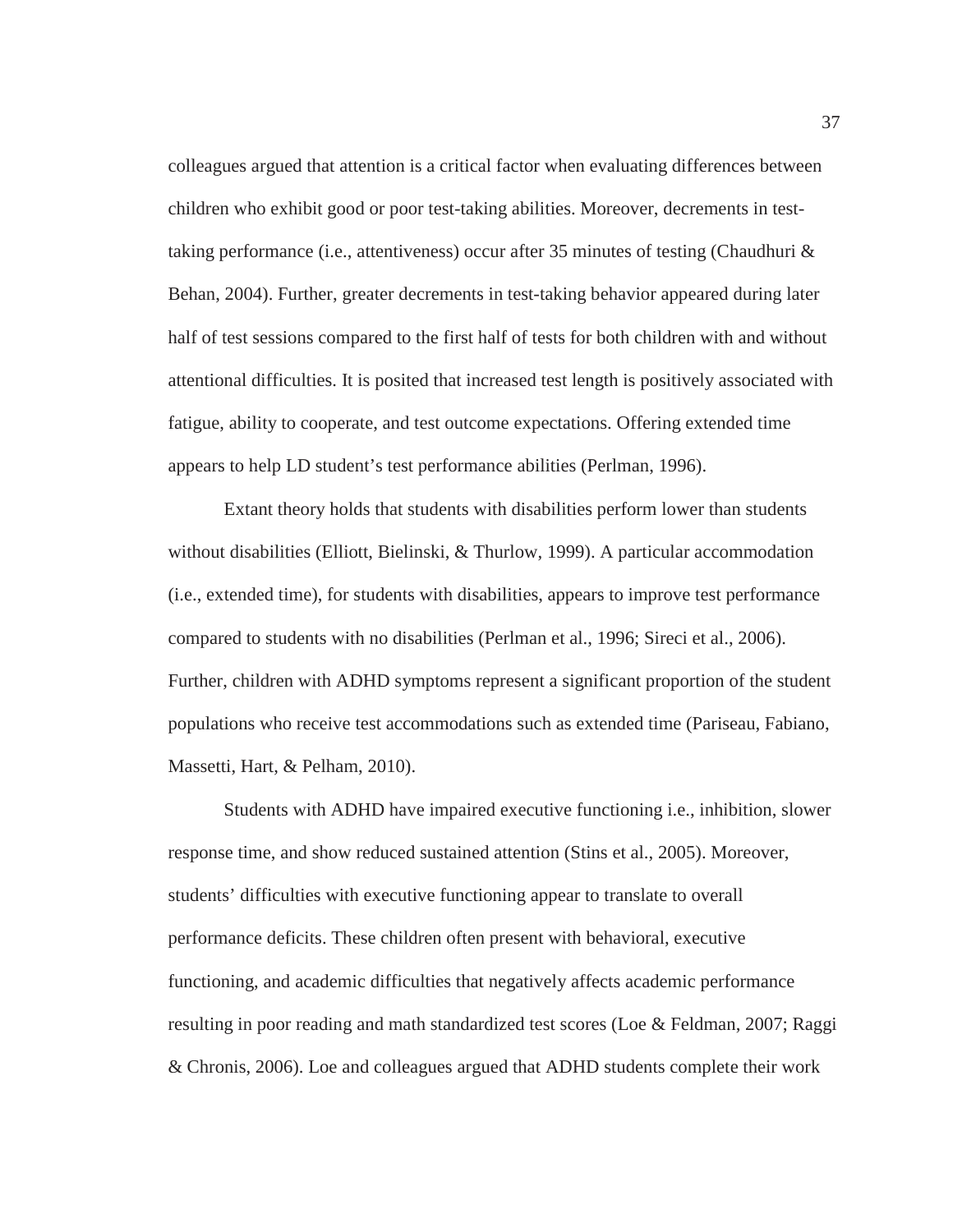colleagues argued that attention is a critical factor when evaluating differences between children who exhibit good or poor test-taking abilities. Moreover, decrements in testtaking performance (i.e., attentiveness) occur after 35 minutes of testing (Chaudhuri & Behan, 2004). Further, greater decrements in test-taking behavior appeared during later half of test sessions compared to the first half of tests for both children with and without attentional difficulties. It is posited that increased test length is positively associated with fatigue, ability to cooperate, and test outcome expectations. Offering extended time appears to help LD student's test performance abilities (Perlman, 1996).

Extant theory holds that students with disabilities perform lower than students without disabilities (Elliott, Bielinski, & Thurlow, 1999). A particular accommodation (i.e., extended time), for students with disabilities, appears to improve test performance compared to students with no disabilities (Perlman et al., 1996; Sireci et al., 2006). Further, children with ADHD symptoms represent a significant proportion of the student populations who receive test accommodations such as extended time (Pariseau, Fabiano, Massetti, Hart, & Pelham, 2010).

Students with ADHD have impaired executive functioning i.e., inhibition, slower response time, and show reduced sustained attention (Stins et al., 2005). Moreover, students' difficulties with executive functioning appear to translate to overall performance deficits. These children often present with behavioral, executive functioning, and academic difficulties that negatively affects academic performance resulting in poor reading and math standardized test scores (Loe & Feldman, 2007; Raggi & Chronis, 2006). Loe and colleagues argued that ADHD students complete their work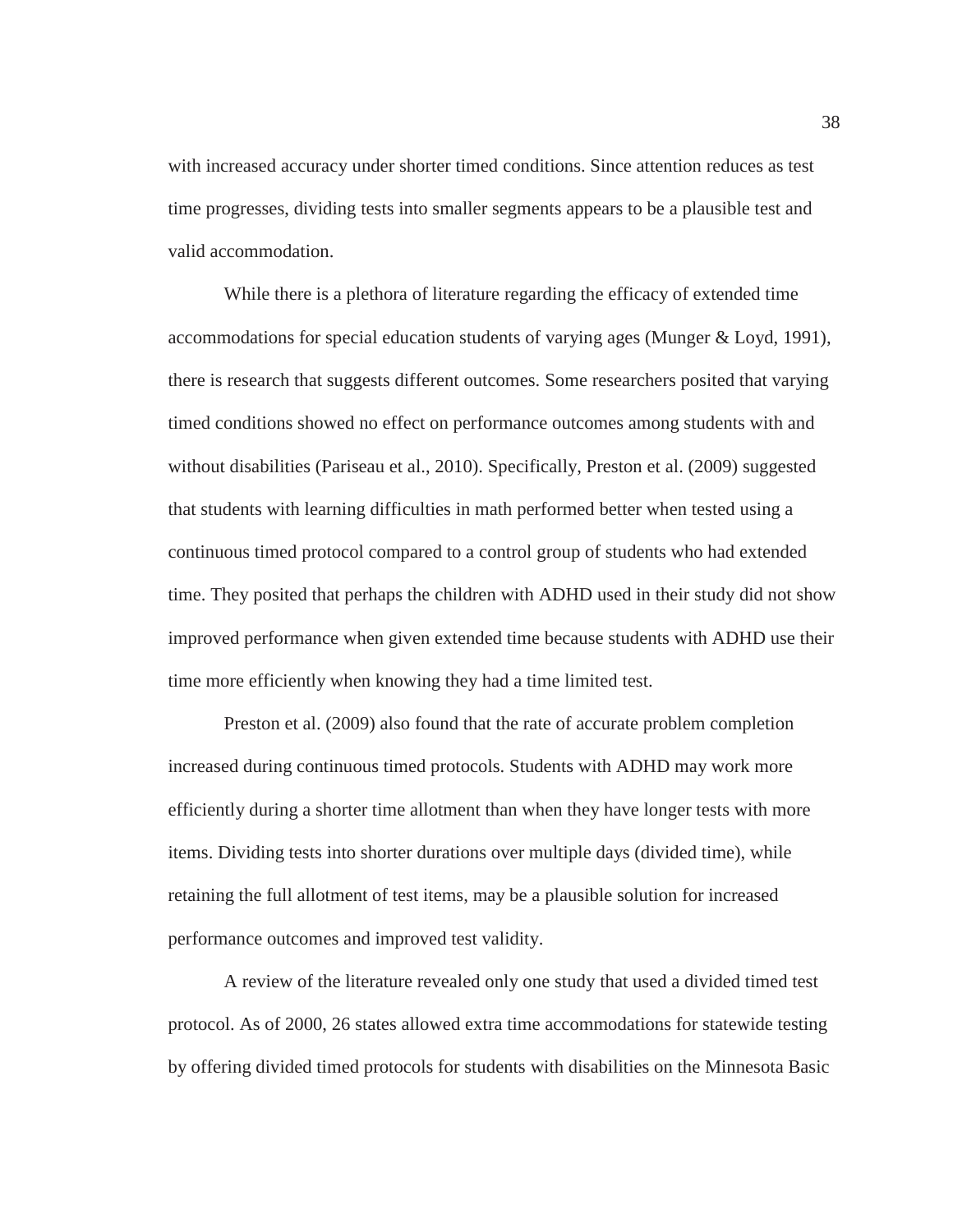with increased accuracy under shorter timed conditions. Since attention reduces as test time progresses, dividing tests into smaller segments appears to be a plausible test and valid accommodation.

While there is a plethora of literature regarding the efficacy of extended time accommodations for special education students of varying ages (Munger & Loyd, 1991), there is research that suggests different outcomes. Some researchers posited that varying timed conditions showed no effect on performance outcomes among students with and without disabilities (Pariseau et al., 2010). Specifically, Preston et al. (2009) suggested that students with learning difficulties in math performed better when tested using a continuous timed protocol compared to a control group of students who had extended time. They posited that perhaps the children with ADHD used in their study did not show improved performance when given extended time because students with ADHD use their time more efficiently when knowing they had a time limited test.

Preston et al. (2009) also found that the rate of accurate problem completion increased during continuous timed protocols. Students with ADHD may work more efficiently during a shorter time allotment than when they have longer tests with more items. Dividing tests into shorter durations over multiple days (divided time), while retaining the full allotment of test items, may be a plausible solution for increased performance outcomes and improved test validity.

A review of the literature revealed only one study that used a divided timed test protocol. As of 2000, 26 states allowed extra time accommodations for statewide testing by offering divided timed protocols for students with disabilities on the Minnesota Basic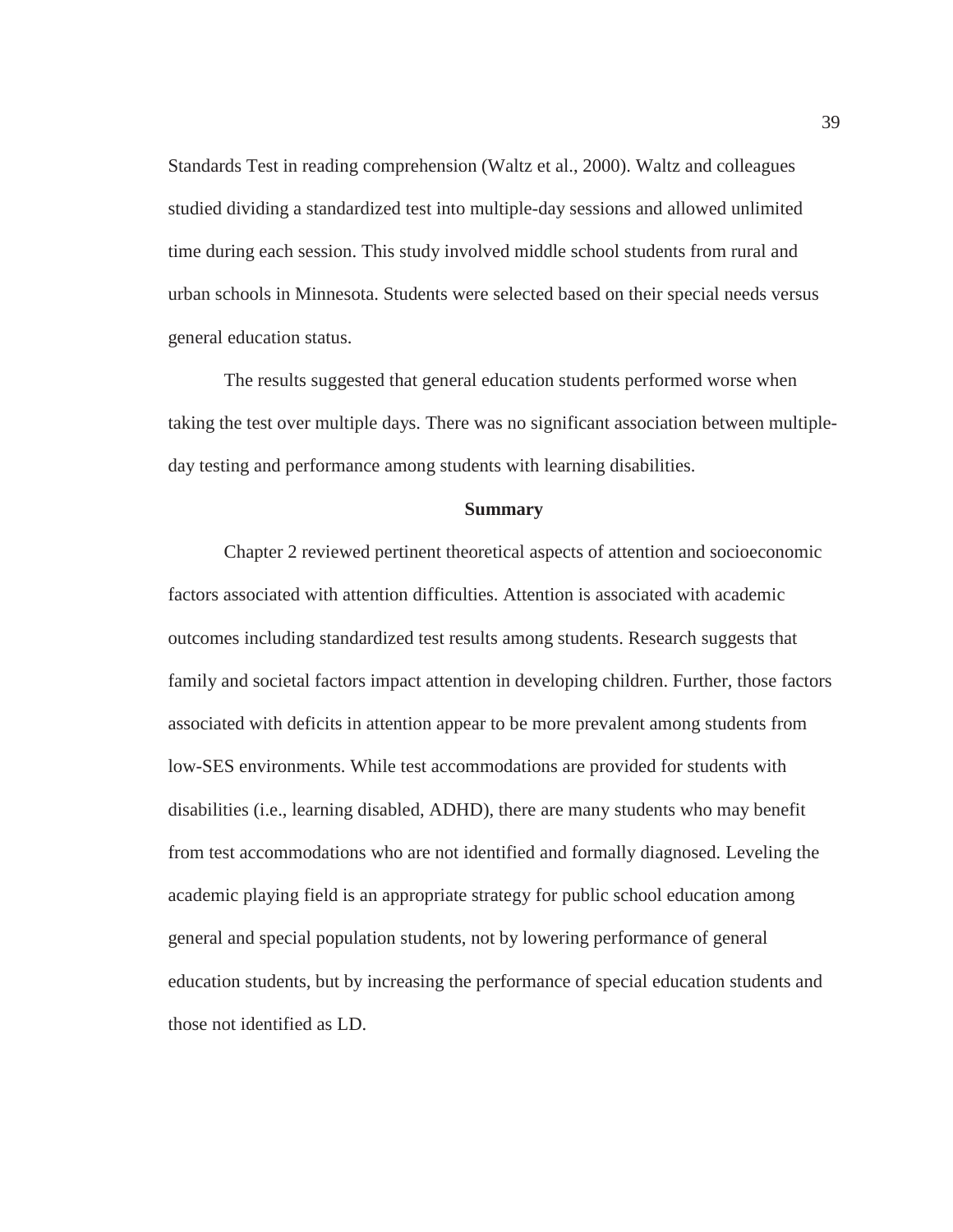Standards Test in reading comprehension (Waltz et al., 2000). Waltz and colleagues studied dividing a standardized test into multiple-day sessions and allowed unlimited time during each session. This study involved middle school students from rural and urban schools in Minnesota. Students were selected based on their special needs versus general education status.

The results suggested that general education students performed worse when taking the test over multiple days. There was no significant association between multipleday testing and performance among students with learning disabilities.

#### **Summary**

Chapter 2 reviewed pertinent theoretical aspects of attention and socioeconomic factors associated with attention difficulties. Attention is associated with academic outcomes including standardized test results among students. Research suggests that family and societal factors impact attention in developing children. Further, those factors associated with deficits in attention appear to be more prevalent among students from low-SES environments. While test accommodations are provided for students with disabilities (i.e., learning disabled, ADHD), there are many students who may benefit from test accommodations who are not identified and formally diagnosed. Leveling the academic playing field is an appropriate strategy for public school education among general and special population students, not by lowering performance of general education students, but by increasing the performance of special education students and those not identified as LD.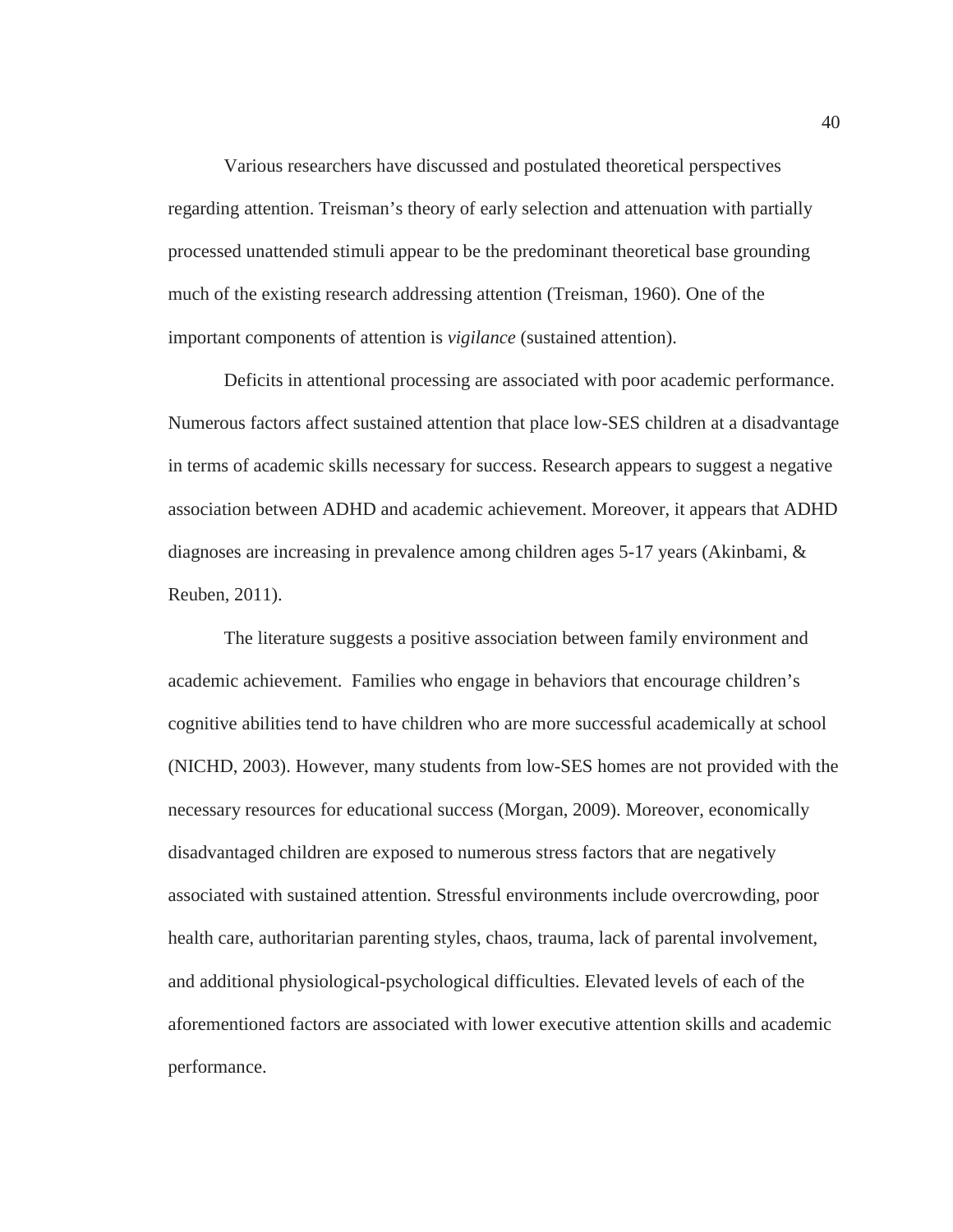Various researchers have discussed and postulated theoretical perspectives regarding attention. Treisman's theory of early selection and attenuation with partially processed unattended stimuli appear to be the predominant theoretical base grounding much of the existing research addressing attention (Treisman, 1960). One of the important components of attention is *vigilance* (sustained attention).

Deficits in attentional processing are associated with poor academic performance. Numerous factors affect sustained attention that place low-SES children at a disadvantage in terms of academic skills necessary for success. Research appears to suggest a negative association between ADHD and academic achievement. Moreover, it appears that ADHD diagnoses are increasing in prevalence among children ages 5-17 years (Akinbami, & Reuben, 2011).

The literature suggests a positive association between family environment and academic achievement. Families who engage in behaviors that encourage children's cognitive abilities tend to have children who are more successful academically at school (NICHD, 2003). However, many students from low-SES homes are not provided with the necessary resources for educational success (Morgan, 2009). Moreover, economically disadvantaged children are exposed to numerous stress factors that are negatively associated with sustained attention. Stressful environments include overcrowding, poor health care, authoritarian parenting styles, chaos, trauma, lack of parental involvement, and additional physiological-psychological difficulties. Elevated levels of each of the aforementioned factors are associated with lower executive attention skills and academic performance.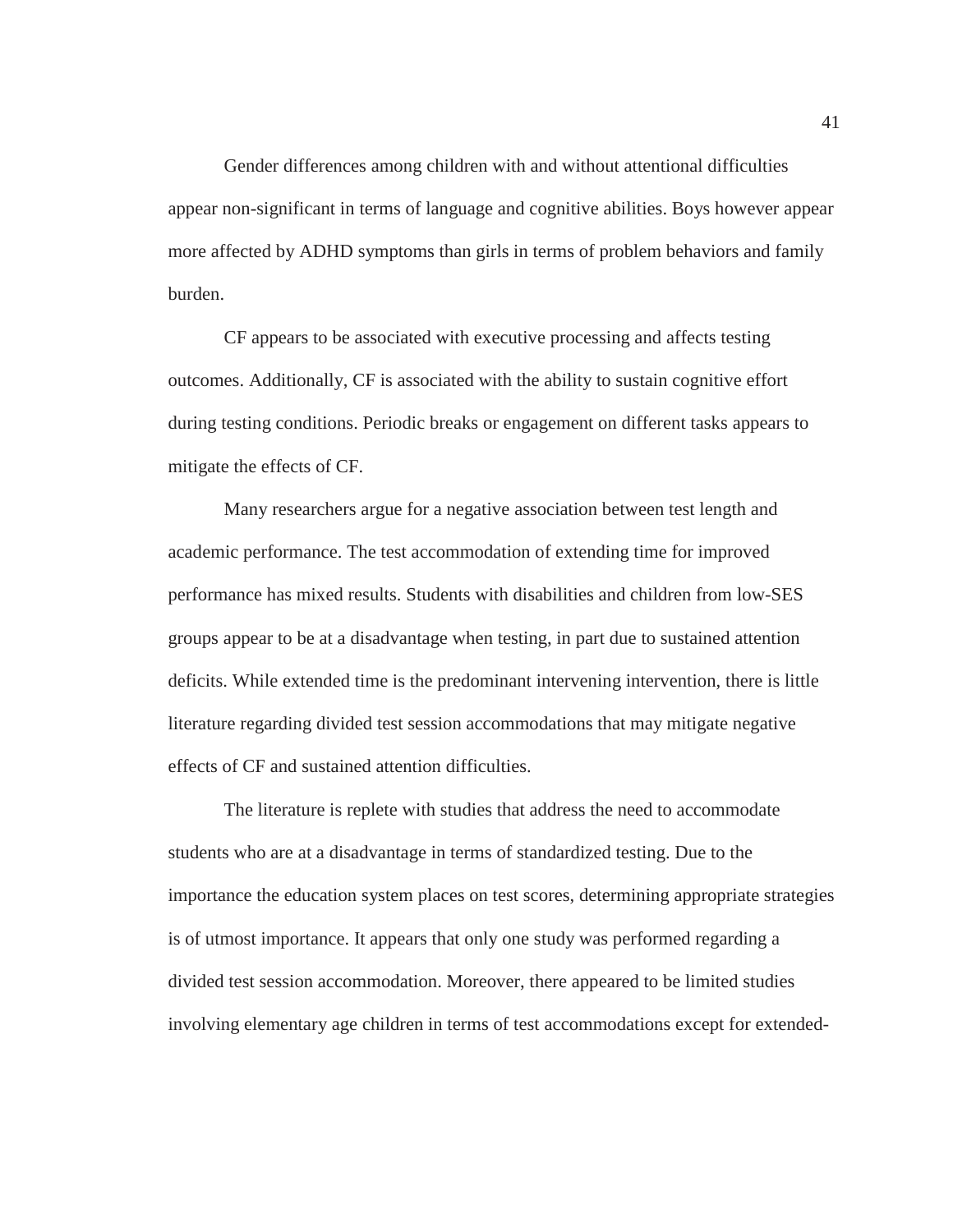Gender differences among children with and without attentional difficulties appear non-significant in terms of language and cognitive abilities. Boys however appear more affected by ADHD symptoms than girls in terms of problem behaviors and family burden.

CF appears to be associated with executive processing and affects testing outcomes. Additionally, CF is associated with the ability to sustain cognitive effort during testing conditions. Periodic breaks or engagement on different tasks appears to mitigate the effects of CF.

Many researchers argue for a negative association between test length and academic performance. The test accommodation of extending time for improved performance has mixed results. Students with disabilities and children from low-SES groups appear to be at a disadvantage when testing, in part due to sustained attention deficits. While extended time is the predominant intervening intervention, there is little literature regarding divided test session accommodations that may mitigate negative effects of CF and sustained attention difficulties.

The literature is replete with studies that address the need to accommodate students who are at a disadvantage in terms of standardized testing. Due to the importance the education system places on test scores, determining appropriate strategies is of utmost importance. It appears that only one study was performed regarding a divided test session accommodation. Moreover, there appeared to be limited studies involving elementary age children in terms of test accommodations except for extended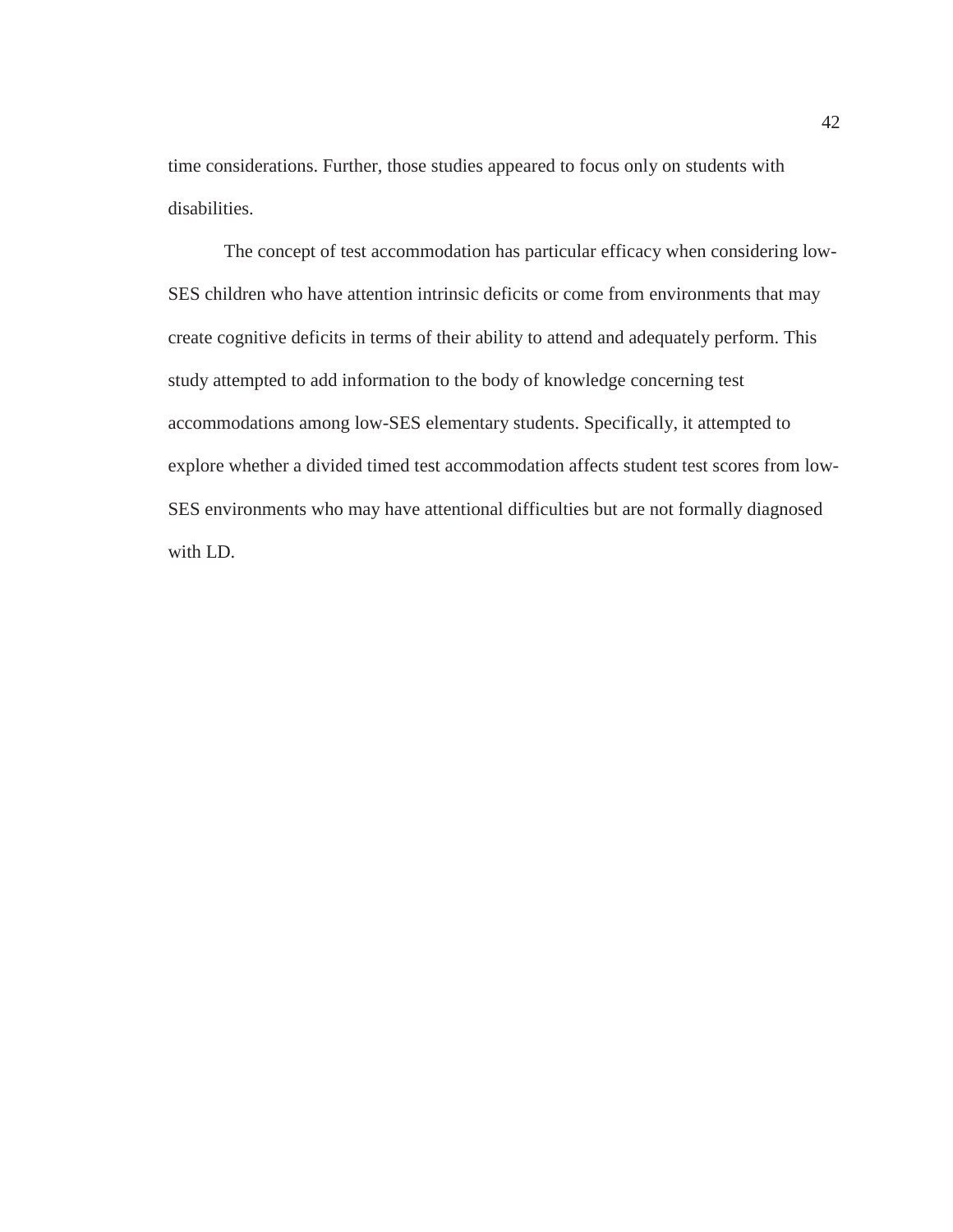time considerations. Further, those studies appeared to focus only on students with disabilities.

The concept of test accommodation has particular efficacy when considering low-SES children who have attention intrinsic deficits or come from environments that may create cognitive deficits in terms of their ability to attend and adequately perform. This study attempted to add information to the body of knowledge concerning test accommodations among low-SES elementary students. Specifically, it attempted to explore whether a divided timed test accommodation affects student test scores from low-SES environments who may have attentional difficulties but are not formally diagnosed with LD.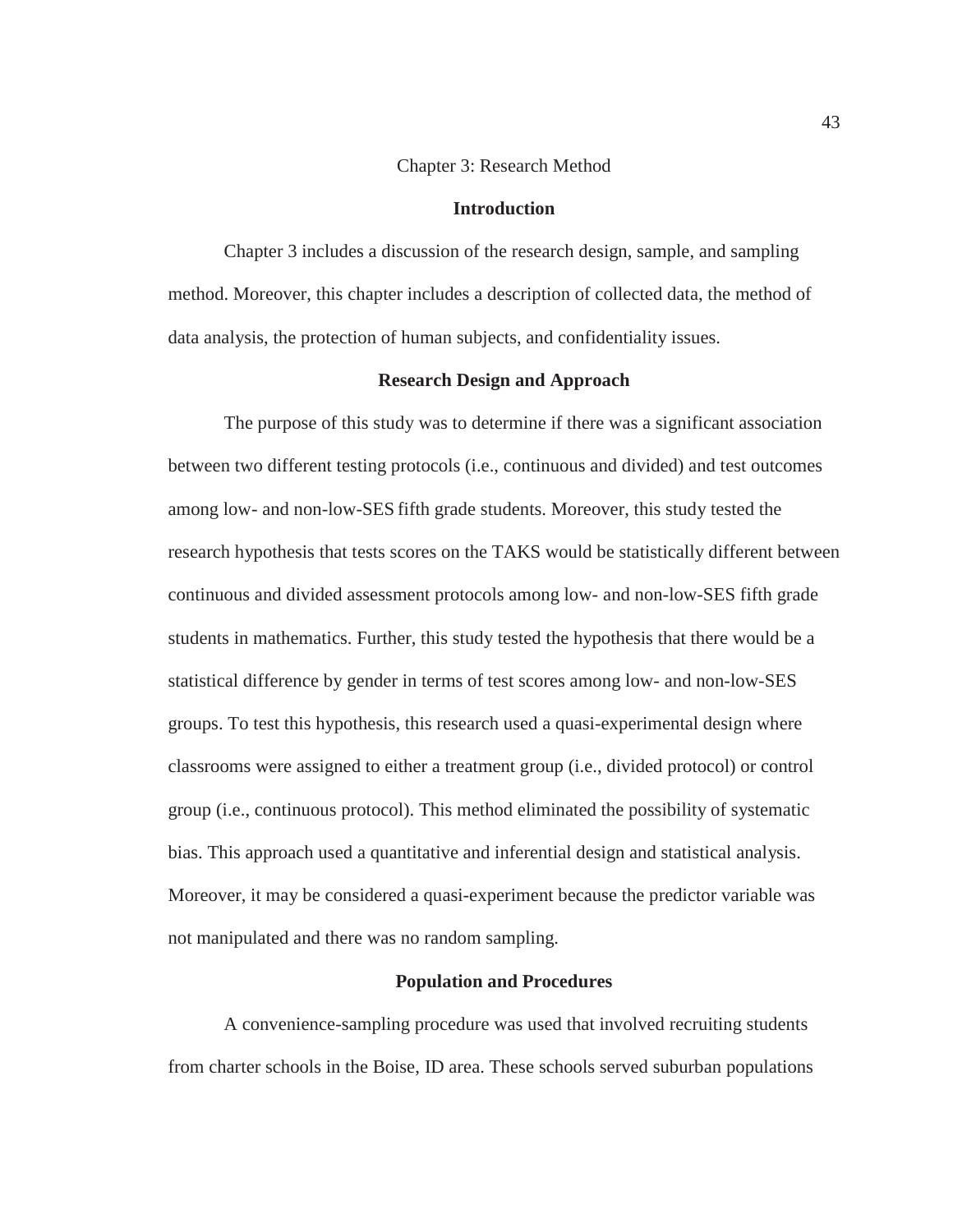## Chapter 3: Research Method

## **Introduction**

Chapter 3 includes a discussion of the research design, sample, and sampling method. Moreover, this chapter includes a description of collected data, the method of data analysis, the protection of human subjects, and confidentiality issues.

## **Research Design and Approach**

The purpose of this study was to determine if there was a significant association between two different testing protocols (i.e., continuous and divided) and test outcomes among low- and non-low-SES fifth grade students. Moreover, this study tested the research hypothesis that tests scores on the TAKS would be statistically different between continuous and divided assessment protocols among low- and non-low-SES fifth grade students in mathematics. Further, this study tested the hypothesis that there would be a statistical difference by gender in terms of test scores among low- and non-low-SES groups. To test this hypothesis, this research used a quasi-experimental design where classrooms were assigned to either a treatment group (i.e., divided protocol) or control group (i.e., continuous protocol). This method eliminated the possibility of systematic bias. This approach used a quantitative and inferential design and statistical analysis. Moreover, it may be considered a quasi-experiment because the predictor variable was not manipulated and there was no random sampling.

#### **Population and Procedures**

A convenience-sampling procedure was used that involved recruiting students from charter schools in the Boise, ID area. These schools served suburban populations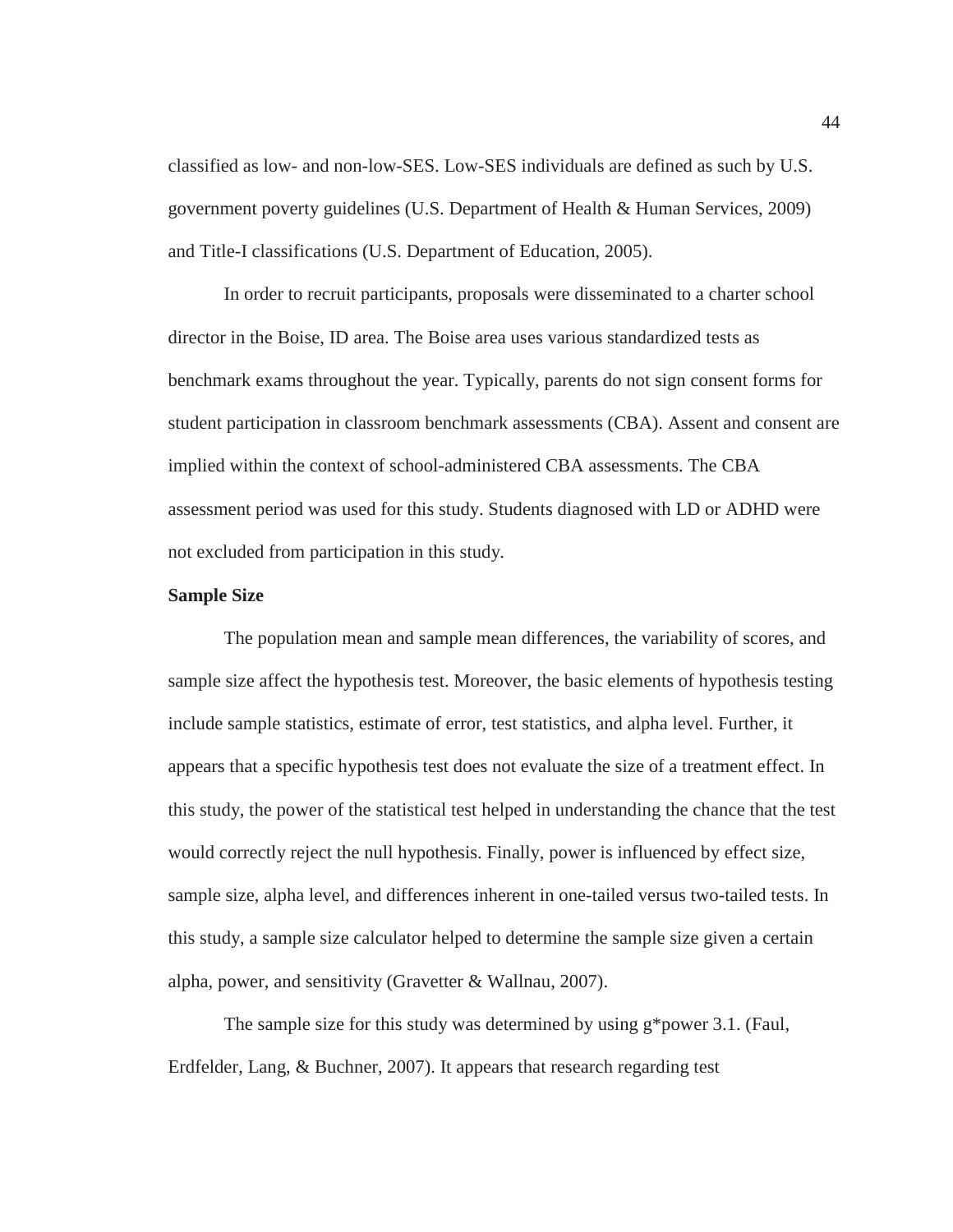classified as low- and non-low-SES. Low-SES individuals are defined as such by U.S. government poverty guidelines (U.S. Department of Health & Human Services, 2009) and Title-I classifications (U.S. Department of Education, 2005).

 In order to recruit participants, proposals were disseminated to a charter school director in the Boise, ID area. The Boise area uses various standardized tests as benchmark exams throughout the year. Typically, parents do not sign consent forms for student participation in classroom benchmark assessments (CBA). Assent and consent are implied within the context of school-administered CBA assessments. The CBA assessment period was used for this study. Students diagnosed with LD or ADHD were not excluded from participation in this study.

#### **Sample Size**

The population mean and sample mean differences, the variability of scores, and sample size affect the hypothesis test. Moreover, the basic elements of hypothesis testing include sample statistics, estimate of error, test statistics, and alpha level. Further, it appears that a specific hypothesis test does not evaluate the size of a treatment effect. In this study, the power of the statistical test helped in understanding the chance that the test would correctly reject the null hypothesis. Finally, power is influenced by effect size, sample size, alpha level, and differences inherent in one-tailed versus two-tailed tests. In this study, a sample size calculator helped to determine the sample size given a certain alpha, power, and sensitivity (Gravetter & Wallnau, 2007).

 The sample size for this study was determined by using g\*power 3.1. (Faul, Erdfelder, Lang, & Buchner, 2007). It appears that research regarding test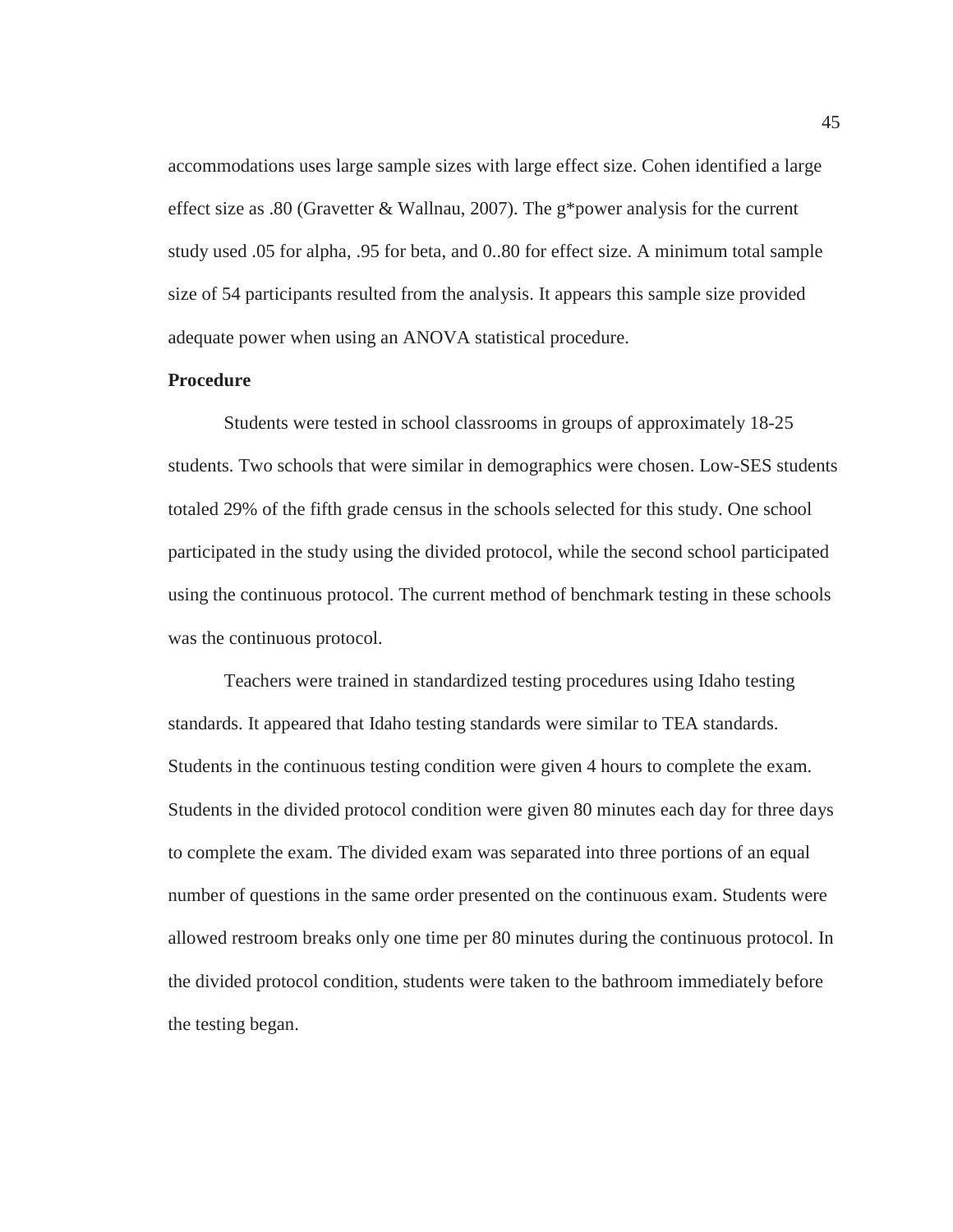accommodations uses large sample sizes with large effect size. Cohen identified a large effect size as .80 (Gravetter & Wallnau, 2007). The g\*power analysis for the current study used .05 for alpha, .95 for beta, and 0..80 for effect size. A minimum total sample size of 54 participants resulted from the analysis. It appears this sample size provided adequate power when using an ANOVA statistical procedure.

## **Procedure**

Students were tested in school classrooms in groups of approximately 18-25 students. Two schools that were similar in demographics were chosen. Low-SES students totaled 29% of the fifth grade census in the schools selected for this study. One school participated in the study using the divided protocol, while the second school participated using the continuous protocol. The current method of benchmark testing in these schools was the continuous protocol.

 Teachers were trained in standardized testing procedures using Idaho testing standards. It appeared that Idaho testing standards were similar to TEA standards. Students in the continuous testing condition were given 4 hours to complete the exam. Students in the divided protocol condition were given 80 minutes each day for three days to complete the exam. The divided exam was separated into three portions of an equal number of questions in the same order presented on the continuous exam. Students were allowed restroom breaks only one time per 80 minutes during the continuous protocol. In the divided protocol condition, students were taken to the bathroom immediately before the testing began.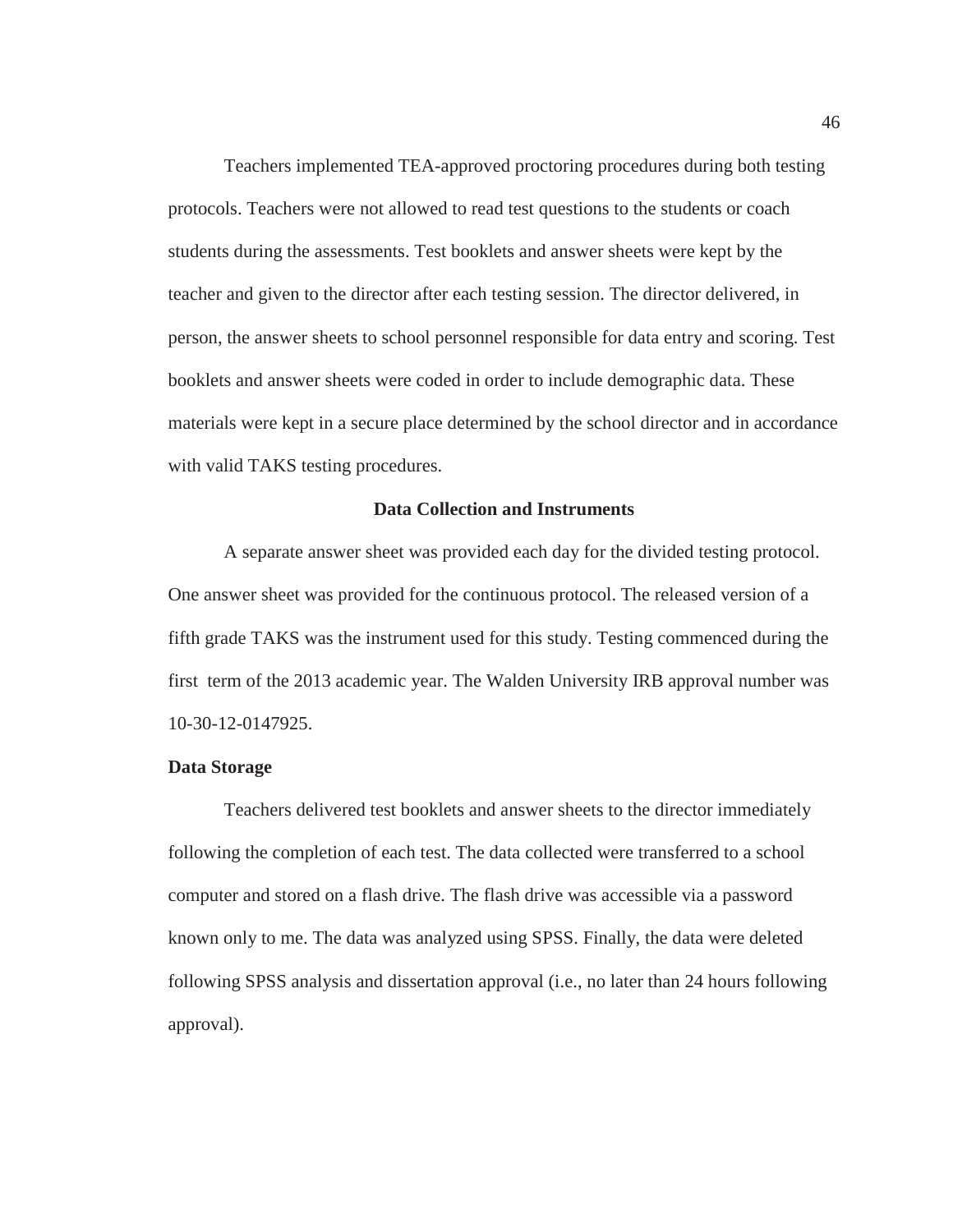Teachers implemented TEA-approved proctoring procedures during both testing protocols. Teachers were not allowed to read test questions to the students or coach students during the assessments. Test booklets and answer sheets were kept by the teacher and given to the director after each testing session. The director delivered, in person, the answer sheets to school personnel responsible for data entry and scoring. Test booklets and answer sheets were coded in order to include demographic data. These materials were kept in a secure place determined by the school director and in accordance with valid TAKS testing procedures.

## **Data Collection and Instruments**

A separate answer sheet was provided each day for the divided testing protocol. One answer sheet was provided for the continuous protocol. The released version of a fifth grade TAKS was the instrument used for this study. Testing commenced during the first term of the 2013 academic year. The Walden University IRB approval number was 10-30-12-0147925.

#### **Data Storage**

Teachers delivered test booklets and answer sheets to the director immediately following the completion of each test. The data collected were transferred to a school computer and stored on a flash drive. The flash drive was accessible via a password known only to me. The data was analyzed using SPSS. Finally, the data were deleted following SPSS analysis and dissertation approval (i.e., no later than 24 hours following approval).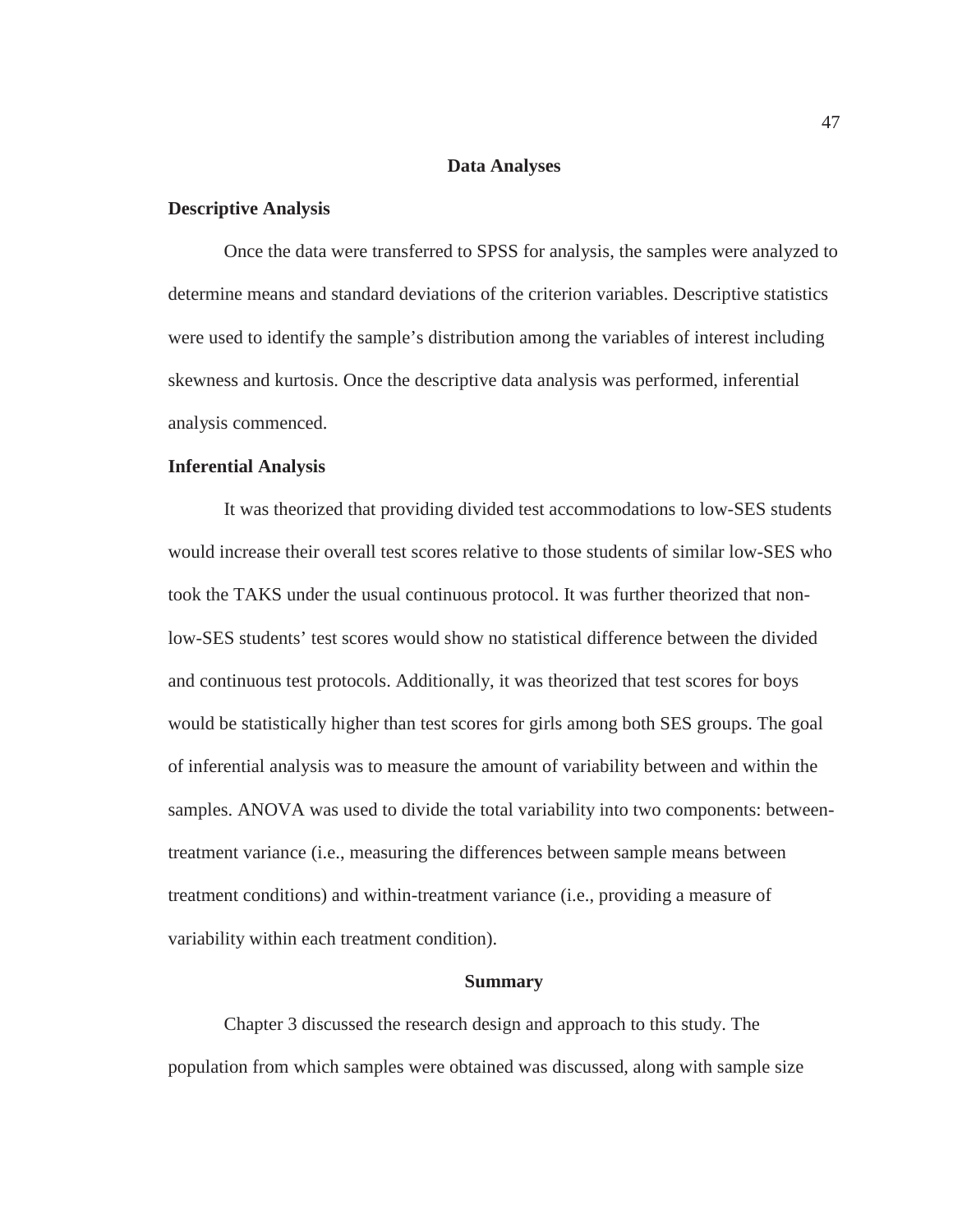## **Data Analyses**

## **Descriptive Analysis**

Once the data were transferred to SPSS for analysis, the samples were analyzed to determine means and standard deviations of the criterion variables. Descriptive statistics were used to identify the sample's distribution among the variables of interest including skewness and kurtosis. Once the descriptive data analysis was performed, inferential analysis commenced.

## **Inferential Analysis**

It was theorized that providing divided test accommodations to low-SES students would increase their overall test scores relative to those students of similar low-SES who took the TAKS under the usual continuous protocol. It was further theorized that nonlow-SES students' test scores would show no statistical difference between the divided and continuous test protocols. Additionally, it was theorized that test scores for boys would be statistically higher than test scores for girls among both SES groups. The goal of inferential analysis was to measure the amount of variability between and within the samples. ANOVA was used to divide the total variability into two components: betweentreatment variance (i.e., measuring the differences between sample means between treatment conditions) and within-treatment variance (i.e., providing a measure of variability within each treatment condition).

#### **Summary**

Chapter 3 discussed the research design and approach to this study. The population from which samples were obtained was discussed, along with sample size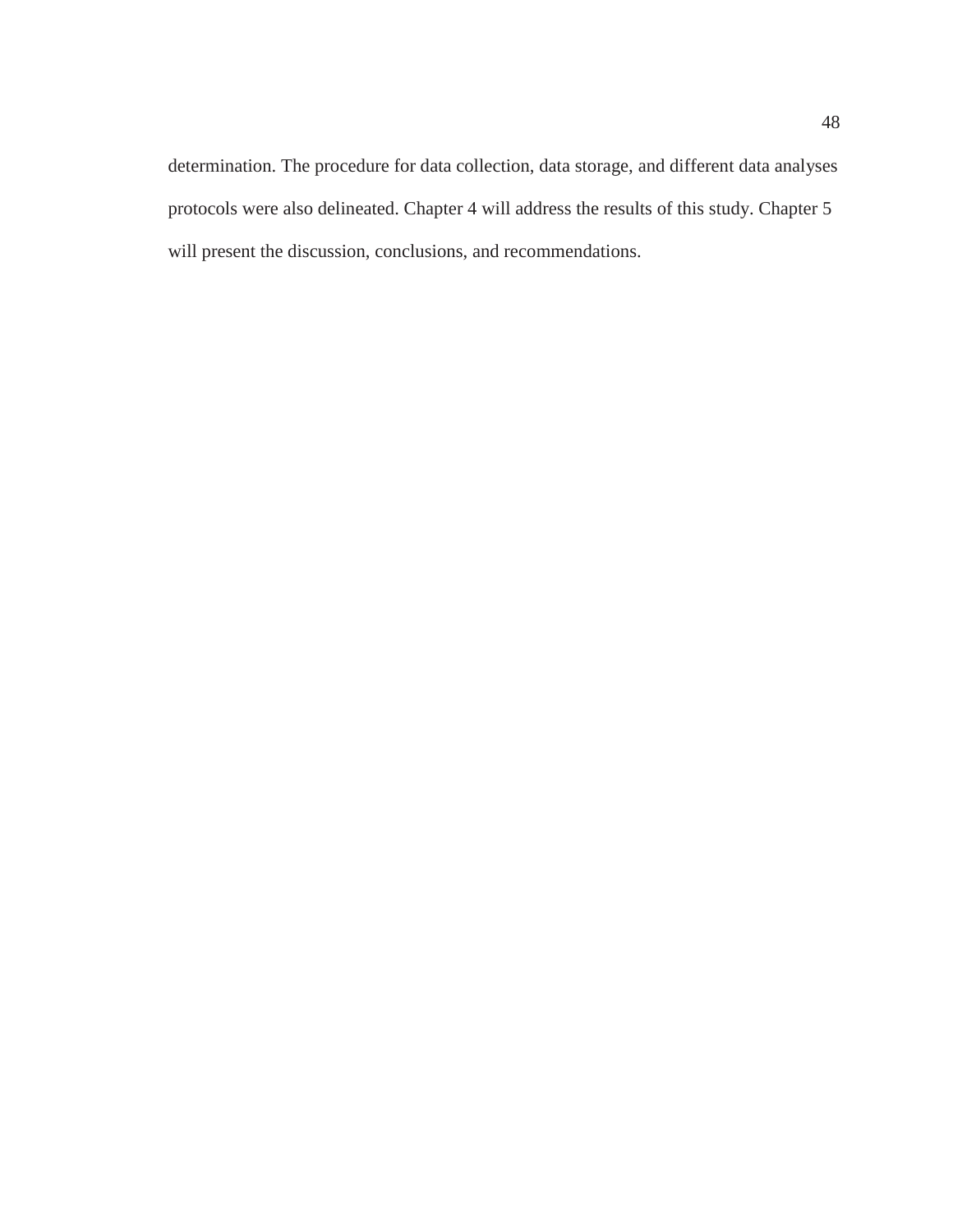determination. The procedure for data collection, data storage, and different data analyses protocols were also delineated. Chapter 4 will address the results of this study. Chapter 5 will present the discussion, conclusions, and recommendations.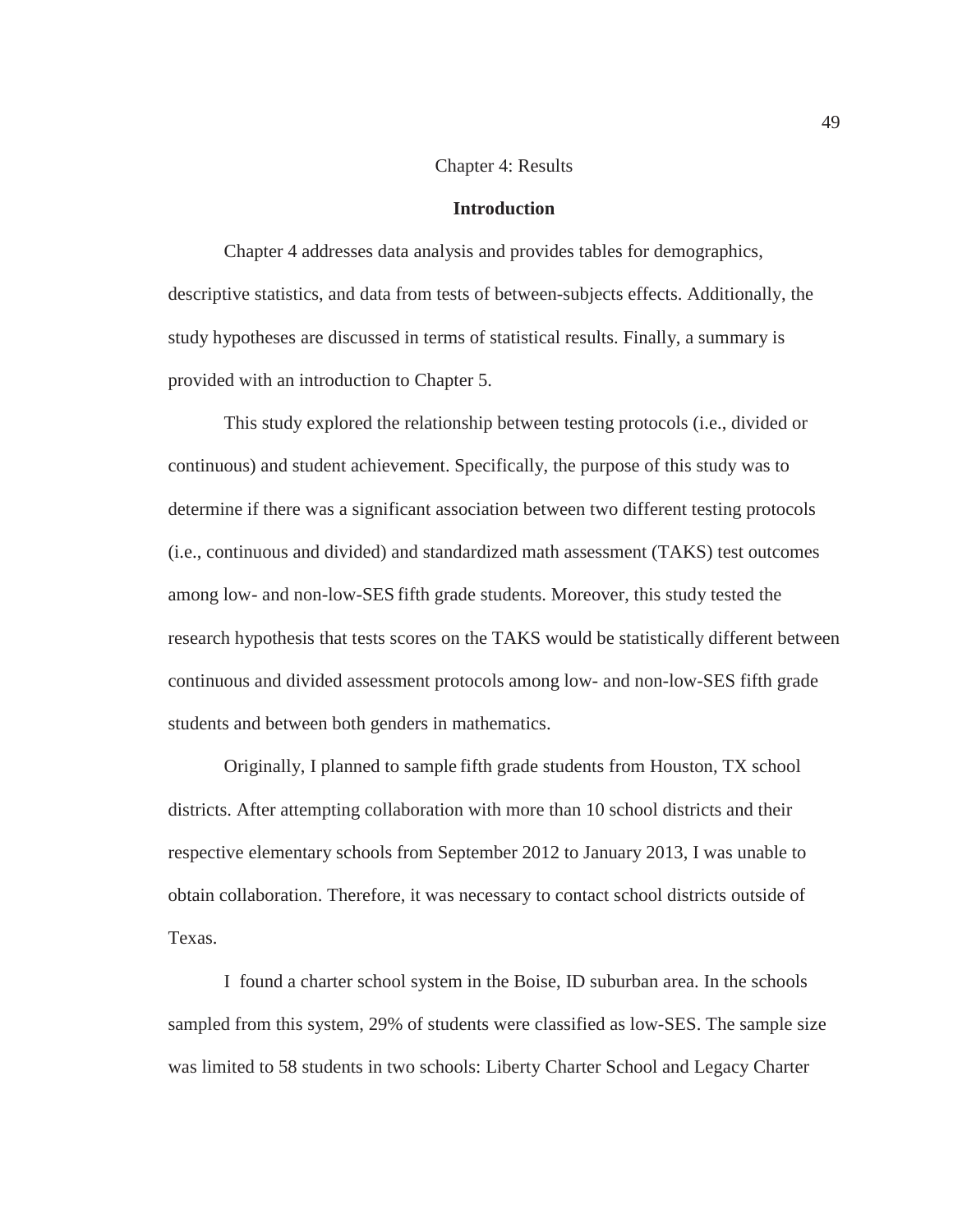#### Chapter 4: Results

## **Introduction**

Chapter 4 addresses data analysis and provides tables for demographics, descriptive statistics, and data from tests of between-subjects effects. Additionally, the study hypotheses are discussed in terms of statistical results. Finally, a summary is provided with an introduction to Chapter 5.

This study explored the relationship between testing protocols (i.e., divided or continuous) and student achievement. Specifically, the purpose of this study was to determine if there was a significant association between two different testing protocols (i.e., continuous and divided) and standardized math assessment (TAKS) test outcomes among low- and non-low-SES fifth grade students. Moreover, this study tested the research hypothesis that tests scores on the TAKS would be statistically different between continuous and divided assessment protocols among low- and non-low-SES fifth grade students and between both genders in mathematics.

Originally, I planned to sample fifth grade students from Houston, TX school districts. After attempting collaboration with more than 10 school districts and their respective elementary schools from September 2012 to January 2013, I was unable to obtain collaboration. Therefore, it was necessary to contact school districts outside of Texas.

 I found a charter school system in the Boise, ID suburban area. In the schools sampled from this system, 29% of students were classified as low-SES. The sample size was limited to 58 students in two schools: Liberty Charter School and Legacy Charter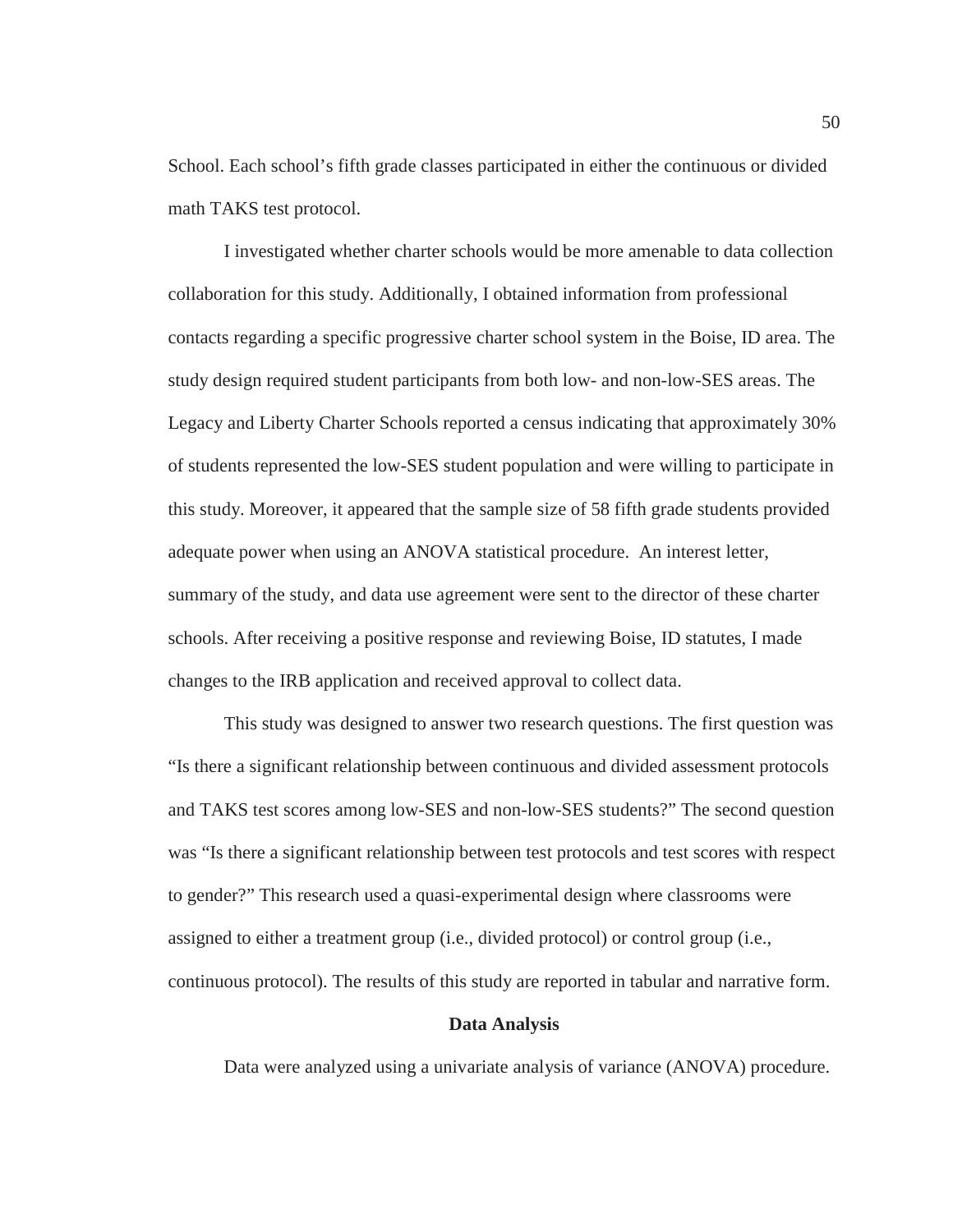School. Each school's fifth grade classes participated in either the continuous or divided math TAKS test protocol.

I investigated whether charter schools would be more amenable to data collection collaboration for this study. Additionally, I obtained information from professional contacts regarding a specific progressive charter school system in the Boise, ID area. The study design required student participants from both low- and non-low-SES areas. The Legacy and Liberty Charter Schools reported a census indicating that approximately 30% of students represented the low-SES student population and were willing to participate in this study. Moreover, it appeared that the sample size of 58 fifth grade students provided adequate power when using an ANOVA statistical procedure. An interest letter, summary of the study, and data use agreement were sent to the director of these charter schools. After receiving a positive response and reviewing Boise, ID statutes, I made changes to the IRB application and received approval to collect data.

This study was designed to answer two research questions. The first question was "Is there a significant relationship between continuous and divided assessment protocols and TAKS test scores among low-SES and non-low-SES students?" The second question was "Is there a significant relationship between test protocols and test scores with respect to gender?" This research used a quasi-experimental design where classrooms were assigned to either a treatment group (i.e., divided protocol) or control group (i.e., continuous protocol). The results of this study are reported in tabular and narrative form.

## **Data Analysis**

Data were analyzed using a univariate analysis of variance (ANOVA) procedure.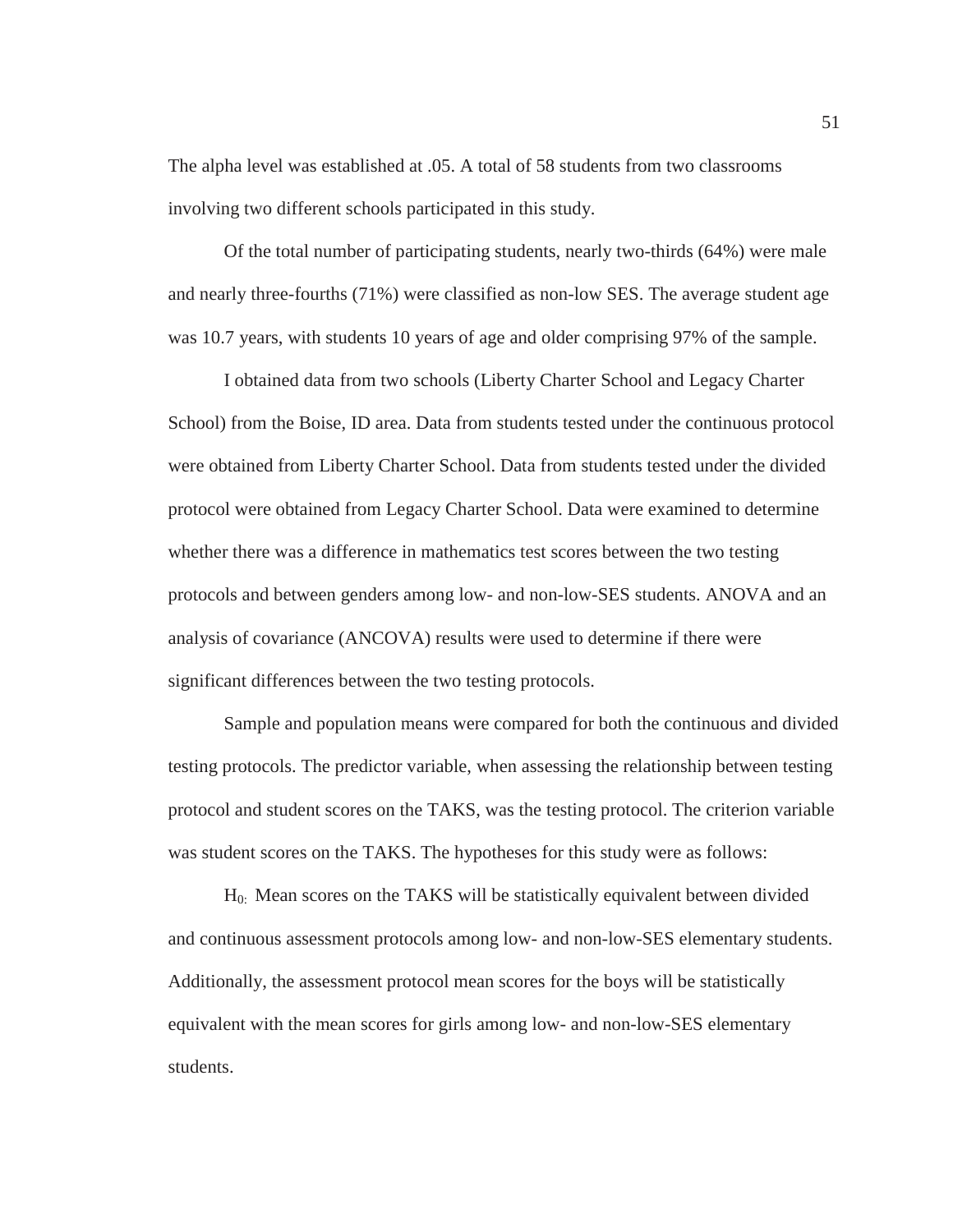The alpha level was established at .05. A total of 58 students from two classrooms involving two different schools participated in this study.

 Of the total number of participating students, nearly two-thirds (64%) were male and nearly three-fourths (71%) were classified as non-low SES. The average student age was 10.7 years, with students 10 years of age and older comprising 97% of the sample.

 I obtained data from two schools (Liberty Charter School and Legacy Charter School) from the Boise, ID area. Data from students tested under the continuous protocol were obtained from Liberty Charter School. Data from students tested under the divided protocol were obtained from Legacy Charter School. Data were examined to determine whether there was a difference in mathematics test scores between the two testing protocols and between genders among low- and non-low-SES students. ANOVA and an analysis of covariance (ANCOVA) results were used to determine if there were significant differences between the two testing protocols.

 Sample and population means were compared for both the continuous and divided testing protocols. The predictor variable, when assessing the relationship between testing protocol and student scores on the TAKS, was the testing protocol. The criterion variable was student scores on the TAKS. The hypotheses for this study were as follows:

 H0: Mean scores on the TAKS will be statistically equivalent between divided and continuous assessment protocols among low- and non-low-SES elementary students. Additionally, the assessment protocol mean scores for the boys will be statistically equivalent with the mean scores for girls among low- and non-low-SES elementary students.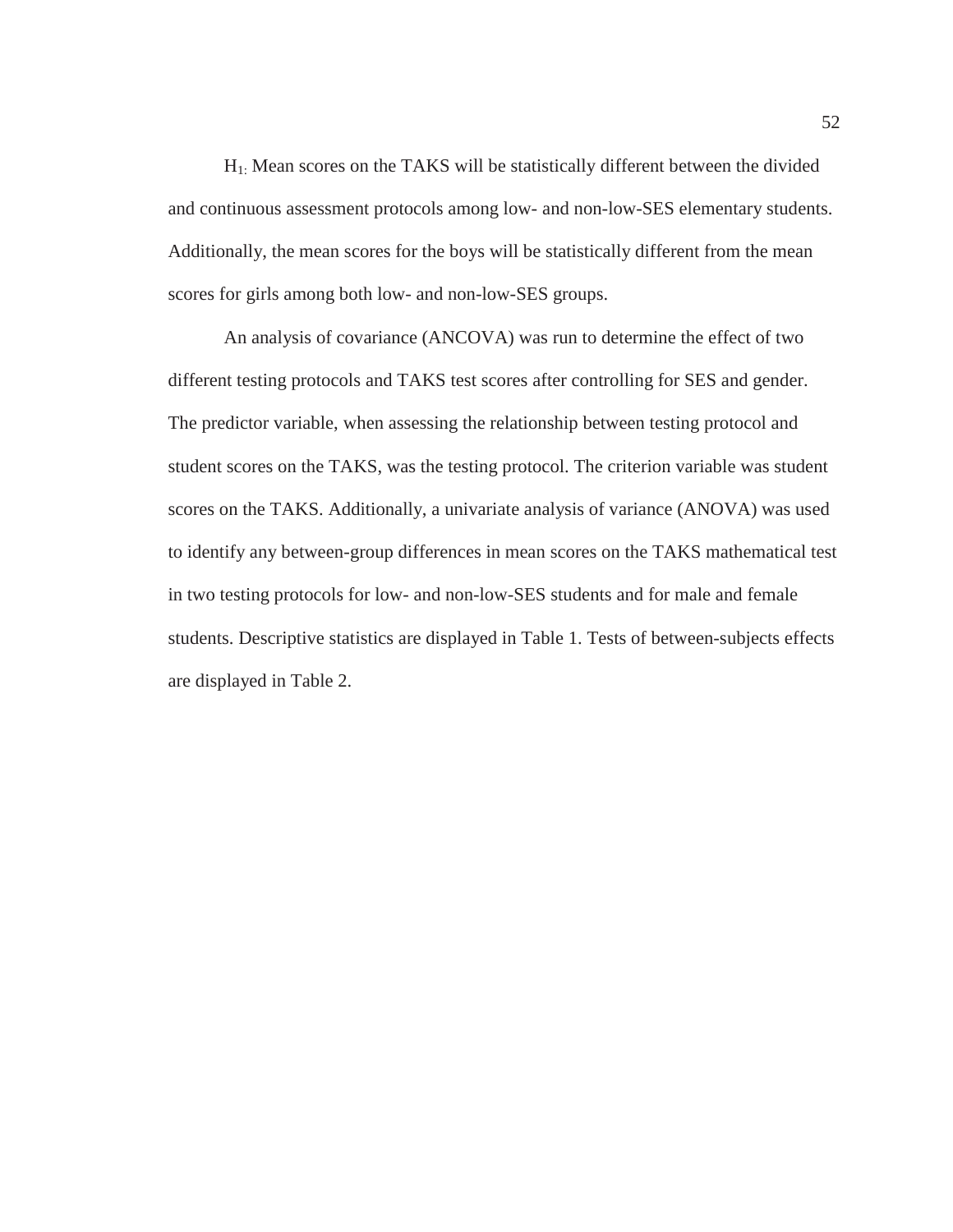$H<sub>1</sub>$ : Mean scores on the TAKS will be statistically different between the divided and continuous assessment protocols among low- and non-low-SES elementary students. Additionally, the mean scores for the boys will be statistically different from the mean scores for girls among both low- and non-low-SES groups.

 An analysis of covariance (ANCOVA) was run to determine the effect of two different testing protocols and TAKS test scores after controlling for SES and gender. The predictor variable, when assessing the relationship between testing protocol and student scores on the TAKS, was the testing protocol. The criterion variable was student scores on the TAKS. Additionally, a univariate analysis of variance (ANOVA) was used to identify any between-group differences in mean scores on the TAKS mathematical test in two testing protocols for low- and non-low-SES students and for male and female students. Descriptive statistics are displayed in Table 1. Tests of between-subjects effects are displayed in Table 2.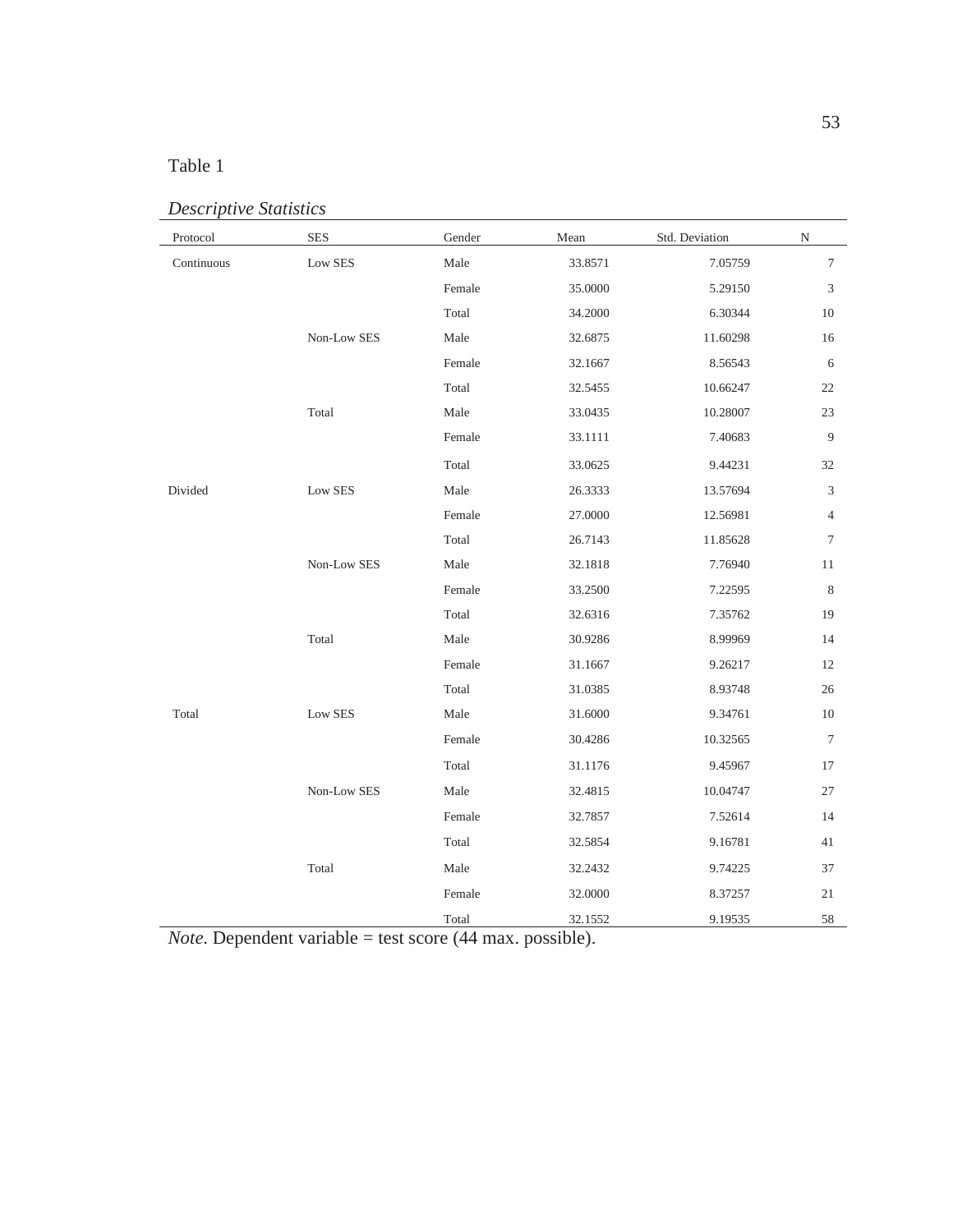# Table 1

| Protocol   | <b>SES</b>  | Gender | Mean    | Std. Deviation | ${\rm N}$      |
|------------|-------------|--------|---------|----------------|----------------|
| Continuous | Low SES     | Male   | 33.8571 | 7.05759        | $\tau$         |
|            |             | Female | 35.0000 | 5.29150        | 3              |
|            |             | Total  | 34.2000 | 6.30344        | 10             |
|            | Non-Low SES | Male   | 32.6875 | 11.60298       | 16             |
|            |             | Female | 32.1667 | 8.56543        | 6              |
|            |             | Total  | 32.5455 | 10.66247       | 22             |
|            | Total       | Male   | 33.0435 | 10.28007       | 23             |
|            |             | Female | 33.1111 | 7.40683        | 9              |
|            |             | Total  | 33.0625 | 9.44231        | 32             |
| Divided    | Low SES     | Male   | 26.3333 | 13.57694       | 3              |
|            |             | Female | 27.0000 | 12.56981       | $\overline{4}$ |
|            |             | Total  | 26.7143 | 11.85628       | 7              |
|            | Non-Low SES | Male   | 32.1818 | 7.76940        | 11             |
|            |             | Female | 33.2500 | 7.22595        | $\,$ 8 $\,$    |
|            |             | Total  | 32.6316 | 7.35762        | 19             |
|            | Total       | Male   | 30.9286 | 8.99969        | 14             |
|            |             | Female | 31.1667 | 9.26217        | 12             |
|            |             | Total  | 31.0385 | 8.93748        | 26             |
| Total      | Low SES     | Male   | 31.6000 | 9.34761        | 10             |
|            |             | Female | 30.4286 | 10.32565       | 7              |
|            |             | Total  | 31.1176 | 9.45967        | 17             |
|            | Non-Low SES | Male   | 32.4815 | 10.04747       | 27             |
|            |             | Female | 32.7857 | 7.52614        | 14             |
|            |             | Total  | 32.5854 | 9.16781        | 41             |
|            | Total       | Male   | 32.2432 | 9.74225        | 37             |
|            |             | Female | 32.0000 | 8.37257        | 21             |
|            |             | Total  | 32.1552 | 9.19535        | 58             |

*Descriptive Statistics*

*Note*. Dependent variable = test score (44 max. possible).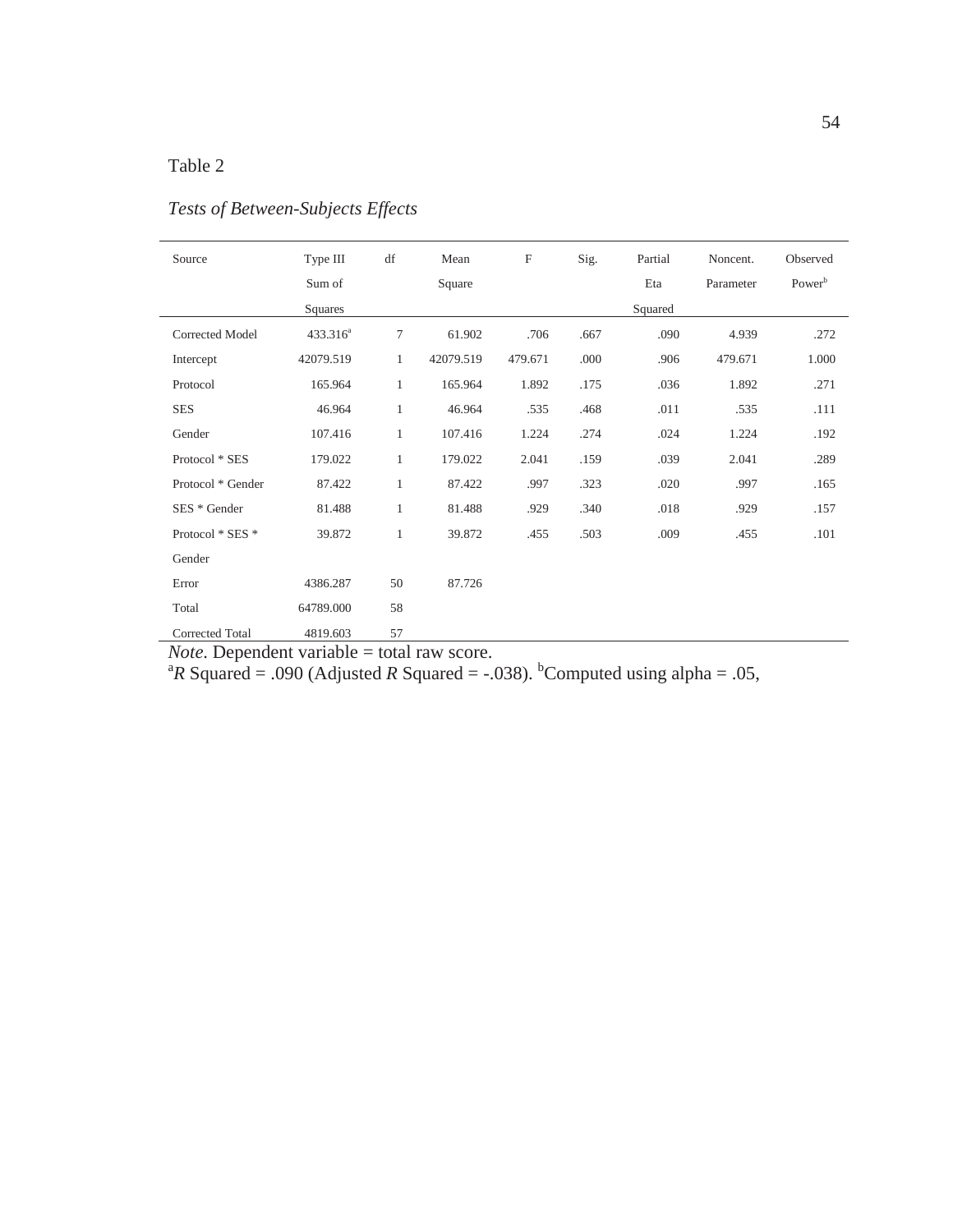## Table 2

| Source                 | Type III<br>Sum of<br>Squares | df           | Mean<br>Square | $\boldsymbol{\mathrm{F}}$ | Sig. | Partial<br>Eta<br>Squared | Noncent.<br>Parameter | Observed<br>Power <sup>b</sup> |
|------------------------|-------------------------------|--------------|----------------|---------------------------|------|---------------------------|-----------------------|--------------------------------|
| <b>Corrected Model</b> | 433.316 <sup>a</sup>          | 7            | 61.902         | .706                      | .667 | .090                      | 4.939                 | .272                           |
| Intercept              | 42079.519                     | $\mathbf{1}$ | 42079.519      | 479.671                   | .000 | .906                      | 479.671               | 1.000                          |
| Protocol               | 165.964                       | $\mathbf{1}$ | 165.964        | 1.892                     | .175 | .036                      | 1.892                 | .271                           |
| <b>SES</b>             | 46.964                        | 1            | 46.964         | .535                      | .468 | .011                      | .535                  | .111                           |
| Gender                 | 107.416                       | $\mathbf{1}$ | 107.416        | 1.224                     | .274 | .024                      | 1.224                 | .192                           |
| Protocol * SES         | 179.022                       | $\mathbf{1}$ | 179.022        | 2.041                     | .159 | .039                      | 2.041                 | .289                           |
| Protocol * Gender      | 87.422                        | $\mathbf{1}$ | 87.422         | .997                      | .323 | .020                      | .997                  | .165                           |
| SES * Gender           | 81.488                        | 1            | 81.488         | .929                      | .340 | .018                      | .929                  | .157                           |
| Protocol * SES *       | 39.872                        | 1            | 39.872         | .455                      | .503 | .009                      | .455                  | .101                           |
| Gender                 |                               |              |                |                           |      |                           |                       |                                |
| Error                  | 4386.287                      | 50           | 87.726         |                           |      |                           |                       |                                |
| Total                  | 64789.000                     | 58           |                |                           |      |                           |                       |                                |
| <b>Corrected Total</b> | 4819.603                      | 57           |                |                           |      |                           |                       |                                |

# *Tests of Between-Subjects Effects*

*Note*. Dependent variable = total raw score.<br><sup>a</sup>*R* Squared = .090 (Adjusted *R* Squared = -.038). <sup>b</sup>Computed using alpha = .05,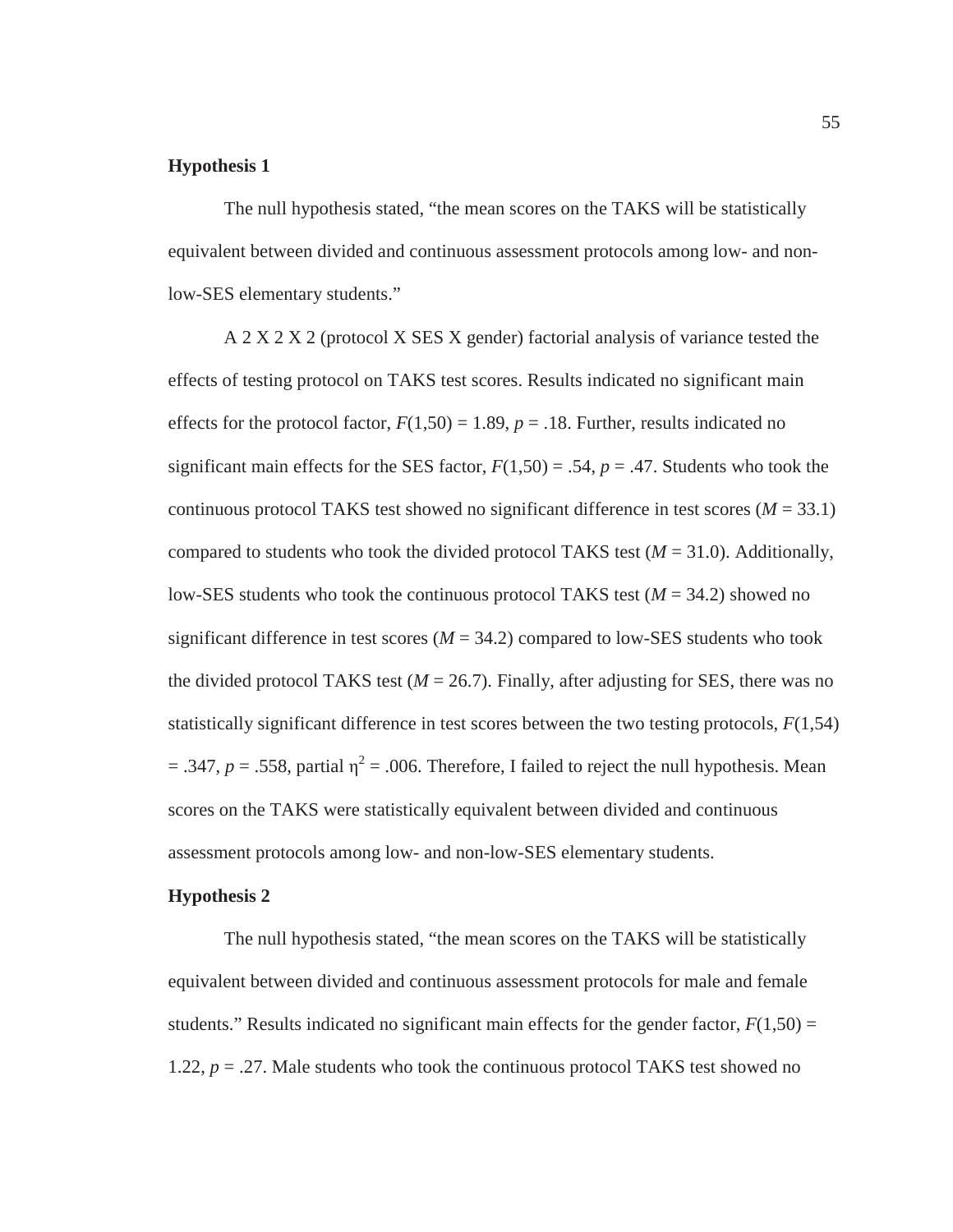## **Hypothesis 1**

 The null hypothesis stated, "the mean scores on the TAKS will be statistically equivalent between divided and continuous assessment protocols among low- and nonlow-SES elementary students."

 A 2 X 2 X 2 (protocol X SES X gender) factorial analysis of variance tested the effects of testing protocol on TAKS test scores. Results indicated no significant main effects for the protocol factor,  $F(1,50) = 1.89$ ,  $p = .18$ . Further, results indicated no significant main effects for the SES factor,  $F(1,50) = .54$ ,  $p = .47$ . Students who took the continuous protocol TAKS test showed no significant difference in test scores  $(M = 33.1)$ compared to students who took the divided protocol TAKS test  $(M = 31.0)$ . Additionally, low-SES students who took the continuous protocol TAKS test  $(M = 34.2)$  showed no significant difference in test scores  $(M = 34.2)$  compared to low-SES students who took the divided protocol TAKS test ( $M = 26.7$ ). Finally, after adjusting for SES, there was no statistically significant difference in test scores between the two testing protocols, *F*(1,54)  $=$  .347,  $p = .558$ , partial  $\eta^2 = .006$ . Therefore, I failed to reject the null hypothesis. Mean scores on the TAKS were statistically equivalent between divided and continuous assessment protocols among low- and non-low-SES elementary students.

#### **Hypothesis 2**

 The null hypothesis stated, "the mean scores on the TAKS will be statistically equivalent between divided and continuous assessment protocols for male and female students." Results indicated no significant main effects for the gender factor,  $F(1,50) =$ 1.22, *p* = .27. Male students who took the continuous protocol TAKS test showed no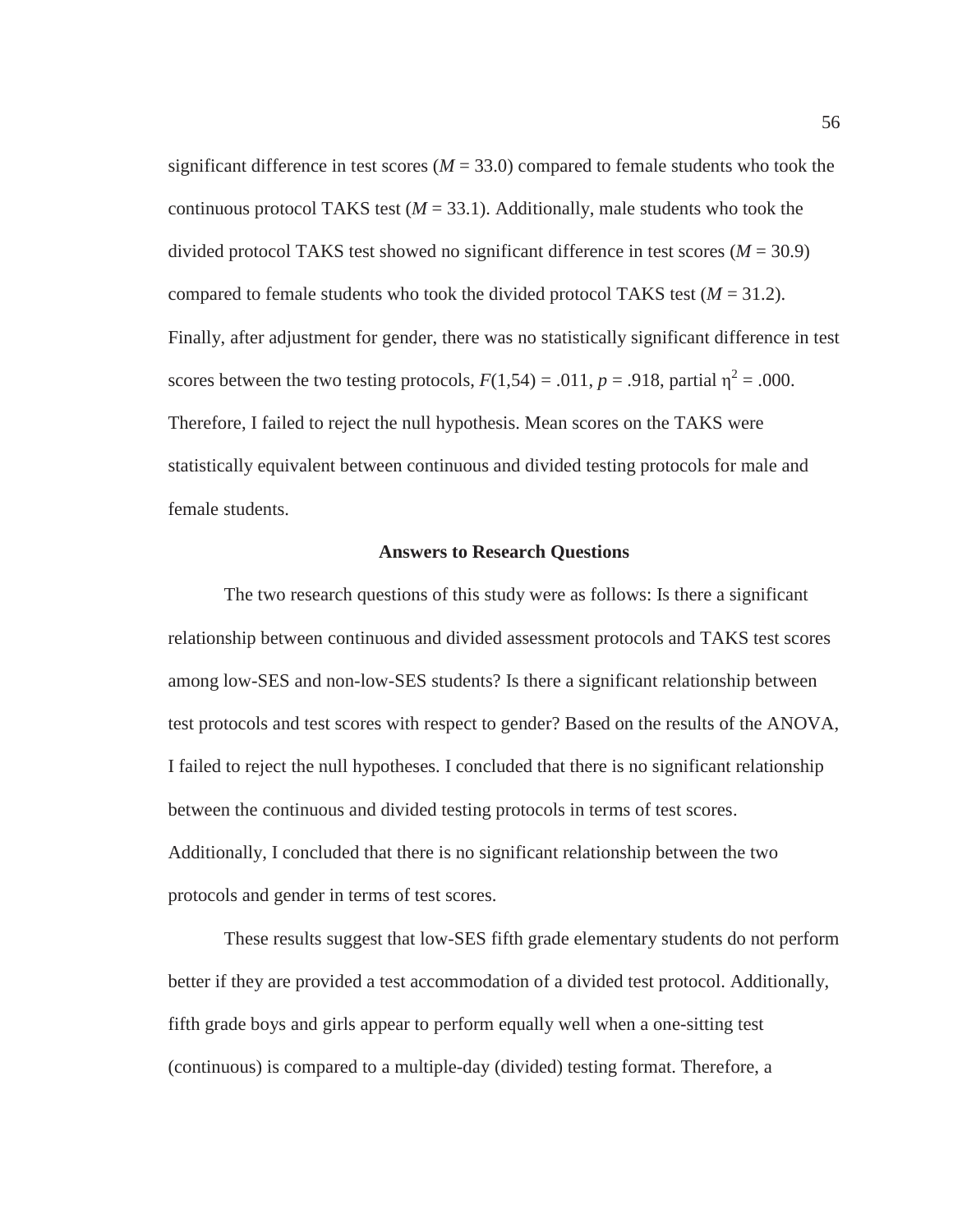significant difference in test scores ( $M = 33.0$ ) compared to female students who took the continuous protocol TAKS test  $(M = 33.1)$ . Additionally, male students who took the divided protocol TAKS test showed no significant difference in test scores (*M* = 30.9) compared to female students who took the divided protocol TAKS test  $(M = 31.2)$ . Finally, after adjustment for gender, there was no statistically significant difference in test scores between the two testing protocols,  $F(1,54) = .011$ ,  $p = .918$ , partial  $\eta^2 = .000$ . Therefore, I failed to reject the null hypothesis. Mean scores on the TAKS were statistically equivalent between continuous and divided testing protocols for male and female students.

#### **Answers to Research Questions**

 The two research questions of this study were as follows: Is there a significant relationship between continuous and divided assessment protocols and TAKS test scores among low-SES and non-low-SES students? Is there a significant relationship between test protocols and test scores with respect to gender? Based on the results of the ANOVA, I failed to reject the null hypotheses. I concluded that there is no significant relationship between the continuous and divided testing protocols in terms of test scores. Additionally, I concluded that there is no significant relationship between the two protocols and gender in terms of test scores.

 These results suggest that low-SES fifth grade elementary students do not perform better if they are provided a test accommodation of a divided test protocol. Additionally, fifth grade boys and girls appear to perform equally well when a one-sitting test (continuous) is compared to a multiple-day (divided) testing format. Therefore, a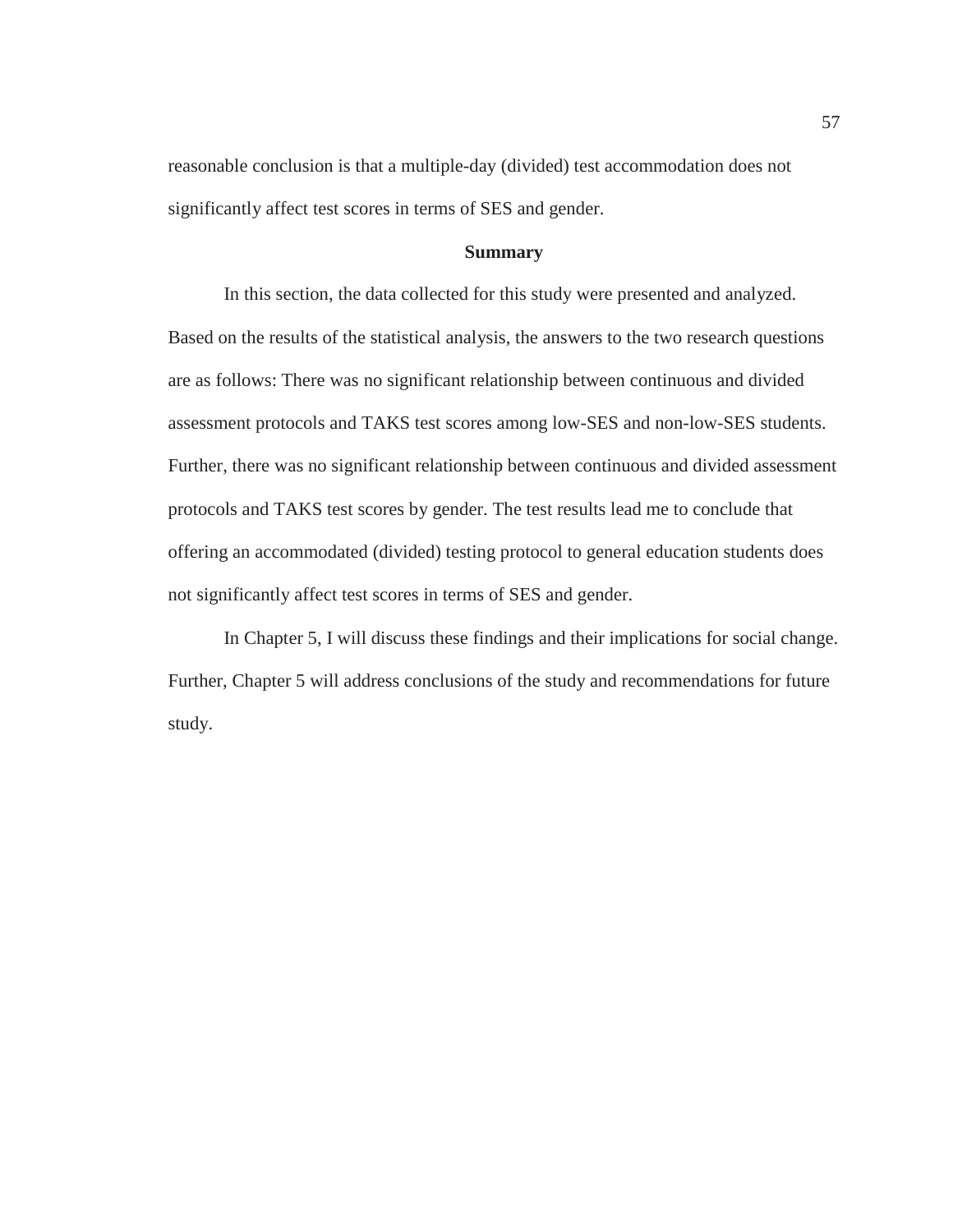reasonable conclusion is that a multiple-day (divided) test accommodation does not significantly affect test scores in terms of SES and gender.

## **Summary**

 In this section, the data collected for this study were presented and analyzed. Based on the results of the statistical analysis, the answers to the two research questions are as follows: There was no significant relationship between continuous and divided assessment protocols and TAKS test scores among low-SES and non-low-SES students. Further, there was no significant relationship between continuous and divided assessment protocols and TAKS test scores by gender. The test results lead me to conclude that offering an accommodated (divided) testing protocol to general education students does not significantly affect test scores in terms of SES and gender.

 In Chapter 5, I will discuss these findings and their implications for social change. Further, Chapter 5 will address conclusions of the study and recommendations for future study.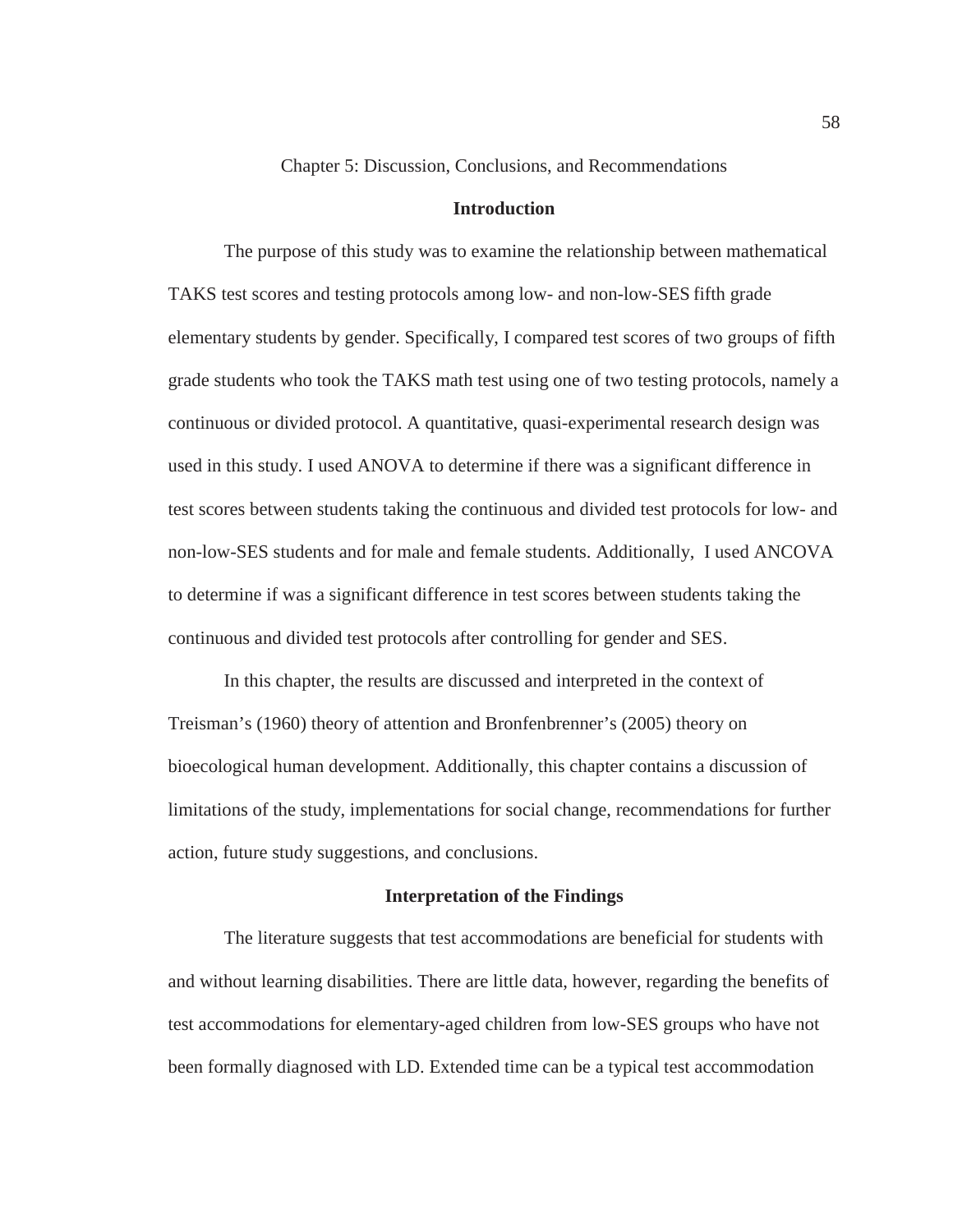Chapter 5: Discussion, Conclusions, and Recommendations

## **Introduction**

The purpose of this study was to examine the relationship between mathematical TAKS test scores and testing protocols among low- and non-low-SES fifth grade elementary students by gender. Specifically, I compared test scores of two groups of fifth grade students who took the TAKS math test using one of two testing protocols, namely a continuous or divided protocol. A quantitative, quasi-experimental research design was used in this study. I used ANOVA to determine if there was a significant difference in test scores between students taking the continuous and divided test protocols for low- and non-low-SES students and for male and female students. Additionally, I used ANCOVA to determine if was a significant difference in test scores between students taking the continuous and divided test protocols after controlling for gender and SES.

 In this chapter, the results are discussed and interpreted in the context of Treisman's (1960) theory of attention and Bronfenbrenner's (2005) theory on bioecological human development. Additionally, this chapter contains a discussion of limitations of the study, implementations for social change, recommendations for further action, future study suggestions, and conclusions.

#### **Interpretation of the Findings**

The literature suggests that test accommodations are beneficial for students with and without learning disabilities. There are little data, however, regarding the benefits of test accommodations for elementary-aged children from low-SES groups who have not been formally diagnosed with LD. Extended time can be a typical test accommodation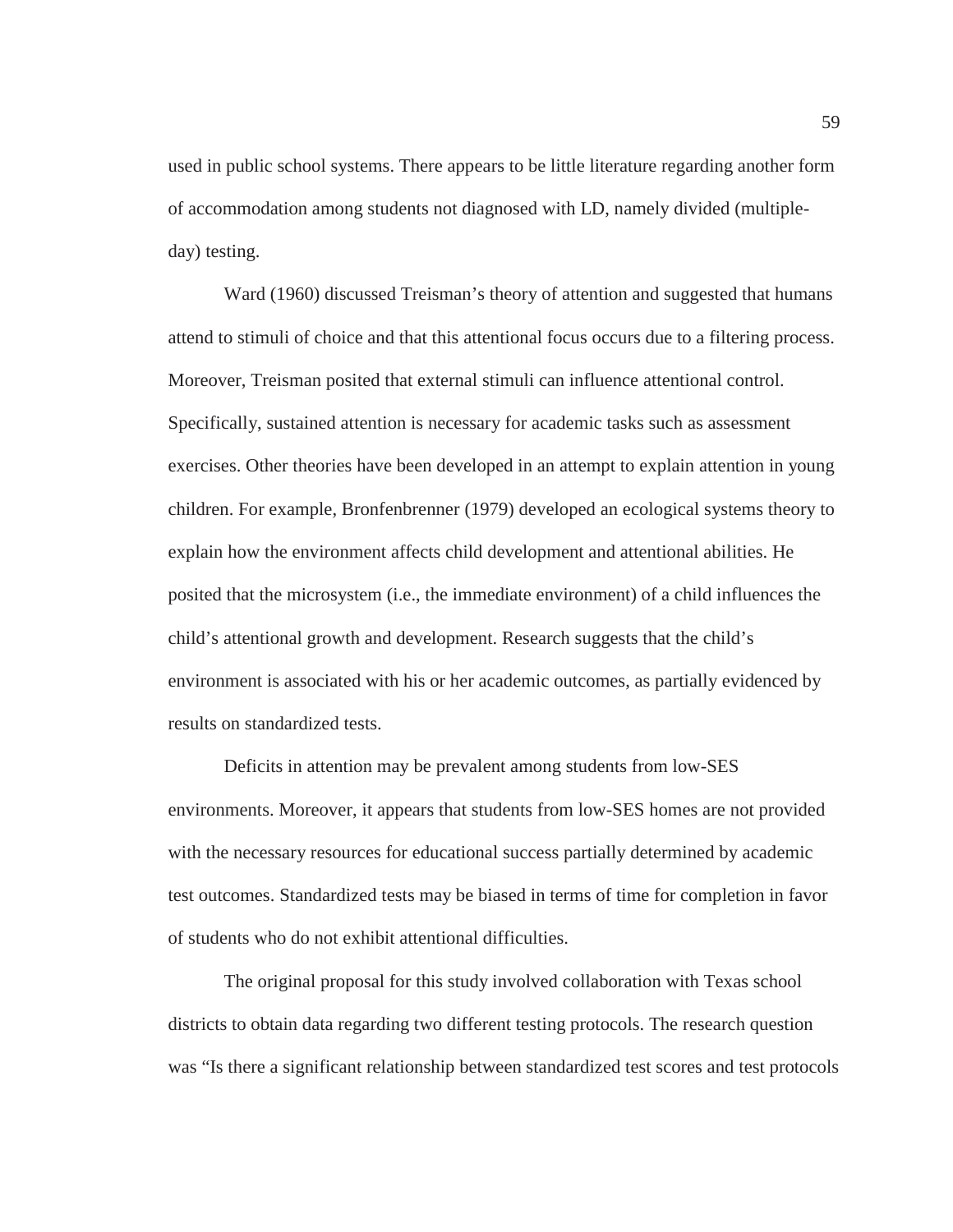used in public school systems. There appears to be little literature regarding another form of accommodation among students not diagnosed with LD, namely divided (multipleday) testing.

 Ward (1960) discussed Treisman's theory of attention and suggested that humans attend to stimuli of choice and that this attentional focus occurs due to a filtering process. Moreover, Treisman posited that external stimuli can influence attentional control. Specifically, sustained attention is necessary for academic tasks such as assessment exercises. Other theories have been developed in an attempt to explain attention in young children. For example, Bronfenbrenner (1979) developed an ecological systems theory to explain how the environment affects child development and attentional abilities. He posited that the microsystem (i.e., the immediate environment) of a child influences the child's attentional growth and development. Research suggests that the child's environment is associated with his or her academic outcomes, as partially evidenced by results on standardized tests.

 Deficits in attention may be prevalent among students from low-SES environments. Moreover, it appears that students from low-SES homes are not provided with the necessary resources for educational success partially determined by academic test outcomes. Standardized tests may be biased in terms of time for completion in favor of students who do not exhibit attentional difficulties.

 The original proposal for this study involved collaboration with Texas school districts to obtain data regarding two different testing protocols. The research question was "Is there a significant relationship between standardized test scores and test protocols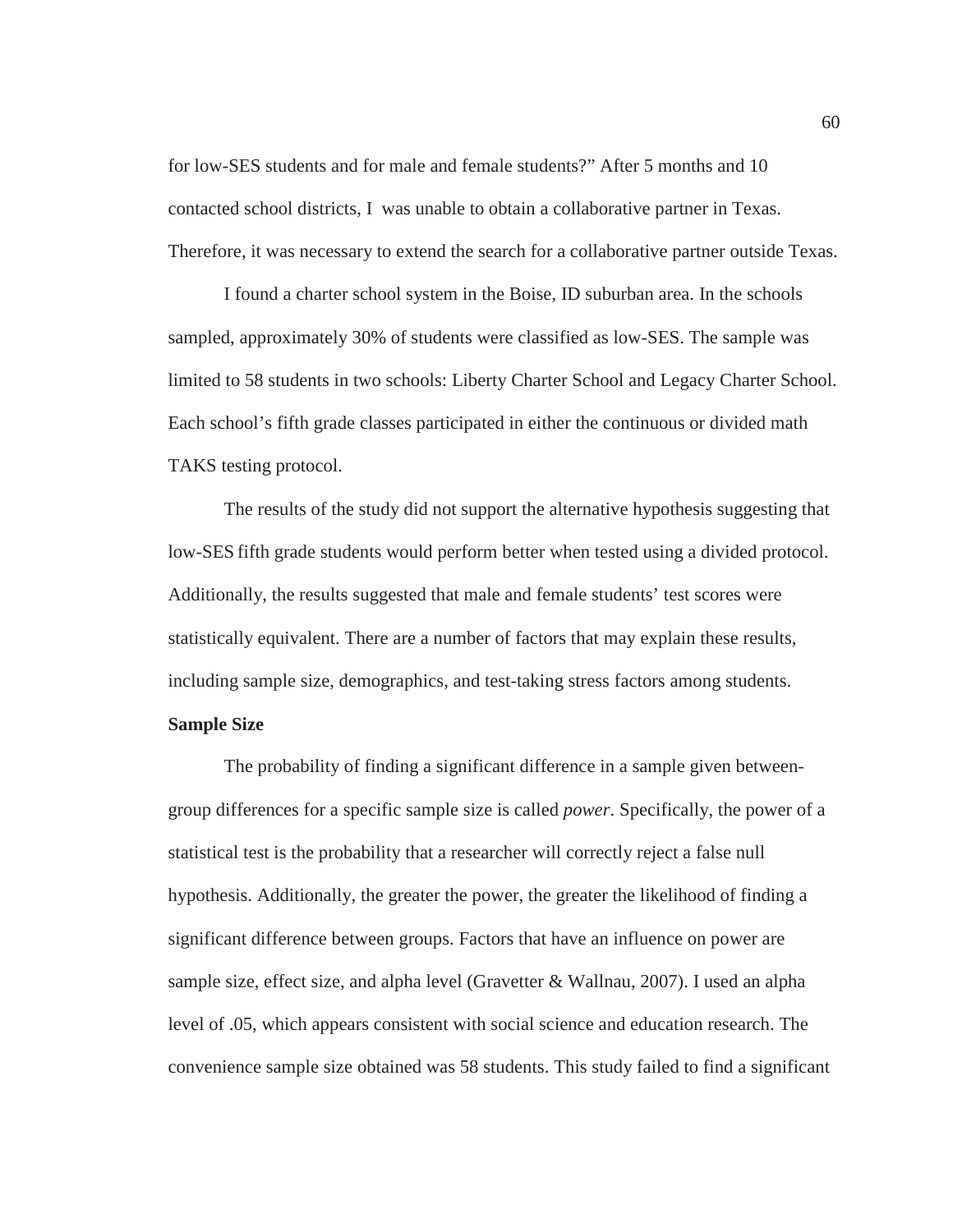for low-SES students and for male and female students?" After 5 months and 10 contacted school districts, I was unable to obtain a collaborative partner in Texas. Therefore, it was necessary to extend the search for a collaborative partner outside Texas.

 I found a charter school system in the Boise, ID suburban area. In the schools sampled, approximately 30% of students were classified as low-SES. The sample was limited to 58 students in two schools: Liberty Charter School and Legacy Charter School. Each school's fifth grade classes participated in either the continuous or divided math TAKS testing protocol.

 The results of the study did not support the alternative hypothesis suggesting that low-SES fifth grade students would perform better when tested using a divided protocol. Additionally, the results suggested that male and female students' test scores were statistically equivalent. There are a number of factors that may explain these results, including sample size, demographics, and test-taking stress factors among students. **Sample Size** 

The probability of finding a significant difference in a sample given betweengroup differences for a specific sample size is called *power*. Specifically, the power of a statistical test is the probability that a researcher will correctly reject a false null hypothesis. Additionally, the greater the power, the greater the likelihood of finding a significant difference between groups. Factors that have an influence on power are sample size, effect size, and alpha level (Gravetter  $&$  Wallnau, 2007). I used an alpha level of .05, which appears consistent with social science and education research. The convenience sample size obtained was 58 students. This study failed to find a significant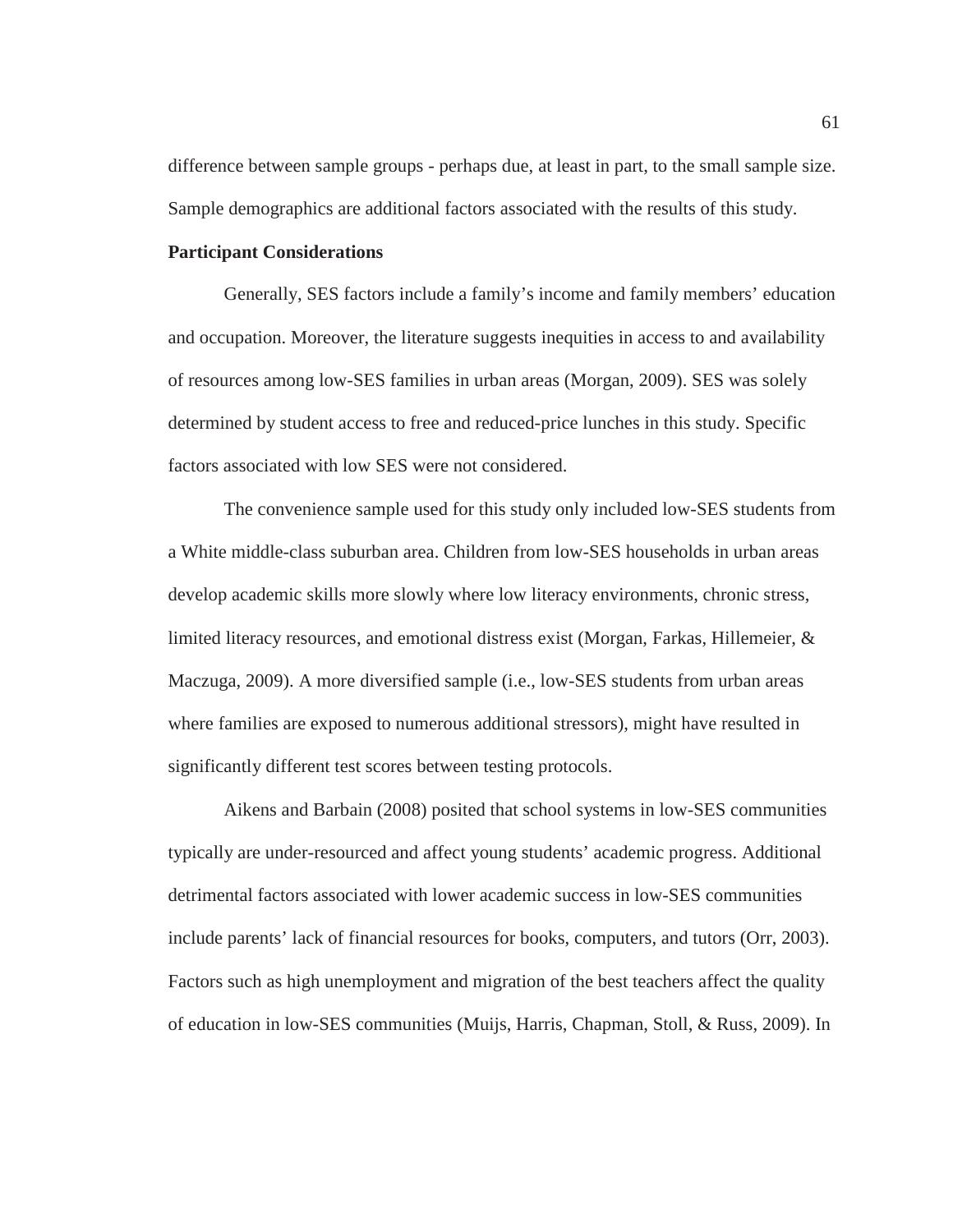difference between sample groups - perhaps due, at least in part, to the small sample size. Sample demographics are additional factors associated with the results of this study.

# **Participant Considerations**

Generally, SES factors include a family's income and family members' education and occupation. Moreover, the literature suggests inequities in access to and availability of resources among low-SES families in urban areas (Morgan, 2009). SES was solely determined by student access to free and reduced-price lunches in this study. Specific factors associated with low SES were not considered.

 The convenience sample used for this study only included low-SES students from a White middle-class suburban area. Children from low-SES households in urban areas develop academic skills more slowly where low literacy environments, chronic stress, limited literacy resources, and emotional distress exist (Morgan, Farkas, Hillemeier, & Maczuga, 2009). A more diversified sample (i.e., low-SES students from urban areas where families are exposed to numerous additional stressors), might have resulted in significantly different test scores between testing protocols.

 Aikens and Barbain (2008) posited that school systems in low-SES communities typically are under-resourced and affect young students' academic progress. Additional detrimental factors associated with lower academic success in low-SES communities include parents' lack of financial resources for books, computers, and tutors (Orr, 2003). Factors such as high unemployment and migration of the best teachers affect the quality of education in low-SES communities (Muijs, Harris, Chapman, Stoll, & Russ, 2009). In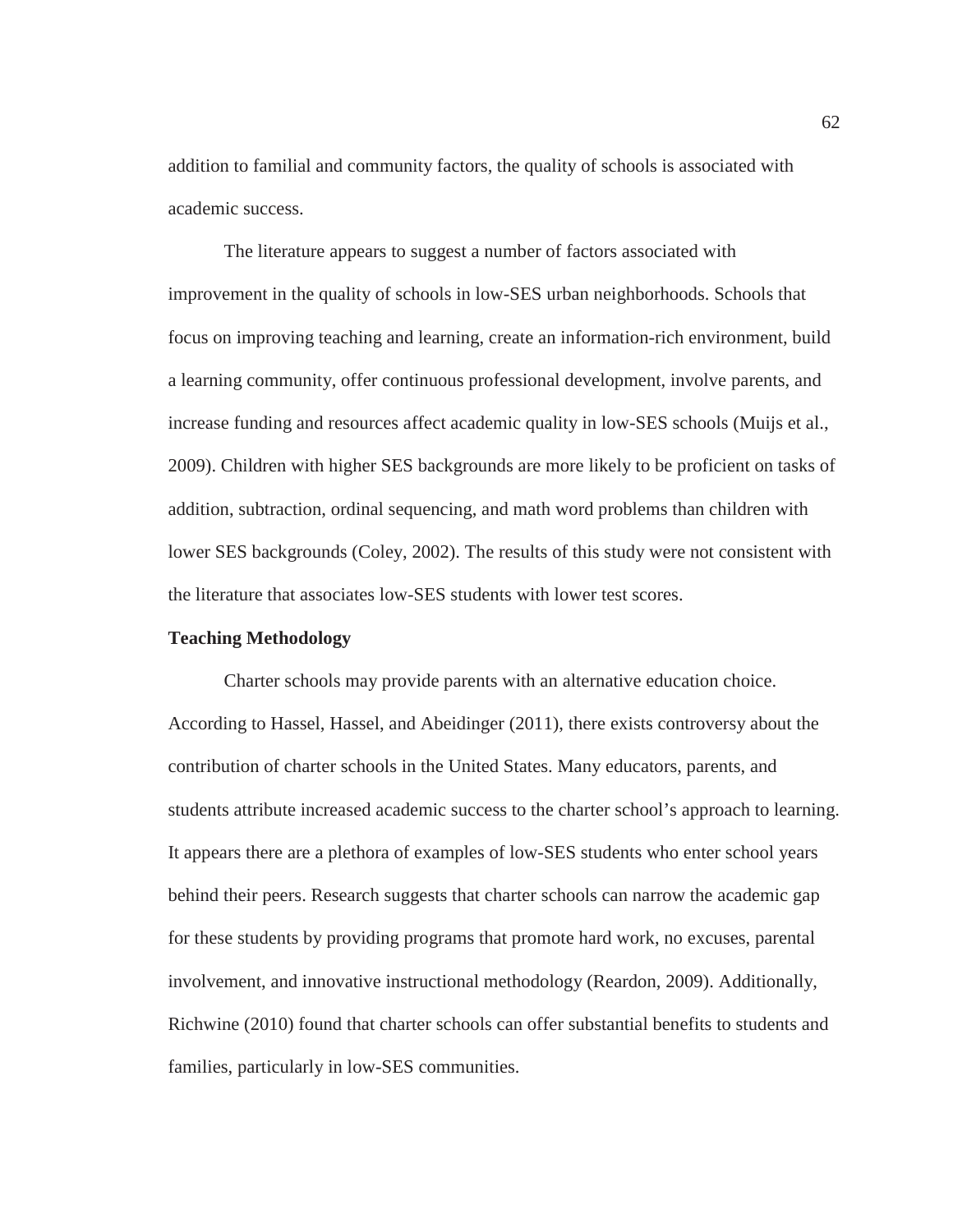addition to familial and community factors, the quality of schools is associated with academic success.

The literature appears to suggest a number of factors associated with improvement in the quality of schools in low-SES urban neighborhoods. Schools that focus on improving teaching and learning, create an information-rich environment, build a learning community, offer continuous professional development, involve parents, and increase funding and resources affect academic quality in low-SES schools (Muijs et al., 2009). Children with higher SES backgrounds are more likely to be proficient on tasks of addition, subtraction, ordinal sequencing, and math word problems than children with lower SES backgrounds (Coley, 2002). The results of this study were not consistent with the literature that associates low-SES students with lower test scores.

### **Teaching Methodology**

Charter schools may provide parents with an alternative education choice. According to Hassel, Hassel, and Abeidinger (2011), there exists controversy about the contribution of charter schools in the United States. Many educators, parents, and students attribute increased academic success to the charter school's approach to learning. It appears there are a plethora of examples of low-SES students who enter school years behind their peers. Research suggests that charter schools can narrow the academic gap for these students by providing programs that promote hard work, no excuses, parental involvement, and innovative instructional methodology (Reardon, 2009). Additionally, Richwine (2010) found that charter schools can offer substantial benefits to students and families, particularly in low-SES communities.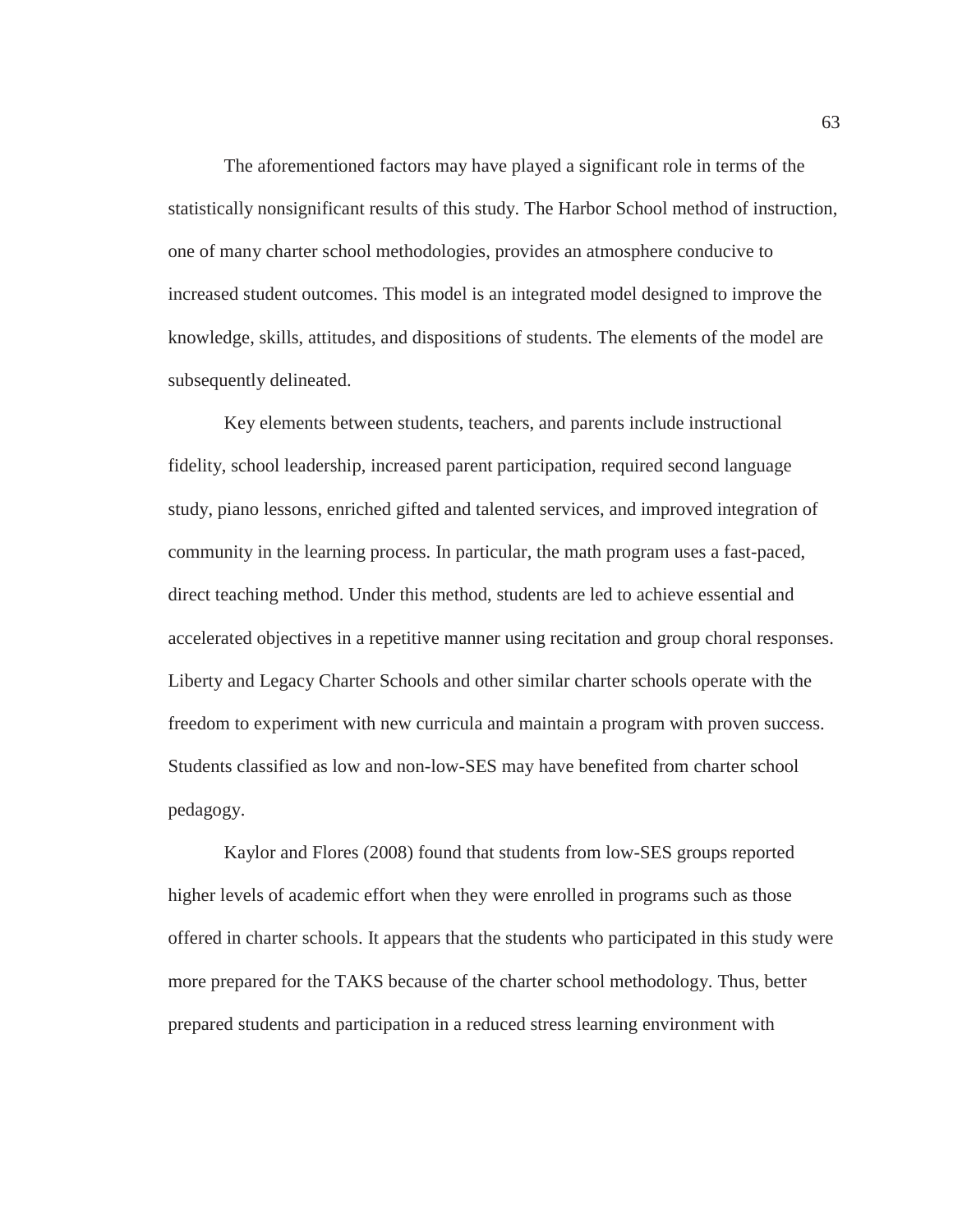The aforementioned factors may have played a significant role in terms of the statistically nonsignificant results of this study. The Harbor School method of instruction, one of many charter school methodologies, provides an atmosphere conducive to increased student outcomes. This model is an integrated model designed to improve the knowledge, skills, attitudes, and dispositions of students. The elements of the model are subsequently delineated.

Key elements between students, teachers, and parents include instructional fidelity, school leadership, increased parent participation, required second language study, piano lessons, enriched gifted and talented services, and improved integration of community in the learning process. In particular, the math program uses a fast-paced, direct teaching method. Under this method, students are led to achieve essential and accelerated objectives in a repetitive manner using recitation and group choral responses. Liberty and Legacy Charter Schools and other similar charter schools operate with the freedom to experiment with new curricula and maintain a program with proven success. Students classified as low and non-low-SES may have benefited from charter school pedagogy.

Kaylor and Flores (2008) found that students from low-SES groups reported higher levels of academic effort when they were enrolled in programs such as those offered in charter schools. It appears that the students who participated in this study were more prepared for the TAKS because of the charter school methodology. Thus, better prepared students and participation in a reduced stress learning environment with

63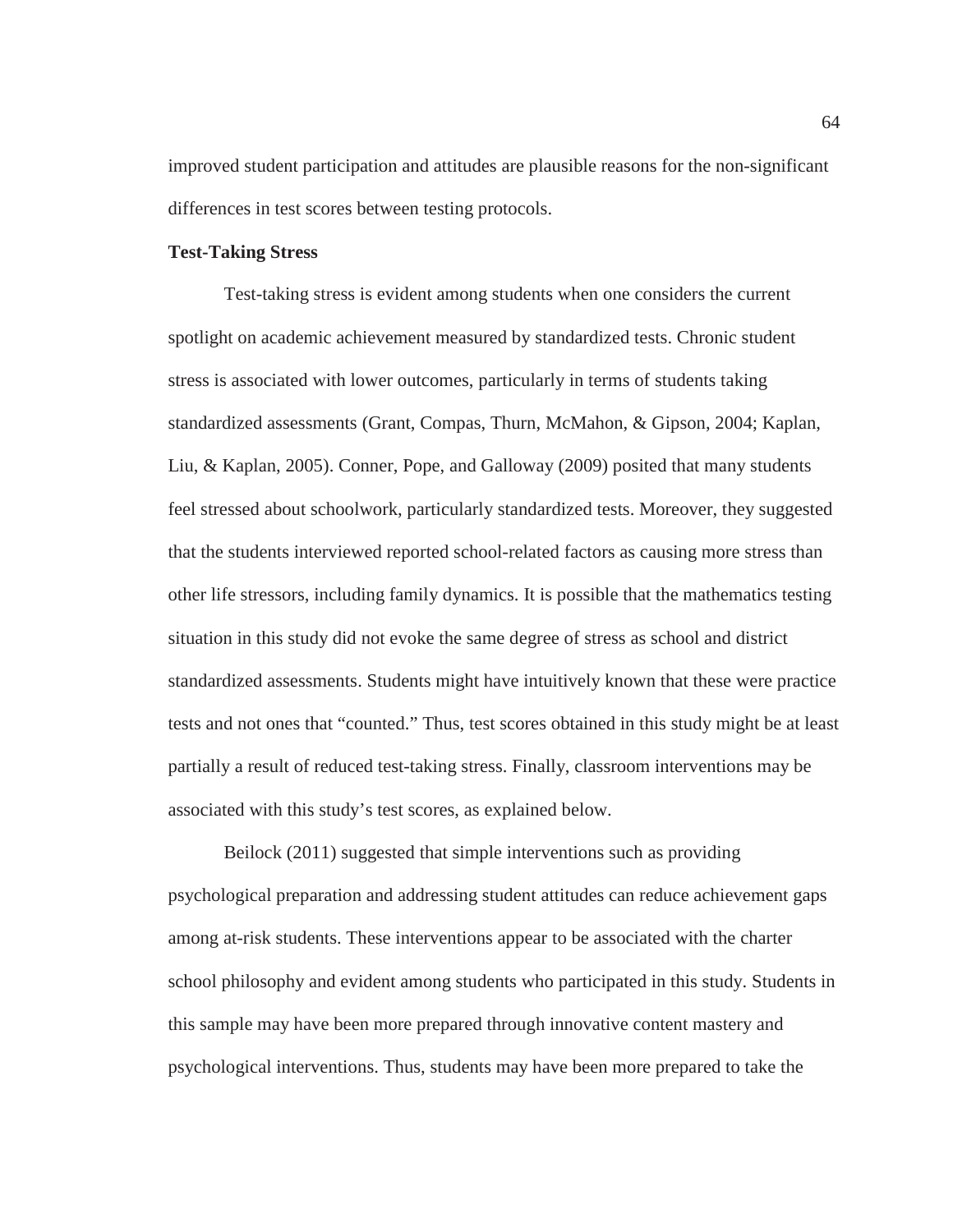improved student participation and attitudes are plausible reasons for the non-significant differences in test scores between testing protocols.

# **Test-Taking Stress**

Test-taking stress is evident among students when one considers the current spotlight on academic achievement measured by standardized tests. Chronic student stress is associated with lower outcomes, particularly in terms of students taking standardized assessments (Grant, Compas, Thurn, McMahon, & Gipson, 2004; Kaplan, Liu, & Kaplan, 2005). Conner, Pope, and Galloway (2009) posited that many students feel stressed about schoolwork, particularly standardized tests. Moreover, they suggested that the students interviewed reported school-related factors as causing more stress than other life stressors, including family dynamics. It is possible that the mathematics testing situation in this study did not evoke the same degree of stress as school and district standardized assessments. Students might have intuitively known that these were practice tests and not ones that "counted." Thus, test scores obtained in this study might be at least partially a result of reduced test-taking stress. Finally, classroom interventions may be associated with this study's test scores, as explained below.

Beilock (2011) suggested that simple interventions such as providing psychological preparation and addressing student attitudes can reduce achievement gaps among at-risk students. These interventions appear to be associated with the charter school philosophy and evident among students who participated in this study. Students in this sample may have been more prepared through innovative content mastery and psychological interventions. Thus, students may have been more prepared to take the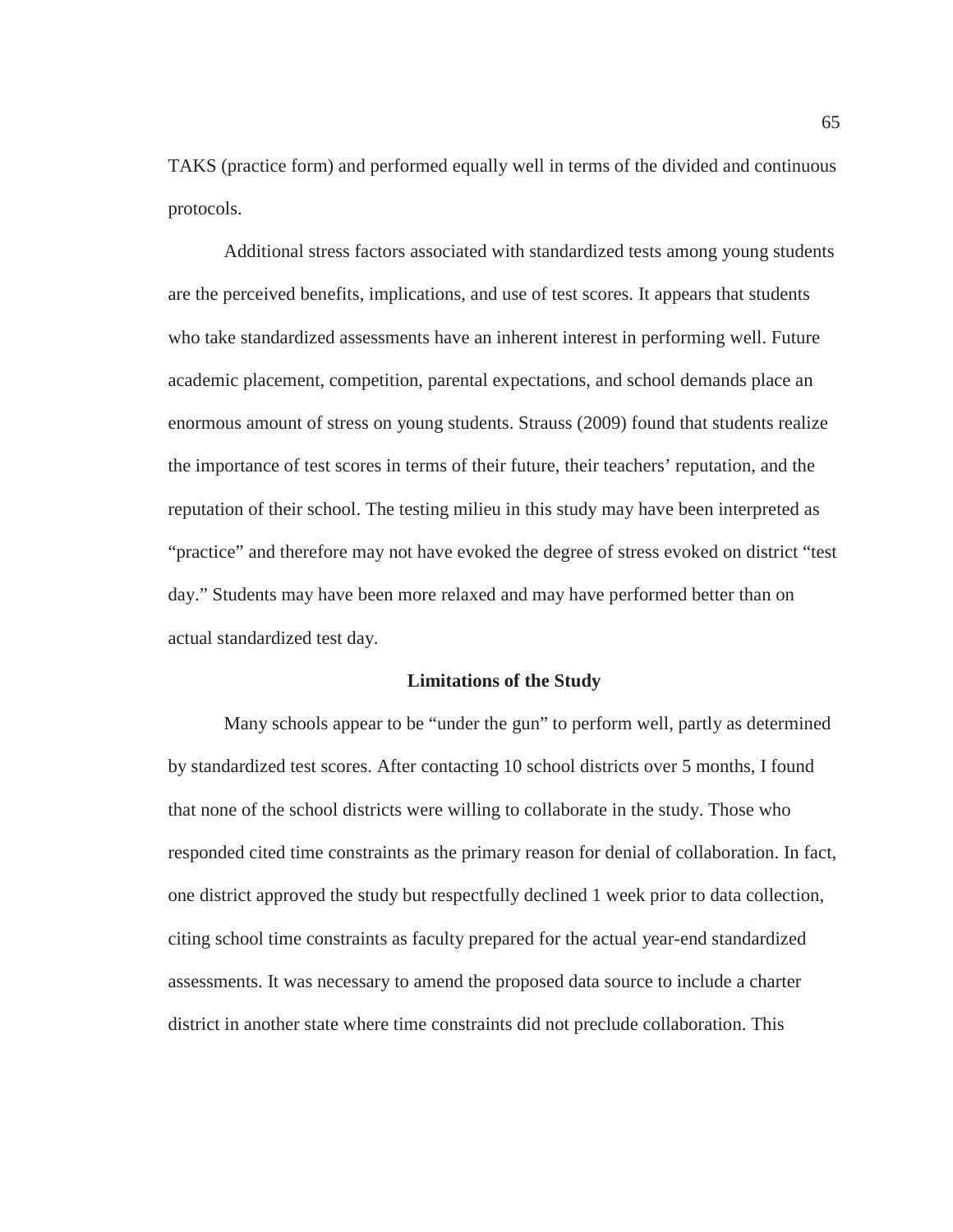TAKS (practice form) and performed equally well in terms of the divided and continuous protocols.

Additional stress factors associated with standardized tests among young students are the perceived benefits, implications, and use of test scores. It appears that students who take standardized assessments have an inherent interest in performing well. Future academic placement, competition, parental expectations, and school demands place an enormous amount of stress on young students. Strauss (2009) found that students realize the importance of test scores in terms of their future, their teachers' reputation, and the reputation of their school. The testing milieu in this study may have been interpreted as "practice" and therefore may not have evoked the degree of stress evoked on district "test day." Students may have been more relaxed and may have performed better than on actual standardized test day.

#### **Limitations of the Study**

Many schools appear to be "under the gun" to perform well, partly as determined by standardized test scores. After contacting 10 school districts over 5 months, I found that none of the school districts were willing to collaborate in the study. Those who responded cited time constraints as the primary reason for denial of collaboration. In fact, one district approved the study but respectfully declined 1 week prior to data collection, citing school time constraints as faculty prepared for the actual year-end standardized assessments. It was necessary to amend the proposed data source to include a charter district in another state where time constraints did not preclude collaboration. This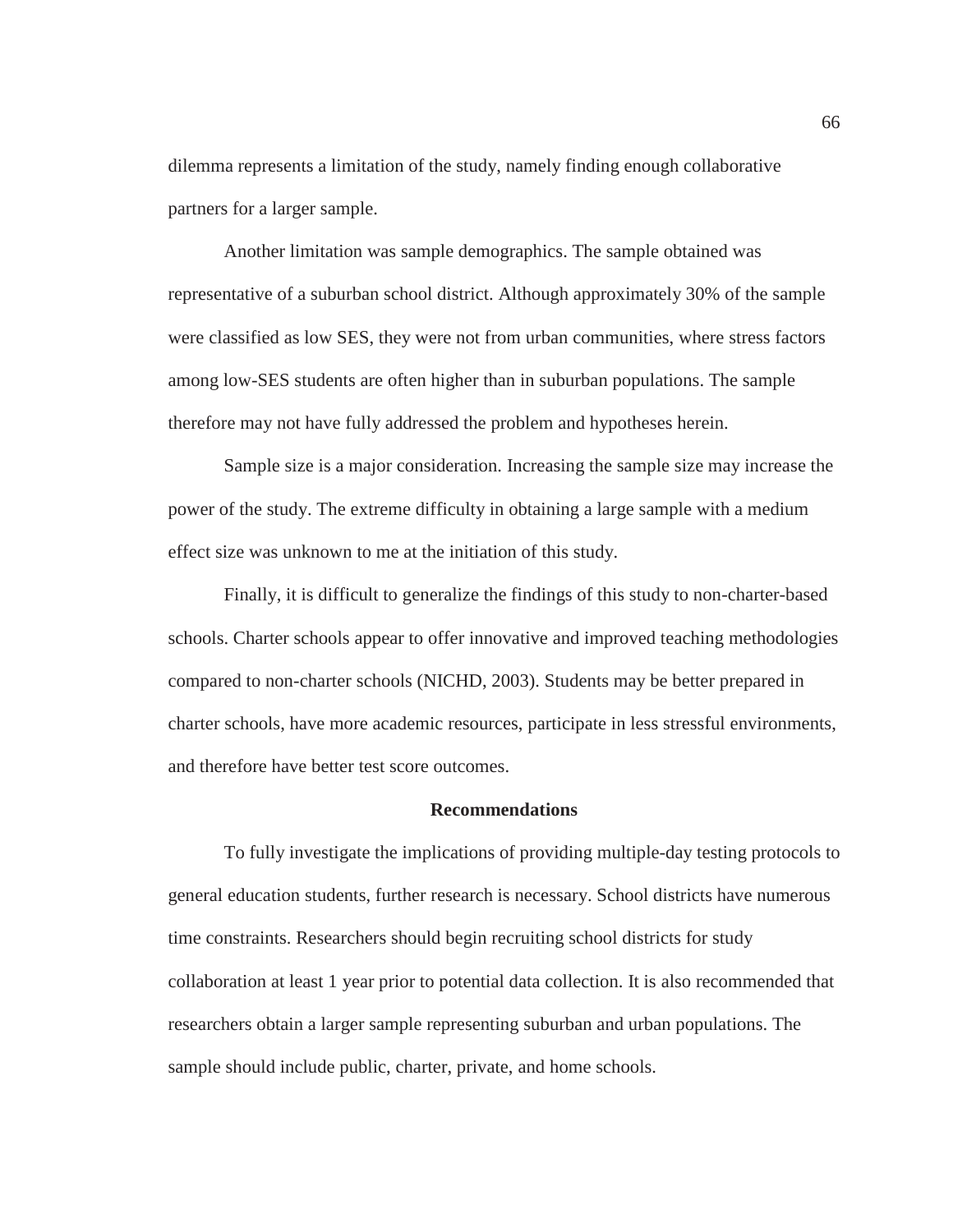dilemma represents a limitation of the study, namely finding enough collaborative partners for a larger sample.

Another limitation was sample demographics. The sample obtained was representative of a suburban school district. Although approximately 30% of the sample were classified as low SES, they were not from urban communities, where stress factors among low-SES students are often higher than in suburban populations. The sample therefore may not have fully addressed the problem and hypotheses herein.

Sample size is a major consideration. Increasing the sample size may increase the power of the study. The extreme difficulty in obtaining a large sample with a medium effect size was unknown to me at the initiation of this study.

Finally, it is difficult to generalize the findings of this study to non-charter-based schools. Charter schools appear to offer innovative and improved teaching methodologies compared to non-charter schools (NICHD, 2003). Students may be better prepared in charter schools, have more academic resources, participate in less stressful environments, and therefore have better test score outcomes.

### **Recommendations**

To fully investigate the implications of providing multiple-day testing protocols to general education students, further research is necessary. School districts have numerous time constraints. Researchers should begin recruiting school districts for study collaboration at least 1 year prior to potential data collection. It is also recommended that researchers obtain a larger sample representing suburban and urban populations. The sample should include public, charter, private, and home schools.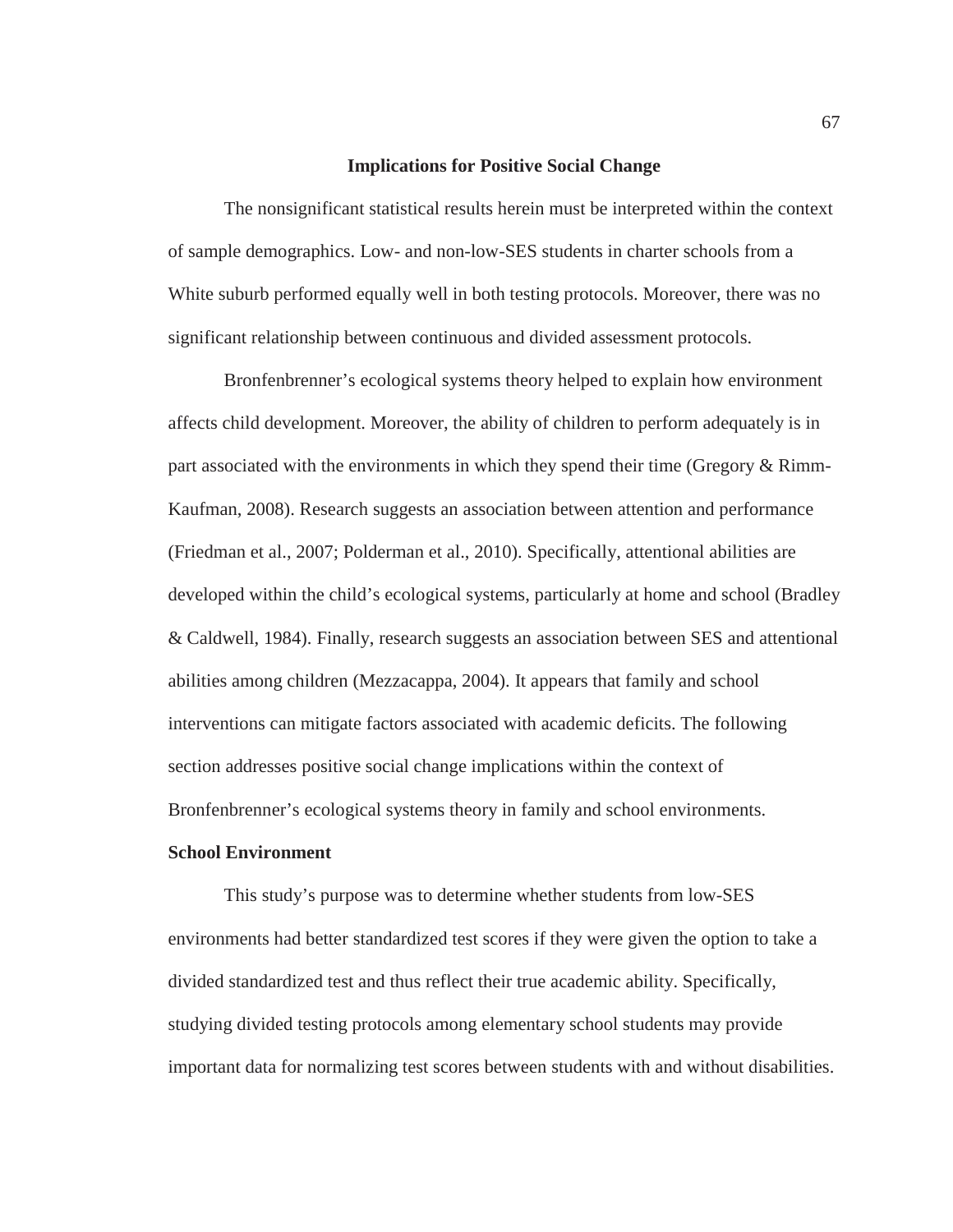### **Implications for Positive Social Change**

The nonsignificant statistical results herein must be interpreted within the context of sample demographics. Low- and non-low-SES students in charter schools from a White suburb performed equally well in both testing protocols. Moreover, there was no significant relationship between continuous and divided assessment protocols.

Bronfenbrenner's ecological systems theory helped to explain how environment affects child development. Moreover, the ability of children to perform adequately is in part associated with the environments in which they spend their time (Gregory & Rimm-Kaufman, 2008). Research suggests an association between attention and performance (Friedman et al., 2007; Polderman et al., 2010). Specifically, attentional abilities are developed within the child's ecological systems, particularly at home and school (Bradley & Caldwell, 1984). Finally, research suggests an association between SES and attentional abilities among children (Mezzacappa, 2004). It appears that family and school interventions can mitigate factors associated with academic deficits. The following section addresses positive social change implications within the context of Bronfenbrenner's ecological systems theory in family and school environments.

# **School Environment**

This study's purpose was to determine whether students from low-SES environments had better standardized test scores if they were given the option to take a divided standardized test and thus reflect their true academic ability. Specifically, studying divided testing protocols among elementary school students may provide important data for normalizing test scores between students with and without disabilities.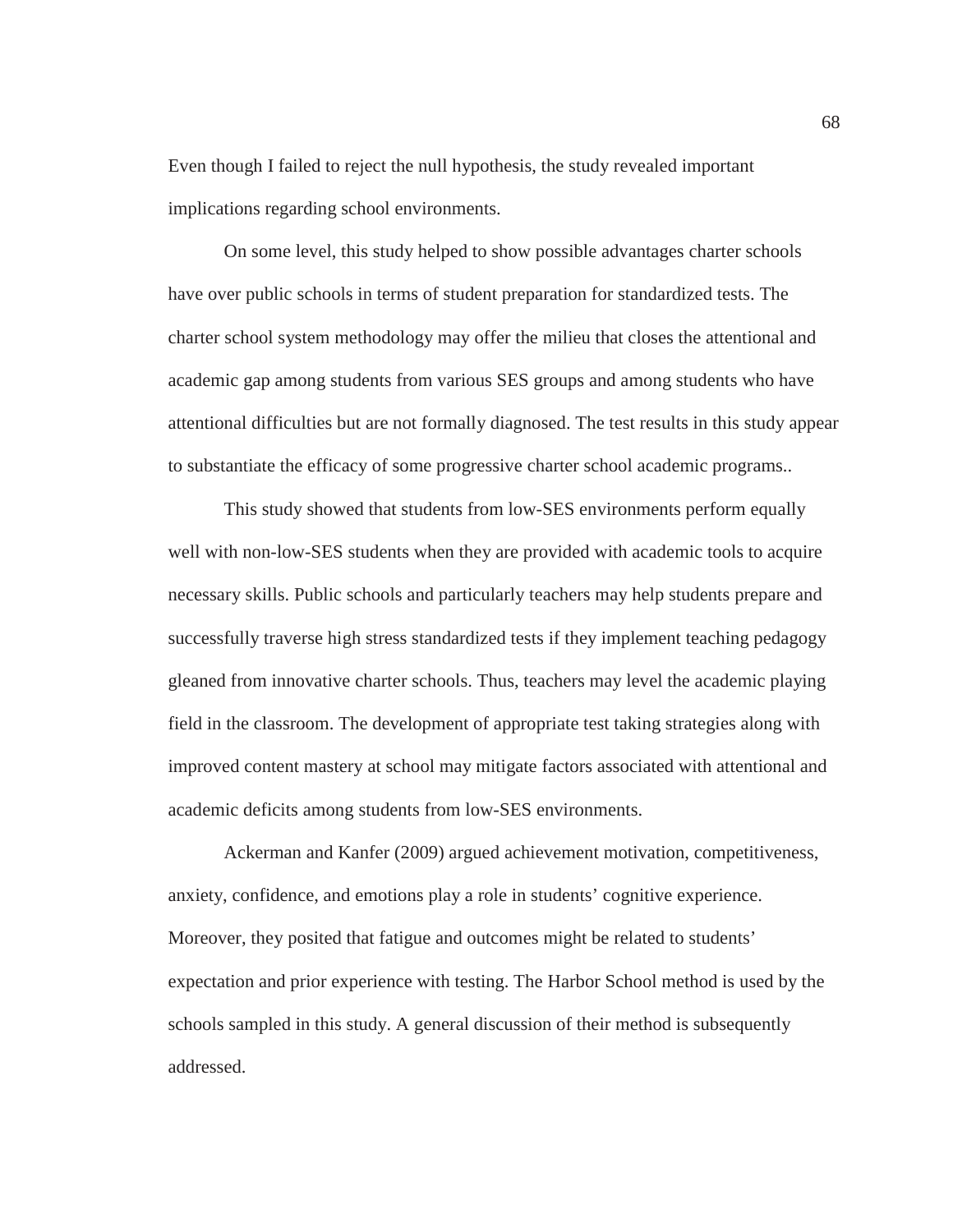Even though I failed to reject the null hypothesis, the study revealed important implications regarding school environments.

 On some level, this study helped to show possible advantages charter schools have over public schools in terms of student preparation for standardized tests. The charter school system methodology may offer the milieu that closes the attentional and academic gap among students from various SES groups and among students who have attentional difficulties but are not formally diagnosed. The test results in this study appear to substantiate the efficacy of some progressive charter school academic programs..

This study showed that students from low-SES environments perform equally well with non-low-SES students when they are provided with academic tools to acquire necessary skills. Public schools and particularly teachers may help students prepare and successfully traverse high stress standardized tests if they implement teaching pedagogy gleaned from innovative charter schools. Thus, teachers may level the academic playing field in the classroom. The development of appropriate test taking strategies along with improved content mastery at school may mitigate factors associated with attentional and academic deficits among students from low-SES environments.

Ackerman and Kanfer (2009) argued achievement motivation, competitiveness, anxiety, confidence, and emotions play a role in students' cognitive experience. Moreover, they posited that fatigue and outcomes might be related to students' expectation and prior experience with testing. The Harbor School method is used by the schools sampled in this study. A general discussion of their method is subsequently addressed.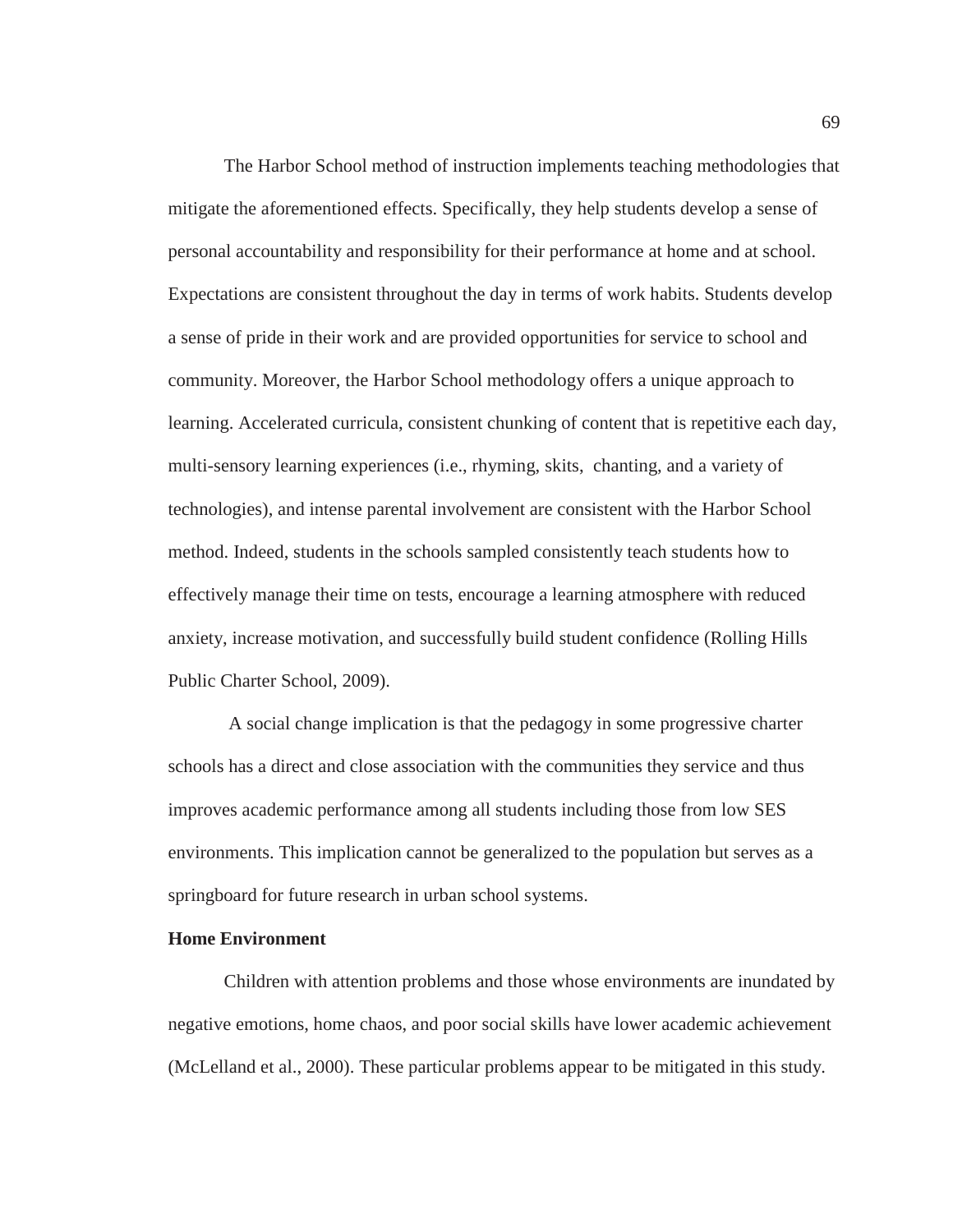The Harbor School method of instruction implements teaching methodologies that mitigate the aforementioned effects. Specifically, they help students develop a sense of personal accountability and responsibility for their performance at home and at school. Expectations are consistent throughout the day in terms of work habits. Students develop a sense of pride in their work and are provided opportunities for service to school and community. Moreover, the Harbor School methodology offers a unique approach to learning. Accelerated curricula, consistent chunking of content that is repetitive each day, multi-sensory learning experiences (i.e., rhyming, skits, chanting, and a variety of technologies), and intense parental involvement are consistent with the Harbor School method. Indeed, students in the schools sampled consistently teach students how to effectively manage their time on tests, encourage a learning atmosphere with reduced anxiety, increase motivation, and successfully build student confidence (Rolling Hills Public Charter School, 2009).

 A social change implication is that the pedagogy in some progressive charter schools has a direct and close association with the communities they service and thus improves academic performance among all students including those from low SES environments. This implication cannot be generalized to the population but serves as a springboard for future research in urban school systems.

# **Home Environment**

Children with attention problems and those whose environments are inundated by negative emotions, home chaos, and poor social skills have lower academic achievement (McLelland et al., 2000). These particular problems appear to be mitigated in this study.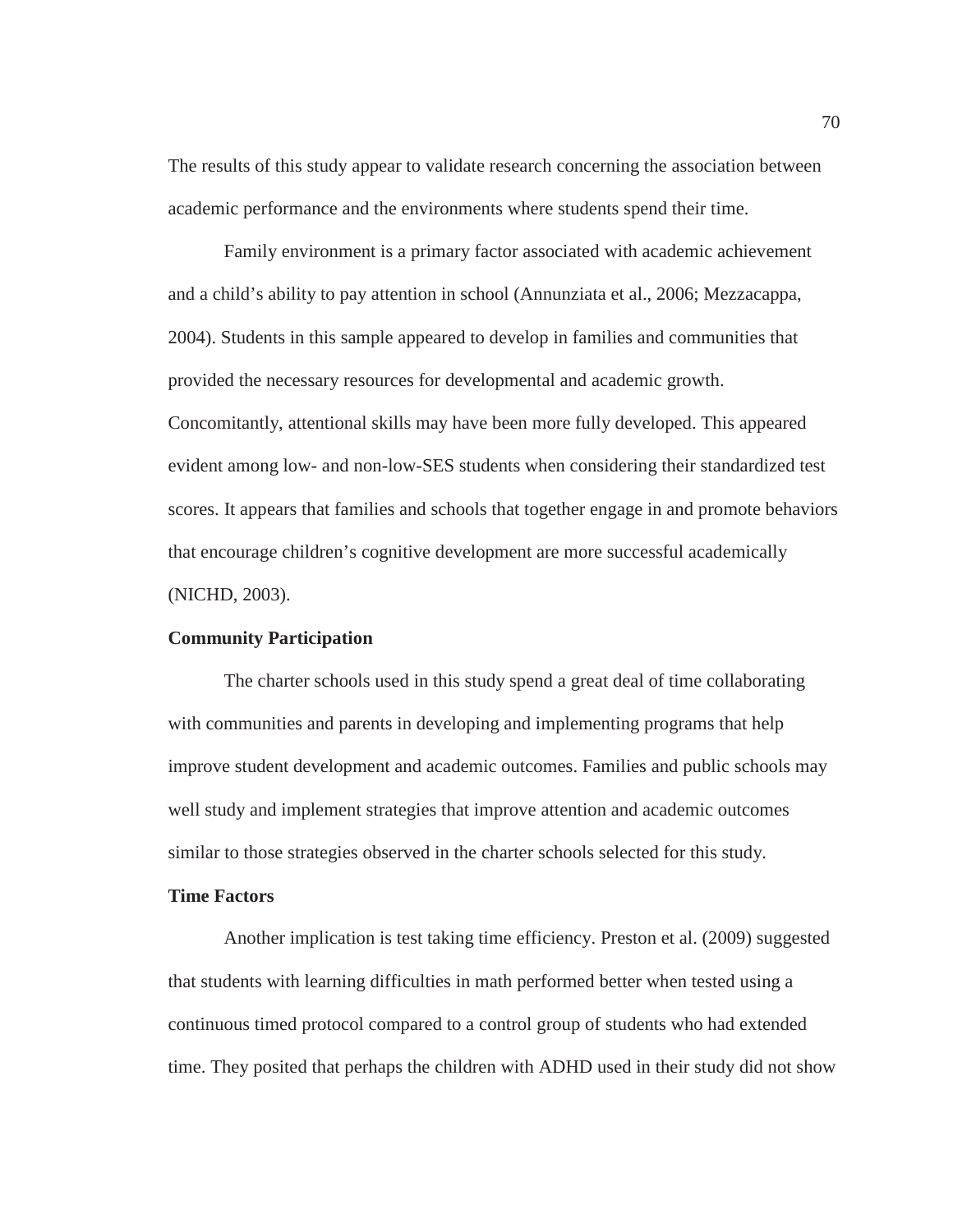The results of this study appear to validate research concerning the association between academic performance and the environments where students spend their time.

Family environment is a primary factor associated with academic achievement and a child's ability to pay attention in school (Annunziata et al., 2006; Mezzacappa, 2004). Students in this sample appeared to develop in families and communities that provided the necessary resources for developmental and academic growth. Concomitantly, attentional skills may have been more fully developed. This appeared evident among low- and non-low-SES students when considering their standardized test scores. It appears that families and schools that together engage in and promote behaviors that encourage children's cognitive development are more successful academically (NICHD, 2003).

# **Community Participation**

The charter schools used in this study spend a great deal of time collaborating with communities and parents in developing and implementing programs that help improve student development and academic outcomes. Families and public schools may well study and implement strategies that improve attention and academic outcomes similar to those strategies observed in the charter schools selected for this study.

# **Time Factors**

Another implication is test taking time efficiency. Preston et al. (2009) suggested that students with learning difficulties in math performed better when tested using a continuous timed protocol compared to a control group of students who had extended time. They posited that perhaps the children with ADHD used in their study did not show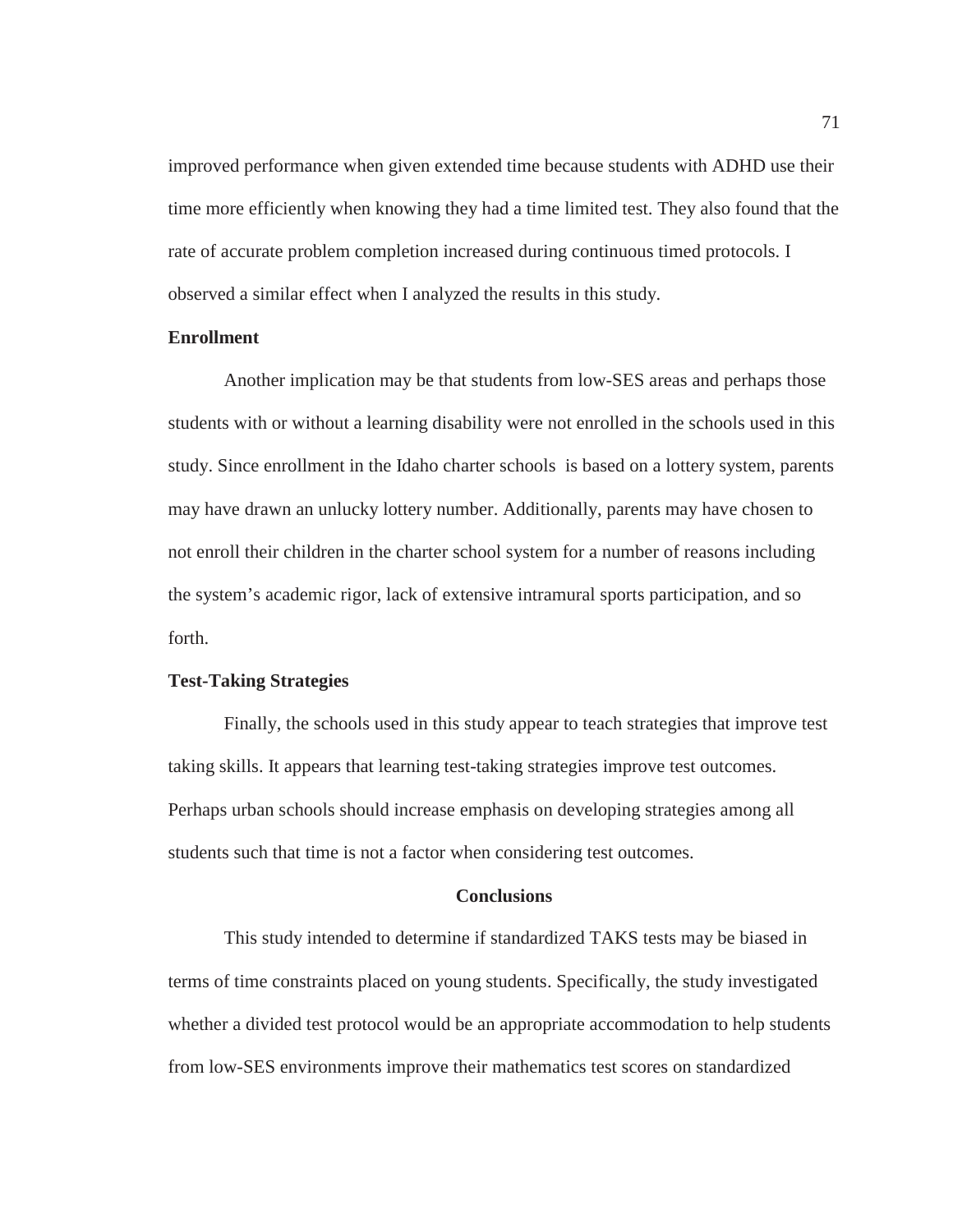improved performance when given extended time because students with ADHD use their time more efficiently when knowing they had a time limited test. They also found that the rate of accurate problem completion increased during continuous timed protocols. I observed a similar effect when I analyzed the results in this study.

### **Enrollment**

Another implication may be that students from low-SES areas and perhaps those students with or without a learning disability were not enrolled in the schools used in this study. Since enrollment in the Idaho charter schools is based on a lottery system, parents may have drawn an unlucky lottery number. Additionally, parents may have chosen to not enroll their children in the charter school system for a number of reasons including the system's academic rigor, lack of extensive intramural sports participation, and so forth.

#### **Test-Taking Strategies**

Finally, the schools used in this study appear to teach strategies that improve test taking skills. It appears that learning test-taking strategies improve test outcomes. Perhaps urban schools should increase emphasis on developing strategies among all students such that time is not a factor when considering test outcomes.

# **Conclusions**

This study intended to determine if standardized TAKS tests may be biased in terms of time constraints placed on young students. Specifically, the study investigated whether a divided test protocol would be an appropriate accommodation to help students from low-SES environments improve their mathematics test scores on standardized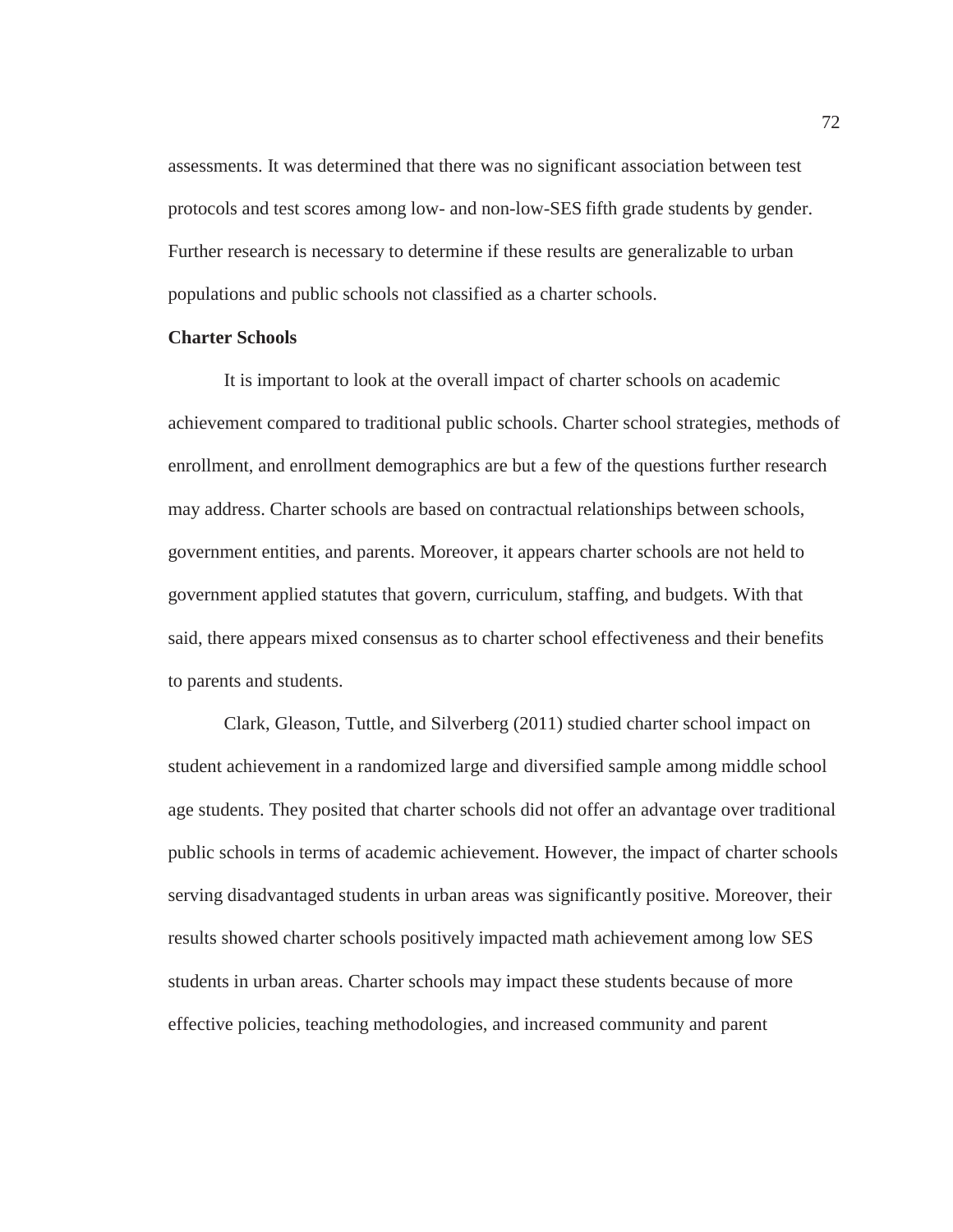assessments. It was determined that there was no significant association between test protocols and test scores among low- and non-low-SES fifth grade students by gender. Further research is necessary to determine if these results are generalizable to urban populations and public schools not classified as a charter schools.

# **Charter Schools**

It is important to look at the overall impact of charter schools on academic achievement compared to traditional public schools. Charter school strategies, methods of enrollment, and enrollment demographics are but a few of the questions further research may address. Charter schools are based on contractual relationships between schools, government entities, and parents. Moreover, it appears charter schools are not held to government applied statutes that govern, curriculum, staffing, and budgets. With that said, there appears mixed consensus as to charter school effectiveness and their benefits to parents and students.

Clark, Gleason, Tuttle, and Silverberg (2011) studied charter school impact on student achievement in a randomized large and diversified sample among middle school age students. They posited that charter schools did not offer an advantage over traditional public schools in terms of academic achievement. However, the impact of charter schools serving disadvantaged students in urban areas was significantly positive. Moreover, their results showed charter schools positively impacted math achievement among low SES students in urban areas. Charter schools may impact these students because of more effective policies, teaching methodologies, and increased community and parent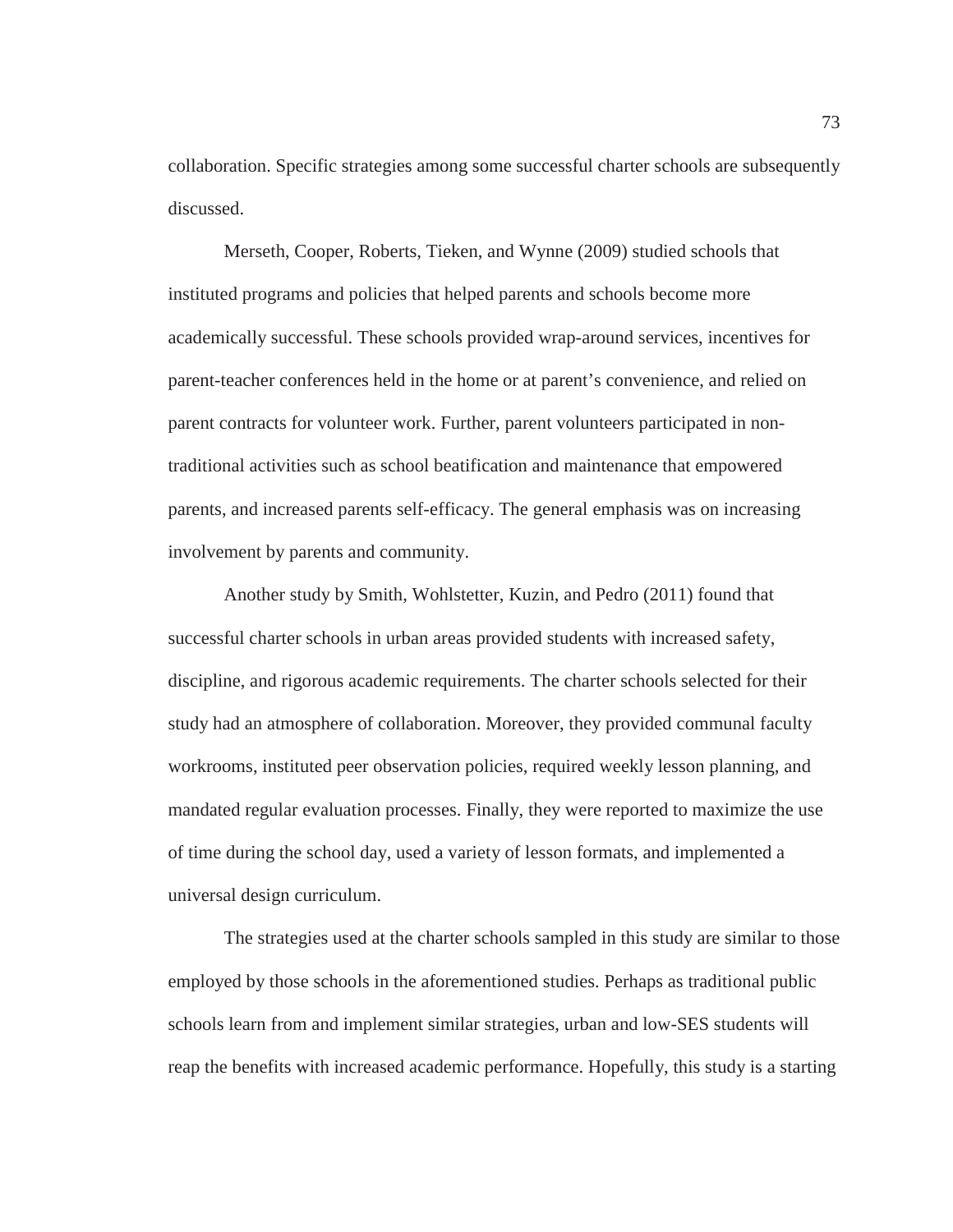collaboration. Specific strategies among some successful charter schools are subsequently discussed.

Merseth, Cooper, Roberts, Tieken, and Wynne (2009) studied schools that instituted programs and policies that helped parents and schools become more academically successful. These schools provided wrap-around services, incentives for parent-teacher conferences held in the home or at parent's convenience, and relied on parent contracts for volunteer work. Further, parent volunteers participated in nontraditional activities such as school beatification and maintenance that empowered parents, and increased parents self-efficacy. The general emphasis was on increasing involvement by parents and community.

Another study by Smith, Wohlstetter, Kuzin, and Pedro (2011) found that successful charter schools in urban areas provided students with increased safety, discipline, and rigorous academic requirements. The charter schools selected for their study had an atmosphere of collaboration. Moreover, they provided communal faculty workrooms, instituted peer observation policies, required weekly lesson planning, and mandated regular evaluation processes. Finally, they were reported to maximize the use of time during the school day, used a variety of lesson formats, and implemented a universal design curriculum.

The strategies used at the charter schools sampled in this study are similar to those employed by those schools in the aforementioned studies. Perhaps as traditional public schools learn from and implement similar strategies, urban and low-SES students will reap the benefits with increased academic performance. Hopefully, this study is a starting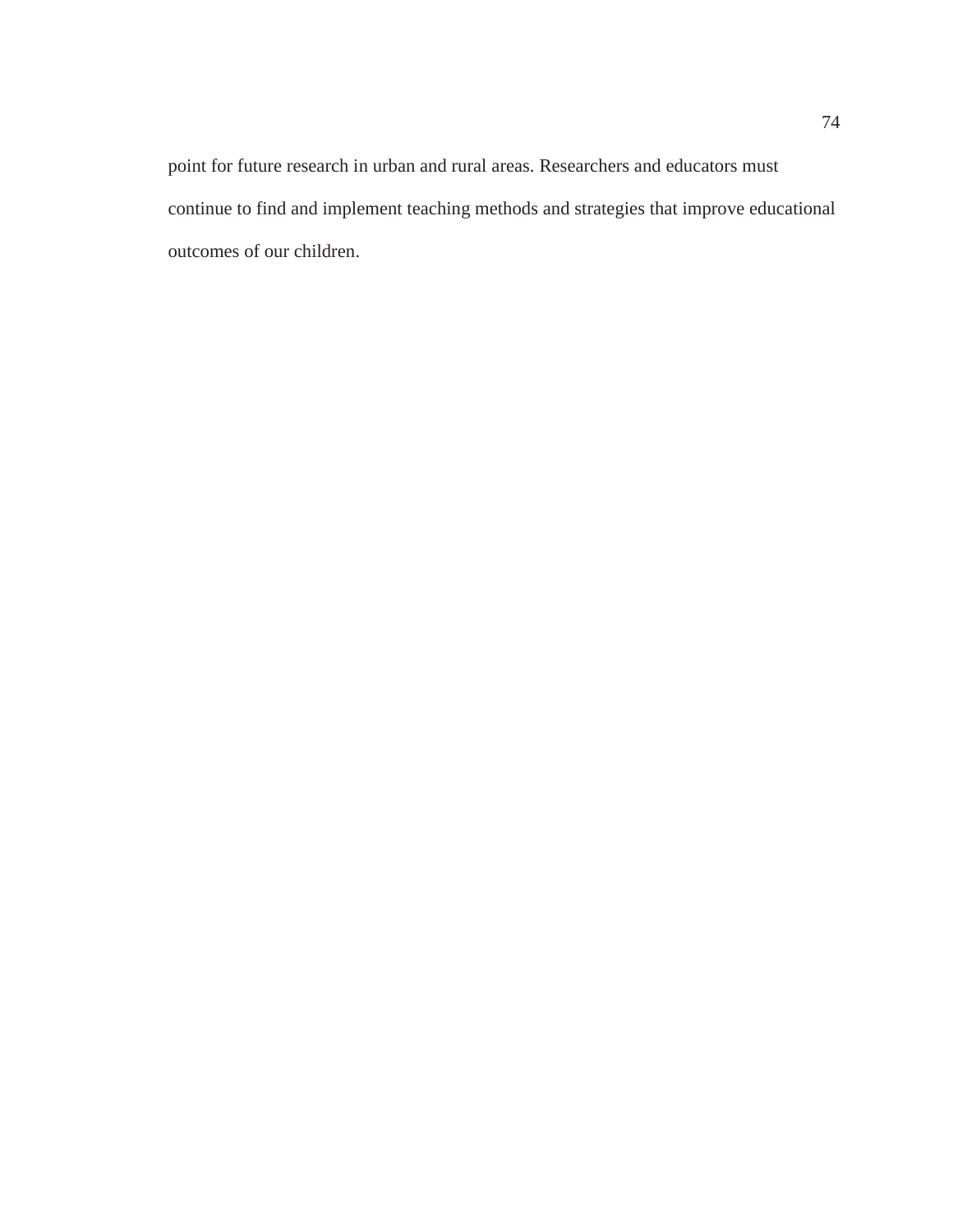point for future research in urban and rural areas. Researchers and educators must continue to find and implement teaching methods and strategies that improve educational outcomes of our children.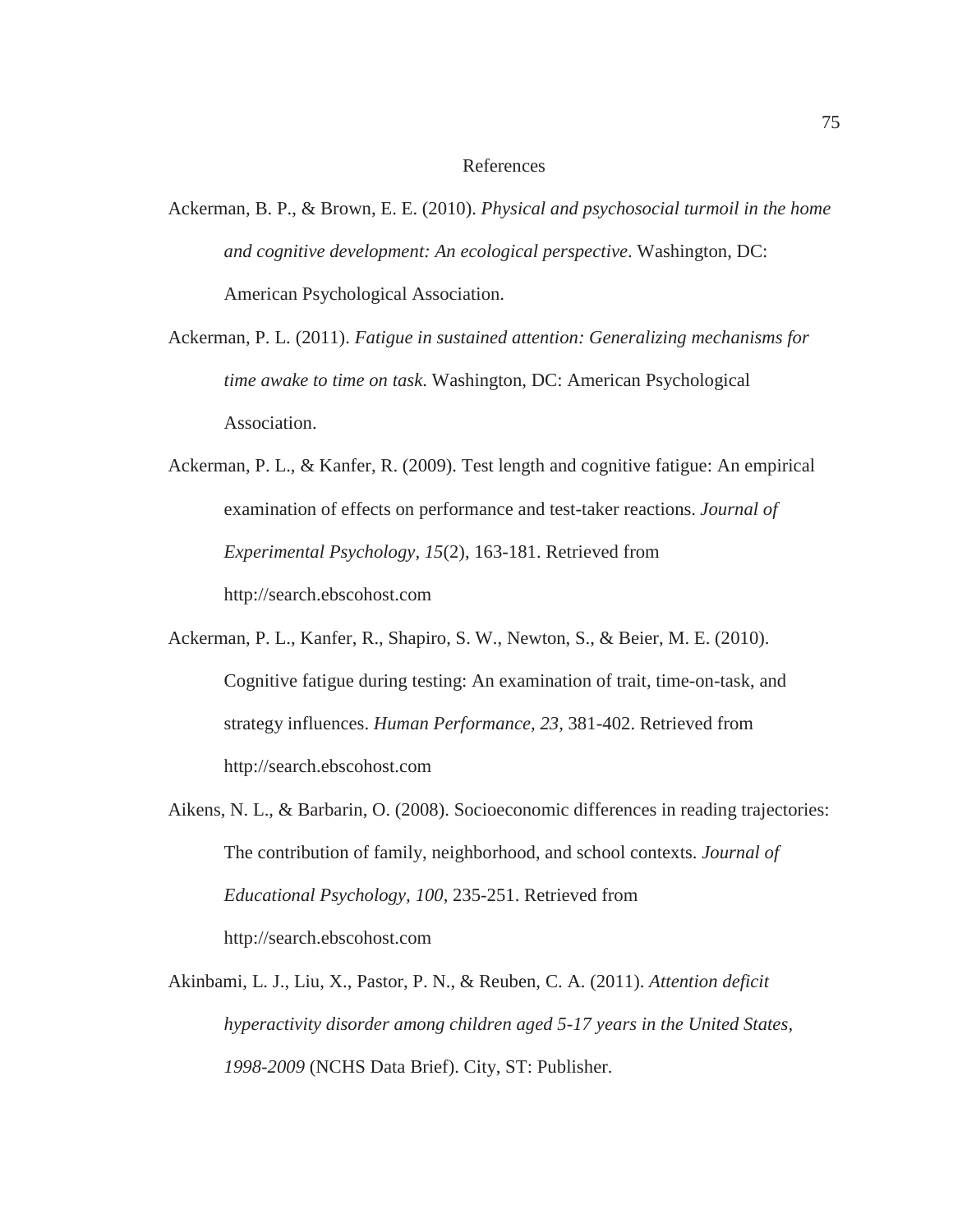### References

Ackerman, B. P., & Brown, E. E. (2010). *Physical and psychosocial turmoil in the home and cognitive development: An ecological perspective*. Washington, DC: American Psychological Association.

Ackerman, P. L. (2011). *Fatigue in sustained attention: Generalizing mechanisms for time awake to time on task*. Washington, DC: American Psychological Association.

Ackerman, P. L., & Kanfer, R. (2009). Test length and cognitive fatigue: An empirical examination of effects on performance and test-taker reactions. *Journal of Experimental Psychology, 15*(2), 163-181. Retrieved from http://search.ebscohost.com

- Ackerman, P. L., Kanfer, R., Shapiro, S. W., Newton, S., & Beier, M. E. (2010). Cognitive fatigue during testing: An examination of trait, time-on-task, and strategy influences. *Human Performance, 23,* 381-402. Retrieved from http://search.ebscohost.com
- Aikens, N. L., & Barbarin, O. (2008). Socioeconomic differences in reading trajectories: The contribution of family, neighborhood, and school contexts. *Journal of Educational Psychology, 100*, 235-251. Retrieved from http://search.ebscohost.com
- Akinbami, L. J., Liu, X., Pastor, P. N., & Reuben, C. A. (2011). *Attention deficit hyperactivity disorder among children aged 5-17 years in the United States, 1998-2009* (NCHS Data Brief). City, ST: Publisher.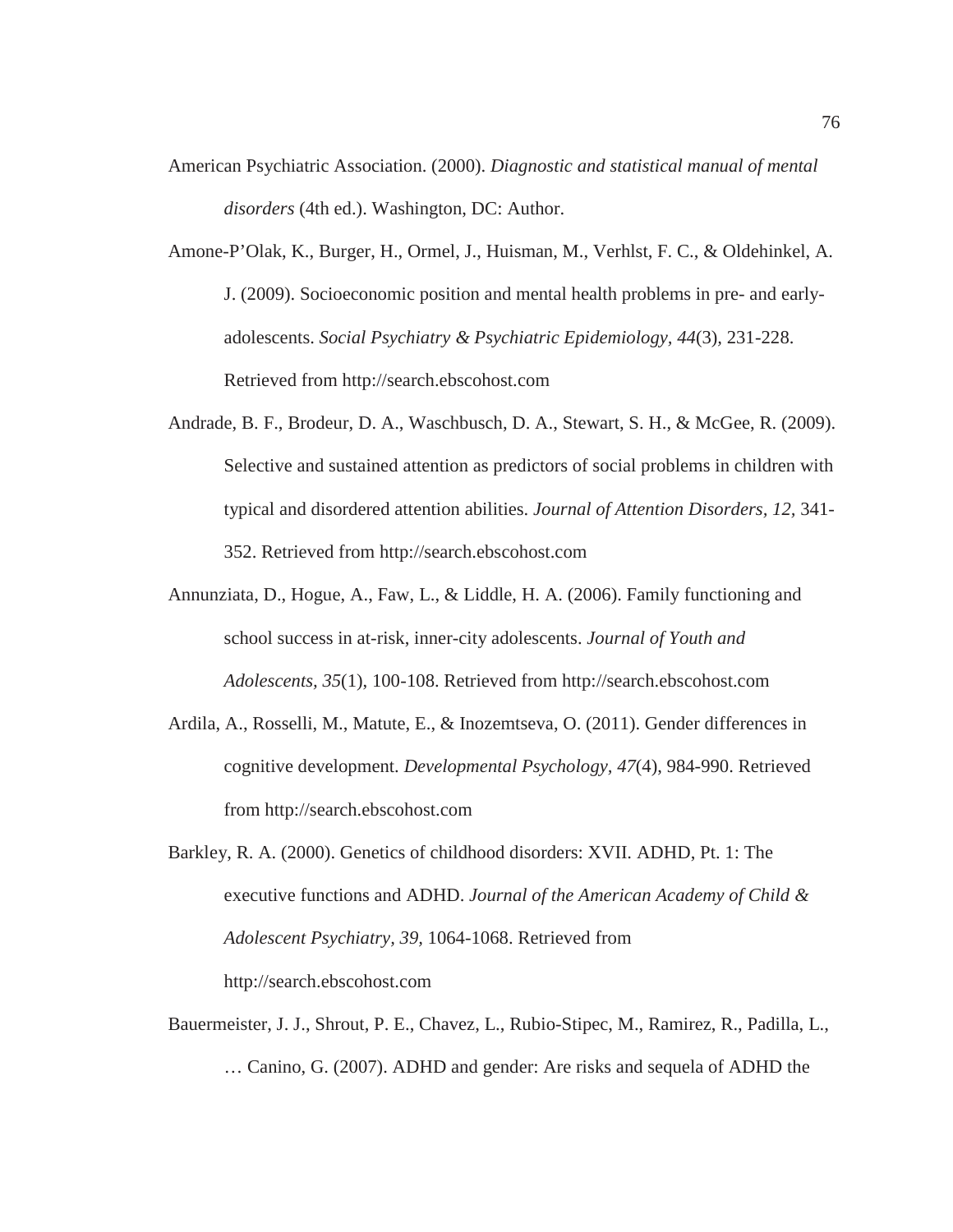- American Psychiatric Association. (2000). *Diagnostic and statistical manual of mental disorders* (4th ed.). Washington, DC: Author.
- Amone-P'Olak, K., Burger, H., Ormel, J., Huisman, M., Verhlst, F. C., & Oldehinkel, A. J. (2009). Socioeconomic position and mental health problems in pre- and earlyadolescents. *Social Psychiatry & Psychiatric Epidemiology, 44*(3)*,* 231-228. Retrieved from http://search.ebscohost.com
- Andrade, B. F., Brodeur, D. A., Waschbusch, D. A., Stewart, S. H., & McGee, R. (2009). Selective and sustained attention as predictors of social problems in children with typical and disordered attention abilities. *Journal of Attention Disorders, 12,* 341- 352. Retrieved from http://search.ebscohost.com
- Annunziata, D., Hogue, A., Faw, L., & Liddle, H. A. (2006). Family functioning and school success in at-risk, inner-city adolescents. *Journal of Youth and Adolescents, 35*(1), 100-108. Retrieved from http://search.ebscohost.com
- Ardila, A., Rosselli, M., Matute, E., & Inozemtseva, O. (2011). Gender differences in cognitive development. *Developmental Psychology, 47*(4), 984-990. Retrieved from http://search.ebscohost.com
- Barkley, R. A. (2000). Genetics of childhood disorders: XVII. ADHD, Pt. 1: The executive functions and ADHD. *Journal of the American Academy of Child & Adolescent Psychiatry, 39,* 1064-1068. Retrieved from http://search.ebscohost.com
- Bauermeister, J. J., Shrout, P. E., Chavez, L., Rubio-Stipec, M., Ramirez, R., Padilla, L., … Canino, G. (2007). ADHD and gender: Are risks and sequela of ADHD the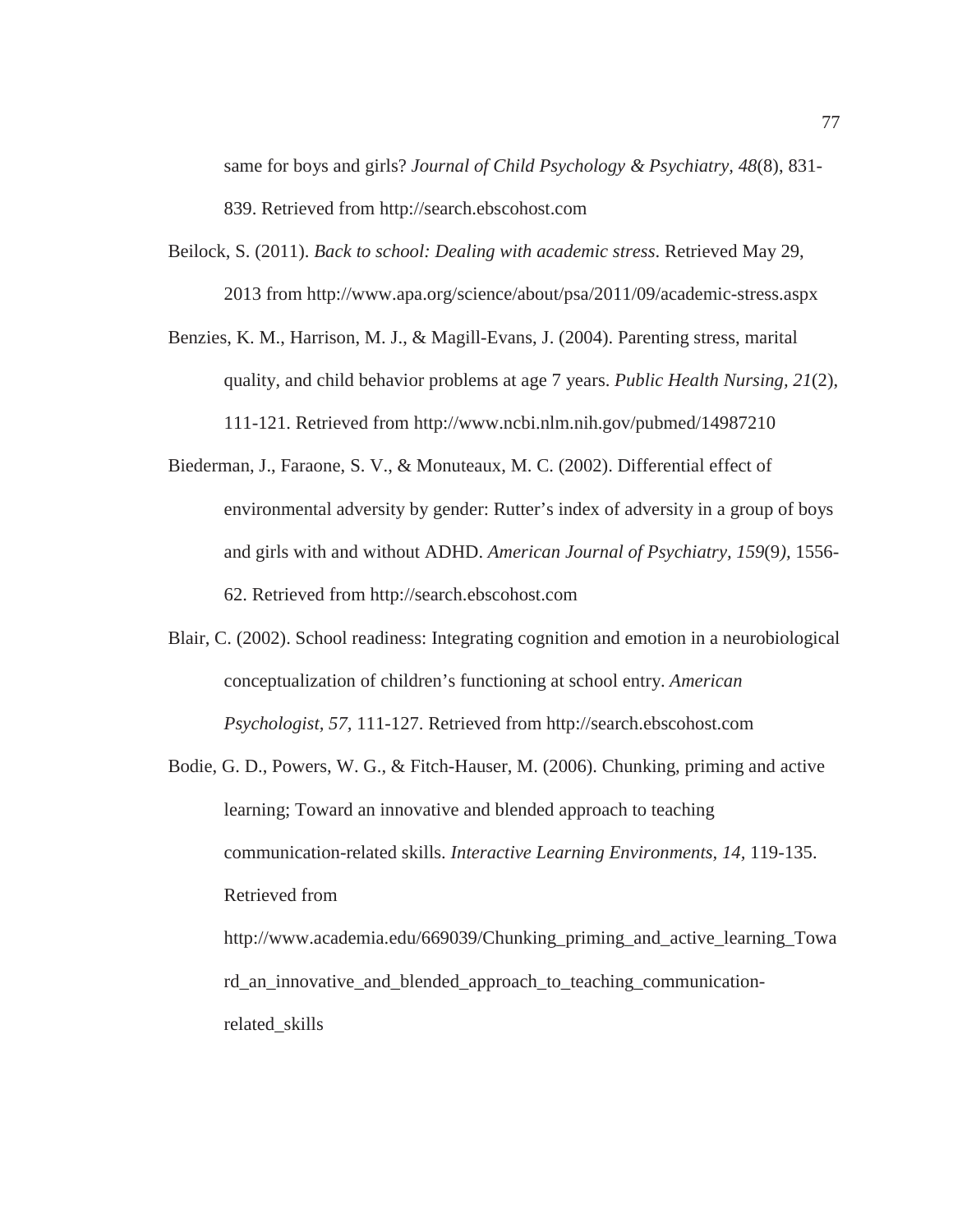same for boys and girls? *Journal of Child Psychology & Psychiatry, 48*(8), 831- 839. Retrieved from http://search.ebscohost.com

- Beilock, S. (2011). *Back to school: Dealing with academic stress*. Retrieved May 29, 2013 from http://www.apa.org/science/about/psa/2011/09/academic-stress.aspx
- Benzies, K. M., Harrison, M. J., & Magill-Evans, J. (2004). Parenting stress, marital quality, and child behavior problems at age 7 years. *Public Health Nursing, 21*(2), 111-121. Retrieved from http://www.ncbi.nlm.nih.gov/pubmed/14987210
- Biederman, J., Faraone, S. V., & Monuteaux, M. C. (2002). Differential effect of environmental adversity by gender: Rutter's index of adversity in a group of boys and girls with and without ADHD. *American Journal of Psychiatry, 159*(9*),* 1556- 62. Retrieved from http://search.ebscohost.com
- Blair, C. (2002). School readiness: Integrating cognition and emotion in a neurobiological conceptualization of children's functioning at school entry. *American Psychologist, 57,* 111-127. Retrieved from http://search.ebscohost.com
- Bodie, G. D., Powers, W. G., & Fitch-Hauser, M. (2006). Chunking, priming and active learning; Toward an innovative and blended approach to teaching communication-related skills. *Interactive Learning Environments, 14,* 119-135. Retrieved from http://www.academia.edu/669039/Chunking\_priming\_and\_active\_learning\_Towa rd\_an\_innovative\_and\_blended\_approach\_to\_teaching\_communicationrelated\_skills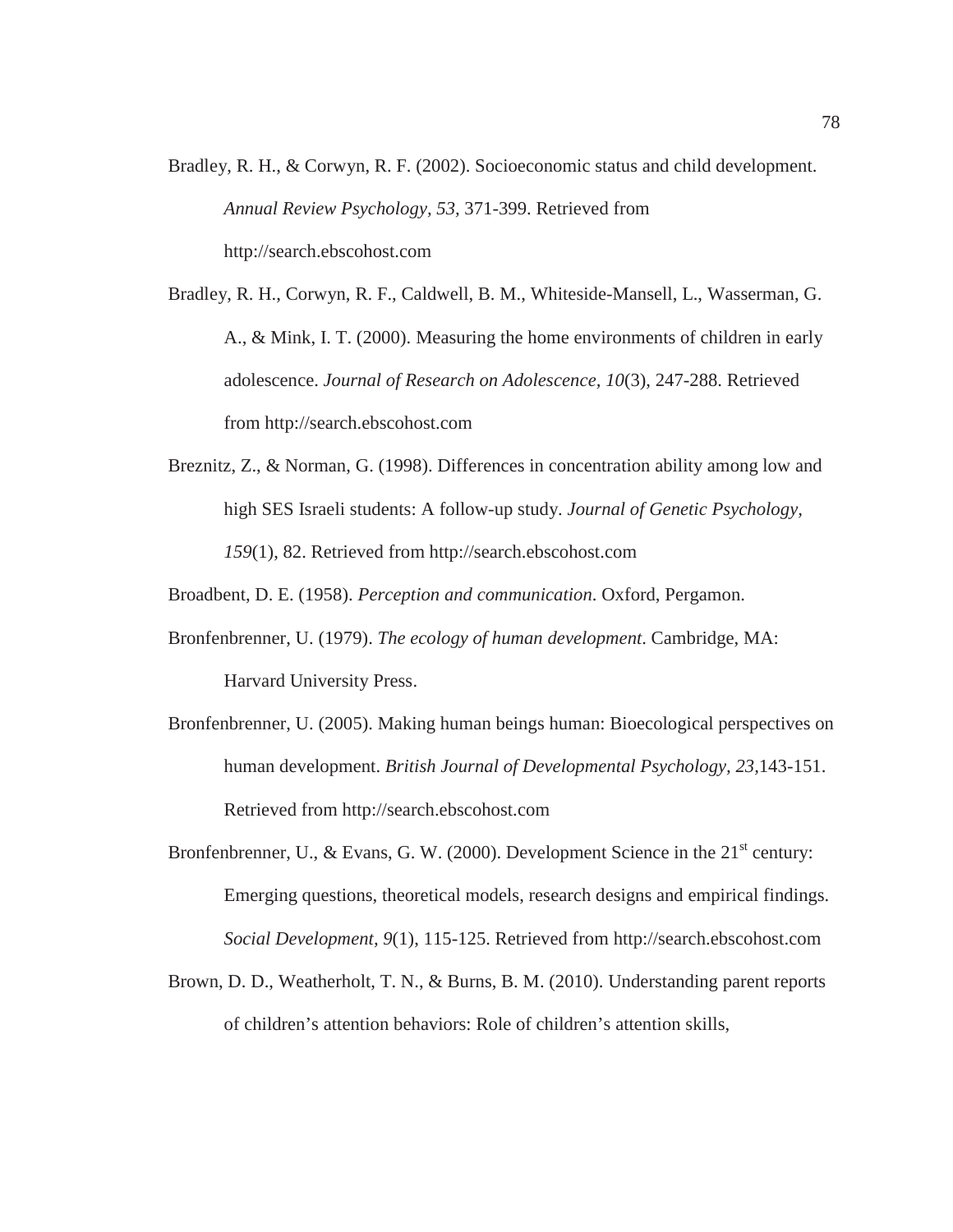- Bradley, R. H., & Corwyn, R. F. (2002). Socioeconomic status and child development. *Annual Review Psychology, 53,* 371-399. Retrieved from http://search.ebscohost.com
- Bradley, R. H., Corwyn, R. F., Caldwell, B. M., Whiteside-Mansell, L., Wasserman, G. A., & Mink, I. T. (2000). Measuring the home environments of children in early adolescence. *Journal of Research on Adolescence, 10*(3), 247-288. Retrieved from http://search.ebscohost.com
- Breznitz, Z., & Norman, G. (1998). Differences in concentration ability among low and high SES Israeli students: A follow-up study. *Journal of Genetic Psychology, 159*(1), 82. Retrieved from http://search.ebscohost.com

Broadbent, D. E. (1958). *Perception and communication*. Oxford, Pergamon.

- Bronfenbrenner, U. (1979). *The ecology of human development*. Cambridge, MA: Harvard University Press.
- Bronfenbrenner, U. (2005). Making human beings human: Bioecological perspectives on human development. *British Journal of Developmental Psychology, 23,*143-151. Retrieved from http://search.ebscohost.com
- Bronfenbrenner, U., & Evans, G. W. (2000). Development Science in the  $21<sup>st</sup>$  century: Emerging questions, theoretical models, research designs and empirical findings. *Social Development, 9*(1), 115-125. Retrieved from http://search.ebscohost.com
- Brown, D. D., Weatherholt, T. N., & Burns, B. M. (2010). Understanding parent reports of children's attention behaviors: Role of children's attention skills,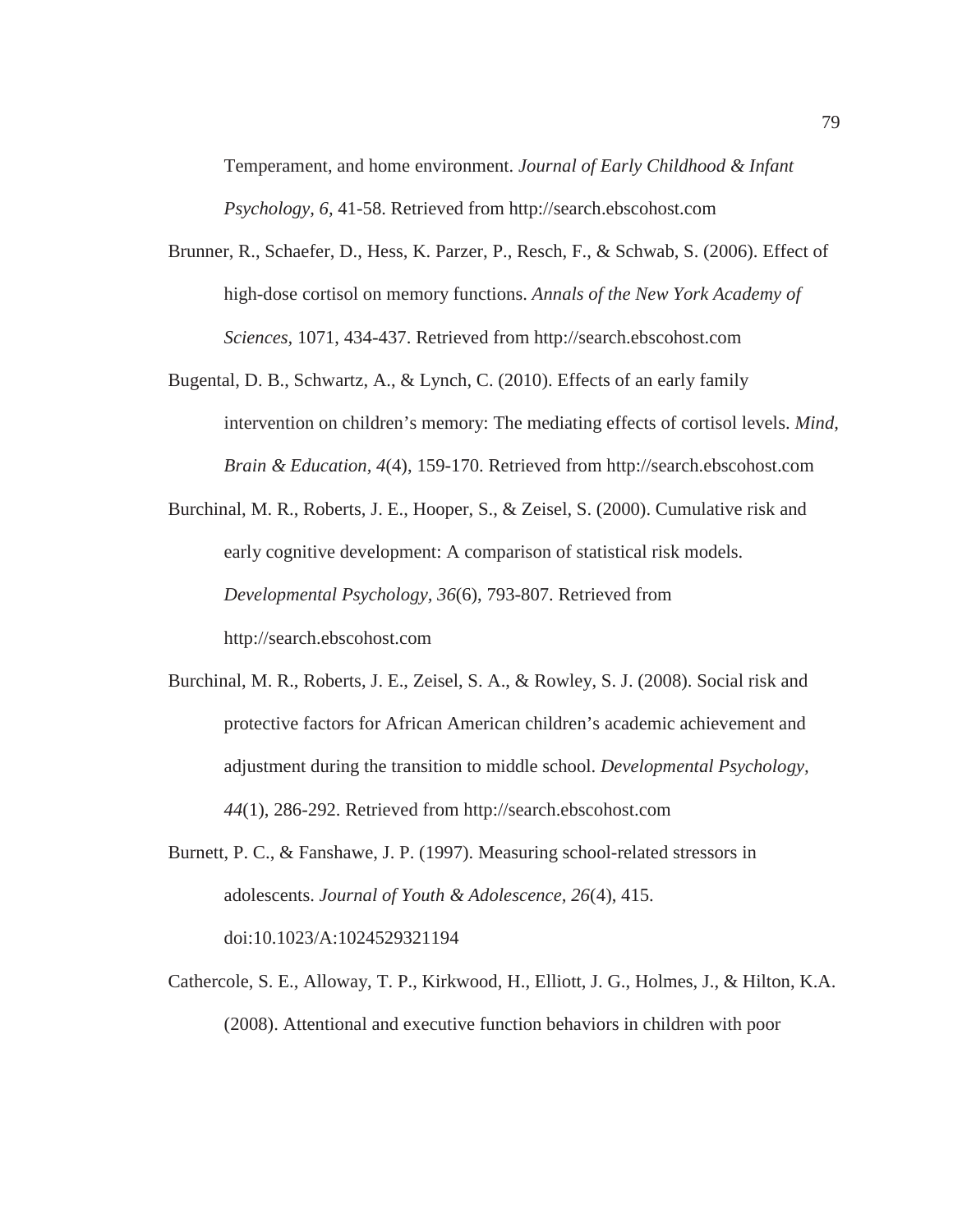Temperament, and home environment. *Journal of Early Childhood & Infant Psychology, 6,* 41-58. Retrieved from http://search.ebscohost.com

- Brunner, R., Schaefer, D., Hess, K. Parzer, P., Resch, F., & Schwab, S. (2006). Effect of high-dose cortisol on memory functions. *Annals of the New York Academy of Sciences,* 1071, 434-437. Retrieved from http://search.ebscohost.com
- Bugental, D. B., Schwartz, A., & Lynch, C. (2010). Effects of an early family intervention on children's memory: The mediating effects of cortisol levels. *Mind, Brain & Education, 4*(4), 159-170. Retrieved from http://search.ebscohost.com
- Burchinal, M. R., Roberts, J. E., Hooper, S., & Zeisel, S. (2000). Cumulative risk and early cognitive development: A comparison of statistical risk models. *Developmental Psychology, 36*(6), 793-807. Retrieved from http://search.ebscohost.com
- Burchinal, M. R., Roberts, J. E., Zeisel, S. A., & Rowley, S. J. (2008). Social risk and protective factors for African American children's academic achievement and adjustment during the transition to middle school. *Developmental Psychology, 44*(1), 286-292. Retrieved from http://search.ebscohost.com
- Burnett, P. C., & Fanshawe, J. P. (1997). Measuring school-related stressors in adolescents. *Journal of Youth & Adolescence, 26*(4), 415. doi:10.1023/A:1024529321194
- Cathercole, S. E., Alloway, T. P., Kirkwood, H., Elliott, J. G., Holmes, J., & Hilton, K.A. (2008). Attentional and executive function behaviors in children with poor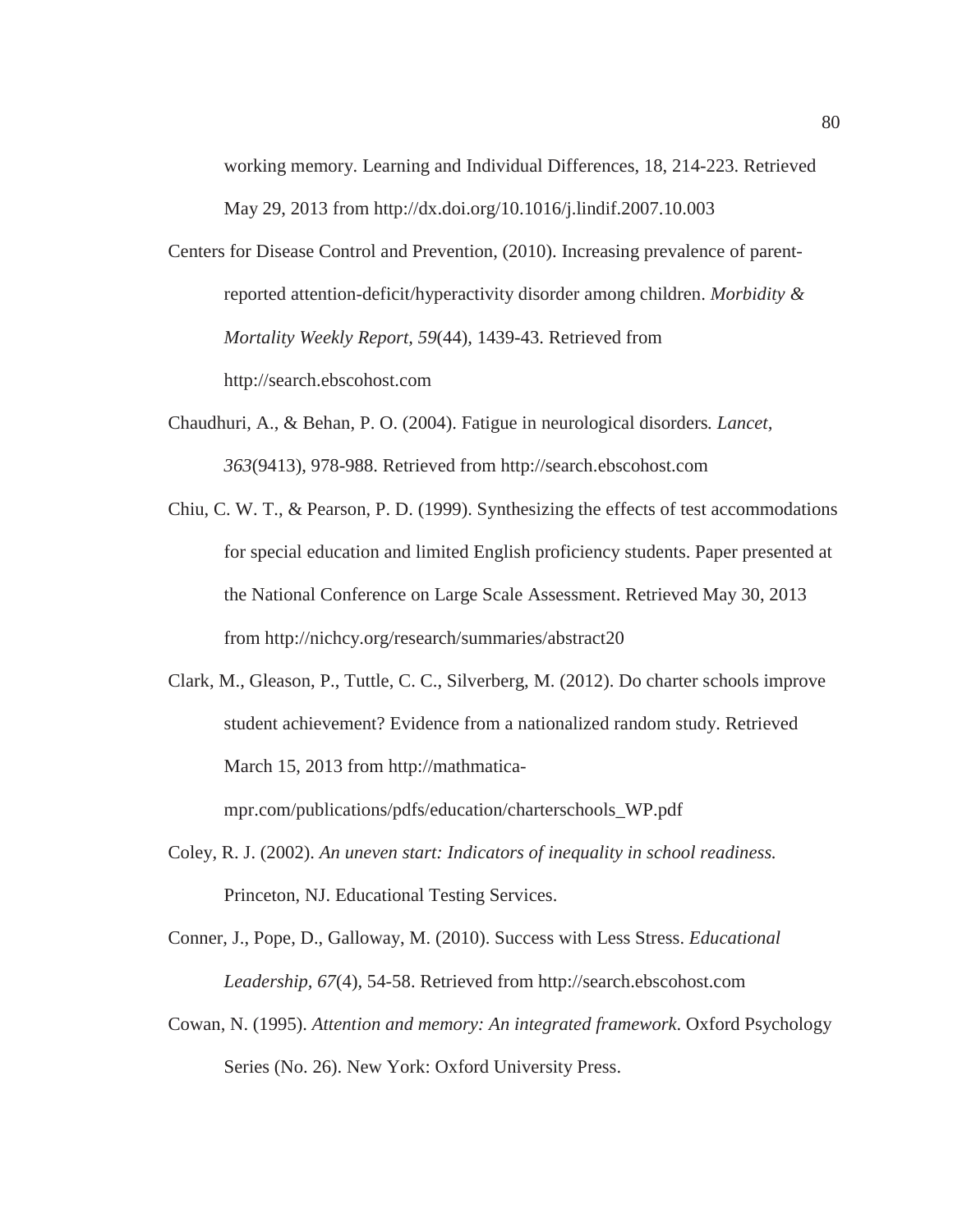working memory. Learning and Individual Differences, 18, 214-223. Retrieved May 29, 2013 from http://dx.doi.org/10.1016/j.lindif.2007.10.003

- Centers for Disease Control and Prevention, (2010). Increasing prevalence of parentreported attention-deficit/hyperactivity disorder among children. *Morbidity & Mortality Weekly Report, 59*(44), 1439-43. Retrieved from http://search.ebscohost.com
- Chaudhuri, A., & Behan, P. O. (2004). Fatigue in neurological disorders*. Lancet, 363*(9413), 978-988. Retrieved from http://search.ebscohost.com
- Chiu, C. W. T., & Pearson, P. D. (1999). Synthesizing the effects of test accommodations for special education and limited English proficiency students. Paper presented at the National Conference on Large Scale Assessment. Retrieved May 30, 2013 from http://nichcy.org/research/summaries/abstract20
- Clark, M., Gleason, P., Tuttle, C. C., Silverberg, M. (2012). Do charter schools improve student achievement? Evidence from a nationalized random study. Retrieved March 15, 2013 from http://mathmaticampr.com/publications/pdfs/education/charterschools\_WP.pdf
- Coley, R. J. (2002). *An uneven start: Indicators of inequality in school readiness.* Princeton, NJ. Educational Testing Services.
- Conner, J., Pope, D., Galloway, M. (2010). Success with Less Stress. *Educational Leadership, 67*(4), 54-58. Retrieved from http://search.ebscohost.com
- Cowan, N. (1995). *Attention and memory: An integrated framework*. Oxford Psychology Series (No. 26). New York: Oxford University Press.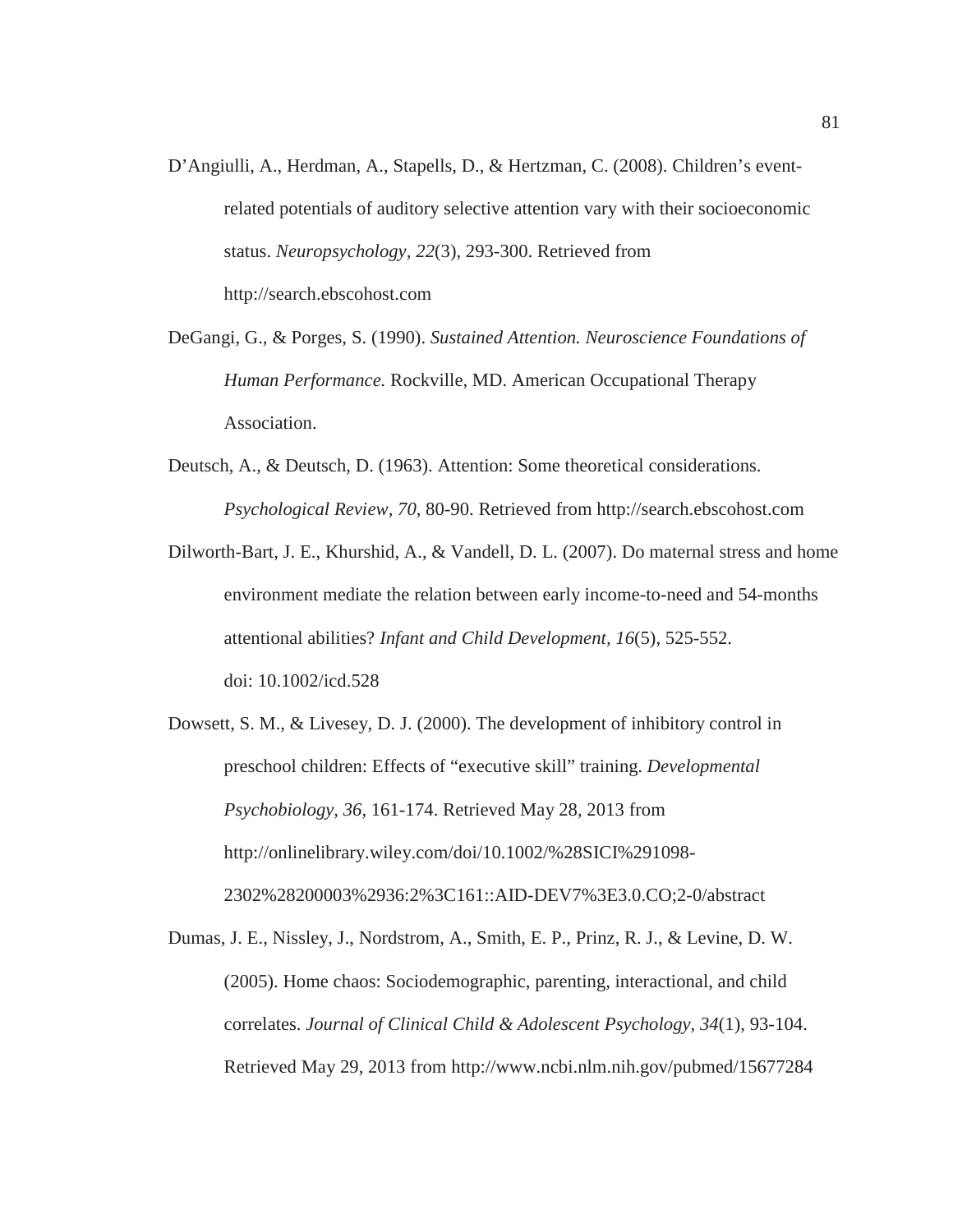- D'Angiulli, A., Herdman, A., Stapells, D., & Hertzman, C. (2008). Children's eventrelated potentials of auditory selective attention vary with their socioeconomic status. *Neuropsychology, 22*(3), 293-300. Retrieved from http://search.ebscohost.com
- DeGangi, G., & Porges, S. (1990). *Sustained Attention. Neuroscience Foundations of Human Performance.* Rockville, MD. American Occupational Therapy Association.
- Deutsch, A., & Deutsch, D. (1963). Attention: Some theoretical considerations. *Psychological Review, 70,* 80-90. Retrieved from http://search.ebscohost.com
- Dilworth-Bart, J. E., Khurshid, A., & Vandell, D. L. (2007). Do maternal stress and home environment mediate the relation between early income-to-need and 54-months attentional abilities? *Infant and Child Development, 16*(5), 525-552. doi: 10.1002/icd.528
- Dowsett, S. M., & Livesey, D. J. (2000). The development of inhibitory control in preschool children: Effects of "executive skill" training. *Developmental Psychobiology, 36,* 161-174. Retrieved May 28, 2013 from http://onlinelibrary.wiley.com/doi/10.1002/%28SICI%291098- 2302%28200003%2936:2%3C161::AID-DEV7%3E3.0.CO;2-0/abstract
- Dumas, J. E., Nissley, J., Nordstrom, A., Smith, E. P., Prinz, R. J., & Levine, D. W. (2005). Home chaos: Sociodemographic, parenting, interactional, and child correlates. *Journal of Clinical Child & Adolescent Psychology, 34*(1), 93-104. Retrieved May 29, 2013 from http://www.ncbi.nlm.nih.gov/pubmed/15677284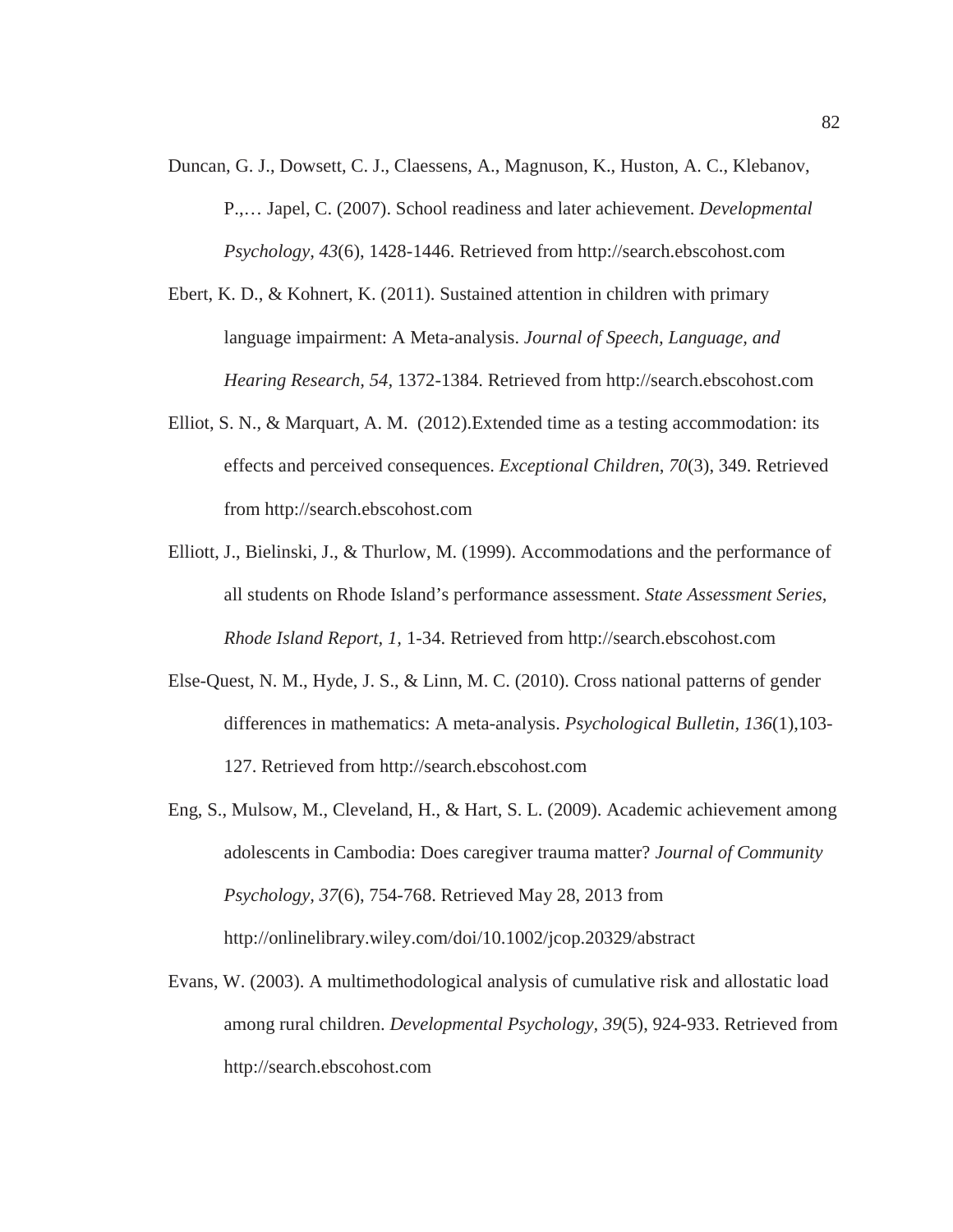- Duncan, G. J., Dowsett, C. J., Claessens, A., Magnuson, K., Huston, A. C., Klebanov, P.,… Japel, C. (2007). School readiness and later achievement. *Developmental Psychology, 43*(6), 1428-1446. Retrieved from http://search.ebscohost.com
- Ebert, K. D., & Kohnert, K. (2011). Sustained attention in children with primary language impairment: A Meta-analysis. *Journal of Speech, Language, and Hearing Research, 54,* 1372-1384. Retrieved from http://search.ebscohost.com
- Elliot, S. N., & Marquart, A. M. (2012).Extended time as a testing accommodation: its effects and perceived consequences. *Exceptional Children*, *70*(3), 349. Retrieved from http://search.ebscohost.com
- Elliott, J., Bielinski, J., & Thurlow, M. (1999). Accommodations and the performance of all students on Rhode Island's performance assessment. *State Assessment Series, Rhode Island Report, 1,* 1-34. Retrieved from http://search.ebscohost.com
- Else-Quest, N. M., Hyde, J. S., & Linn, M. C. (2010). Cross national patterns of gender differences in mathematics: A meta-analysis. *Psychological Bulletin, 136*(1),103- 127. Retrieved from http://search.ebscohost.com
- Eng, S., Mulsow, M., Cleveland, H., & Hart, S. L. (2009). Academic achievement among adolescents in Cambodia: Does caregiver trauma matter? *Journal of Community Psychology, 37*(6), 754-768. Retrieved May 28, 2013 from http://onlinelibrary.wiley.com/doi/10.1002/jcop.20329/abstract
- Evans, W. (2003). A multimethodological analysis of cumulative risk and allostatic load among rural children. *Developmental Psychology, 39*(5), 924-933. Retrieved from http://search.ebscohost.com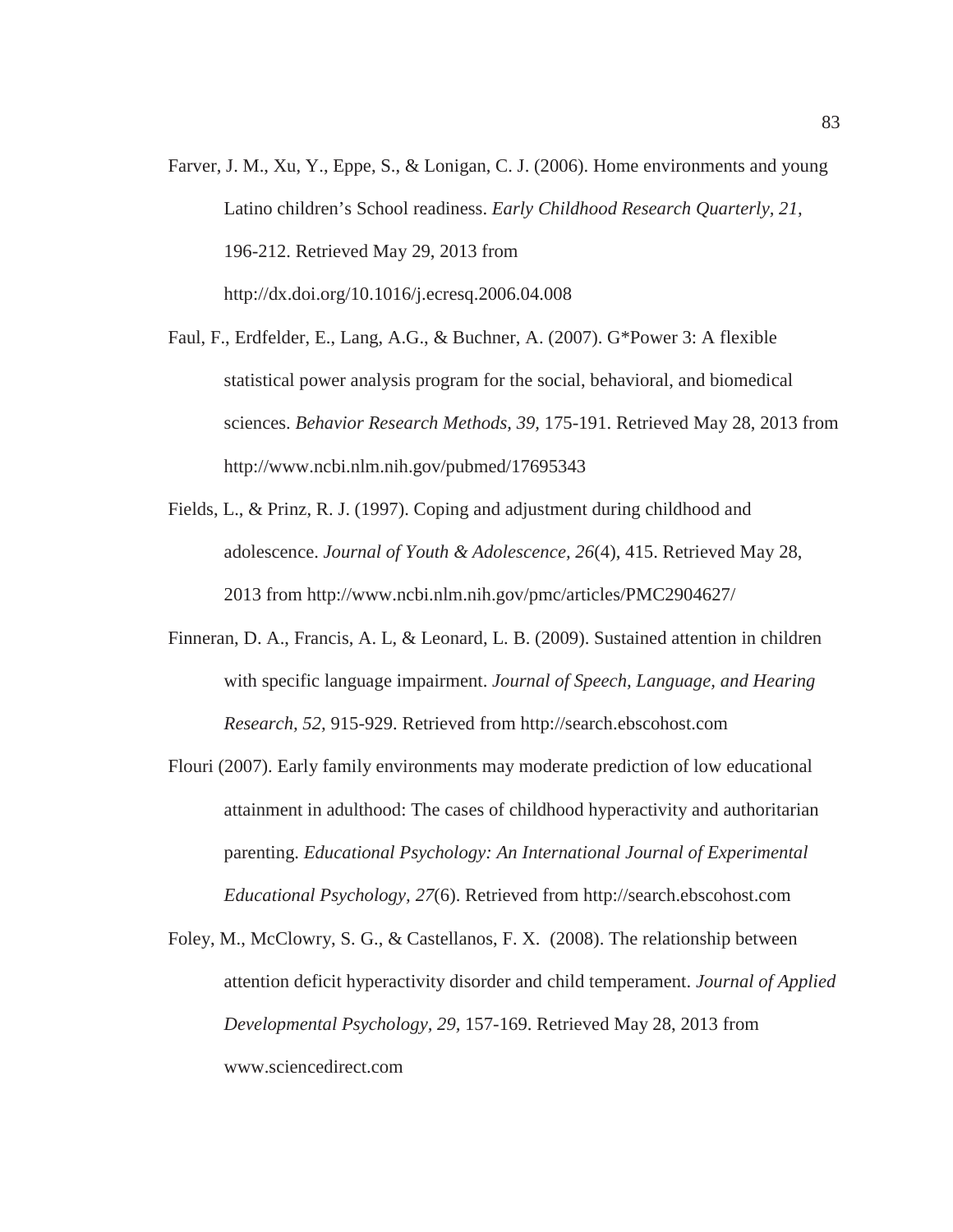- Farver, J. M., Xu, Y., Eppe, S., & Lonigan, C. J. (2006). Home environments and young Latino children's School readiness. *Early Childhood Research Quarterly, 21,* 196-212. Retrieved May 29, 2013 from http://dx.doi.org/10.1016/j.ecresq.2006.04.008
- Faul, F., Erdfelder, E., Lang, A.G., & Buchner, A. (2007). G\*Power 3: A flexible statistical power analysis program for the social, behavioral, and biomedical sciences. *Behavior Research Methods, 39,* 175-191. Retrieved May 28, 2013 from http://www.ncbi.nlm.nih.gov/pubmed/17695343
- Fields, L., & Prinz, R. J. (1997). Coping and adjustment during childhood and adolescence. *Journal of Youth & Adolescence, 26*(4), 415. Retrieved May 28, 2013 from http://www.ncbi.nlm.nih.gov/pmc/articles/PMC2904627/
- Finneran, D. A., Francis, A. L, & Leonard, L. B. (2009). Sustained attention in children with specific language impairment. *Journal of Speech, Language, and Hearing Research, 52,* 915-929. Retrieved from http://search.ebscohost.com
- Flouri (2007). Early family environments may moderate prediction of low educational attainment in adulthood: The cases of childhood hyperactivity and authoritarian parenting. *Educational Psychology: An International Journal of Experimental Educational Psychology, 27*(6). Retrieved from http://search.ebscohost.com
- Foley, M., McClowry, S. G., & Castellanos, F. X. (2008). The relationship between attention deficit hyperactivity disorder and child temperament. *Journal of Applied Developmental Psychology, 29,* 157-169. Retrieved May 28, 2013 from www.sciencedirect.com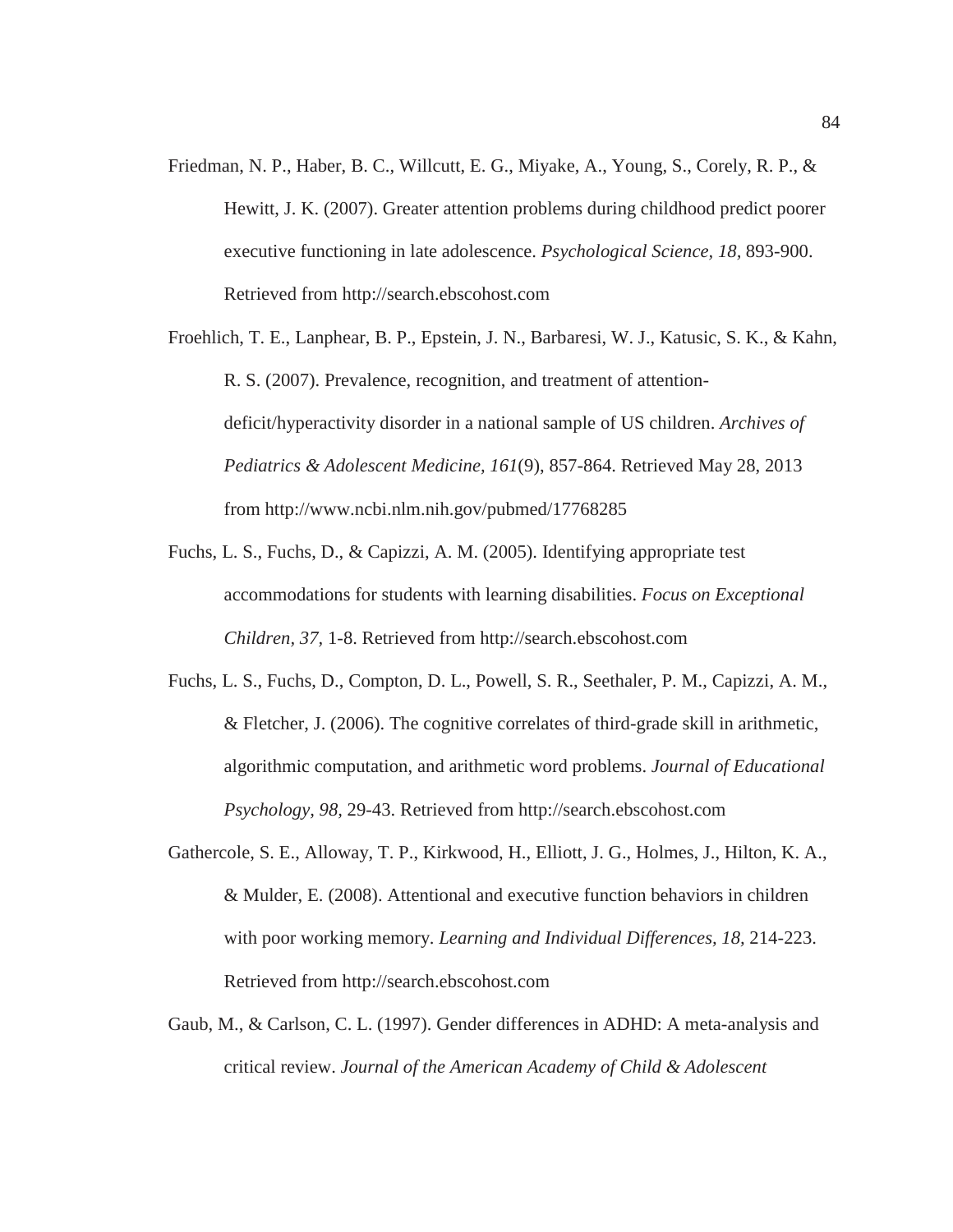Friedman, N. P., Haber, B. C., Willcutt, E. G., Miyake, A., Young, S., Corely, R. P., & Hewitt, J. K. (2007). Greater attention problems during childhood predict poorer executive functioning in late adolescence. *Psychological Science, 18,* 893-900. Retrieved from http://search.ebscohost.com

Froehlich, T. E., Lanphear, B. P., Epstein, J. N., Barbaresi, W. J., Katusic, S. K., & Kahn, R. S. (2007). Prevalence, recognition, and treatment of attentiondeficit/hyperactivity disorder in a national sample of US children. *Archives of Pediatrics & Adolescent Medicine, 161*(9), 857-864. Retrieved May 28, 2013 from http://www.ncbi.nlm.nih.gov/pubmed/17768285

- Fuchs, L. S., Fuchs, D., & Capizzi, A. M. (2005). Identifying appropriate test accommodations for students with learning disabilities. *Focus on Exceptional Children, 37,* 1-8. Retrieved from http://search.ebscohost.com
- Fuchs, L. S., Fuchs, D., Compton, D. L., Powell, S. R., Seethaler, P. M., Capizzi, A. M., & Fletcher, J. (2006). The cognitive correlates of third-grade skill in arithmetic, algorithmic computation, and arithmetic word problems. *Journal of Educational Psychology, 98,* 29-43. Retrieved from http://search.ebscohost.com
- Gathercole, S. E., Alloway, T. P., Kirkwood, H., Elliott, J. G., Holmes, J., Hilton, K. A., & Mulder, E. (2008). Attentional and executive function behaviors in children with poor working memory. *Learning and Individual Differences, 18,* 214-223. Retrieved from http://search.ebscohost.com
- Gaub, M., & Carlson, C. L. (1997). Gender differences in ADHD: A meta-analysis and critical review. *Journal of the American Academy of Child & Adolescent*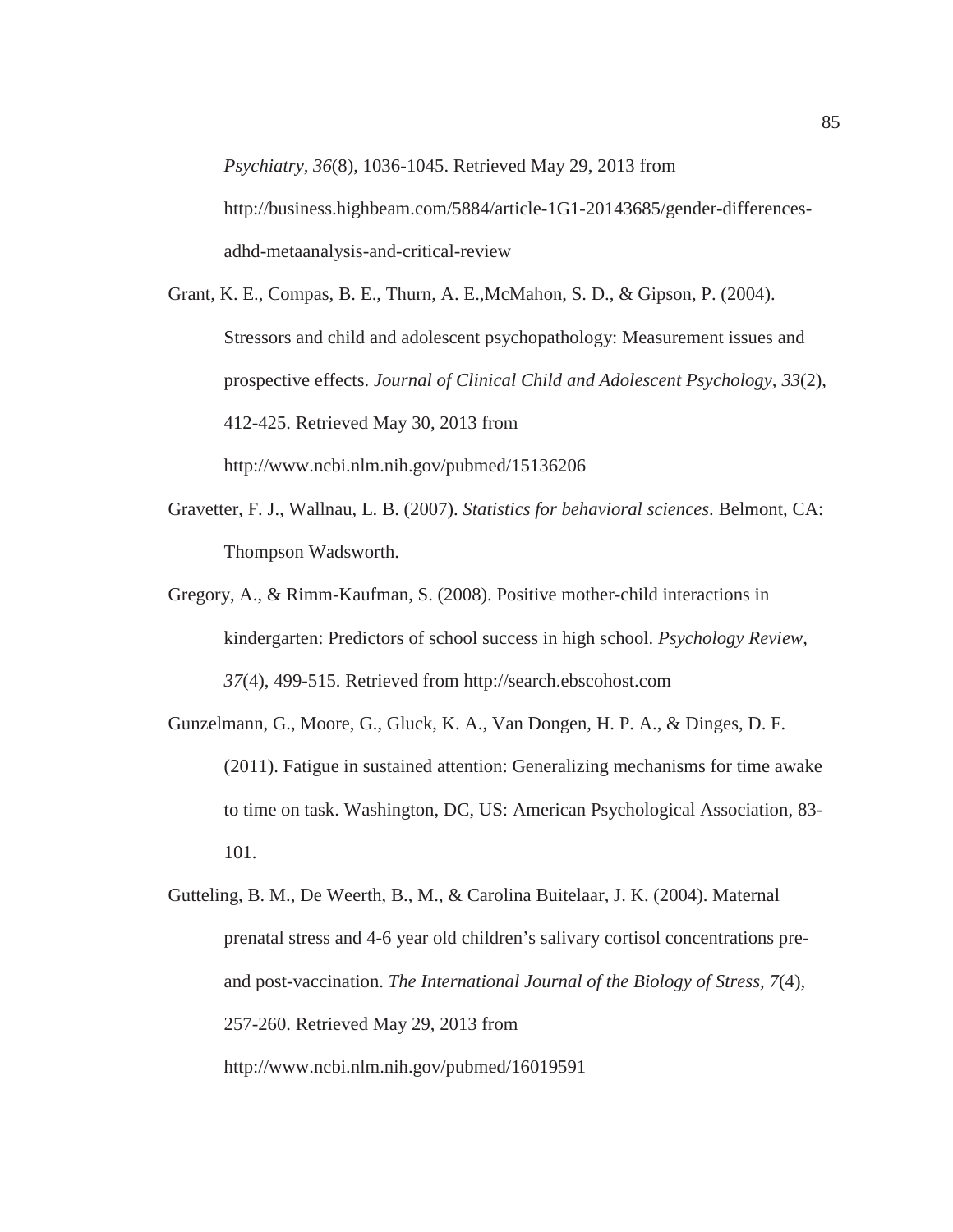*Psychiatry, 36*(8), 1036-1045. Retrieved May 29, 2013 from http://business.highbeam.com/5884/article-1G1-20143685/gender-differencesadhd-metaanalysis-and-critical-review

- Grant, K. E., Compas, B. E., Thurn, A. E.,McMahon, S. D., & Gipson, P. (2004). Stressors and child and adolescent psychopathology: Measurement issues and prospective effects. *Journal of Clinical Child and Adolescent Psychology, 33*(2), 412-425. Retrieved May 30, 2013 from http://www.ncbi.nlm.nih.gov/pubmed/15136206
- Gravetter, F. J., Wallnau, L. B. (2007). *Statistics for behavioral sciences*. Belmont, CA: Thompson Wadsworth.
- Gregory, A., & Rimm-Kaufman, S. (2008). Positive mother-child interactions in kindergarten: Predictors of school success in high school. *Psychology Review, 37*(4), 499-515. Retrieved from http://search.ebscohost.com
- Gunzelmann, G., Moore, G., Gluck, K. A., Van Dongen, H. P. A., & Dinges, D. F. (2011). Fatigue in sustained attention: Generalizing mechanisms for time awake to time on task. Washington, DC, US: American Psychological Association, 83- 101.

```
Gutteling, B. M., De Weerth, B., M., & Carolina Buitelaar, J. K. (2004). Maternal 
prenatal stress and 4-6 year old children's salivary cortisol concentrations pre-
and post-vaccination. The International Journal of the Biology of Stress, 7(4),
257-260. Retrieved May 29, 2013 from 
http://www.ncbi.nlm.nih.gov/pubmed/16019591
```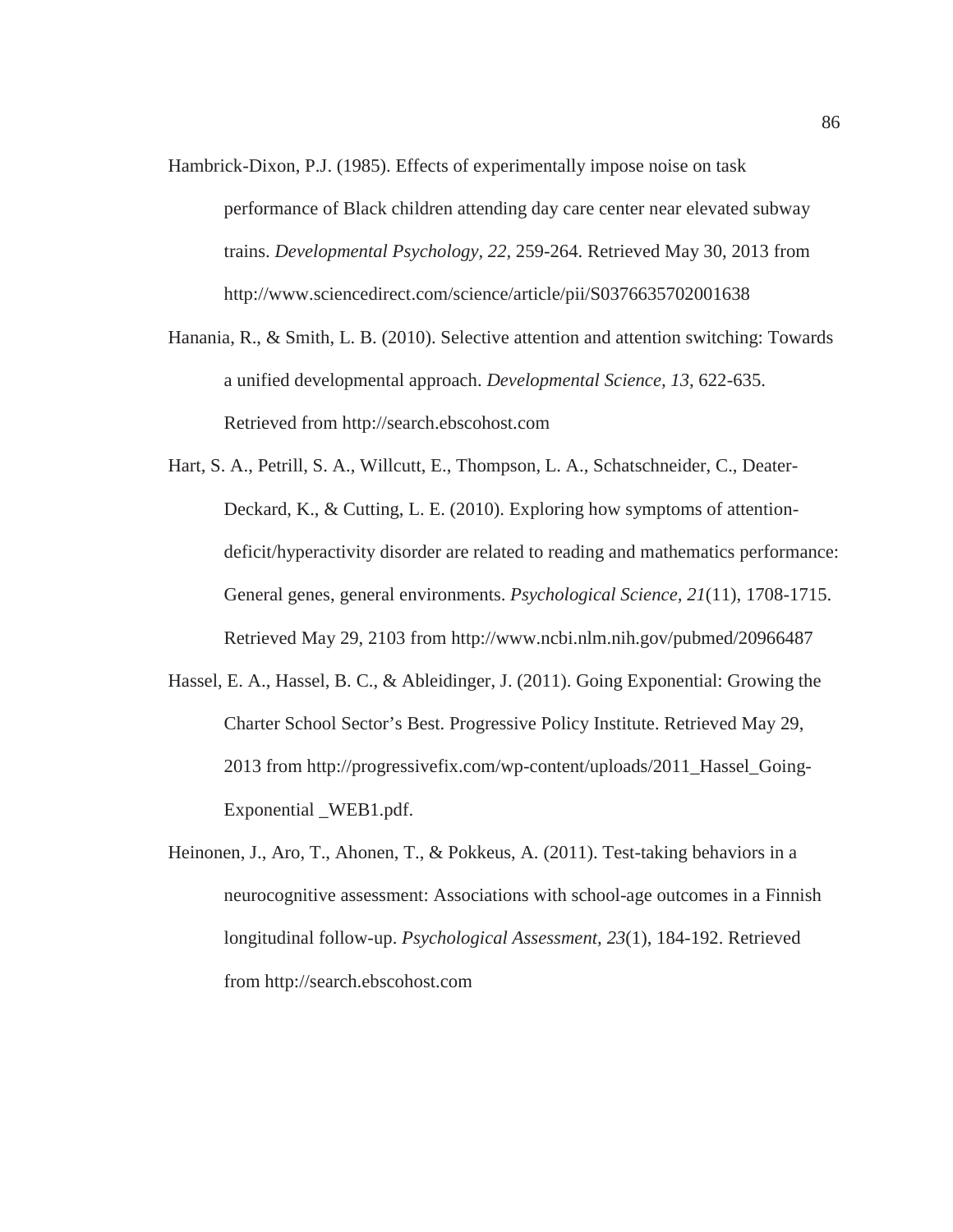- Hambrick-Dixon, P.J. (1985). Effects of experimentally impose noise on task performance of Black children attending day care center near elevated subway trains. *Developmental Psychology, 22,* 259-264. Retrieved May 30, 2013 from http://www.sciencedirect.com/science/article/pii/S0376635702001638
- Hanania, R., & Smith, L. B. (2010). Selective attention and attention switching: Towards a unified developmental approach. *Developmental Science, 13,* 622-635. Retrieved from http://search.ebscohost.com
- Hart, S. A., Petrill, S. A., Willcutt, E., Thompson, L. A., Schatschneider, C., Deater-Deckard, K., & Cutting, L. E. (2010). Exploring how symptoms of attentiondeficit/hyperactivity disorder are related to reading and mathematics performance: General genes, general environments. *Psychological Science, 21*(11), 1708-1715. Retrieved May 29, 2103 from http://www.ncbi.nlm.nih.gov/pubmed/20966487
- Hassel, E. A., Hassel, B. C., & Ableidinger, J. (2011). Going Exponential: Growing the Charter School Sector's Best. Progressive Policy Institute. Retrieved May 29, 2013 from http://progressivefix.com/wp-content/uploads/2011\_Hassel\_Going-Exponential \_WEB1.pdf.
- Heinonen, J., Aro, T., Ahonen, T., & Pokkeus, A. (2011). Test-taking behaviors in a neurocognitive assessment: Associations with school-age outcomes in a Finnish longitudinal follow-up. *Psychological Assessment, 23*(1), 184-192. Retrieved from http://search.ebscohost.com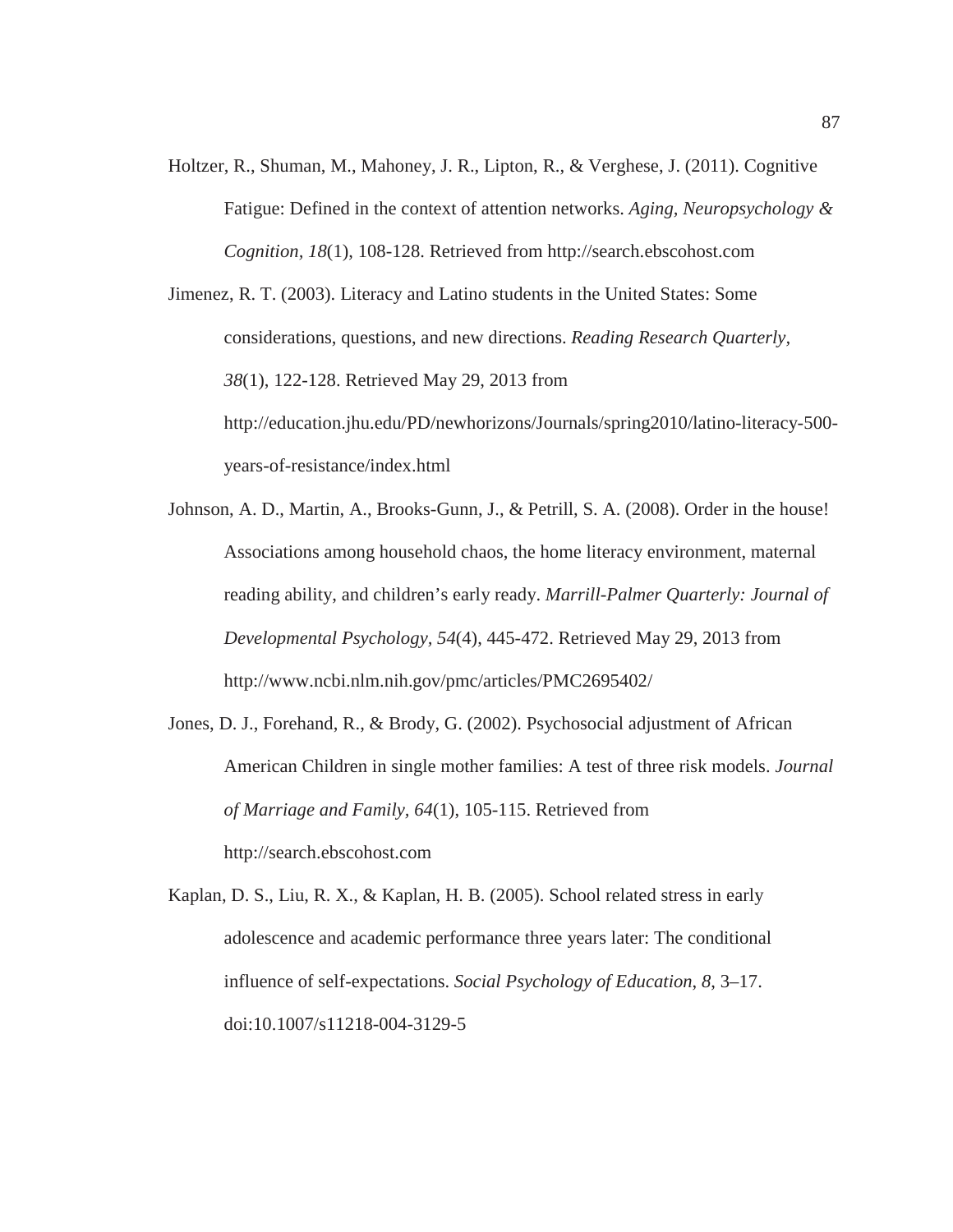Holtzer, R., Shuman, M., Mahoney, J. R., Lipton, R., & Verghese, J. (2011). Cognitive Fatigue: Defined in the context of attention networks. *Aging, Neuropsychology & Cognition, 18*(1), 108-128. Retrieved from http://search.ebscohost.com

Jimenez, R. T. (2003). Literacy and Latino students in the United States: Some considerations, questions, and new directions. *Reading Research Quarterly, 38*(1), 122-128. Retrieved May 29, 2013 from http://education.jhu.edu/PD/newhorizons/Journals/spring2010/latino-literacy-500 years-of-resistance/index.html

- Johnson, A. D., Martin, A., Brooks-Gunn, J., & Petrill, S. A. (2008). Order in the house! Associations among household chaos, the home literacy environment, maternal reading ability, and children's early ready. *Marrill-Palmer Quarterly: Journal of Developmental Psychology, 54*(4), 445-472. Retrieved May 29, 2013 from http://www.ncbi.nlm.nih.gov/pmc/articles/PMC2695402/
- Jones, D. J., Forehand, R., & Brody, G. (2002). Psychosocial adjustment of African American Children in single mother families: A test of three risk models. *Journal of Marriage and Family, 64*(1), 105-115. Retrieved from http://search.ebscohost.com

Kaplan, D. S., Liu, R. X., & Kaplan, H. B. (2005). School related stress in early adolescence and academic performance three years later: The conditional influence of self-expectations. *Social Psychology of Education*, *8*, 3–17. doi:10.1007/s11218-004-3129-5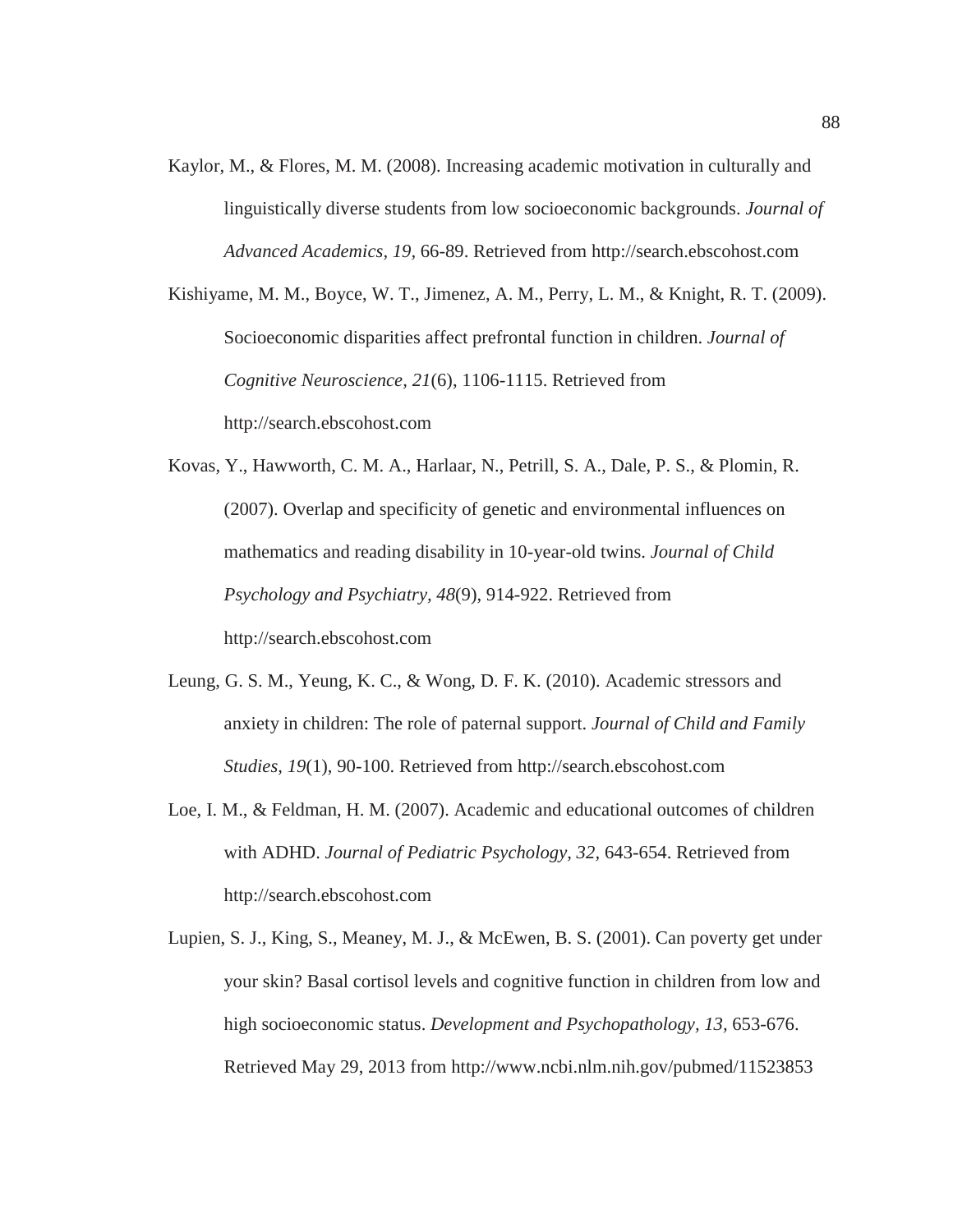Kaylor, M., & Flores, M. M. (2008). Increasing academic motivation in culturally and linguistically diverse students from low socioeconomic backgrounds. *Journal of Advanced Academics, 19,* 66-89. Retrieved from http://search.ebscohost.com

Kishiyame, M. M., Boyce, W. T., Jimenez, A. M., Perry, L. M., & Knight, R. T. (2009). Socioeconomic disparities affect prefrontal function in children. *Journal of Cognitive Neuroscience, 21*(6), 1106-1115. Retrieved from http://search.ebscohost.com

Kovas, Y., Hawworth, C. M. A., Harlaar, N., Petrill, S. A., Dale, P. S., & Plomin, R. (2007). Overlap and specificity of genetic and environmental influences on mathematics and reading disability in 10-year-old twins. *Journal of Child Psychology and Psychiatry, 48*(9), 914-922. Retrieved from http://search.ebscohost.com

- Leung, G. S. M., Yeung, K. C., & Wong, D. F. K. (2010). Academic stressors and anxiety in children: The role of paternal support. *Journal of Child and Family Studies, 19*(1), 90-100. Retrieved from http://search.ebscohost.com
- Loe, I. M., & Feldman, H. M. (2007). Academic and educational outcomes of children with ADHD. *Journal of Pediatric Psychology, 32,* 643-654. Retrieved from http://search.ebscohost.com
- Lupien, S. J., King, S., Meaney, M. J., & McEwen, B. S. (2001). Can poverty get under your skin? Basal cortisol levels and cognitive function in children from low and high socioeconomic status. *Development and Psychopathology, 13,* 653-676. Retrieved May 29, 2013 from http://www.ncbi.nlm.nih.gov/pubmed/11523853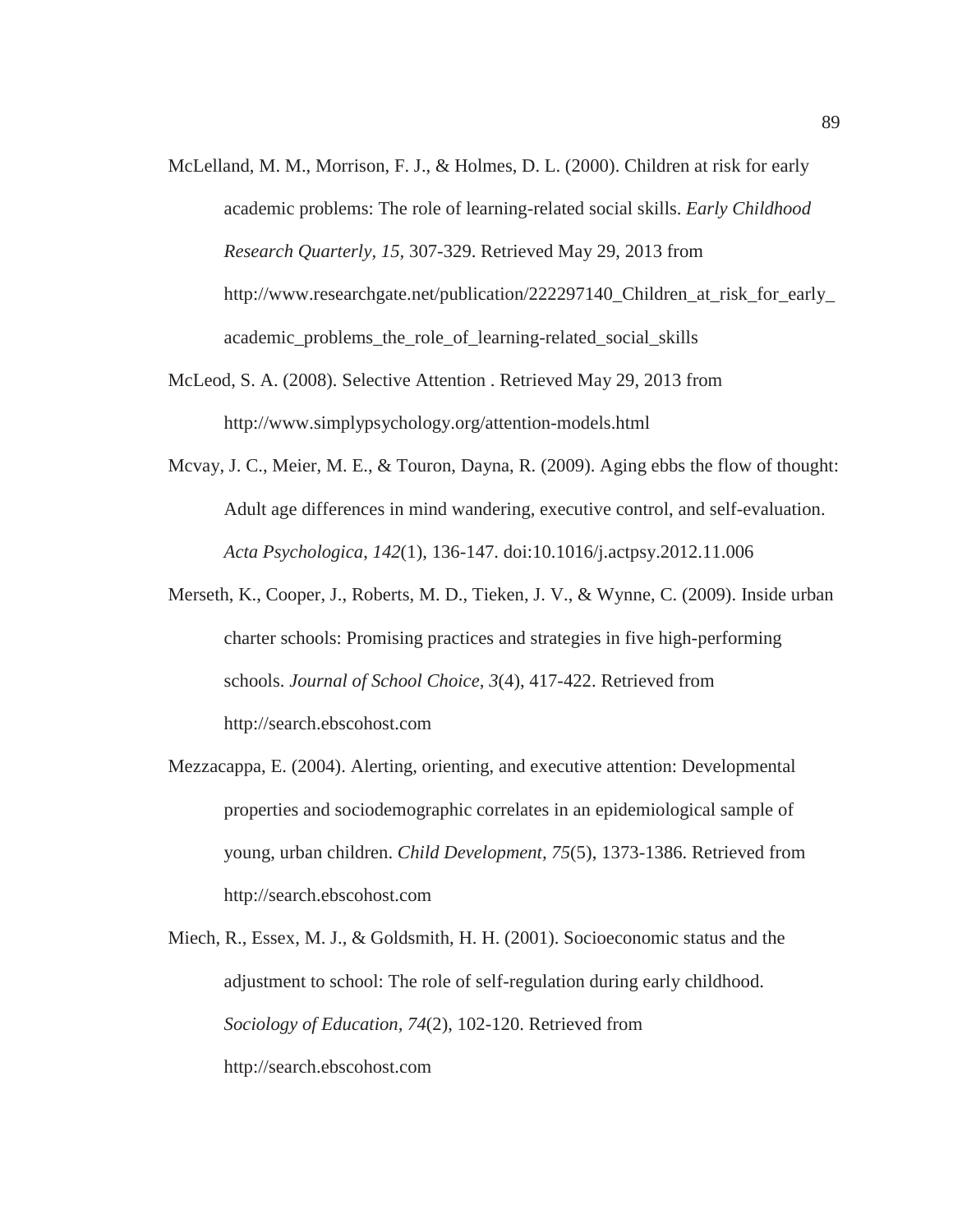- McLelland, M. M., Morrison, F. J., & Holmes, D. L. (2000). Children at risk for early academic problems: The role of learning-related social skills. *Early Childhood Research Quarterly, 15,* 307-329. Retrieved May 29, 2013 from http://www.researchgate.net/publication/222297140\_Children\_at\_risk\_for\_early\_ academic\_problems\_the\_role\_of\_learning-related\_social\_skills
- McLeod, S. A. (2008). Selective Attention . Retrieved May 29, 2013 from http://www.simplypsychology.org/attention-models.html
- Mcvay, J. C., Meier, M. E., & Touron, Dayna, R. (2009). Aging ebbs the flow of thought: Adult age differences in mind wandering, executive control, and self-evaluation. *Acta Psychologica*, *142*(1), 136-147. doi:10.1016/j.actpsy.2012.11.006
- Merseth, K., Cooper, J., Roberts, M. D., Tieken, J. V., & Wynne, C. (2009). Inside urban charter schools: Promising practices and strategies in five high-performing schools. *Journal of School Choice, 3*(4), 417-422. Retrieved from http://search.ebscohost.com
- Mezzacappa, E. (2004). Alerting, orienting, and executive attention: Developmental properties and sociodemographic correlates in an epidemiological sample of young, urban children. *Child Development, 75*(5), 1373-1386. Retrieved from http://search.ebscohost.com
- Miech, R., Essex, M. J., & Goldsmith, H. H. (2001). Socioeconomic status and the adjustment to school: The role of self-regulation during early childhood. *Sociology of Education, 74*(2), 102-120. Retrieved from http://search.ebscohost.com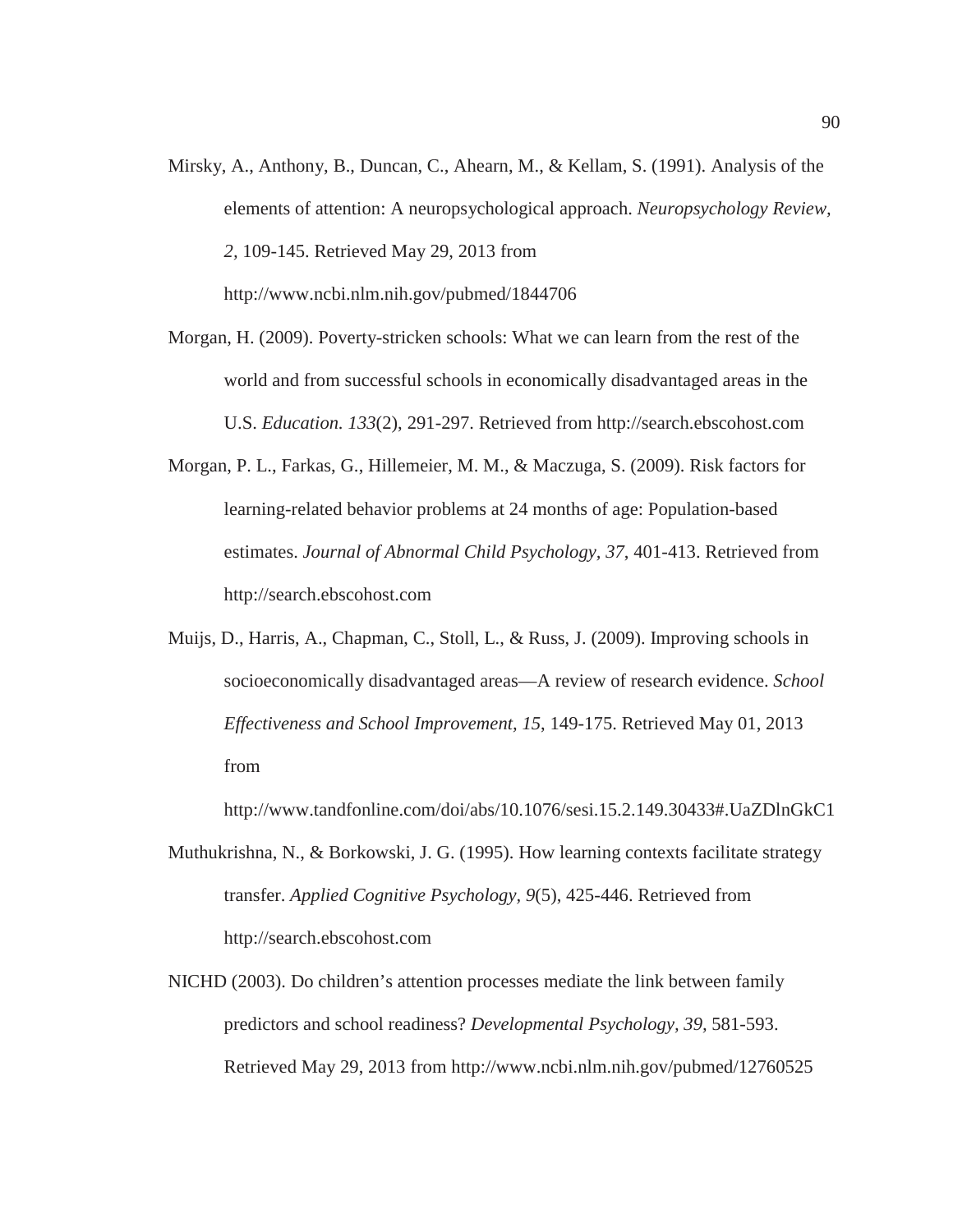Mirsky, A., Anthony, B., Duncan, C., Ahearn, M., & Kellam, S. (1991). Analysis of the elements of attention: A neuropsychological approach. *Neuropsychology Review, 2,* 109-145. Retrieved May 29, 2013 from http://www.ncbi.nlm.nih.gov/pubmed/1844706

Morgan, H. (2009). Poverty-stricken schools: What we can learn from the rest of the world and from successful schools in economically disadvantaged areas in the U.S. *Education. 133*(2), 291-297. Retrieved from http://search.ebscohost.com

- Morgan, P. L., Farkas, G., Hillemeier, M. M., & Maczuga, S. (2009). Risk factors for learning-related behavior problems at 24 months of age: Population-based estimates. *Journal of Abnormal Child Psychology, 37*, 401-413. Retrieved from http://search.ebscohost.com
- Muijs, D., Harris, A., Chapman, C., Stoll, L., & Russ, J. (2009). Improving schools in socioeconomically disadvantaged areas—A review of research evidence. *School Effectiveness and School Improvement, 15*, 149-175. Retrieved May 01, 2013 from

http://www.tandfonline.com/doi/abs/10.1076/sesi.15.2.149.30433#.UaZDlnGkC1

- Muthukrishna, N., & Borkowski, J. G. (1995). How learning contexts facilitate strategy transfer. *Applied Cognitive Psychology, 9*(5), 425-446. Retrieved from http://search.ebscohost.com
- NICHD (2003). Do children's attention processes mediate the link between family predictors and school readiness? *Developmental Psychology, 39,* 581-593. Retrieved May 29, 2013 from http://www.ncbi.nlm.nih.gov/pubmed/12760525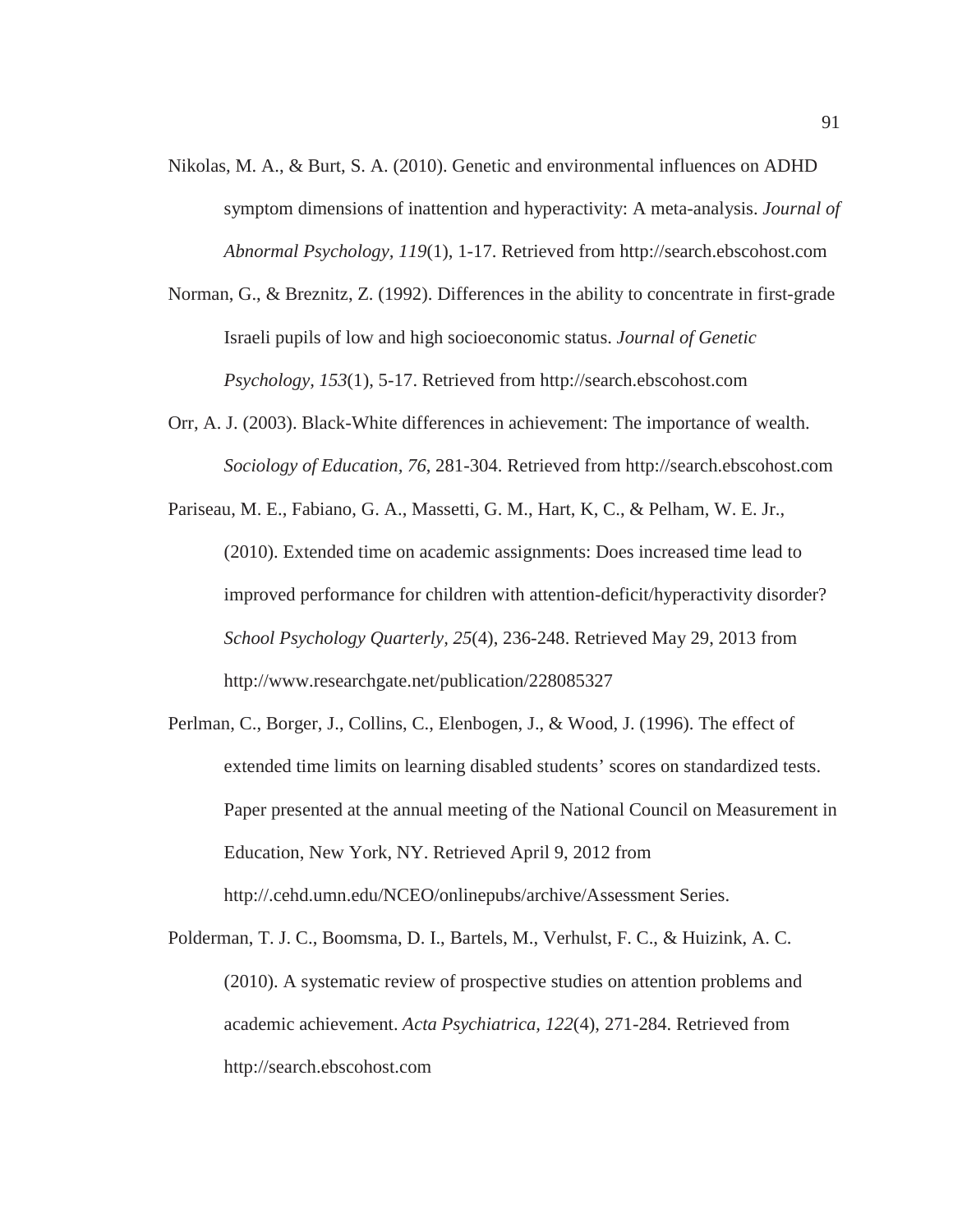- Nikolas, M. A., & Burt, S. A. (2010). Genetic and environmental influences on ADHD symptom dimensions of inattention and hyperactivity: A meta-analysis. *Journal of Abnormal Psychology, 119*(1), 1-17. Retrieved from http://search.ebscohost.com
- Norman, G., & Breznitz, Z. (1992). Differences in the ability to concentrate in first-grade Israeli pupils of low and high socioeconomic status. *Journal of Genetic Psychology, 153*(1), 5-17. Retrieved from http://search.ebscohost.com
- Orr, A. J. (2003). Black-White differences in achievement: The importance of wealth. *Sociology of Education, 76*, 281-304. Retrieved from http://search.ebscohost.com
- Pariseau, M. E., Fabiano, G. A., Massetti, G. M., Hart, K, C., & Pelham, W. E. Jr., (2010). Extended time on academic assignments: Does increased time lead to improved performance for children with attention-deficit/hyperactivity disorder? *School Psychology Quarterly, 25*(4), 236-248. Retrieved May 29, 2013 from http://www.researchgate.net/publication/228085327
- Perlman, C., Borger, J., Collins, C., Elenbogen, J., & Wood, J. (1996). The effect of extended time limits on learning disabled students' scores on standardized tests. Paper presented at the annual meeting of the National Council on Measurement in Education, New York, NY. Retrieved April 9, 2012 from http://.cehd.umn.edu/NCEO/onlinepubs/archive/Assessment Series.
- Polderman, T. J. C., Boomsma, D. I., Bartels, M., Verhulst, F. C., & Huizink, A. C. (2010). A systematic review of prospective studies on attention problems and academic achievement. *Acta Psychiatrica, 122*(4), 271-284. Retrieved from http://search.ebscohost.com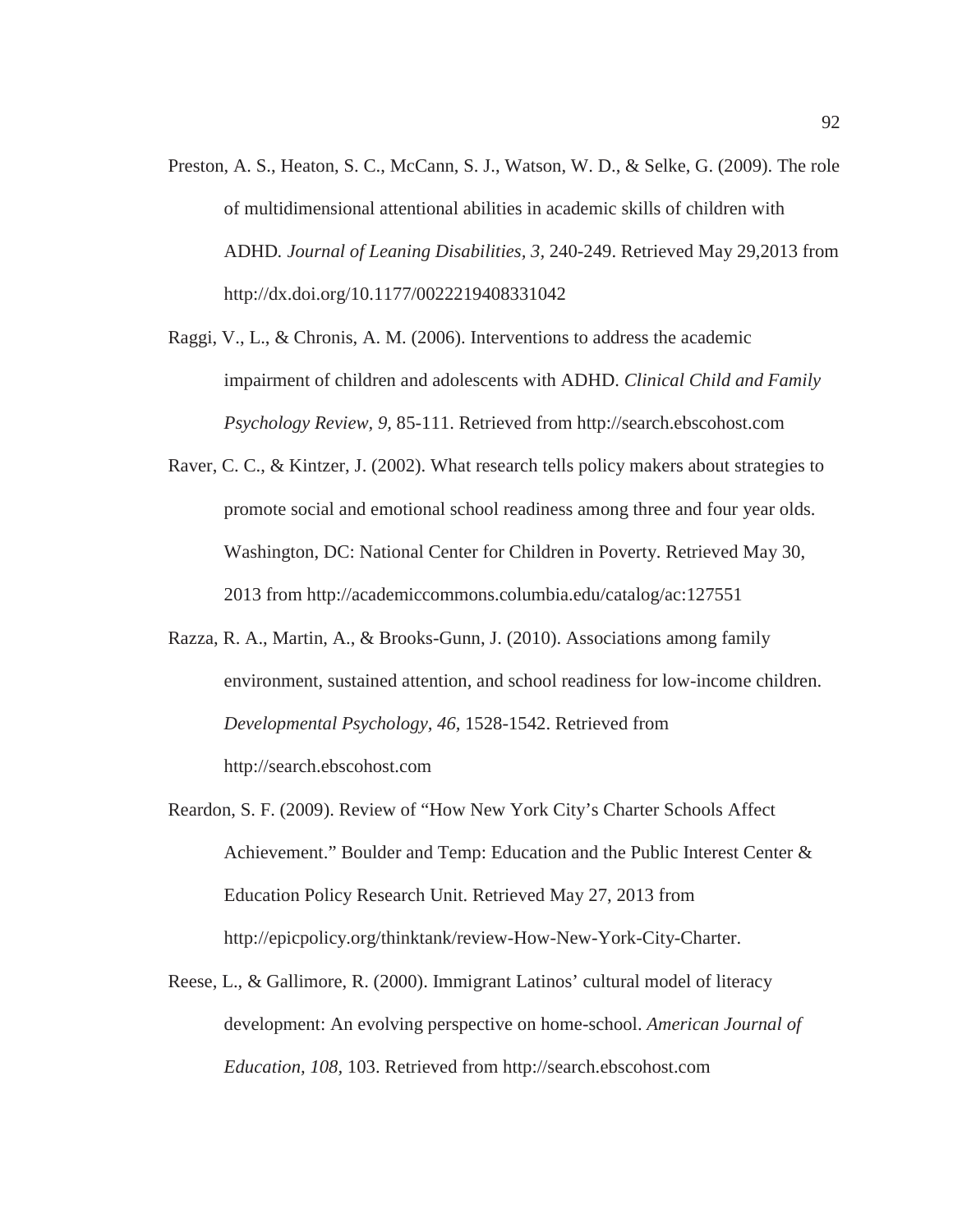- Preston, A. S., Heaton, S. C., McCann, S. J., Watson, W. D., & Selke, G. (2009). The role of multidimensional attentional abilities in academic skills of children with ADHD*. Journal of Leaning Disabilities, 3,* 240-249. Retrieved May 29,2013 from http://dx.doi.org/10.1177/0022219408331042
- Raggi, V., L., & Chronis, A. M. (2006). Interventions to address the academic impairment of children and adolescents with ADHD. *Clinical Child and Family Psychology Review, 9,* 85-111. Retrieved from http://search.ebscohost.com
- Raver, C. C., & Kintzer, J. (2002). What research tells policy makers about strategies to promote social and emotional school readiness among three and four year olds. Washington, DC: National Center for Children in Poverty. Retrieved May 30, 2013 from http://academiccommons.columbia.edu/catalog/ac:127551
- Razza, R. A., Martin, A., & Brooks-Gunn, J. (2010). Associations among family environment, sustained attention, and school readiness for low-income children. *Developmental Psychology, 46,* 1528-1542. Retrieved from http://search.ebscohost.com
- Reardon, S. F. (2009). Review of "How New York City's Charter Schools Affect Achievement." Boulder and Temp: Education and the Public Interest Center & Education Policy Research Unit. Retrieved May 27, 2013 from http://epicpolicy.org/thinktank/review-How-New-York-City-Charter.
- Reese, L., & Gallimore, R. (2000). Immigrant Latinos' cultural model of literacy development: An evolving perspective on home-school. *American Journal of Education, 108,* 103. Retrieved from http://search.ebscohost.com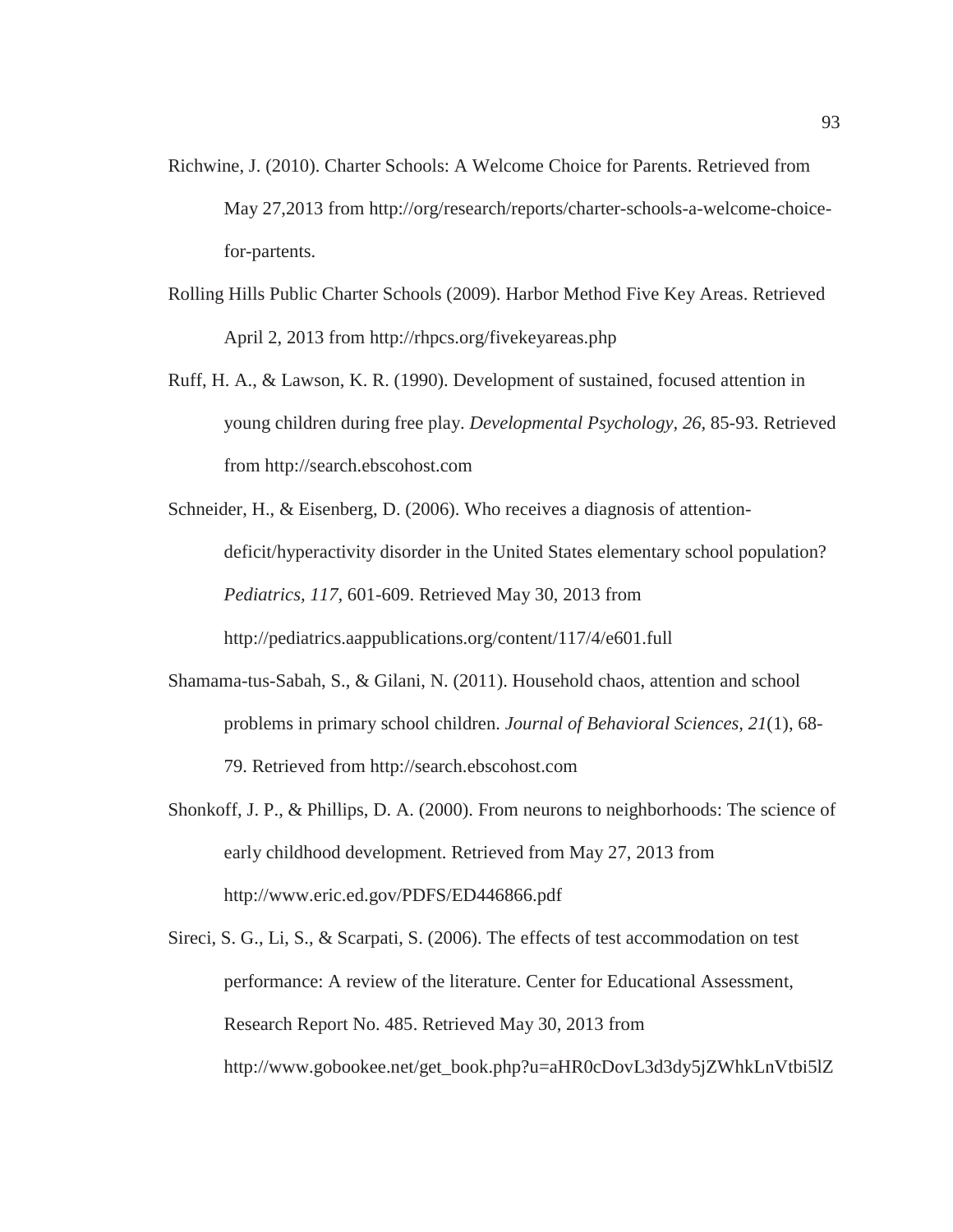- Richwine, J. (2010). Charter Schools: A Welcome Choice for Parents. Retrieved from May 27,2013 from http://org/research/reports/charter-schools-a-welcome-choicefor-partents.
- Rolling Hills Public Charter Schools (2009). Harbor Method Five Key Areas. Retrieved April 2, 2013 from http://rhpcs.org/fivekeyareas.php
- Ruff, H. A., & Lawson, K. R. (1990). Development of sustained, focused attention in young children during free play. *Developmental Psychology, 26,* 85-93. Retrieved from http://search.ebscohost.com
- Schneider, H., & Eisenberg, D. (2006). Who receives a diagnosis of attentiondeficit/hyperactivity disorder in the United States elementary school population? *Pediatrics, 117,* 601-609. Retrieved May 30, 2013 from http://pediatrics.aappublications.org/content/117/4/e601.full
- Shamama-tus-Sabah, S., & Gilani, N. (2011). Household chaos, attention and school problems in primary school children. *Journal of Behavioral Sciences, 21*(1), 68- 79. Retrieved from http://search.ebscohost.com
- Shonkoff, J. P., & Phillips, D. A. (2000). From neurons to neighborhoods: The science of early childhood development. Retrieved from May 27, 2013 from http://www.eric.ed.gov/PDFS/ED446866.pdf
- Sireci, S. G., Li, S., & Scarpati, S. (2006). The effects of test accommodation on test performance: A review of the literature. Center for Educational Assessment, Research Report No. 485. Retrieved May 30, 2013 from http://www.gobookee.net/get\_book.php?u=aHR0cDovL3d3dy5jZWhkLnVtbi5lZ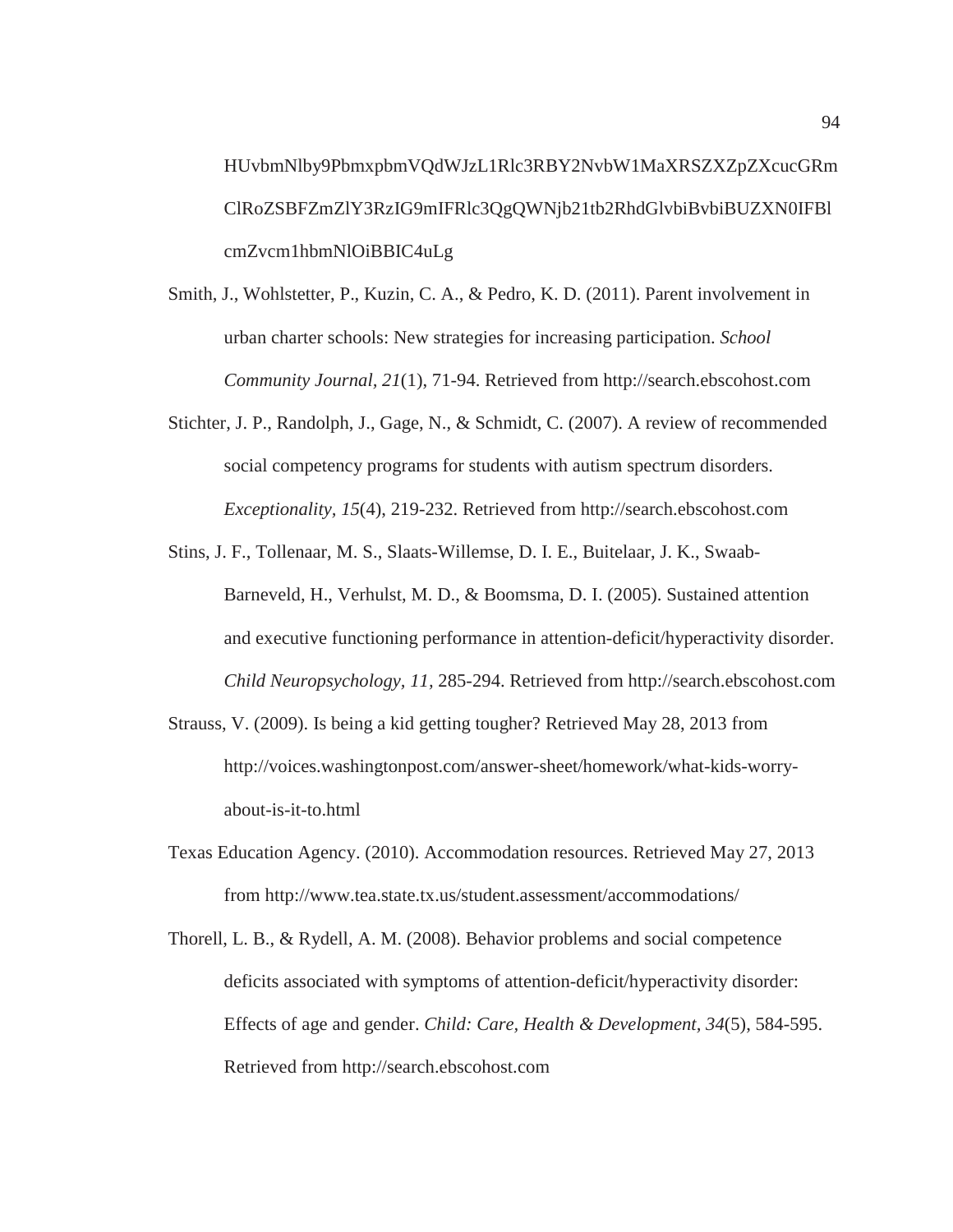HUvbmNlby9PbmxpbmVQdWJzL1Rlc3RBY2NvbW1MaXRSZXZpZXcucGRm ClRoZSBFZmZlY3RzIG9mIFRlc3QgQWNjb21tb2RhdGlvbiBvbiBUZXN0IFBl cmZvcm1hbmNlOiBBIC4uLg

- Smith, J., Wohlstetter, P., Kuzin, C. A., & Pedro, K. D. (2011). Parent involvement in urban charter schools: New strategies for increasing participation. *School Community Journal, 21*(1), 71-94. Retrieved from http://search.ebscohost.com
- Stichter, J. P., Randolph, J., Gage, N., & Schmidt, C. (2007). A review of recommended social competency programs for students with autism spectrum disorders. *Exceptionality, 15*(4), 219-232. Retrieved from http://search.ebscohost.com
- Stins, J. F., Tollenaar, M. S., Slaats-Willemse, D. I. E., Buitelaar, J. K., Swaab-Barneveld, H., Verhulst, M. D., & Boomsma, D. I. (2005). Sustained attention and executive functioning performance in attention-deficit/hyperactivity disorder. *Child Neuropsychology, 11,* 285-294. Retrieved from http://search.ebscohost.com
- Strauss, V. (2009). Is being a kid getting tougher? Retrieved May 28, 2013 from http://voices.washingtonpost.com/answer-sheet/homework/what-kids-worryabout-is-it-to.html
- Texas Education Agency. (2010). Accommodation resources. Retrieved May 27, 2013 from http://www.tea.state.tx.us/student.assessment/accommodations/
- Thorell, L. B., & Rydell, A. M. (2008). Behavior problems and social competence deficits associated with symptoms of attention-deficit/hyperactivity disorder: Effects of age and gender. *Child: Care, Health & Development, 34*(5), 584-595. Retrieved from http://search.ebscohost.com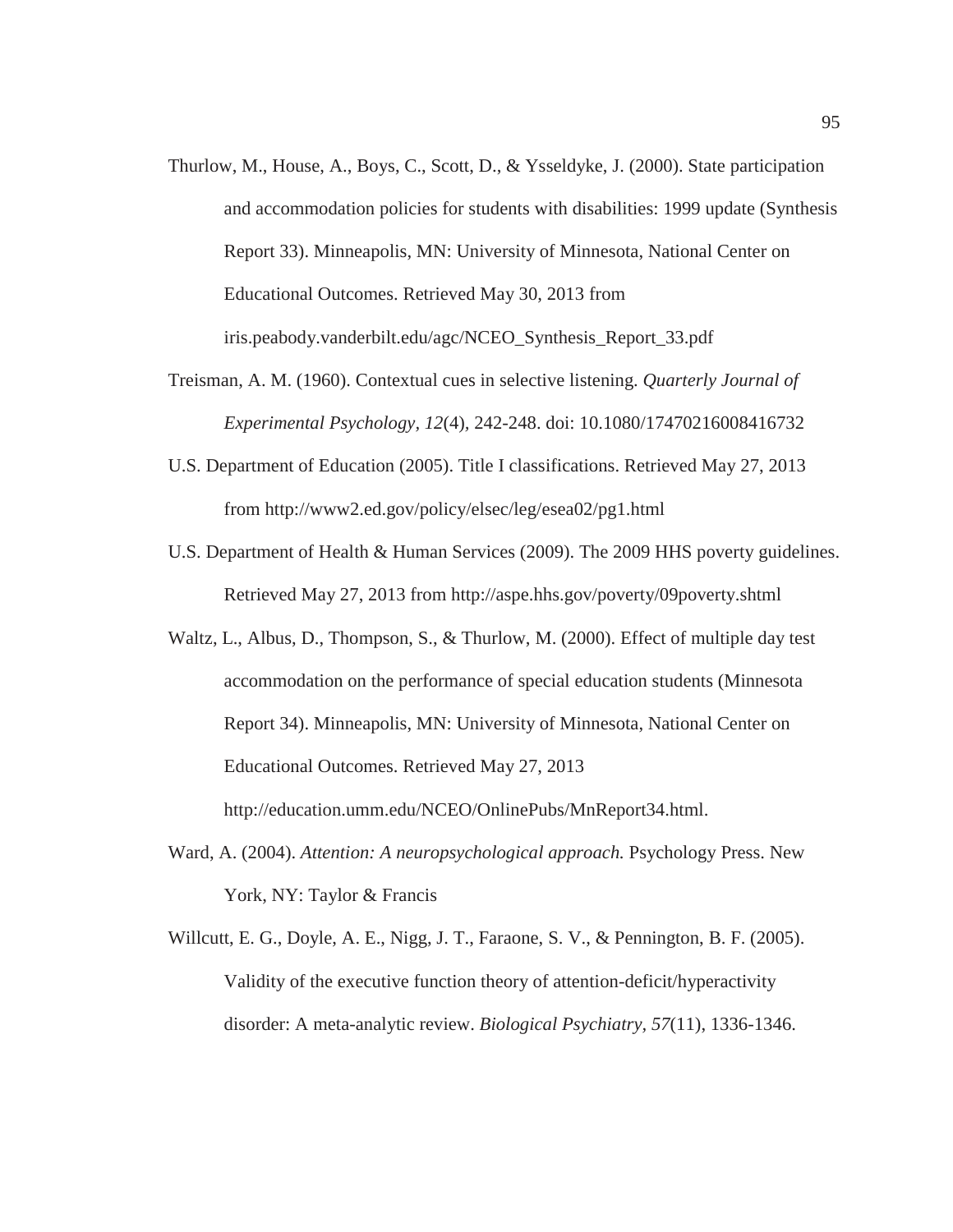- Thurlow, M., House, A., Boys, C., Scott, D., & Ysseldyke, J. (2000). State participation and accommodation policies for students with disabilities: 1999 update (Synthesis Report 33). Minneapolis, MN: University of Minnesota, National Center on Educational Outcomes. Retrieved May 30, 2013 from iris.peabody.vanderbilt.edu/agc/NCEO\_Synthesis\_Report\_33.pdf
- Treisman, A. M. (1960). Contextual cues in selective listening. *Quarterly Journal of Experimental Psychology, 12*(4)*,* 242-248. doi: 10.1080/17470216008416732
- U.S. Department of Education (2005). Title I classifications. Retrieved May 27, 2013 from http://www2.ed.gov/policy/elsec/leg/esea02/pg1.html
- U.S. Department of Health & Human Services (2009). The 2009 HHS poverty guidelines. Retrieved May 27, 2013 from http://aspe.hhs.gov/poverty/09poverty.shtml
- Waltz, L., Albus, D., Thompson, S., & Thurlow, M. (2000). Effect of multiple day test accommodation on the performance of special education students (Minnesota Report 34). Minneapolis, MN: University of Minnesota, National Center on Educational Outcomes. Retrieved May 27, 2013 http://education.umm.edu/NCEO/OnlinePubs/MnReport34.html.
- Ward, A. (2004). *Attention: A neuropsychological approach.* Psychology Press. New York, NY: Taylor & Francis
- Willcutt, E. G., Doyle, A. E., Nigg, J. T., Faraone, S. V., & Pennington, B. F. (2005). Validity of the executive function theory of attention-deficit/hyperactivity disorder: A meta-analytic review. *Biological Psychiatry, 57*(11), 1336-1346.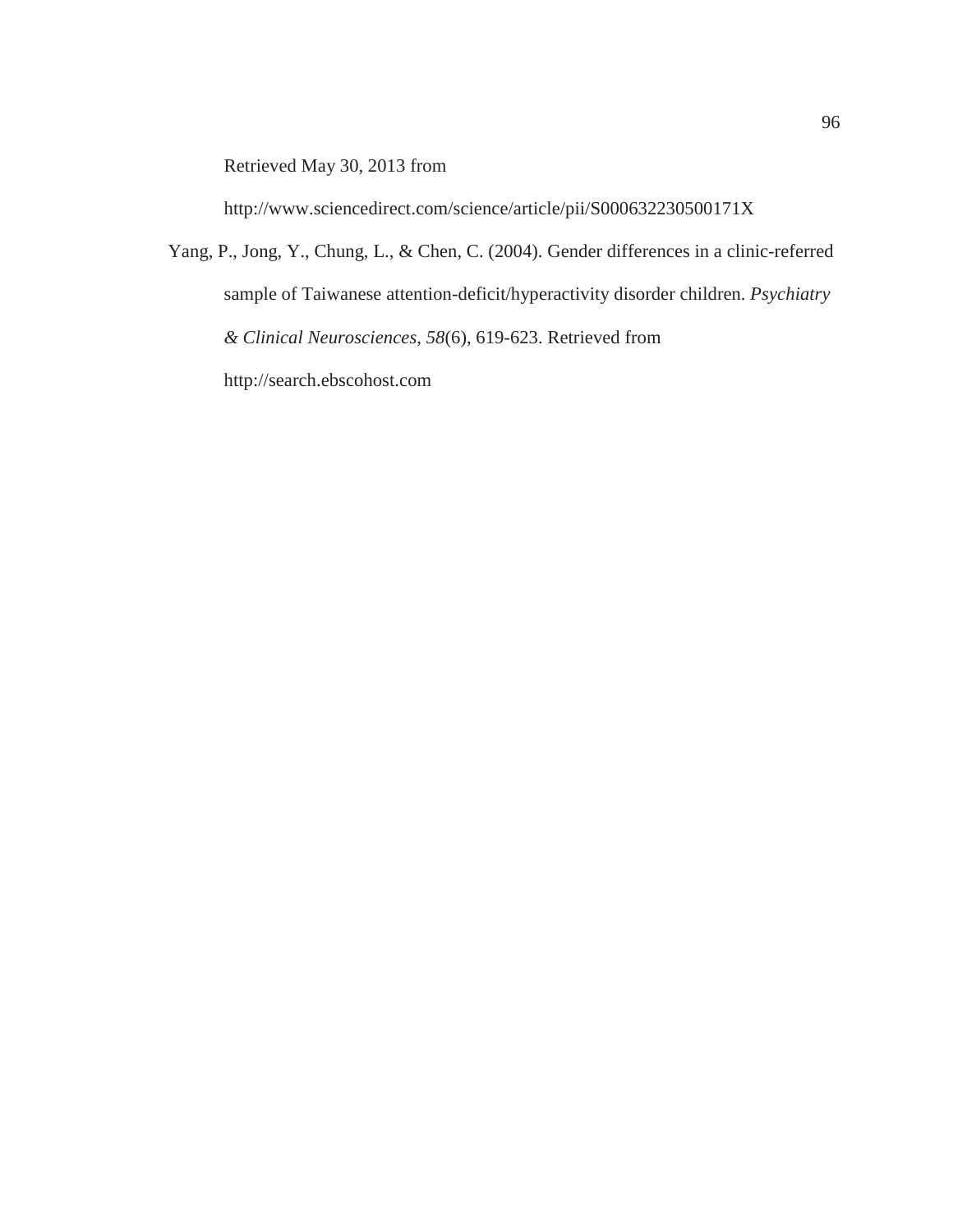Retrieved May 30, 2013 from

http://www.sciencedirect.com/science/article/pii/S000632230500171X

Yang, P., Jong, Y., Chung, L., & Chen, C. (2004). Gender differences in a clinic-referred sample of Taiwanese attention-deficit/hyperactivity disorder children. *Psychiatry & Clinical Neurosciences, 58*(6), 619-623. Retrieved from http://search.ebscohost.com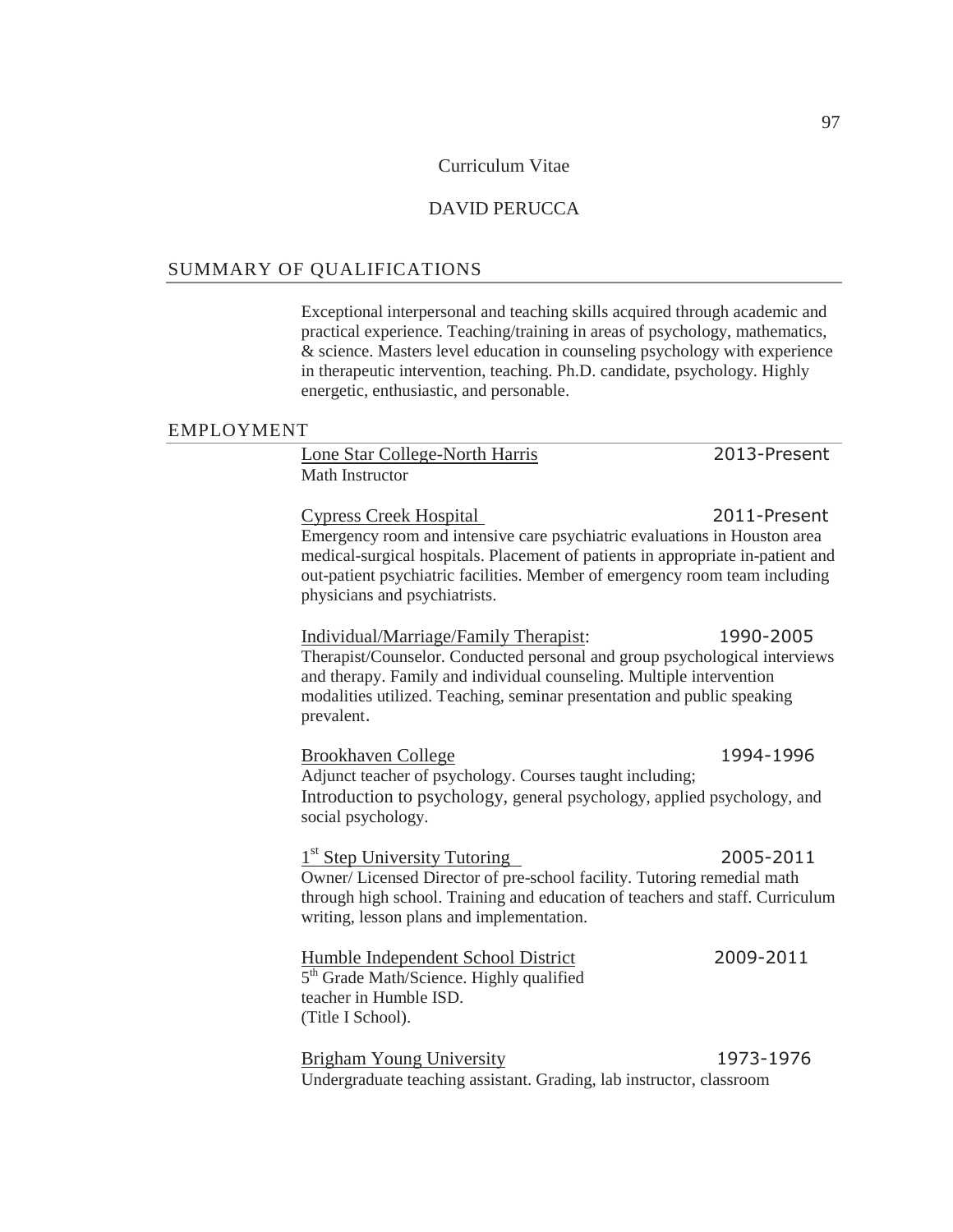#### Curriculum Vitae

# DAVID PERUCCA

## SUMMARY OF QUALIFICATIONS

Exceptional interpersonal and teaching skills acquired through academic and practical experience. Teaching/training in areas of psychology, mathematics, & science. Masters level education in counseling psychology with experience in therapeutic intervention, teaching. Ph.D. candidate, psychology. Highly energetic, enthusiastic, and personable.

#### EMPLOYMENT

Lone Star College-North Harris 2013-Present Math Instructor

Cypress Creek Hospital 3011-Present Emergency room and intensive care psychiatric evaluations in Houston area medical-surgical hospitals. Placement of patients in appropriate in-patient and out-patient psychiatric facilities. Member of emergency room team including physicians and psychiatrists.

### Individual/Marriage/Family Therapist: Therapist/Counselor. Conducted personal and group psychological interviews and therapy. Family and individual counseling. Multiple intervention modalities utilized. Teaching, seminar presentation and public speaking prevalent

Brookhaven College Adjunct teacher of psychology. Courses taught including; Introduction to psychology, general psychology, applied psychology, and social psychology.

1<sup>st</sup> Step University Tutoring 2005-2011 Owner/ Licensed Director of pre-school facility. Tutoring remedial math through high school. Training and education of teachers and staff. Curriculum writing, lesson plans and implementation.

| Humble Independent School District                   | 2009-2011 |
|------------------------------------------------------|-----------|
| 5 <sup>th</sup> Grade Math/Science. Highly qualified |           |
| teacher in Humble ISD.                               |           |
| (Title I School).                                    |           |
|                                                      |           |

Brigham Young University 1973-1976 Undergraduate teaching assistant. Grading, lab instructor, classroom